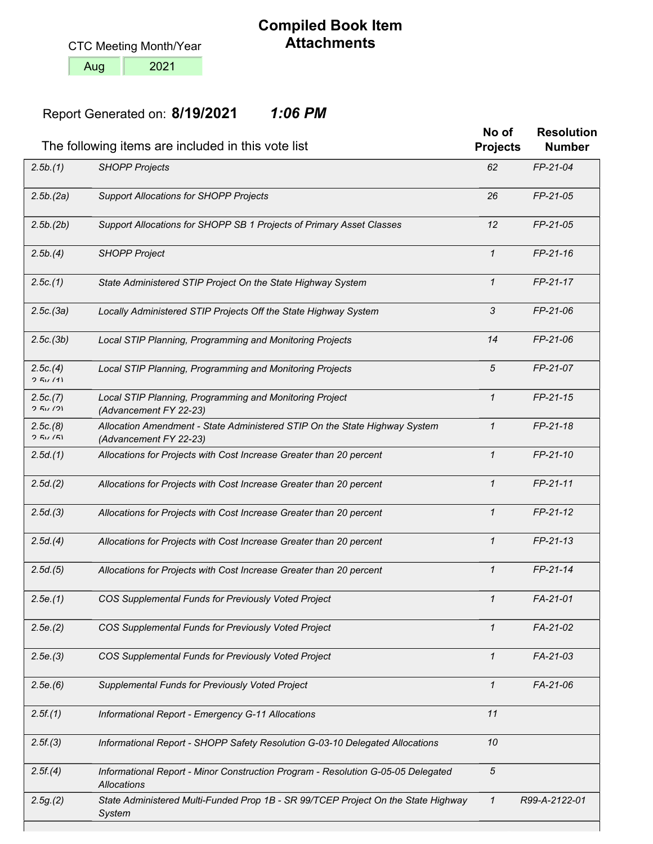CTC Meeting Month/Year

2021

Aug

## **Compiled Book Item Attachments**

## **8/19/2021** Report Generated on:*1:06 PM*

|                    | The following items are included in this vote list                                                   | No of<br><b>Projects</b> | <b>Resolution</b><br><b>Number</b> |
|--------------------|------------------------------------------------------------------------------------------------------|--------------------------|------------------------------------|
| 2.5b.(1)           | <b>SHOPP Projects</b>                                                                                | 62                       | FP-21-04                           |
| 2.5b(2a)           | <b>Support Allocations for SHOPP Projects</b>                                                        | 26                       | FP-21-05                           |
| 2.5b.(2b)          | Support Allocations for SHOPP SB 1 Projects of Primary Asset Classes                                 | 12                       | FP-21-05                           |
| 2.5b.(4)           | <b>SHOPP Project</b>                                                                                 | $\mathcal I$             | $FP-21-16$                         |
| 2.5c(1)            | State Administered STIP Project On the State Highway System                                          | $\mathcal I$             | FP-21-17                           |
| 2.5c.(3a)          | Locally Administered STIP Projects Off the State Highway System                                      | 3                        | FP-21-06                           |
| 2.5c.(3b)          | Local STIP Planning, Programming and Monitoring Projects                                             | 14                       | FP-21-06                           |
| 2.5c.(4)<br>251/11 | Local STIP Planning, Programming and Monitoring Projects                                             | 5                        | FP-21-07                           |
| 2.5c(7)<br>2.51/21 | Local STIP Planning, Programming and Monitoring Project<br>(Advancement FY 22-23)                    | $\mathcal I$             | $FP-21-15$                         |
| 2.5c(8)<br>251/51  | Allocation Amendment - State Administered STIP On the State Highway System<br>(Advancement FY 22-23) | $\mathcal I$             | FP-21-18                           |
| 2.5d(1)            | Allocations for Projects with Cost Increase Greater than 20 percent                                  | $\mathcal I$             | FP-21-10                           |
| 2.5d(2)            | Allocations for Projects with Cost Increase Greater than 20 percent                                  | $\mathcal I$             | FP-21-11                           |
| 2.5d(3)            | Allocations for Projects with Cost Increase Greater than 20 percent                                  | $\mathcal I$             | $FP-21-12$                         |
| 2.5d(4)            | Allocations for Projects with Cost Increase Greater than 20 percent                                  | $\mathcal I$             | $FP-21-13$                         |
| 2.5d(5)            | Allocations for Projects with Cost Increase Greater than 20 percent                                  | $\mathcal I$             | FP-21-14                           |
| 2.5e(1)            | COS Supplemental Funds for Previously Voted Project                                                  | 1                        | FA-21-01                           |
| 2.5e.(2)           | COS Supplemental Funds for Previously Voted Project                                                  | $\mathcal I$             | FA-21-02                           |
| 2.5e(3)            | COS Supplemental Funds for Previously Voted Project                                                  | $\mathcal I$             | FA-21-03                           |
| 2.5e(6)            | Supplemental Funds for Previously Voted Project                                                      | $\mathcal I$             | FA-21-06                           |
| 2.5f(1)            | Informational Report - Emergency G-11 Allocations                                                    | 11                       |                                    |
| 2.5f(3)            | Informational Report - SHOPP Safety Resolution G-03-10 Delegated Allocations                         | 10                       |                                    |
| 2.5f(4)            | Informational Report - Minor Construction Program - Resolution G-05-05 Delegated<br>Allocations      | $\sqrt{5}$               |                                    |
| 2.5g(2)            | State Administered Multi-Funded Prop 1B - SR 99/TCEP Project On the State Highway<br>System          | $\mathbf{1}$             | R99-A-2122-01                      |
|                    |                                                                                                      |                          |                                    |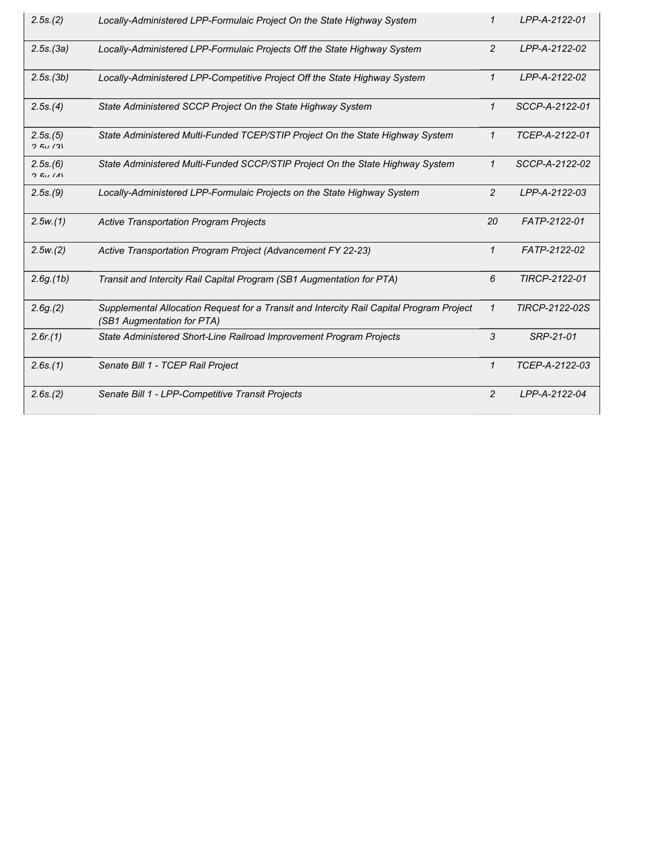| 2.5s(2)            | Locally-Administered LPP-Formulaic Project On the State Highway System                                                 | 1              | LPP-A-2122-01  |
|--------------------|------------------------------------------------------------------------------------------------------------------------|----------------|----------------|
| 2.5s.(3a)          | Locally-Administered LPP-Formulaic Projects Off the State Highway System                                               | $\overline{2}$ | LPP-A-2122-02  |
| 2.5s.(3b)          | Locally-Administered LPP-Competitive Project Off the State Highway System                                              | $\mathbf{1}$   | LPP-A-2122-02  |
| 2.5s(4)            | State Administered SCCP Project On the State Highway System                                                            | 1              | SCCP-A-2122-01 |
| 2.5s.(5)<br>251/21 | State Administered Multi-Funded TCEP/STIP Project On the State Highway System                                          | 1              | TCEP-A-2122-01 |
| 2.5s(6)<br>2.51(1) | State Administered Multi-Funded SCCP/STIP Project On the State Highway System                                          | $\mathcal I$   | SCCP-A-2122-02 |
| 2.5s(9)            | Locally-Administered LPP-Formulaic Projects on the State Highway System                                                | $\overline{2}$ | LPP-A-2122-03  |
| 2.5w(1)            | <b>Active Transportation Program Projects</b>                                                                          | 20             | FATP-2122-01   |
| 2.5w(2)            | Active Transportation Program Project (Advancement FY 22-23)                                                           | $\mathbf{1}$   | FATP-2122-02   |
| 2.6g(1b)           | Transit and Intercity Rail Capital Program (SB1 Augmentation for PTA)                                                  | 6              | TIRCP-2122-01  |
| 2.6g(2)            | Supplemental Allocation Request for a Transit and Intercity Rail Capital Program Project<br>(SB1 Augmentation for PTA) | $\mathbf{1}$   | TIRCP-2122-02S |
| 2.6r(1)            | State Administered Short-Line Railroad Improvement Program Projects                                                    | 3              | SRP-21-01      |
| 2.6s(1)            | Senate Bill 1 - TCEP Rail Project                                                                                      | 1              | TCEP-A-2122-03 |
| 2.6s(2)            | Senate Bill 1 - LPP-Competitive Transit Projects                                                                       | $\overline{2}$ | LPP-A-2122-04  |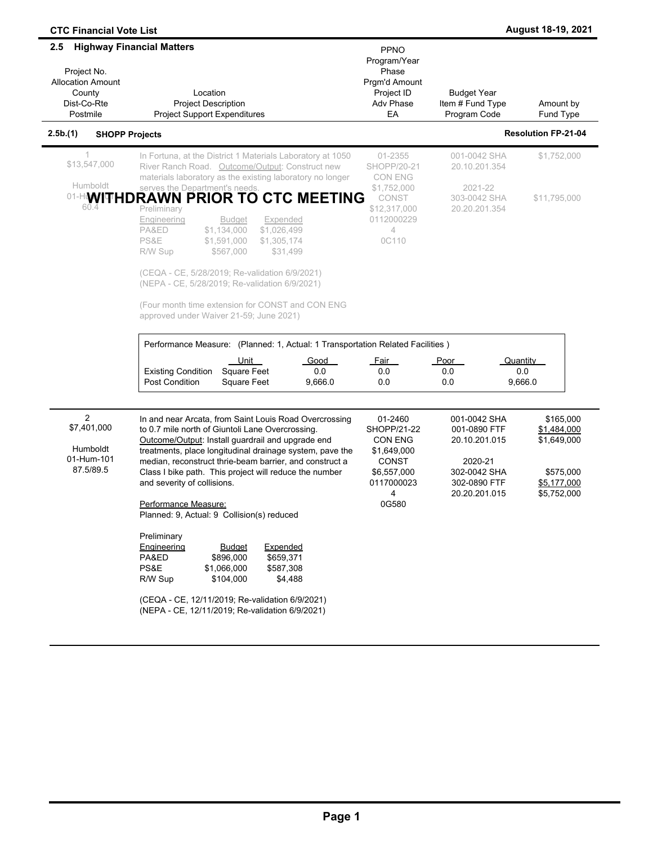| <b>CTC Financial Vote List</b>                                                                                          |                                                                                                                                                                                                                                                                                                                                                                                                                                                                                                                                                                                                                                                                                                                                         |                                                                                                                    |                                                                                                           | August 18-19, 2021                                                                 |
|-------------------------------------------------------------------------------------------------------------------------|-----------------------------------------------------------------------------------------------------------------------------------------------------------------------------------------------------------------------------------------------------------------------------------------------------------------------------------------------------------------------------------------------------------------------------------------------------------------------------------------------------------------------------------------------------------------------------------------------------------------------------------------------------------------------------------------------------------------------------------------|--------------------------------------------------------------------------------------------------------------------|-----------------------------------------------------------------------------------------------------------|------------------------------------------------------------------------------------|
| <b>Highway Financial Matters</b><br>2.5<br>Project No.<br><b>Allocation Amount</b><br>County<br>Dist-Co-Rte<br>Postmile | Location<br><b>Project Description</b><br><b>Project Support Expenditures</b>                                                                                                                                                                                                                                                                                                                                                                                                                                                                                                                                                                                                                                                           | PPNO<br>Program/Year<br>Phase<br>Prgm'd Amount<br>Project ID<br>Adv Phase<br>EA                                    | <b>Budget Year</b><br>Item # Fund Type<br>Program Code                                                    | Amount by<br><b>Fund Type</b>                                                      |
| 2.5b.(1)<br><b>SHOPP Projects</b>                                                                                       |                                                                                                                                                                                                                                                                                                                                                                                                                                                                                                                                                                                                                                                                                                                                         |                                                                                                                    |                                                                                                           | <b>Resolution FP-21-04</b>                                                         |
| $\mathbf{1}$<br>\$13,547,000<br>Humboldt<br>01-H <b>WITHD</b><br>60.4                                                   | In Fortuna, at the District 1 Materials Laboratory at 1050<br>River Ranch Road. Outcome/Output: Construct new<br>materials laboratory as the existing laboratory no longer<br>serves the Department's needs.<br><b>RAWN PRIOR TO CTC MEETING</b><br>Preliminary<br>Engineering<br><b>Budget</b><br>Expended<br>PA&ED<br>\$1,134,000<br>\$1,026,499<br>PS&E<br>\$1,591,000<br>\$1,305,174<br>\$31,499<br>R/W Sup<br>\$567,000<br>(CEQA - CE, 5/28/2019; Re-validation 6/9/2021)<br>(NEPA - CE, 5/28/2019; Re-validation 6/9/2021)<br>(Four month time extension for CONST and CON ENG                                                                                                                                                    | 01-2355<br><b>SHOPP/20-21</b><br>CON ENG<br>\$1,752,000<br>CONST<br>\$12,317,000<br>0112000229<br>4<br>0C110       | 001-0042 SHA<br>20.10.201.354<br>2021-22<br>303-0042 SHA<br>20.20.201.354                                 | \$1,752,000<br>\$11,795,000                                                        |
|                                                                                                                         | approved under Waiver 21-59; June 2021)<br>Performance Measure: (Planned: 1, Actual: 1 Transportation Related Facilities)<br>Unit<br><b>Square Feet</b><br><b>Existing Condition</b><br><b>Post Condition</b><br><b>Square Feet</b>                                                                                                                                                                                                                                                                                                                                                                                                                                                                                                     | <b>Good</b><br><u>Fair</u><br>0.0<br>0.0<br>9,666.0<br>0.0                                                         | Poor<br>0.0<br>0.0                                                                                        | Quantity<br>0.0<br>9,666.0                                                         |
| 2<br>\$7,401,000<br>Humboldt<br>01-Hum-101<br>87.5/89.5                                                                 | In and near Arcata, from Saint Louis Road Overcrossing<br>to 0.7 mile north of Giuntoli Lane Overcrossing.<br>Outcome/Output: Install guardrail and upgrade end<br>treatments, place longitudinal drainage system, pave the<br>median, reconstruct thrie-beam barrier, and construct a<br>Class I bike path. This project will reduce the number<br>and severity of collisions.<br><u>Performance Measure:</u><br>Planned: 9, Actual: 9 Collision(s) reduced<br>Preliminary<br>Engineering<br><b>Budget</b><br>Expended<br>\$659,371<br>PA&ED<br>\$896,000<br>PS&E<br>\$1,066,000<br>\$587,308<br>R/W Sup<br>\$104,000<br>\$4,488<br>(CEQA - CE, 12/11/2019; Re-validation 6/9/2021)<br>(NEPA - CE, 12/11/2019; Re-validation 6/9/2021) | 01-2460<br><b>SHOPP/21-22</b><br>CON ENG<br>\$1,649,000<br><b>CONST</b><br>\$6,557,000<br>0117000023<br>4<br>0G580 | 001-0042 SHA<br>001-0890 FTF<br>20.10.201.015<br>2020-21<br>302-0042 SHA<br>302-0890 FTF<br>20.20.201.015 | \$165,000<br>\$1,484,000<br>\$1,649,000<br>\$575,000<br>\$5,177,000<br>\$5,752,000 |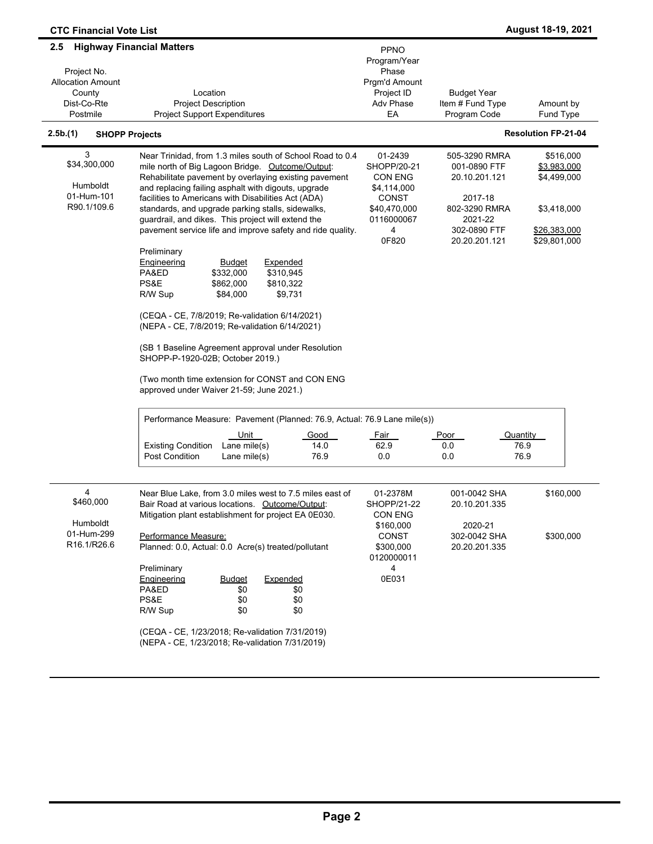| <b>CTC Financial Vote List</b>                                                      |                                                                                                                                                                                                                                                                                                                                                                                                                                                                                                                                                                                                                                                                                                                                                                                                                                                                                                                                       |                                                                                                              |                                                                                                                        | August 18-19, 2021                                                                     |
|-------------------------------------------------------------------------------------|---------------------------------------------------------------------------------------------------------------------------------------------------------------------------------------------------------------------------------------------------------------------------------------------------------------------------------------------------------------------------------------------------------------------------------------------------------------------------------------------------------------------------------------------------------------------------------------------------------------------------------------------------------------------------------------------------------------------------------------------------------------------------------------------------------------------------------------------------------------------------------------------------------------------------------------|--------------------------------------------------------------------------------------------------------------|------------------------------------------------------------------------------------------------------------------------|----------------------------------------------------------------------------------------|
| 2.5<br>Project No.<br><b>Allocation Amount</b><br>County<br>Dist-Co-Rte<br>Postmile | <b>Highway Financial Matters</b><br>Location<br><b>Project Description</b><br><b>Project Support Expenditures</b>                                                                                                                                                                                                                                                                                                                                                                                                                                                                                                                                                                                                                                                                                                                                                                                                                     | <b>PPNO</b><br>Program/Year<br>Phase<br>Prgm'd Amount<br>Project ID<br><b>Adv Phase</b><br>EA                | <b>Budget Year</b><br>Item # Fund Type<br>Program Code                                                                 | Amount by<br>Fund Type                                                                 |
| 2.5b.(1)<br><b>SHOPP Projects</b>                                                   |                                                                                                                                                                                                                                                                                                                                                                                                                                                                                                                                                                                                                                                                                                                                                                                                                                                                                                                                       |                                                                                                              |                                                                                                                        | <b>Resolution FP-21-04</b>                                                             |
| 3<br>\$34,300,000<br>Humboldt<br>01-Hum-101<br>R90.1/109.6                          | Near Trinidad, from 1.3 miles south of School Road to 0.4<br>mile north of Big Lagoon Bridge.   Outcome/Output:<br>Rehabilitate pavement by overlaying existing pavement<br>and replacing failing asphalt with digouts, upgrade<br>facilities to Americans with Disabilities Act (ADA)<br>standards, and upgrade parking stalls, sidewalks,<br>guardrail, and dikes. This project will extend the<br>pavement service life and improve safety and ride quality.<br>Preliminary<br>Engineering<br><b>Expended</b><br><b>Budget</b><br>PA&ED<br>\$332,000<br>\$310,945<br>PS&E<br>\$862,000<br>\$810,322<br>R/W Sup<br>\$84,000<br>\$9,731<br>(CEQA - CE, 7/8/2019; Re-validation 6/14/2021)<br>(NEPA - CE, 7/8/2019; Re-validation 6/14/2021)<br>(SB 1 Baseline Agreement approval under Resolution<br>SHOPP-P-1920-02B; October 2019.)<br>(Two month time extension for CONST and CON ENG<br>approved under Waiver 21-59; June 2021.) | 01-2439<br>SHOPP/20-21<br><b>CON ENG</b><br>\$4,114,000<br>CONST<br>\$40,470,000<br>0116000067<br>4<br>0F820 | 505-3290 RMRA<br>001-0890 FTF<br>20.10.201.121<br>2017-18<br>802-3290 RMRA<br>2021-22<br>302-0890 FTF<br>20.20.201.121 | \$516,000<br>\$3,983,000<br>\$4,499,000<br>\$3,418,000<br>\$26,383,000<br>\$29,801,000 |
|                                                                                     | Performance Measure: Pavement (Planned: 76.9, Actual: 76.9 Lane mile(s))                                                                                                                                                                                                                                                                                                                                                                                                                                                                                                                                                                                                                                                                                                                                                                                                                                                              |                                                                                                              |                                                                                                                        |                                                                                        |
|                                                                                     | <u>Unit</u><br>Good<br>Lane mile(s)<br><b>Existing Condition</b><br>14.0<br>Post Condition<br>76.9<br>Lane mile(s)                                                                                                                                                                                                                                                                                                                                                                                                                                                                                                                                                                                                                                                                                                                                                                                                                    | <u>Fair</u><br>62.9<br>0.0                                                                                   | <b>Poor</b><br>Quantity<br>0.0<br>0.0                                                                                  | 76.9<br>76.9                                                                           |
| 4<br>\$460,000<br>Humboldt<br>01-Hum-299<br>R16.1/R26.6                             | Near Blue Lake, from 3.0 miles west to 7.5 miles east of<br>Bair Road at various locations. Outcome/Output:<br>Mitigation plant establishment for project EA 0E030.<br>Performance Measure:<br>Planned: 0.0, Actual: 0.0 Acre(s) treated/pollutant<br>Preliminary<br><b>Engineering</b><br><b>Budget</b><br>Expended<br>PA&ED<br>\$0<br>\$0<br>PS&E<br>\$0<br>\$0<br>R/W Sup<br>\$0<br>\$0<br>(CEQA - CE, 1/23/2018; Re-validation 7/31/2019)<br>(NEPA - CE, 1/23/2018; Re-validation 7/31/2019)                                                                                                                                                                                                                                                                                                                                                                                                                                      | 01-2378M<br>SHOPP/21-22<br>CON ENG<br>\$160,000<br><b>CONST</b><br>\$300,000<br>0120000011<br>4<br>0E031     | 001-0042 SHA<br>20.10.201.335<br>2020-21<br>302-0042 SHA<br>20.20.201.335                                              | \$160,000<br>\$300,000                                                                 |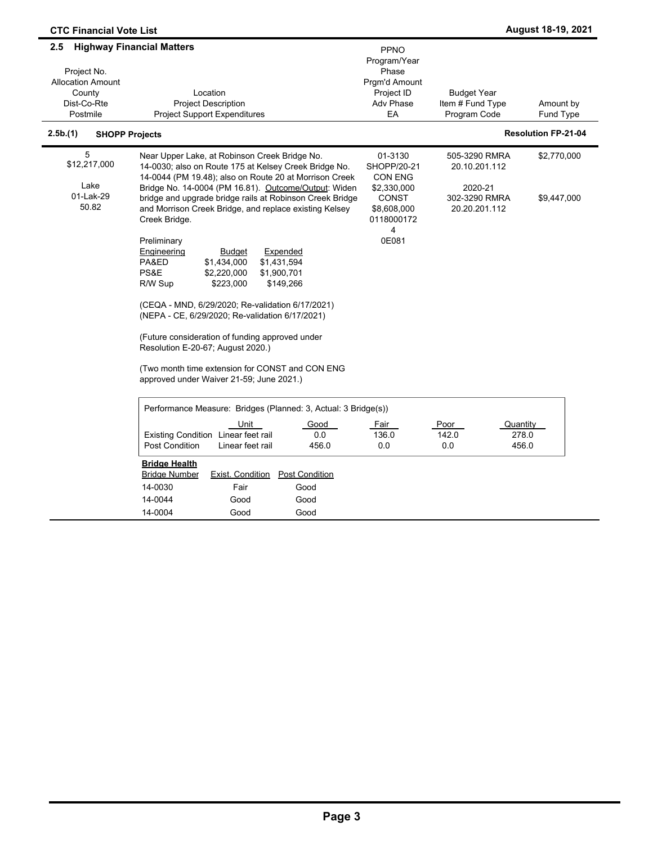| <b>CTC Financial Vote List</b>                                                      |                                                                                                                                                                                                                                                                                                                                                                                                                                                                                                                                                                                                                                                                                                                                                                                                                                            |                                                                                                                                 |                                                                             | August 18-19, 2021         |
|-------------------------------------------------------------------------------------|--------------------------------------------------------------------------------------------------------------------------------------------------------------------------------------------------------------------------------------------------------------------------------------------------------------------------------------------------------------------------------------------------------------------------------------------------------------------------------------------------------------------------------------------------------------------------------------------------------------------------------------------------------------------------------------------------------------------------------------------------------------------------------------------------------------------------------------------|---------------------------------------------------------------------------------------------------------------------------------|-----------------------------------------------------------------------------|----------------------------|
| 2.5<br>Project No.<br><b>Allocation Amount</b><br>County<br>Dist-Co-Rte<br>Postmile | <b>Highway Financial Matters</b><br>Location<br><b>Project Description</b><br><b>Project Support Expenditures</b>                                                                                                                                                                                                                                                                                                                                                                                                                                                                                                                                                                                                                                                                                                                          | <b>PPNO</b><br>Program/Year<br>Phase<br>Prgm'd Amount<br>Project ID<br><b>Adv Phase</b><br>EA                                   | <b>Budget Year</b><br>Item # Fund Type<br>Program Code                      | Amount by<br>Fund Type     |
| 2.5b.(1)                                                                            | <b>SHOPP Projects</b>                                                                                                                                                                                                                                                                                                                                                                                                                                                                                                                                                                                                                                                                                                                                                                                                                      |                                                                                                                                 |                                                                             | <b>Resolution FP-21-04</b> |
| 5<br>\$12,217,000<br>Lake<br>01-Lak-29<br>50.82                                     | Near Upper Lake, at Robinson Creek Bridge No.<br>14-0030; also on Route 175 at Kelsey Creek Bridge No.<br>14-0044 (PM 19.48); also on Route 20 at Morrison Creek<br>Bridge No. 14-0004 (PM 16.81). Outcome/Output: Widen<br>bridge and upgrade bridge rails at Robinson Creek Bridge<br>and Morrison Creek Bridge, and replace existing Kelsey<br>Creek Bridge.<br>Preliminary<br>Expended<br>Engineering<br><b>Budget</b><br>PA&ED<br>\$1,434,000<br>\$1,431,594<br>PS&E<br>\$2,220,000<br>\$1,900,701<br>\$223,000<br>\$149,266<br>R/W Sup<br>(CEQA - MND, 6/29/2020; Re-validation 6/17/2021)<br>(NEPA - CE, 6/29/2020; Re-validation 6/17/2021)<br>(Future consideration of funding approved under<br>Resolution E-20-67; August 2020.)<br>(Two month time extension for CONST and CON ENG<br>approved under Waiver 21-59; June 2021.) | 01-3130<br>SHOPP/20-21<br><b>CON ENG</b><br>\$2,330,000<br><b>CONST</b><br>\$8,608,000<br>0118000172<br>$\overline{4}$<br>0E081 | 505-3290 RMRA<br>20.10.201.112<br>2020-21<br>302-3290 RMRA<br>20.20.201.112 | \$2,770,000<br>\$9,447,000 |
|                                                                                     | Performance Measure: Bridges (Planned: 3, Actual: 3 Bridge(s))<br>Unit<br>Good<br>Existing Condition Linear feet rail<br>0.0<br>Post Condition<br>Linear feet rail<br>456.0                                                                                                                                                                                                                                                                                                                                                                                                                                                                                                                                                                                                                                                                | Fair<br>136.0<br>0.0                                                                                                            | <u>Poor</u><br>Quantity<br>142.0<br>278.0<br>456.0<br>0.0                   |                            |
|                                                                                     | <b>Bridge Health</b><br>Exist. Condition<br><b>Post Condition</b><br><b>Bridge Number</b><br>14-0030<br>Good<br>Fair<br>14-0044<br>Good<br>Good<br>14-0004<br>Good<br>Good                                                                                                                                                                                                                                                                                                                                                                                                                                                                                                                                                                                                                                                                 |                                                                                                                                 |                                                                             |                            |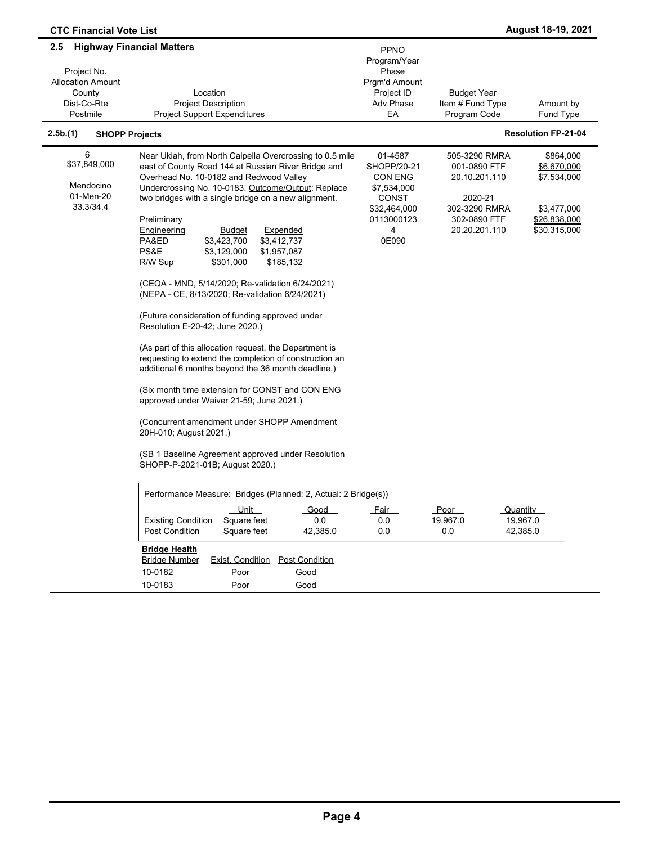| <b>CTC Financial Vote List</b>                                                      |                                                                                                                                                                                                                                                                          |                                                                                 |                                                           | August 18-19, 2021                          |
|-------------------------------------------------------------------------------------|--------------------------------------------------------------------------------------------------------------------------------------------------------------------------------------------------------------------------------------------------------------------------|---------------------------------------------------------------------------------|-----------------------------------------------------------|---------------------------------------------|
| 2.5<br>Project No.<br><b>Allocation Amount</b><br>County<br>Dist-Co-Rte<br>Postmile | <b>Highway Financial Matters</b><br>Location<br><b>Project Description</b><br><b>Project Support Expenditures</b>                                                                                                                                                        | PPNO<br>Program/Year<br>Phase<br>Prgm'd Amount<br>Project ID<br>Adv Phase<br>EA | <b>Budget Year</b><br>Item # Fund Type<br>Program Code    | Amount by<br>Fund Type                      |
| 2.5b.(1)<br><b>SHOPP Projects</b>                                                   |                                                                                                                                                                                                                                                                          |                                                                                 |                                                           | <b>Resolution FP-21-04</b>                  |
| 6<br>\$37,849,000<br>Mendocino<br>01-Men-20                                         | Near Ukiah, from North Calpella Overcrossing to 0.5 mile<br>east of County Road 144 at Russian River Bridge and<br>Overhead No. 10-0182 and Redwood Valley<br>Undercrossing No. 10-0183. Outcome/Output: Replace<br>two bridges with a single bridge on a new alignment. | 01-4587<br>SHOPP/20-21<br>CON ENG<br>\$7,534,000<br><b>CONST</b>                | 505-3290 RMRA<br>001-0890 FTF<br>20.10.201.110<br>2020-21 | \$864,000<br>\$6,670,000<br>\$7,534,000     |
| 33.3/34.4                                                                           | Preliminary<br>Engineering<br>Expended<br><b>Budget</b><br>PA&ED<br>\$3,423,700<br>\$3,412,737<br>PS&E<br>\$3,129,000<br>\$1,957,087<br>\$301,000<br>\$185,132<br>R/W Sup                                                                                                | \$32,464,000<br>0113000123<br>4<br>0E090                                        | 302-3290 RMRA<br>302-0890 FTF<br>20.20.201.110            | \$3,477,000<br>\$26,838,000<br>\$30,315,000 |
|                                                                                     | (CEQA - MND, 5/14/2020; Re-validation 6/24/2021)<br>(NEPA - CE, 8/13/2020; Re-validation 6/24/2021)<br>(Future consideration of funding approved under                                                                                                                   |                                                                                 |                                                           |                                             |
|                                                                                     | Resolution E-20-42; June 2020.)<br>(As part of this allocation request, the Department is<br>requesting to extend the completion of construction an                                                                                                                      |                                                                                 |                                                           |                                             |
|                                                                                     | additional 6 months beyond the 36 month deadline.)<br>(Six month time extension for CONST and CON ENG<br>approved under Waiver 21-59; June 2021.)                                                                                                                        |                                                                                 |                                                           |                                             |
|                                                                                     | (Concurrent amendment under SHOPP Amendment<br>20H-010; August 2021.)                                                                                                                                                                                                    |                                                                                 |                                                           |                                             |
|                                                                                     | (SB 1 Baseline Agreement approved under Resolution<br>SHOPP-P-2021-01B; August 2020.)                                                                                                                                                                                    |                                                                                 |                                                           |                                             |
|                                                                                     | Performance Measure: Bridges (Planned: 2, Actual: 2 Bridge(s))                                                                                                                                                                                                           |                                                                                 |                                                           |                                             |
|                                                                                     | Unit<br>Good<br><b>Existing Condition</b><br>Square feet<br>0.0<br><b>Post Condition</b><br>Square feet<br>42,385.0                                                                                                                                                      | Fair<br>0.0<br>0.0                                                              | Poor<br>19,967.0<br>0.0                                   | Quantity<br>19,967.0<br>42,385.0            |
|                                                                                     | <b>Bridge Health</b><br><b>Bridge Number</b><br>Exist. Condition<br><b>Post Condition</b><br>10-0182<br>Poor<br>Good<br>10-0183<br>Good<br>Poor                                                                                                                          |                                                                                 |                                                           |                                             |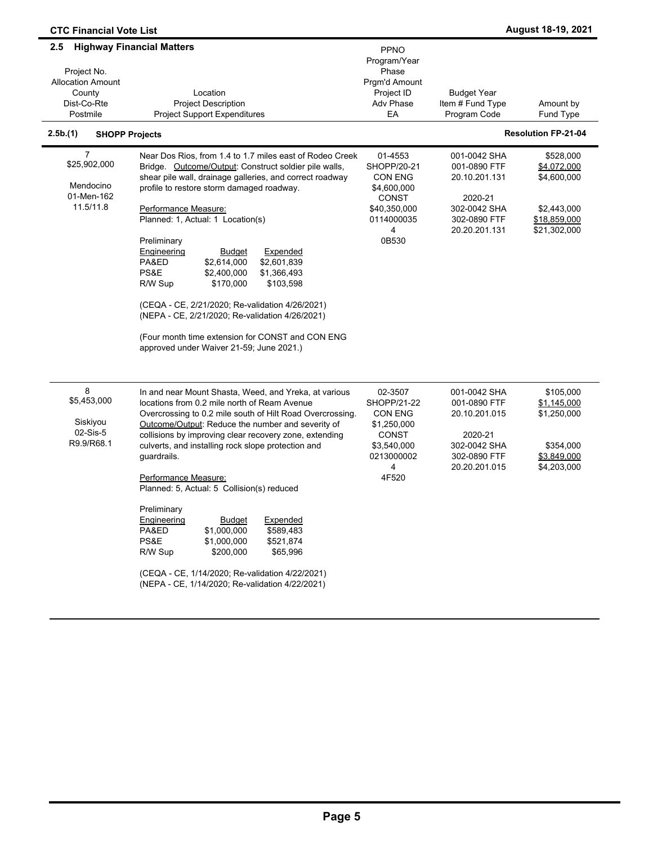| <b>CTC Financial Vote List</b>                                                                                    |                                                                                                                                                                                                                                                                                                                                                                                                                                                                                                                                                                                                                                                                                                            |                                                                                                              |                                                                                                           | <b>August 18-19, 2021</b>                                                              |
|-------------------------------------------------------------------------------------------------------------------|------------------------------------------------------------------------------------------------------------------------------------------------------------------------------------------------------------------------------------------------------------------------------------------------------------------------------------------------------------------------------------------------------------------------------------------------------------------------------------------------------------------------------------------------------------------------------------------------------------------------------------------------------------------------------------------------------------|--------------------------------------------------------------------------------------------------------------|-----------------------------------------------------------------------------------------------------------|----------------------------------------------------------------------------------------|
| $2.5\phantom{0}$                                                                                                  | <b>Highway Financial Matters</b>                                                                                                                                                                                                                                                                                                                                                                                                                                                                                                                                                                                                                                                                           | PPNO<br>Program/Year                                                                                         |                                                                                                           |                                                                                        |
| Project No.<br><b>Allocation Amount</b><br>County<br>Dist-Co-Rte<br>Postmile<br>2.5b.(1)<br><b>SHOPP Projects</b> | Location<br><b>Project Description</b><br><b>Project Support Expenditures</b>                                                                                                                                                                                                                                                                                                                                                                                                                                                                                                                                                                                                                              | Phase<br>Prgm'd Amount<br>Project ID<br>Adv Phase<br>EA                                                      | <b>Budget Year</b><br>Item # Fund Type<br>Program Code                                                    | Amount by<br>Fund Type<br><b>Resolution FP-21-04</b>                                   |
| 7<br>\$25,902,000<br>Mendocino<br>01-Men-162<br>11.5/11.8                                                         | Near Dos Rios, from 1.4 to 1.7 miles east of Rodeo Creek<br>Bridge. Outcome/Output: Construct soldier pile walls,<br>shear pile wall, drainage galleries, and correct roadway<br>profile to restore storm damaged roadway.<br>Performance Measure:<br>Planned: 1, Actual: 1 Location(s)<br>Preliminary<br>Engineering<br>Expended<br><b>Budget</b><br>\$2,614,000<br>\$2,601,839<br>PA&ED<br>PS&E<br>\$1,366,493<br>\$2,400,000<br>R/W Sup<br>\$170,000<br>\$103,598<br>(CEQA - CE, 2/21/2020; Re-validation 4/26/2021)<br>(NEPA - CE, 2/21/2020; Re-validation 4/26/2021)<br>(Four month time extension for CONST and CON ENG<br>approved under Waiver 21-59; June 2021.)                                 | 01-4553<br>SHOPP/20-21<br><b>CON ENG</b><br>\$4,600,000<br>CONST<br>\$40,350,000<br>0114000035<br>4<br>0B530 | 001-0042 SHA<br>001-0890 FTF<br>20.10.201.131<br>2020-21<br>302-0042 SHA<br>302-0890 FTF<br>20.20.201.131 | \$528,000<br>\$4,072,000<br>\$4,600,000<br>\$2,443,000<br>\$18,859,000<br>\$21,302,000 |
| 8<br>\$5,453,000<br>Siskiyou<br>$02-Sis-5$<br>R9.9/R68.1                                                          | In and near Mount Shasta, Weed, and Yreka, at various<br>locations from 0.2 mile north of Ream Avenue<br>Overcrossing to 0.2 mile south of Hilt Road Overcrossing.<br>Outcome/Output: Reduce the number and severity of<br>collisions by improving clear recovery zone, extending<br>culverts, and installing rock slope protection and<br>guardrails.<br>Performance Measure:<br>Planned: 5, Actual: 5 Collision(s) reduced<br>Preliminary<br>Engineering<br><b>Budget</b><br>Expended<br>PA&ED<br>\$1,000,000<br>\$589,483<br>PS&E<br>\$1,000,000<br>\$521,874<br>R/W Sup<br>\$200,000<br>\$65,996<br>(CEQA - CE, 1/14/2020; Re-validation 4/22/2021)<br>(NEPA - CE, 1/14/2020; Re-validation 4/22/2021) | 02-3507<br>SHOPP/21-22<br><b>CON ENG</b><br>\$1,250,000<br>CONST<br>\$3,540,000<br>0213000002<br>4<br>4F520  | 001-0042 SHA<br>001-0890 FTF<br>20.10.201.015<br>2020-21<br>302-0042 SHA<br>302-0890 FTF<br>20.20.201.015 | \$105,000<br>\$1,145,000<br>\$1,250,000<br>\$354,000<br>\$3,849,000<br>\$4,203,000     |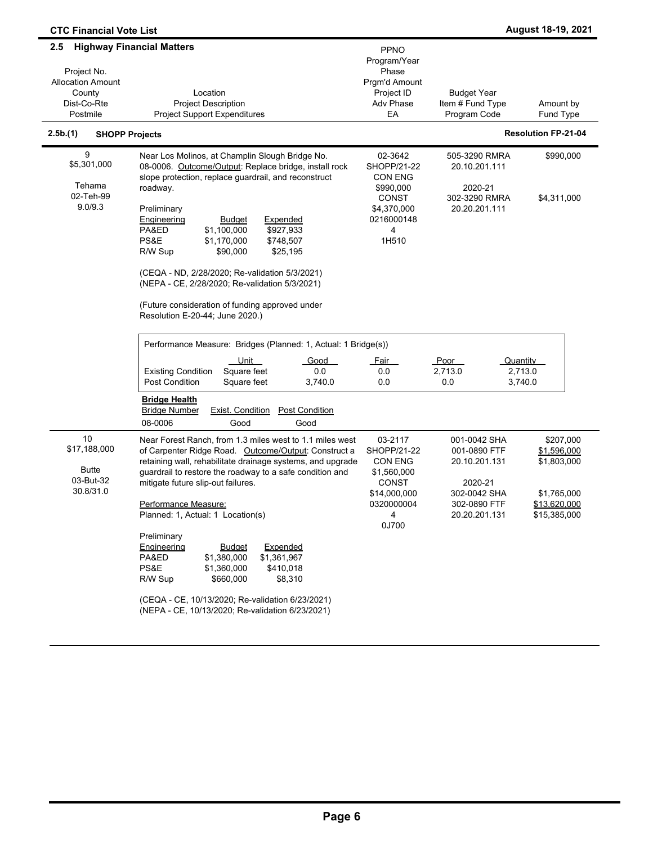| <b>CTC Financial Vote List</b>                                                      |                                                                                                                                                                                                                                                                                                                                                                                                                                                                                                                                                                                                                                                                                                                                                                                                                                                                             |                                                                                                                                               |                                                                                                                   | August 18-19, 2021                                                                     |
|-------------------------------------------------------------------------------------|-----------------------------------------------------------------------------------------------------------------------------------------------------------------------------------------------------------------------------------------------------------------------------------------------------------------------------------------------------------------------------------------------------------------------------------------------------------------------------------------------------------------------------------------------------------------------------------------------------------------------------------------------------------------------------------------------------------------------------------------------------------------------------------------------------------------------------------------------------------------------------|-----------------------------------------------------------------------------------------------------------------------------------------------|-------------------------------------------------------------------------------------------------------------------|----------------------------------------------------------------------------------------|
| 2.5<br>Project No.<br><b>Allocation Amount</b><br>County<br>Dist-Co-Rte<br>Postmile | <b>Highway Financial Matters</b><br>Location<br><b>Project Description</b><br><b>Project Support Expenditures</b>                                                                                                                                                                                                                                                                                                                                                                                                                                                                                                                                                                                                                                                                                                                                                           | <b>PPNO</b><br>Program/Year<br>Phase<br>Prgm'd Amount<br>Project ID<br>Adv Phase<br>EA                                                        | <b>Budget Year</b><br>Item # Fund Type<br>Program Code                                                            | Amount by<br>Fund Type                                                                 |
| 2.5b.(1)<br><b>SHOPP Projects</b>                                                   |                                                                                                                                                                                                                                                                                                                                                                                                                                                                                                                                                                                                                                                                                                                                                                                                                                                                             |                                                                                                                                               |                                                                                                                   | <b>Resolution FP-21-04</b>                                                             |
| 9<br>\$5,301,000<br>Tehama<br>02-Teh-99<br>9.0/9.3                                  | Near Los Molinos, at Champlin Slough Bridge No.<br>08-0006. Outcome/Output: Replace bridge, install rock<br>slope protection, replace guardrail, and reconstruct<br>roadway.<br>Preliminary<br>Engineering<br><b>Budget</b><br>Expended<br>PA&ED<br>\$1,100,000<br>\$927,933<br>PS&E<br>\$1,170,000<br>\$748,507<br>R/W Sup<br>\$90,000<br>\$25,195<br>(CEQA - ND, 2/28/2020; Re-validation 5/3/2021)<br>(NEPA - CE, 2/28/2020; Re-validation 5/3/2021)<br>(Future consideration of funding approved under<br>Resolution E-20-44; June 2020.)<br>Performance Measure: Bridges (Planned: 1, Actual: 1 Bridge(s))<br><u>Unit</u><br>Good<br>Square feet<br><b>Existing Condition</b><br>0.0<br><b>Post Condition</b><br>Square feet<br>3,740.0<br><b>Bridge Health</b><br><b>Bridge Number</b><br><b>Exist. Condition</b><br><b>Post Condition</b><br>08-0006<br>Good<br>Good | 02-3642<br><b>SHOPP/21-22</b><br><b>CON ENG</b><br>\$990,000<br>CONST<br>\$4,370,000<br>0216000148<br>4<br>1H510<br><u>Fair</u><br>0.0<br>0.0 | 505-3290 RMRA<br>20.10.201.111<br>2020-21<br>302-3290 RMRA<br>20.20.201.111<br>Poor<br>Quantity<br>2,713.0<br>0.0 | \$990,000<br>\$4,311,000<br>2,713.0<br>3,740.0                                         |
| 10<br>\$17,188,000<br><b>Butte</b><br>03-But-32<br>30.8/31.0                        | Near Forest Ranch, from 1.3 miles west to 1.1 miles west<br>of Carpenter Ridge Road. Outcome/Output: Construct a<br>retaining wall, rehabilitate drainage systems, and upgrade<br>guardrail to restore the roadway to a safe condition and<br>mitigate future slip-out failures.<br>Performance Measure:<br>Planned: 1, Actual: 1 Location(s)<br>Preliminary<br><b>Engineering</b><br><b>Budget</b><br>Expended<br>PA&ED<br>\$1,380,000<br>\$1,361,967<br>PS&E<br>\$1,360,000<br>\$410,018<br>R/W Sup<br>\$660,000<br>\$8,310<br>(CEQA - CE, 10/13/2020; Re-validation 6/23/2021)<br>(NEPA - CE, 10/13/2020; Re-validation 6/23/2021)                                                                                                                                                                                                                                       | 03-2117<br>SHOPP/21-22<br><b>CON ENG</b><br>\$1,560,000<br><b>CONST</b><br>\$14,000,000<br>0320000004<br>4<br>0J700                           | 001-0042 SHA<br>001-0890 FTF<br>20.10.201.131<br>2020-21<br>302-0042 SHA<br>302-0890 FTF<br>20.20.201.131         | \$207,000<br>\$1,596,000<br>\$1,803,000<br>\$1,765,000<br>\$13,620,000<br>\$15,385,000 |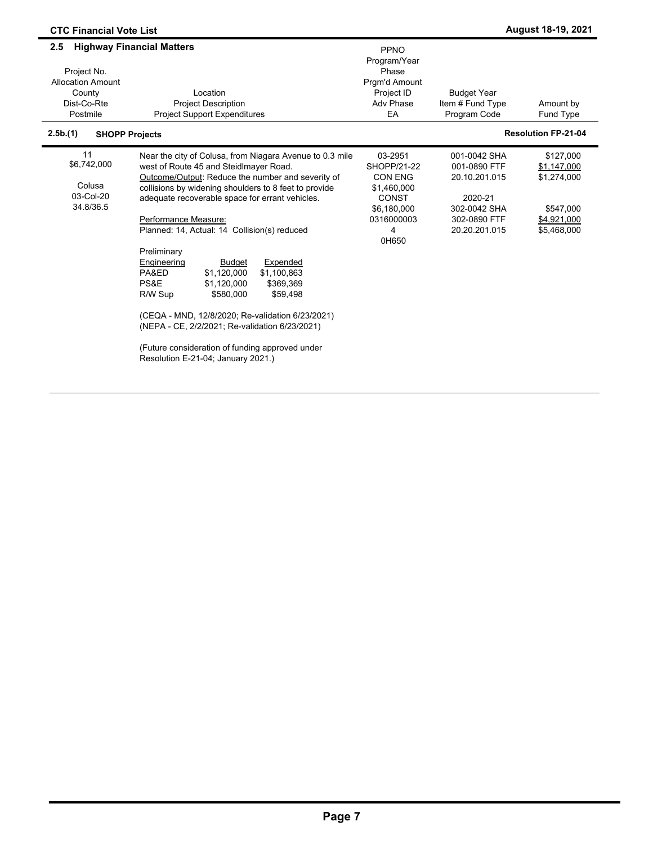| <b>CTC Financial Vote List</b>                                                      |                                                                                                                                                                                                                                                                                                                                                                                                                                                                                                                                                                                                                                                                                                                      |                                                                                                                    |                                                                                                           | August 18-19, 2021                                                                 |
|-------------------------------------------------------------------------------------|----------------------------------------------------------------------------------------------------------------------------------------------------------------------------------------------------------------------------------------------------------------------------------------------------------------------------------------------------------------------------------------------------------------------------------------------------------------------------------------------------------------------------------------------------------------------------------------------------------------------------------------------------------------------------------------------------------------------|--------------------------------------------------------------------------------------------------------------------|-----------------------------------------------------------------------------------------------------------|------------------------------------------------------------------------------------|
| 2.5<br>Project No.<br><b>Allocation Amount</b><br>County<br>Dist-Co-Rte<br>Postmile | <b>Highway Financial Matters</b><br>Location<br><b>Project Description</b><br><b>Project Support Expenditures</b>                                                                                                                                                                                                                                                                                                                                                                                                                                                                                                                                                                                                    | PPNO<br>Program/Year<br>Phase<br>Pram'd Amount<br>Project ID<br>Adv Phase<br>EA                                    | <b>Budget Year</b><br>Item # Fund Type<br>Program Code                                                    | Amount by<br>Fund Type                                                             |
| 2.5b.(1)                                                                            | <b>SHOPP Projects</b>                                                                                                                                                                                                                                                                                                                                                                                                                                                                                                                                                                                                                                                                                                |                                                                                                                    |                                                                                                           | <b>Resolution FP-21-04</b>                                                         |
| 11<br>\$6,742,000<br>Colusa<br>03-Col-20<br>34.8/36.5                               | Near the city of Colusa, from Niagara Avenue to 0.3 mile<br>west of Route 45 and Steidlmayer Road.<br>Outcome/Output: Reduce the number and severity of<br>collisions by widening shoulders to 8 feet to provide<br>adequate recoverable space for errant vehicles.<br>Performance Measure:<br>Planned: 14, Actual: 14 Collision(s) reduced<br>Preliminary<br>Expended<br>Engineering<br><b>Budget</b><br>\$1,120,000<br>\$1,100,863<br>PA&ED<br>PS&E<br>\$1.120.000<br>\$369,369<br>R/W Sup<br>\$580.000<br>\$59,498<br>(CEQA - MND, 12/8/2020; Re-validation 6/23/2021)<br>(NEPA - CE, 2/2/2021; Re-validation 6/23/2021)<br>(Future consideration of funding approved under<br>Resolution E-21-04; January 2021.) | 03-2951<br>SHOPP/21-22<br><b>CON ENG</b><br>\$1,460,000<br><b>CONST</b><br>\$6.180.000<br>0316000003<br>4<br>0H650 | 001-0042 SHA<br>001-0890 FTF<br>20.10.201.015<br>2020-21<br>302-0042 SHA<br>302-0890 FTF<br>20.20.201.015 | \$127,000<br>\$1,147,000<br>\$1,274,000<br>\$547,000<br>\$4,921,000<br>\$5,468,000 |

 $\blacksquare$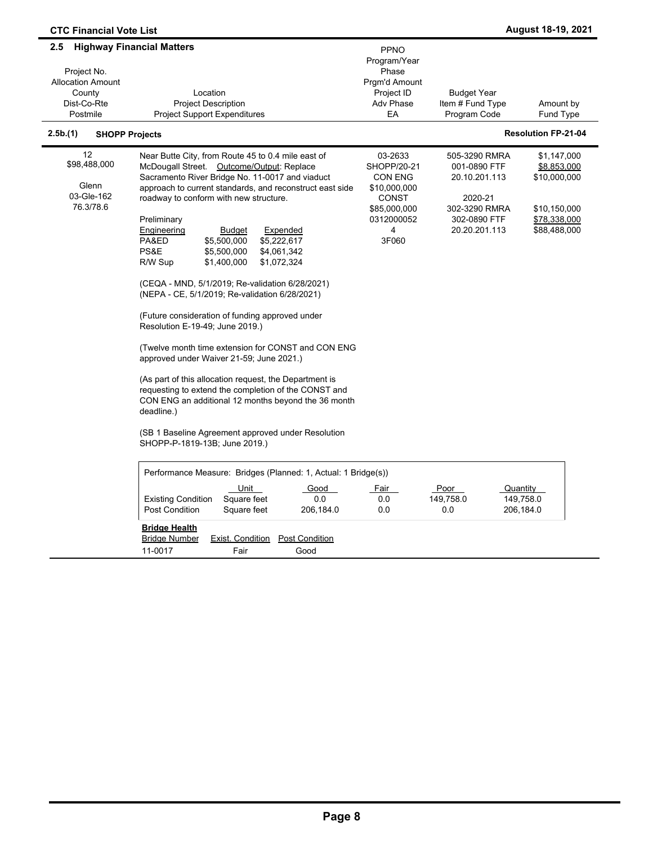| <b>CTC Financial Vote List</b>                                                      |                                                                                                                                                                                                                                                                                                                                                                                                                                                                                                                                                                                                                                                                                                                                                                                                                                                                                                                                                                                                                      |                                                                                                                      |                                                                                                             | <b>August 18-19, 2021</b>                                                                  |
|-------------------------------------------------------------------------------------|----------------------------------------------------------------------------------------------------------------------------------------------------------------------------------------------------------------------------------------------------------------------------------------------------------------------------------------------------------------------------------------------------------------------------------------------------------------------------------------------------------------------------------------------------------------------------------------------------------------------------------------------------------------------------------------------------------------------------------------------------------------------------------------------------------------------------------------------------------------------------------------------------------------------------------------------------------------------------------------------------------------------|----------------------------------------------------------------------------------------------------------------------|-------------------------------------------------------------------------------------------------------------|--------------------------------------------------------------------------------------------|
| 2.5<br>Project No.<br><b>Allocation Amount</b><br>County<br>Dist-Co-Rte<br>Postmile | <b>Highway Financial Matters</b><br>Location<br><b>Project Description</b><br><b>Project Support Expenditures</b>                                                                                                                                                                                                                                                                                                                                                                                                                                                                                                                                                                                                                                                                                                                                                                                                                                                                                                    | PPNO<br>Program/Year<br>Phase<br>Prgm'd Amount<br>Project ID<br>Adv Phase<br>EA                                      | <b>Budget Year</b><br>Item # Fund Type<br>Program Code                                                      | Amount by<br><b>Fund Type</b>                                                              |
| 2.5b.(1)                                                                            | <b>SHOPP Projects</b>                                                                                                                                                                                                                                                                                                                                                                                                                                                                                                                                                                                                                                                                                                                                                                                                                                                                                                                                                                                                |                                                                                                                      |                                                                                                             | <b>Resolution FP-21-04</b>                                                                 |
| 12<br>\$98,488,000<br>Glenn<br>03-Gle-162<br>76.3/78.6                              | Near Butte City, from Route 45 to 0.4 mile east of<br>McDougall Street. Outcome/Output: Replace<br>Sacramento River Bridge No. 11-0017 and viaduct<br>approach to current standards, and reconstruct east side<br>roadway to conform with new structure.<br>Preliminary<br>Engineering<br>Expended<br><b>Budget</b><br>PA&ED<br>\$5,500,000<br>\$5,222,617<br>PS&E<br>\$5,500,000<br>\$4,061,342<br>\$1,400,000<br>\$1,072,324<br>R/W Sup<br>(CEQA - MND, 5/1/2019; Re-validation 6/28/2021)<br>(NEPA - CE, 5/1/2019; Re-validation 6/28/2021)<br>(Future consideration of funding approved under<br>Resolution E-19-49; June 2019.)<br>(Twelve month time extension for CONST and CON ENG<br>approved under Waiver 21-59; June 2021.)<br>(As part of this allocation request, the Department is<br>requesting to extend the completion of the CONST and<br>CON ENG an additional 12 months beyond the 36 month<br>deadline.)<br>(SB 1 Baseline Agreement approved under Resolution<br>SHOPP-P-1819-13B; June 2019.) | 03-2633<br>SHOPP/20-21<br><b>CON ENG</b><br>\$10,000,000<br><b>CONST</b><br>\$85,000,000<br>0312000052<br>4<br>3F060 | 505-3290 RMRA<br>001-0890 FTF<br>20.10.201.113<br>2020-21<br>302-3290 RMRA<br>302-0890 FTF<br>20.20.201.113 | \$1,147,000<br>\$8,853,000<br>\$10,000,000<br>\$10,150,000<br>\$78,338,000<br>\$88,488,000 |
|                                                                                     | Performance Measure: Bridges (Planned: 1, Actual: 1 Bridge(s))<br><u>Unit</u><br>Good<br>Square feet<br><b>Existing Condition</b><br>0.0<br>Post Condition<br>Square feet<br>206,184.0                                                                                                                                                                                                                                                                                                                                                                                                                                                                                                                                                                                                                                                                                                                                                                                                                               | <u>Fair</u><br>0.0<br>0.0                                                                                            | Poor<br>149,758.0<br>0.0                                                                                    | Quantity<br>149,758.0<br>206,184.0                                                         |
|                                                                                     | <b>Bridge Health</b><br><b>Bridge Number</b><br><b>Post Condition</b><br><b>Exist. Condition</b><br>11-0017<br>Fair<br>Good                                                                                                                                                                                                                                                                                                                                                                                                                                                                                                                                                                                                                                                                                                                                                                                                                                                                                          |                                                                                                                      |                                                                                                             |                                                                                            |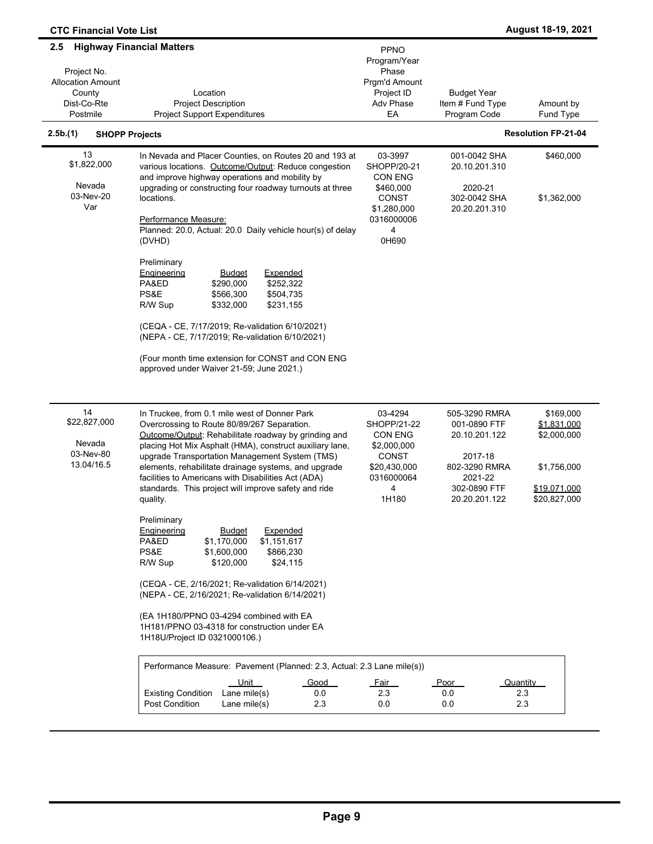| <b>CTC Financial Vote List</b>                                                      |                                                                                                                                                                                                                                                                                                                                                                                                                                                       |                                                                                                       |                                                                                                                        | August 18-19, 2021                                                                     |
|-------------------------------------------------------------------------------------|-------------------------------------------------------------------------------------------------------------------------------------------------------------------------------------------------------------------------------------------------------------------------------------------------------------------------------------------------------------------------------------------------------------------------------------------------------|-------------------------------------------------------------------------------------------------------|------------------------------------------------------------------------------------------------------------------------|----------------------------------------------------------------------------------------|
| 2.5<br>Project No.<br><b>Allocation Amount</b><br>County<br>Dist-Co-Rte<br>Postmile | <b>Highway Financial Matters</b><br>Location<br><b>Project Description</b><br><b>Project Support Expenditures</b>                                                                                                                                                                                                                                                                                                                                     | PPNO<br>Program/Year<br>Phase<br>Prgm'd Amount<br>Project ID<br>Adv Phase<br>EA                       | <b>Budget Year</b><br>Item # Fund Type<br>Program Code                                                                 | Amount by<br>Fund Type                                                                 |
| 2.5b.(1)<br><b>SHOPP Projects</b>                                                   |                                                                                                                                                                                                                                                                                                                                                                                                                                                       |                                                                                                       |                                                                                                                        | <b>Resolution FP-21-04</b>                                                             |
| 13<br>\$1,822,000                                                                   | In Nevada and Placer Counties, on Routes 20 and 193 at<br>various locations. Outcome/Output: Reduce congestion                                                                                                                                                                                                                                                                                                                                        | 03-3997<br>SHOPP/20-21                                                                                | 001-0042 SHA<br>20.10.201.310                                                                                          | \$460,000                                                                              |
| Nevada<br>03-Nev-20<br>Var                                                          | and improve highway operations and mobility by<br>upgrading or constructing four roadway turnouts at three<br>locations.<br>Performance Measure:<br>Planned: 20.0, Actual: 20.0 Daily vehicle hour(s) of delay<br>(DVHD)                                                                                                                                                                                                                              | <b>CON ENG</b><br>\$460,000<br>CONST<br>\$1,280,000<br>0316000006<br>4<br>0H690                       | 2020-21<br>302-0042 SHA<br>20.20.201.310                                                                               | \$1,362,000                                                                            |
|                                                                                     | Preliminary<br>Engineering<br><u>Budget</u><br><b>Expended</b><br>PA&ED<br>\$290,000<br>\$252,322<br>PS&E<br>\$566,300<br>\$504,735<br>\$231,155<br>R/W Sup<br>\$332,000                                                                                                                                                                                                                                                                              |                                                                                                       |                                                                                                                        |                                                                                        |
|                                                                                     | (CEQA - CE, 7/17/2019; Re-validation 6/10/2021)<br>(NEPA - CE, 7/17/2019; Re-validation 6/10/2021)<br>(Four month time extension for CONST and CON ENG<br>approved under Waiver 21-59; June 2021.)                                                                                                                                                                                                                                                    |                                                                                                       |                                                                                                                        |                                                                                        |
| 14<br>\$22,827,000<br>Nevada<br>03-Nev-80<br>13.04/16.5                             | In Truckee, from 0.1 mile west of Donner Park<br>Overcrossing to Route 80/89/267 Separation.<br>Outcome/Output: Rehabilitate roadway by grinding and<br>placing Hot Mix Asphalt (HMA), construct auxiliary lane,<br>upgrade Transportation Management System (TMS)<br>elements, rehabilitate drainage systems, and upgrade<br>facilities to Americans with Disabilities Act (ADA)<br>standards. This project will improve safety and ride<br>quality. | 03-4294<br>SHOPP/21-22<br>CON ENG<br>\$2,000,000<br>CONST<br>\$20,430,000<br>0316000064<br>4<br>1H180 | 505-3290 RMRA<br>001-0890 FTF<br>20.10.201.122<br>2017-18<br>802-3290 RMRA<br>2021-22<br>302-0890 FTF<br>20.20.201.122 | \$169,000<br>\$1,831,000<br>\$2,000,000<br>\$1,756,000<br>\$19,071,000<br>\$20,827,000 |
|                                                                                     | Preliminary<br>Expended<br>Engineering<br><b>Budget</b><br>PA&ED<br>\$1,170,000<br>\$1,151,617<br>PS&E<br>\$1,600,000<br>\$866,230<br>R/W Sup<br>\$24,115<br>\$120,000                                                                                                                                                                                                                                                                                |                                                                                                       |                                                                                                                        |                                                                                        |
|                                                                                     | (CEQA - CE, 2/16/2021; Re-validation 6/14/2021)<br>(NEPA - CE, 2/16/2021; Re-validation 6/14/2021)                                                                                                                                                                                                                                                                                                                                                    |                                                                                                       |                                                                                                                        |                                                                                        |
|                                                                                     | (EA 1H180/PPNO 03-4294 combined with EA<br>1H181/PPNO 03-4318 for construction under EA<br>1H18U/Project ID 0321000106.)                                                                                                                                                                                                                                                                                                                              |                                                                                                       |                                                                                                                        |                                                                                        |
|                                                                                     | Performance Measure: Pavement (Planned: 2.3, Actual: 2.3 Lane mile(s))                                                                                                                                                                                                                                                                                                                                                                                |                                                                                                       |                                                                                                                        |                                                                                        |
|                                                                                     | Unit<br>Good<br><b>Existing Condition</b><br>Lane mile(s)<br>0.0<br>Post Condition<br>2.3<br>Lane mile(s)                                                                                                                                                                                                                                                                                                                                             | <u>Fair</u><br>2.3<br>0.0                                                                             | <u>Poor</u><br>0.0<br>0.0                                                                                              | Quantity<br>2.3<br>2.3                                                                 |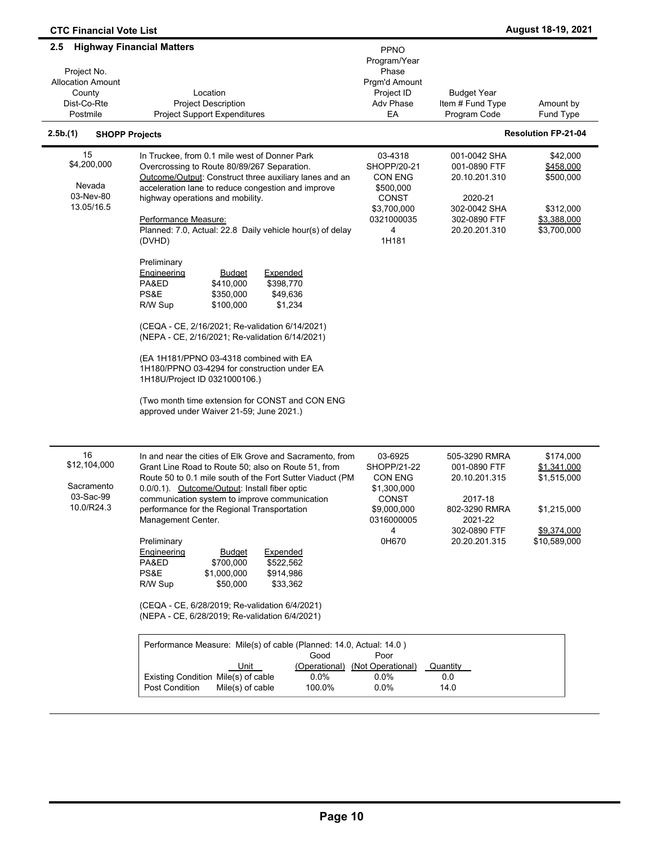| <b>CTC Financial Vote List</b>                                                      |                                                                                                                                                                                                                                                                                                                                                                                                                                                                                                                                                                                                                                                                                                                                                                                                                                                                  |                                                                                                                                                             |                                                                                                                                                          | August 18-19, 2021                                                                    |
|-------------------------------------------------------------------------------------|------------------------------------------------------------------------------------------------------------------------------------------------------------------------------------------------------------------------------------------------------------------------------------------------------------------------------------------------------------------------------------------------------------------------------------------------------------------------------------------------------------------------------------------------------------------------------------------------------------------------------------------------------------------------------------------------------------------------------------------------------------------------------------------------------------------------------------------------------------------|-------------------------------------------------------------------------------------------------------------------------------------------------------------|----------------------------------------------------------------------------------------------------------------------------------------------------------|---------------------------------------------------------------------------------------|
| 2.5<br>Project No.<br><b>Allocation Amount</b><br>County<br>Dist-Co-Rte<br>Postmile | <b>Highway Financial Matters</b><br>Location<br><b>Project Description</b><br><b>Project Support Expenditures</b>                                                                                                                                                                                                                                                                                                                                                                                                                                                                                                                                                                                                                                                                                                                                                | <b>PPNO</b><br>Program/Year<br>Phase<br>Prgm'd Amount<br>Project ID<br>Adv Phase<br>EA                                                                      | Budget Year<br>Item # Fund Type<br>Program Code                                                                                                          | Amount by<br>Fund Type                                                                |
| 2.5b.(1)<br><b>SHOPP Projects</b>                                                   |                                                                                                                                                                                                                                                                                                                                                                                                                                                                                                                                                                                                                                                                                                                                                                                                                                                                  |                                                                                                                                                             |                                                                                                                                                          | <b>Resolution FP-21-04</b>                                                            |
| 15<br>\$4,200,000<br>Nevada<br>03-Nev-80<br>13.05/16.5                              | In Truckee, from 0.1 mile west of Donner Park<br>Overcrossing to Route 80/89/267 Separation.<br>Outcome/Output: Construct three auxiliary lanes and an<br>acceleration lane to reduce congestion and improve<br>highway operations and mobility.<br>Performance Measure:<br>Planned: 7.0, Actual: 22.8 Daily vehicle hour(s) of delay<br>(DVHD)<br>Preliminary<br><b>Engineering</b><br><b>Expended</b><br><b>Budget</b><br>PA&ED<br>\$410,000<br>\$398,770<br>PS&E<br>\$350,000<br>\$49,636<br>R/W Sup<br>\$100,000<br>\$1,234<br>(CEQA - CE, 2/16/2021; Re-validation 6/14/2021)<br>(NEPA - CE, 2/16/2021; Re-validation 6/14/2021)<br>(EA 1H181/PPNO 03-4318 combined with EA<br>1H180/PPNO 03-4294 for construction under EA<br>1H18U/Project ID 0321000106.)<br>(Two month time extension for CONST and CON ENG<br>approved under Waiver 21-59; June 2021.) | 03-4318<br>SHOPP/20-21<br>CON ENG<br>\$500,000<br><b>CONST</b><br>\$3,700,000<br>0321000035<br>4<br>1H181                                                   | 001-0042 SHA<br>001-0890 FTF<br>20.10.201.310<br>2020-21<br>302-0042 SHA<br>302-0890 FTF<br>20.20.201.310                                                | \$42,000<br>\$458,000<br>\$500,000<br>\$312,000<br>\$3,388,000<br>\$3,700,000         |
| 16<br>\$12,104,000<br>Sacramento<br>03-Sac-99<br>10.0/R24.3                         | In and near the cities of Elk Grove and Sacramento, from<br>Grant Line Road to Route 50; also on Route 51, from<br>Route 50 to 0.1 mile south of the Fort Sutter Viaduct (PM<br>0.0/0.1). Outcome/Output: Install fiber optic<br>communication system to improve communication<br>performance for the Regional Transportation<br>Management Center.<br>Preliminary<br>Expended<br>Engineering<br><u>Budget</u><br>\$522,562<br>PA&ED<br>\$700,000<br>PS&E<br>\$1,000,000<br>\$914,986<br>R/W Sup<br>\$50,000<br>\$33,362<br>(CEQA - CE, 6/28/2019; Re-validation 6/4/2021)<br>(NEPA - CE, 6/28/2019; Re-validation 6/4/2021)<br>Performance Measure: Mile(s) of cable (Planned: 14.0, Actual: 14.0)<br>Good<br>Unit<br>(Operational)<br>$0.0\%$<br>Existing Condition Mile(s) of cable<br>Post Condition<br>Mile(s) of cable<br>100.0%                           | 03-6925<br><b>SHOPP/21-22</b><br>CON ENG<br>\$1,300,000<br>CONST<br>\$9,000,000<br>0316000005<br>4<br>0H670<br>Poor<br>(Not Operational)<br>$0.0\%$<br>0.0% | 505-3290 RMRA<br>001-0890 FTF<br>20.10.201.315<br>2017-18<br>802-3290 RMRA<br>2021-22<br>302-0890 FTF<br>20.20.201.315<br><u>Quantity</u><br>0.0<br>14.0 | \$174,000<br>\$1,341,000<br>\$1,515,000<br>\$1,215,000<br>\$9,374,000<br>\$10,589,000 |

 $\blacksquare$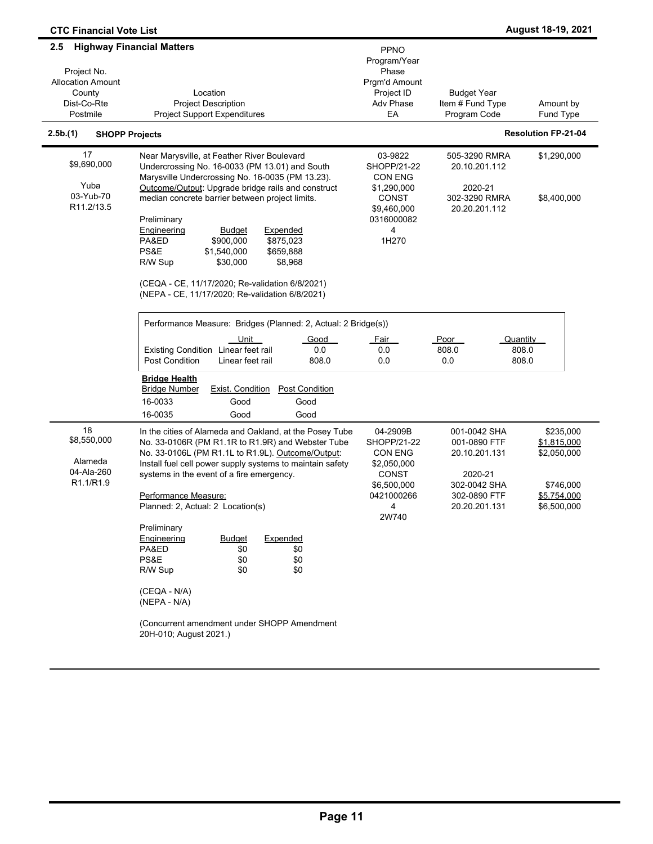| 2.5                                                                              | <b>Highway Financial Matters</b>                                                                                                                                                                                                                                                                                                                                                                                                                                                                                                     |                                                                                                                           |                                                                                                           |                                                                                    |
|----------------------------------------------------------------------------------|--------------------------------------------------------------------------------------------------------------------------------------------------------------------------------------------------------------------------------------------------------------------------------------------------------------------------------------------------------------------------------------------------------------------------------------------------------------------------------------------------------------------------------------|---------------------------------------------------------------------------------------------------------------------------|-----------------------------------------------------------------------------------------------------------|------------------------------------------------------------------------------------|
| Project No.<br><b>Allocation Amount</b><br>County<br>Dist-Co-Rte<br>Postmile     | Location<br><b>Project Description</b><br><b>Project Support Expenditures</b>                                                                                                                                                                                                                                                                                                                                                                                                                                                        | <b>PPNO</b><br>Program/Year<br>Phase<br>Prgm'd Amount<br>Project ID<br>Adv Phase<br>EA                                    | <b>Budget Year</b><br>Item # Fund Type<br>Program Code                                                    | Amount by<br>Fund Type                                                             |
| 2.5b.(1)<br><b>SHOPP Projects</b>                                                |                                                                                                                                                                                                                                                                                                                                                                                                                                                                                                                                      |                                                                                                                           |                                                                                                           | <b>Resolution FP-21-04</b>                                                         |
| 17<br>\$9,690,000<br>Yuba<br>03-Yub-70<br>R <sub>11.2</sub> /13.5                | Near Marysville, at Feather River Boulevard<br>Undercrossing No. 16-0033 (PM 13.01) and South<br>Marysville Undercrossing No. 16-0035 (PM 13.23).<br>Outcome/Output: Upgrade bridge rails and construct<br>median concrete barrier between project limits.<br>Preliminary<br>Engineering<br><b>Budget</b><br>Expended<br>\$900.000<br>\$875,023<br>PA&ED<br>PS&E<br>\$1,540,000<br>\$659,888<br>\$8,968<br>R/W Sup<br>\$30,000<br>(CEQA - CE, 11/17/2020; Re-validation 6/8/2021)<br>(NEPA - CE, 11/17/2020; Re-validation 6/8/2021) | 03-9822<br>SHOPP/21-22<br><b>CON ENG</b><br>\$1,290,000<br><b>CONST</b><br>\$9,460,000<br>0316000082<br>4<br>1H270        | 505-3290 RMRA<br>20.10.201.112<br>2020-21<br>302-3290 RMRA<br>20.20.201.112                               | \$1,290,000<br>\$8,400,000                                                         |
|                                                                                  | Performance Measure: Bridges (Planned: 2, Actual: 2 Bridge(s))<br>Unit<br>Good<br>Existing Condition Linear feet rail<br>0.0<br><b>Post Condition</b><br>808.0<br>Linear feet rail<br><u>Bridge Health</u><br><b>Bridge Number</b><br><b>Exist. Condition</b><br><b>Post Condition</b><br>16-0033<br>Good<br>Good<br>16-0035<br>Good<br>Good                                                                                                                                                                                         | <u>Fair</u><br>0.0<br>0.0                                                                                                 | Poor<br>Quantity<br>808.0<br>808.0<br>808.0<br>0.0                                                        |                                                                                    |
| 18<br>\$8,550,000<br>Alameda<br>04-Ala-260<br>R <sub>1.1</sub> /R <sub>1.9</sub> | In the cities of Alameda and Oakland, at the Posey Tube<br>No. 33-0106R (PM R1.1R to R1.9R) and Webster Tube<br>No. 33-0106L (PM R1.1L to R1.9L). Outcome/Output:<br>Install fuel cell power supply systems to maintain safety<br>systems in the event of a fire emergency.<br>Performance Measure:<br>Planned: 2, Actual: 2 Location(s)<br>Preliminary                                                                                                                                                                              | 04-2909B<br>SHOPP/21-22<br><b>CON ENG</b><br>\$2,050,000<br>CONST<br>\$6,500,000<br>0421000266<br>$\overline{4}$<br>2W740 | 001-0042 SHA<br>001-0890 FTF<br>20.10.201.131<br>2020-21<br>302-0042 SHA<br>302-0890 FTF<br>20.20.201.131 | \$235,000<br>\$1,815,000<br>\$2,050,000<br>\$746,000<br>\$5,754,000<br>\$6,500,000 |
|                                                                                  | Expended<br><b>Engineering</b><br><b>Budget</b><br>PA&ED<br>\$0<br>\$0<br>\$0<br>PS&E<br>\$0<br>\$0<br>R/W Sup<br>\$0<br>(CEQA - N/A)<br>(NEPA - N/A)<br>(Concurrent amendment under SHOPP Amendment<br>20H-010; August 2021.)                                                                                                                                                                                                                                                                                                       |                                                                                                                           |                                                                                                           |                                                                                    |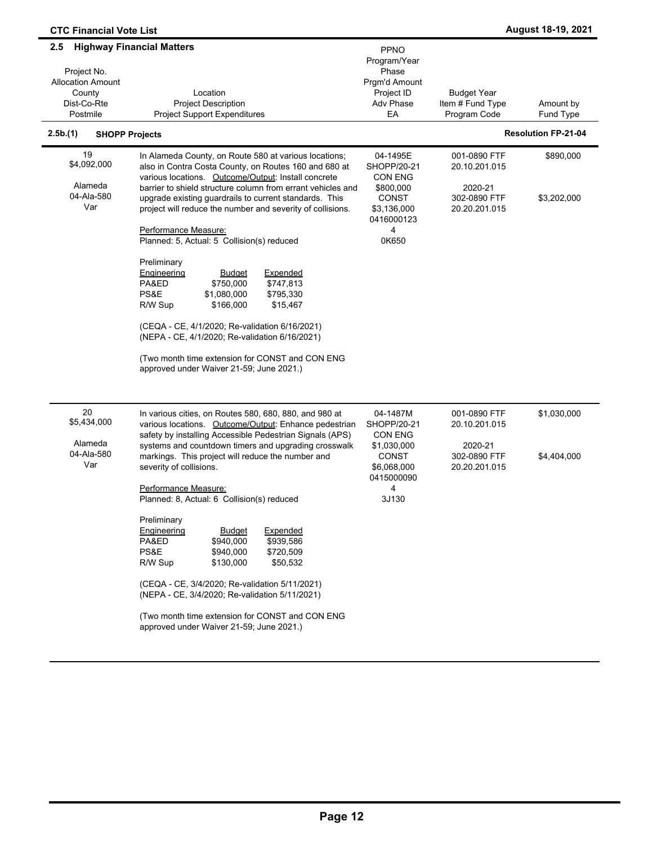| <b>CTC Financial Vote List</b>                                                                                                                               |                                                                                                                                                                                                                                                                                                                                                                              |                                                                                  |                                                           | August 18-19, 2021                                   |
|--------------------------------------------------------------------------------------------------------------------------------------------------------------|------------------------------------------------------------------------------------------------------------------------------------------------------------------------------------------------------------------------------------------------------------------------------------------------------------------------------------------------------------------------------|----------------------------------------------------------------------------------|-----------------------------------------------------------|------------------------------------------------------|
| <b>Highway Financial Matters</b><br>2.5<br>Project No.<br><b>Allocation Amount</b><br>County<br>Dist-Co-Rte<br>Postmile<br>2.5b.(1)<br><b>SHOPP Projects</b> | Location<br><b>Project Description</b><br><b>Project Support Expenditures</b>                                                                                                                                                                                                                                                                                                | PPNO<br>Program/Year<br>Phase<br>Prgm'd Amount<br>Project ID<br>Adv Phase<br>EA  | <b>Budget Year</b><br>Item # Fund Type<br>Program Code    | Amount by<br>Fund Type<br><b>Resolution FP-21-04</b> |
| 19                                                                                                                                                           | In Alameda County, on Route 580 at various locations;                                                                                                                                                                                                                                                                                                                        | 04-1495E                                                                         | 001-0890 FTF                                              | \$890,000                                            |
| \$4,092,000<br>Alameda<br>04-Ala-580<br>Var                                                                                                                  | also in Contra Costa County, on Routes 160 and 680 at<br>various locations. Outcome/Output: Install concrete<br>barrier to shield structure column from errant vehicles and<br>upgrade existing guardrails to current standards. This<br>project will reduce the number and severity of collisions.                                                                          | SHOPP/20-21<br>CON ENG<br>\$800,000<br><b>CONST</b><br>\$3,136,000<br>0416000123 | 20.10.201.015<br>2020-21<br>302-0890 FTF<br>20.20.201.015 | \$3,202,000                                          |
|                                                                                                                                                              | Performance Measure:<br>Planned: 5, Actual: 5 Collision(s) reduced                                                                                                                                                                                                                                                                                                           | 4<br>0K650                                                                       |                                                           |                                                      |
|                                                                                                                                                              | Preliminary<br>Engineering<br><b>Expended</b><br><b>Budget</b><br>\$747,813<br>PA&ED<br>\$750,000<br>PS&E<br>\$1,080,000<br>\$795,330<br>\$166,000<br>\$15,467<br>R/W Sup<br>(CEQA - CE, 4/1/2020; Re-validation 6/16/2021)<br>(NEPA - CE, 4/1/2020; Re-validation 6/16/2021)<br>(Two month time extension for CONST and CON ENG<br>approved under Waiver 21-59; June 2021.) |                                                                                  |                                                           |                                                      |
| 20<br>\$5,434,000                                                                                                                                            | In various cities, on Routes 580, 680, 880, and 980 at<br>various locations. Outcome/Output: Enhance pedestrian<br>safety by installing Accessible Pedestrian Signals (APS)                                                                                                                                                                                                  | 04-1487M<br>SHOPP/20-21<br>CON ENG                                               | 001-0890 FTF<br>20.10.201.015                             | \$1,030,000                                          |
| Alameda<br>04-Ala-580<br>Var                                                                                                                                 | systems and countdown timers and upgrading crosswalk<br>markings. This project will reduce the number and<br>severity of collisions.                                                                                                                                                                                                                                         | \$1,030,000<br><b>CONST</b><br>\$6,068,000<br>0415000090                         | 2020-21<br>302-0890 FTF<br>20.20.201.015                  | \$4,404,000                                          |
|                                                                                                                                                              | Performance Measure:<br>Planned: 8, Actual: 6 Collision(s) reduced                                                                                                                                                                                                                                                                                                           | 4<br>3J130                                                                       |                                                           |                                                      |
|                                                                                                                                                              | Preliminary<br>Expended<br><b>Engineering</b><br><b>Budget</b><br>PA&ED<br>\$940,000<br>\$939,586<br>PS&E<br>\$720,509<br>\$940,000<br>R/W Sup<br>\$130,000<br>\$50,532<br>(CEQA - CE, 3/4/2020; Re-validation 5/11/2021)<br>(NEPA - CE, 3/4/2020; Re-validation 5/11/2021)<br>(Two month time extension for CONST and CON ENG<br>approved under Waiver 21-59; June 2021.)   |                                                                                  |                                                           |                                                      |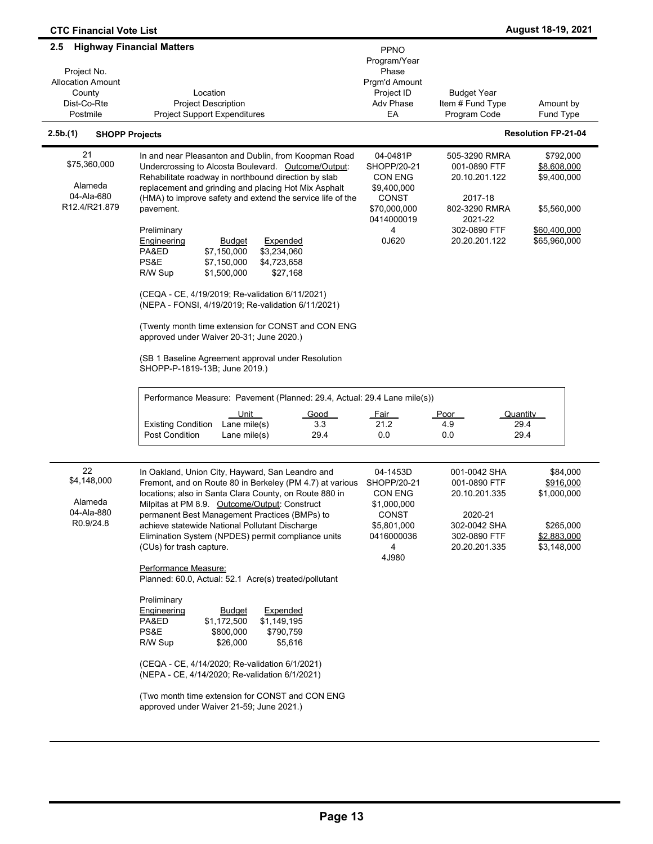| <b>CTC Financial Vote List</b>                                                      |                                                                                                                                                                                                                                                                                                                                                                                                                                                                                                                                                                                                                                                                                                                                                                                               |                                                                                                               |                                                                                                                        | August 18-19, 2021                                                                     |
|-------------------------------------------------------------------------------------|-----------------------------------------------------------------------------------------------------------------------------------------------------------------------------------------------------------------------------------------------------------------------------------------------------------------------------------------------------------------------------------------------------------------------------------------------------------------------------------------------------------------------------------------------------------------------------------------------------------------------------------------------------------------------------------------------------------------------------------------------------------------------------------------------|---------------------------------------------------------------------------------------------------------------|------------------------------------------------------------------------------------------------------------------------|----------------------------------------------------------------------------------------|
| 2.5<br>Project No.<br><b>Allocation Amount</b><br>County<br>Dist-Co-Rte<br>Postmile | <b>Highway Financial Matters</b><br>Location<br><b>Project Description</b><br><b>Project Support Expenditures</b>                                                                                                                                                                                                                                                                                                                                                                                                                                                                                                                                                                                                                                                                             | <b>PPNO</b><br>Program/Year<br>Phase<br>Prgm'd Amount<br>Project ID<br>Adv Phase<br>EA                        | <b>Budget Year</b><br>Item # Fund Type<br>Program Code                                                                 | Amount by<br>Fund Type                                                                 |
| 2.5b(1)<br><b>SHOPP Projects</b>                                                    |                                                                                                                                                                                                                                                                                                                                                                                                                                                                                                                                                                                                                                                                                                                                                                                               |                                                                                                               |                                                                                                                        | <b>Resolution FP-21-04</b>                                                             |
| 21<br>\$75,360,000<br>Alameda<br>04-Ala-680<br>R12.4/R21.879                        | In and near Pleasanton and Dublin, from Koopman Road<br>Undercrossing to Alcosta Boulevard. Outcome/Output:<br>Rehabilitate roadway in northbound direction by slab<br>replacement and grinding and placing Hot Mix Asphalt<br>(HMA) to improve safety and extend the service life of the<br>pavement.<br>Preliminary<br><b>Engineering</b><br>Expended<br><b>Budget</b><br>PA&ED<br>\$7,150,000<br>\$3,234,060<br>PS&E<br>\$7,150,000<br>\$4,723,658<br>R/W Sup<br>\$1,500,000<br>\$27,168<br>(CEQA - CE, 4/19/2019; Re-validation 6/11/2021)<br>(NEPA - FONSI, 4/19/2019; Re-validation 6/11/2021)<br>(Twenty month time extension for CONST and CON ENG<br>approved under Waiver 20-31; June 2020.)<br>(SB 1 Baseline Agreement approval under Resolution<br>SHOPP-P-1819-13B; June 2019.) | 04-0481P<br>SHOPP/20-21<br>CON ENG<br>\$9,400,000<br><b>CONST</b><br>\$70,000,000<br>0414000019<br>4<br>0J620 | 505-3290 RMRA<br>001-0890 FTF<br>20.10.201.122<br>2017-18<br>802-3290 RMRA<br>2021-22<br>302-0890 FTF<br>20.20.201.122 | \$792,000<br>\$8,608,000<br>\$9,400,000<br>\$5,560,000<br>\$60,400,000<br>\$65,960,000 |
|                                                                                     | Performance Measure: Pavement (Planned: 29.4, Actual: 29.4 Lane mile(s))<br>Unit<br>Good<br>Lane mile(s)<br>3.3<br><b>Existing Condition</b><br>29.4<br>Post Condition<br>Lane mile(s)                                                                                                                                                                                                                                                                                                                                                                                                                                                                                                                                                                                                        | <u>Fair</u><br>21.2<br>0.0                                                                                    | Poor<br>4.9<br>0.0                                                                                                     | <u>Quantity</u><br>29.4<br>29.4                                                        |
| 22<br>\$4,148,000<br>Alameda<br>04-Ala-880<br>R0.9/24.8                             | In Oakland, Union City, Hayward, San Leandro and<br>Fremont, and on Route 80 in Berkeley (PM 4.7) at various<br>locations; also in Santa Clara County, on Route 880 in<br>Milpitas at PM 8.9. Outcome/Output: Construct<br>permanent Best Management Practices (BMPs) to<br>achieve statewide National Pollutant Discharge<br>Elimination System (NPDES) permit compliance units<br>(CUs) for trash capture.<br>Performance Measure:<br>Planned: 60.0, Actual: 52.1 Acre(s) treated/pollutant                                                                                                                                                                                                                                                                                                 | 04-1453D<br>SHOPP/20-21<br>CON ENG<br>\$1,000,000<br><b>CONST</b><br>\$5,801,000<br>0416000036<br>4<br>4J980  | 001-0042 SHA<br>001-0890 FTF<br>20.10.201.335<br>2020-21<br>302-0042 SHA<br>302-0890 FTF<br>20.20.201.335              | \$84,000<br>\$916,000<br>\$1,000,000<br>\$265,000<br>\$2,883,000<br>\$3,148,000        |
|                                                                                     | Preliminary<br>Engineering<br>Expended<br><b>Budget</b><br>PA&ED<br>\$1,172,500<br>\$1,149,195<br>PS&E<br>\$790,759<br>\$800,000<br>R/W Sup<br>\$26,000<br>\$5,616<br>(CEQA - CE, 4/14/2020; Re-validation 6/1/2021)<br>(NEPA - CE, 4/14/2020; Re-validation 6/1/2021)<br>(Two month time extension for CONST and CON ENG<br>approved under Waiver 21-59; June 2021.)                                                                                                                                                                                                                                                                                                                                                                                                                         |                                                                                                               |                                                                                                                        |                                                                                        |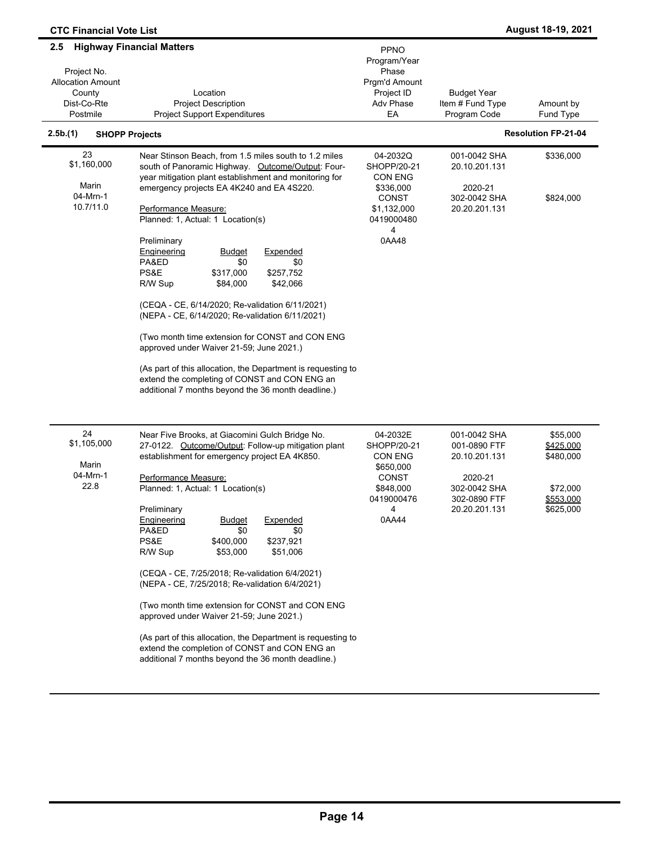| <b>CTC Financial Vote List</b>                                                      |                                                                                                                                                                                                                                                                                                                                                                                                                                                                                                                                                                                                                                                                                                                                                                                                                   |                                                                                                            |                                                                                                           | August 18-19, 2021                                                       |
|-------------------------------------------------------------------------------------|-------------------------------------------------------------------------------------------------------------------------------------------------------------------------------------------------------------------------------------------------------------------------------------------------------------------------------------------------------------------------------------------------------------------------------------------------------------------------------------------------------------------------------------------------------------------------------------------------------------------------------------------------------------------------------------------------------------------------------------------------------------------------------------------------------------------|------------------------------------------------------------------------------------------------------------|-----------------------------------------------------------------------------------------------------------|--------------------------------------------------------------------------|
| 2.5<br>Project No.<br><b>Allocation Amount</b><br>County<br>Dist-Co-Rte<br>Postmile | <b>Highway Financial Matters</b><br>Location<br><b>Project Description</b><br><b>Project Support Expenditures</b>                                                                                                                                                                                                                                                                                                                                                                                                                                                                                                                                                                                                                                                                                                 | PPNO<br>Program/Year<br>Phase<br>Prgm'd Amount<br>Project ID<br>Adv Phase<br>EA                            | <b>Budget Year</b><br>Item # Fund Type<br>Program Code                                                    | Amount by<br>Fund Type                                                   |
| 2.5b.(1)                                                                            | <b>SHOPP Projects</b>                                                                                                                                                                                                                                                                                                                                                                                                                                                                                                                                                                                                                                                                                                                                                                                             |                                                                                                            |                                                                                                           | <b>Resolution FP-21-04</b>                                               |
| 23<br>\$1,160,000<br>Marin<br>04-Mrn-1<br>10.7/11.0                                 | Near Stinson Beach, from 1.5 miles south to 1.2 miles<br>south of Panoramic Highway. Outcome/Output: Four-<br>year mitigation plant establishment and monitoring for<br>emergency projects EA 4K240 and EA 4S220.<br>Performance Measure:<br>Planned: 1, Actual: 1 Location(s)<br>Preliminary<br>Engineering<br><u>Budget</u><br>Expended<br>PA&ED<br>\$0<br>\$0<br>PS&E<br>\$317,000<br>\$257,752<br>R/W Sup<br>\$84,000<br>\$42,066<br>(CEQA - CE, 6/14/2020; Re-validation 6/11/2021)<br>(NEPA - CE, 6/14/2020; Re-validation 6/11/2021)<br>(Two month time extension for CONST and CON ENG<br>approved under Waiver 21-59; June 2021.)<br>(As part of this allocation, the Department is requesting to<br>extend the completing of CONST and CON ENG an<br>additional 7 months beyond the 36 month deadline.) | 04-2032Q<br>SHOPP/20-21<br>CON ENG<br>\$336,000<br><b>CONST</b><br>\$1,132,000<br>0419000480<br>4<br>0AA48 | 001-0042 SHA<br>20.10.201.131<br>2020-21<br>302-0042 SHA<br>20.20.201.131                                 | \$336,000<br>\$824,000                                                   |
| 24<br>\$1,105,000<br>Marin<br>04-Mrn-1<br>22.8                                      | Near Five Brooks, at Giacomini Gulch Bridge No.<br>27-0122. Outcome/Output: Follow-up mitigation plant<br>establishment for emergency project EA 4K850.<br>Performance Measure:<br>Planned: 1, Actual: 1 Location(s)<br>Preliminary<br>Engineering<br>Expended<br><u>Budget</u><br>PA&ED<br>\$0<br>\$0<br>PS&E<br>\$400,000<br>\$237,921<br>R/W Sup<br>\$53,000<br>\$51,006<br>(CEQA - CE, 7/25/2018; Re-validation 6/4/2021)<br>(NEPA - CE, 7/25/2018; Re-validation 6/4/2021)<br>(Two month time extension for CONST and CON ENG)<br>approved under Waiver 21-59; June 2021.)<br>(As part of this allocation, the Department is requesting to<br>extend the completion of CONST and CON ENG an<br>additional 7 months beyond the 36 month deadline.)                                                            | 04-2032E<br>SHOPP/20-21<br>CON ENG<br>\$650,000<br><b>CONST</b><br>\$848,000<br>0419000476<br>4<br>0AA44   | 001-0042 SHA<br>001-0890 FTF<br>20.10.201.131<br>2020-21<br>302-0042 SHA<br>302-0890 FTF<br>20.20.201.131 | \$55,000<br>\$425,000<br>\$480,000<br>\$72,000<br>\$553,000<br>\$625,000 |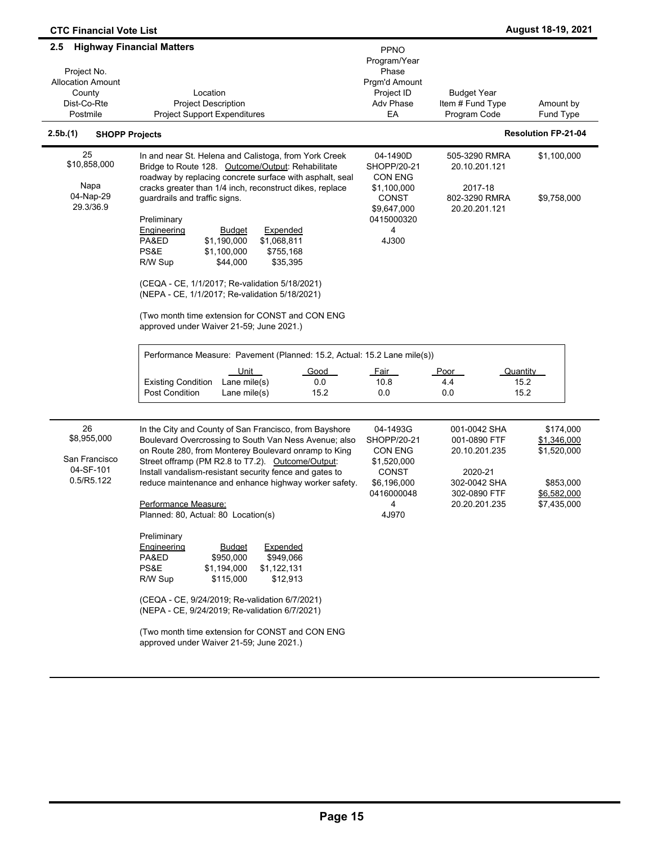| <b>CTC Financial Vote List</b>                                                      |                                                                                                                                                                                                                                                                                                                                                                                                                                                                                                                                                                                                                                                                                                                                                                                     |                                                                                                              |                                                                                                           | August 18-19, 2021                                                                 |
|-------------------------------------------------------------------------------------|-------------------------------------------------------------------------------------------------------------------------------------------------------------------------------------------------------------------------------------------------------------------------------------------------------------------------------------------------------------------------------------------------------------------------------------------------------------------------------------------------------------------------------------------------------------------------------------------------------------------------------------------------------------------------------------------------------------------------------------------------------------------------------------|--------------------------------------------------------------------------------------------------------------|-----------------------------------------------------------------------------------------------------------|------------------------------------------------------------------------------------|
| 2.5<br>Project No.<br><b>Allocation Amount</b><br>County<br>Dist-Co-Rte<br>Postmile | <b>Highway Financial Matters</b><br>Location<br><b>Project Description</b><br><b>Project Support Expenditures</b>                                                                                                                                                                                                                                                                                                                                                                                                                                                                                                                                                                                                                                                                   | <b>PPNO</b><br>Program/Year<br>Phase<br>Prgm'd Amount<br>Project ID<br>Adv Phase<br>EA                       | <b>Budget Year</b><br>Item # Fund Type<br>Program Code                                                    | Amount by<br>Fund Type                                                             |
| 2.5b.(1)<br><b>SHOPP Projects</b>                                                   |                                                                                                                                                                                                                                                                                                                                                                                                                                                                                                                                                                                                                                                                                                                                                                                     |                                                                                                              |                                                                                                           | <b>Resolution FP-21-04</b>                                                         |
| 25<br>\$10,858,000<br>Napa<br>04-Nap-29<br>29.3/36.9                                | In and near St. Helena and Calistoga, from York Creek<br>Bridge to Route 128. Outcome/Output: Rehabilitate<br>roadway by replacing concrete surface with asphalt, seal<br>cracks greater than 1/4 inch, reconstruct dikes, replace<br>guardrails and traffic signs.<br>Preliminary<br><b>Engineering</b><br><b>Budget</b><br>Expended                                                                                                                                                                                                                                                                                                                                                                                                                                               | 04-1490D<br>SHOPP/20-21<br>CON ENG<br>\$1,100,000<br><b>CONST</b><br>\$9,647,000<br>0415000320<br>4          | 505-3290 RMRA<br>20.10.201.121<br>2017-18<br>802-3290 RMRA<br>20.20.201.121                               | \$1,100,000<br>\$9,758,000                                                         |
|                                                                                     | \$1,190,000<br>\$1,068,811<br>PA&ED<br>PS&E<br>\$1,100,000<br>\$755,168<br>R/W Sup<br>\$44,000<br>\$35,395<br>(CEQA - CE, 1/1/2017; Re-validation 5/18/2021)<br>(NEPA - CE, 1/1/2017; Re-validation 5/18/2021)<br>(Two month time extension for CONST and CON ENG<br>approved under Waiver 21-59; June 2021.)<br>Performance Measure: Pavement (Planned: 15.2, Actual: 15.2 Lane mile(s))<br>Unit<br>Good<br><b>Existing Condition</b><br>Lane mile(s)<br>0.0<br>15.2<br><b>Post Condition</b><br>Lane mile(s)                                                                                                                                                                                                                                                                      | 4J300<br><u>Fair</u><br>10.8<br>0.0                                                                          | Poor<br>Quantity<br>4.4<br>15.2<br>15.2<br>0.0                                                            |                                                                                    |
| 26<br>\$8,955,000<br>San Francisco<br>04-SF-101<br>0.5/R5.122                       | In the City and County of San Francisco, from Bayshore<br>Boulevard Overcrossing to South Van Ness Avenue; also<br>on Route 280, from Monterey Boulevard onramp to King<br>Street offramp (PM R2.8 to T7.2). Outcome/Output:<br>Install vandalism-resistant security fence and gates to<br>reduce maintenance and enhance highway worker safety.<br>Performance Measure:<br>Planned: 80, Actual: 80 Location(s)<br>Preliminary<br>Engineering<br>Expended<br>Budget<br>\$949,066<br>PA&ED<br>\$950,000<br>PS&E<br>\$1,122,131<br>\$1,194,000<br>R/W Sup<br>\$115,000<br>\$12,913<br>(CEQA - CE, 9/24/2019; Re-validation 6/7/2021)<br>(NEPA - CE, 9/24/2019; Re-validation 6/7/2021)<br>(Two month time extension for CONST and CON ENG<br>approved under Waiver 21-59; June 2021.) | 04-1493G<br>SHOPP/20-21<br>CON ENG<br>\$1,520,000<br><b>CONST</b><br>\$6,196,000<br>0416000048<br>4<br>4J970 | 001-0042 SHA<br>001-0890 FTF<br>20.10.201.235<br>2020-21<br>302-0042 SHA<br>302-0890 FTF<br>20.20.201.235 | \$174,000<br>\$1,346,000<br>\$1,520,000<br>\$853,000<br>\$6,582,000<br>\$7,435,000 |
|                                                                                     |                                                                                                                                                                                                                                                                                                                                                                                                                                                                                                                                                                                                                                                                                                                                                                                     |                                                                                                              |                                                                                                           |                                                                                    |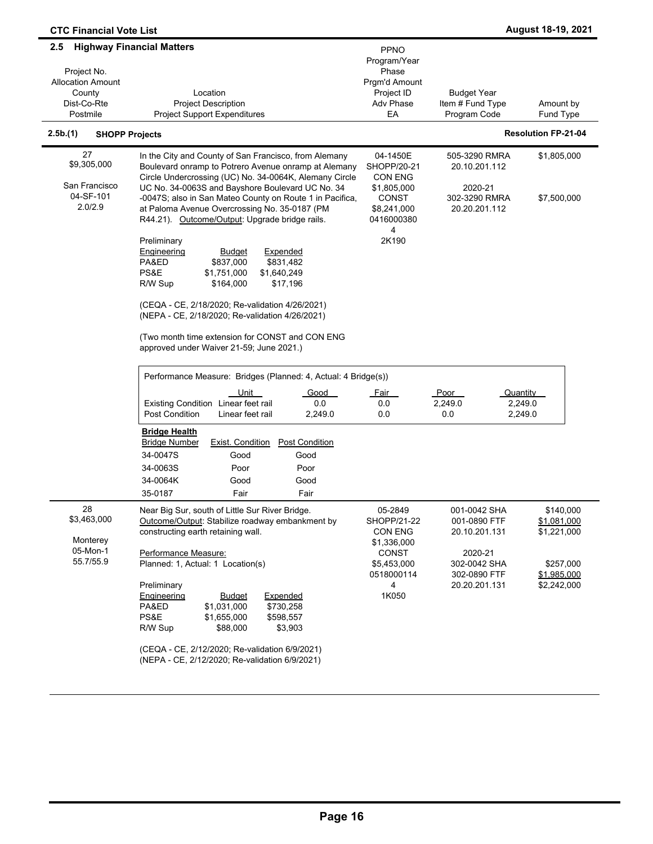| <b>CTC Financial Vote List</b>                                                          |                                                                                                                                                                                                                                                                                                                                                                                                                                                                                               |                                                                                                             |                                                                                                           | August 18-19, 2021                                                                 |
|-----------------------------------------------------------------------------------------|-----------------------------------------------------------------------------------------------------------------------------------------------------------------------------------------------------------------------------------------------------------------------------------------------------------------------------------------------------------------------------------------------------------------------------------------------------------------------------------------------|-------------------------------------------------------------------------------------------------------------|-----------------------------------------------------------------------------------------------------------|------------------------------------------------------------------------------------|
| $2.5\,$<br>Project No.<br><b>Allocation Amount</b><br>County<br>Dist-Co-Rte<br>Postmile | <b>Highway Financial Matters</b><br>Location<br><b>Project Description</b><br><b>Project Support Expenditures</b>                                                                                                                                                                                                                                                                                                                                                                             | PPNO<br>Program/Year<br>Phase<br>Prgm'd Amount<br>Project ID<br>Adv Phase<br>EA                             | Budget Year<br>Item # Fund Type<br>Program Code                                                           | Amount by<br>Fund Type                                                             |
| 2.5b.(1)                                                                                | <b>SHOPP Projects</b>                                                                                                                                                                                                                                                                                                                                                                                                                                                                         |                                                                                                             |                                                                                                           | <b>Resolution FP-21-04</b>                                                         |
| 27<br>\$9,305,000<br>San Francisco<br>04-SF-101<br>2.0/2.9                              | In the City and County of San Francisco, from Alemany<br>Boulevard onramp to Potrero Avenue onramp at Alemany<br>Circle Undercrossing (UC) No. 34-0064K, Alemany Circle<br>UC No. 34-0063S and Bayshore Boulevard UC No. 34<br>-0047S; also in San Mateo County on Route 1 in Pacifica,<br>at Paloma Avenue Overcrossing No. 35-0187 (PM<br>R44.21). Outcome/Output: Upgrade bridge rails.                                                                                                    | 04-1450E<br>SHOPP/20-21<br><b>CON ENG</b><br>\$1,805,000<br>CONST<br>\$8,241,000<br>0416000380<br>4         | 505-3290 RMRA<br>20.10.201.112<br>2020-21<br>302-3290 RMRA<br>20.20.201.112                               | \$1,805,000<br>\$7,500,000                                                         |
|                                                                                         | Preliminary<br><b>Budget</b><br>Expended<br><u>Engineering</u><br>PA&ED<br>\$837,000<br>\$831,482<br>PS&E<br>\$1,640,249<br>\$1,751,000<br>R/W Sup<br>\$164,000<br>\$17,196<br>(CEQA - CE, 2/18/2020; Re-validation 4/26/2021)<br>(NEPA - CE, 2/18/2020; Re-validation 4/26/2021)<br>(Two month time extension for CONST and CON ENG<br>approved under Waiver 21-59; June 2021.)                                                                                                              | 2K190                                                                                                       |                                                                                                           |                                                                                    |
|                                                                                         | Performance Measure: Bridges (Planned: 4, Actual: 4 Bridge(s))<br><u>Unit</u><br><b>Good</b><br>Existing Condition Linear feet rail<br>0.0<br><b>Post Condition</b><br>2,249.0<br>Linear feet rail<br><b>Bridge Health</b><br><b>Post Condition</b><br><b>Bridge Number</b><br><b>Exist. Condition</b><br>34-0047S<br>Good<br>Good<br>34-0063S<br>Poor<br>Poor<br>34-0064K<br>Good<br>Good<br>Fair<br>35-0187<br>Fair                                                                         | <u>Fair</u><br>0.0<br>0.0                                                                                   | Poor<br>2,249.0<br>0.0                                                                                    | Quantity<br>2,249.0<br>2,249.0                                                     |
| 28<br>\$3,463,000<br>Monterey<br>05-Mon-1<br>55.7/55.9                                  | Near Big Sur, south of Little Sur River Bridge.<br>Outcome/Output: Stabilize roadway embankment by<br>constructing earth retaining wall.<br>Performance Measure:<br>Planned: 1, Actual: 1 Location(s)<br>Preliminary<br><b>Engineering</b><br><b>Budget</b><br><b>Expended</b><br>\$1,031,000<br>\$730,258<br>PA&ED<br>PS&E<br>\$1,655,000<br>\$598,557<br>R/W Sup<br>\$88,000<br>\$3,903<br>(CEQA - CE, 2/12/2020; Re-validation 6/9/2021)<br>(NEPA - CE, 2/12/2020; Re-validation 6/9/2021) | 05-2849<br>SHOPP/21-22<br>CON ENG<br>\$1,336,000<br><b>CONST</b><br>\$5,453,000<br>0518000114<br>4<br>1K050 | 001-0042 SHA<br>001-0890 FTF<br>20.10.201.131<br>2020-21<br>302-0042 SHA<br>302-0890 FTF<br>20.20.201.131 | \$140,000<br>\$1,081,000<br>\$1,221,000<br>\$257,000<br>\$1,985,000<br>\$2,242,000 |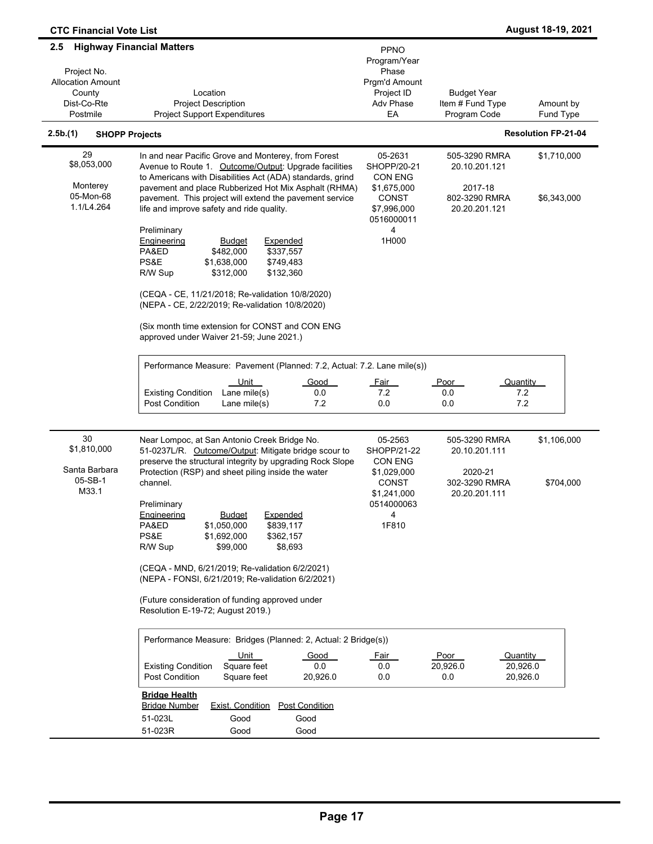| <b>CTC Financial Vote List</b>                                                      |                                                                                                                                                                                                                                                                                                                                                                                                                                                                                                                                                        |                                                                                                                    |                                                                             | August 18-19, 2021         |
|-------------------------------------------------------------------------------------|--------------------------------------------------------------------------------------------------------------------------------------------------------------------------------------------------------------------------------------------------------------------------------------------------------------------------------------------------------------------------------------------------------------------------------------------------------------------------------------------------------------------------------------------------------|--------------------------------------------------------------------------------------------------------------------|-----------------------------------------------------------------------------|----------------------------|
| 2.5<br>Project No.<br><b>Allocation Amount</b><br>County<br>Dist-Co-Rte<br>Postmile | <b>Highway Financial Matters</b><br>Location<br><b>Project Description</b><br><b>Project Support Expenditures</b>                                                                                                                                                                                                                                                                                                                                                                                                                                      | <b>PPNO</b><br>Program/Year<br>Phase<br>Prgm'd Amount<br>Project ID<br>Adv Phase<br>EA                             | <b>Budget Year</b><br>Item # Fund Type<br>Program Code                      | Amount by<br>Fund Type     |
| 2.5b.(1)<br><b>SHOPP Projects</b>                                                   |                                                                                                                                                                                                                                                                                                                                                                                                                                                                                                                                                        |                                                                                                                    |                                                                             | <b>Resolution FP-21-04</b> |
| 29<br>\$8,053,000<br>Monterey<br>05-Mon-68<br>1.1/L4.264                            | In and near Pacific Grove and Monterey, from Forest<br>Avenue to Route 1. Outcome/Output: Upgrade facilities<br>to Americans with Disabilities Act (ADA) standards, grind<br>pavement and place Rubberized Hot Mix Asphalt (RHMA)<br>pavement. This project will extend the pavement service<br>life and improve safety and ride quality.<br>Preliminary                                                                                                                                                                                               | 05-2631<br>SHOPP/20-21<br><b>CON ENG</b><br>\$1,675,000<br><b>CONST</b><br>\$7,996,000<br>0516000011<br>4          | 505-3290 RMRA<br>20.10.201.121<br>2017-18<br>802-3290 RMRA<br>20.20.201.121 | \$1,710,000<br>\$6,343,000 |
|                                                                                     | Engineering<br><b>Budget</b><br><b>Expended</b><br>PA&ED<br>\$482,000<br>\$337,557<br>PS&E<br>\$1,638,000<br>\$749,483<br>\$312,000<br>\$132,360<br>R/W Sup<br>(CEQA - CE, 11/21/2018; Re-validation 10/8/2020)<br>(NEPA - CE, 2/22/2019; Re-validation 10/8/2020)<br>(Six month time extension for CONST and CON ENG<br>approved under Waiver 21-59; June 2021.)<br>Performance Measure: Pavement (Planned: 7.2, Actual: 7.2. Lane mile(s))                                                                                                           | 1H000                                                                                                              |                                                                             |                            |
|                                                                                     | <u>Unit</u><br>Good<br>Lane mile(s)<br><b>Existing Condition</b><br>0.0<br><b>Post Condition</b><br>Lane mile(s)<br>7.2                                                                                                                                                                                                                                                                                                                                                                                                                                | <u>Fair</u><br>7.2<br>0.0                                                                                          | Quantity<br>Poor<br>7.2<br>0.0<br>7.2<br>0.0                                |                            |
| 30<br>\$1,810,000<br>Santa Barbara<br>05-SB-1<br>M33.1                              | Near Lompoc, at San Antonio Creek Bridge No.<br>51-0237L/R. Outcome/Output: Mitigate bridge scour to<br>preserve the structural integrity by upgrading Rock Slope<br>Protection (RSP) and sheet piling inside the water<br>channel.<br>Preliminary<br>Engineering<br><b>Budget</b><br>Expended<br>PA&ED<br>\$1,050,000<br>\$839,117<br>PS&E<br>\$1,692,000<br>\$362,157<br>\$99,000<br>\$8,693<br>R/W Sup                                                                                                                                              | 05-2563<br>SHOPP/21-22<br><b>CON ENG</b><br>\$1,029,000<br><b>CONST</b><br>\$1,241,000<br>0514000063<br>4<br>1F810 | 505-3290 RMRA<br>20.10.201.111<br>2020-21<br>302-3290 RMRA<br>20.20.201.111 | \$1,106,000<br>\$704,000   |
|                                                                                     | (CEQA - MND, 6/21/2019; Re-validation 6/2/2021)<br>(NEPA - FONSI, 6/21/2019; Re-validation 6/2/2021)<br>(Future consideration of funding approved under<br>Resolution E-19-72; August 2019.)<br>Performance Measure: Bridges (Planned: 2, Actual: 2 Bridge(s))<br><u>Unit</u><br>Good<br>Square feet<br><b>Existing Condition</b><br>0.0<br><b>Post Condition</b><br>Square feet<br>20,926.0<br><b>Bridge Health</b><br><b>Post Condition</b><br><b>Bridge Number</b><br><b>Exist. Condition</b><br>51-023L<br>Good<br>Good<br>51-023R<br>Good<br>Good | <u>Fair</u><br>0.0<br>0.0                                                                                          | Poor<br>Quantity<br>20,926.0<br>20,926.0<br>0.0<br>20,926.0                 |                            |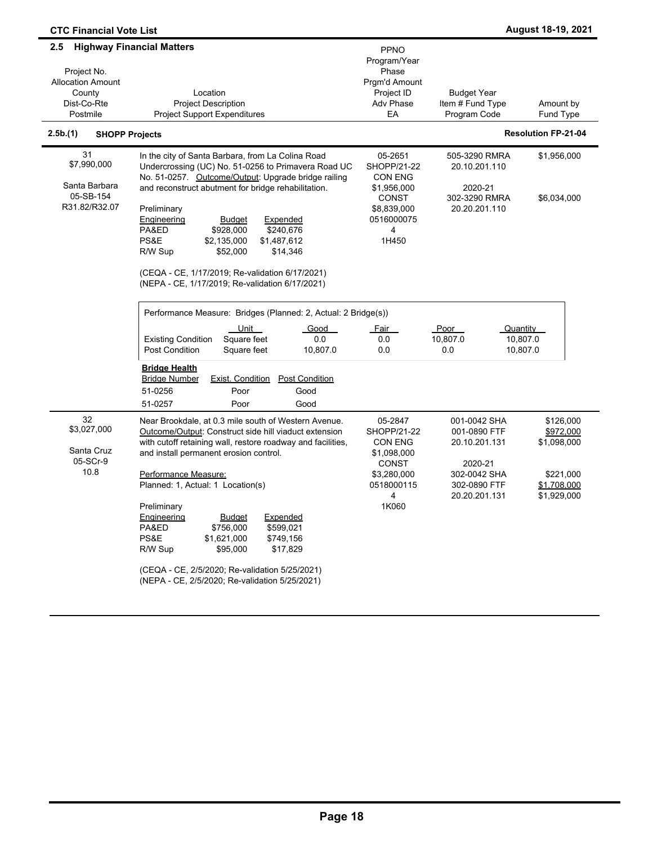| <b>CTC Financial Vote List</b>                                                      |                                                                                                                                                                                                                                                                                                                                                                                                                                                                                                                                                              |                                                                                                             |                                                                                                           | August 18-19, 2021                                                               |
|-------------------------------------------------------------------------------------|--------------------------------------------------------------------------------------------------------------------------------------------------------------------------------------------------------------------------------------------------------------------------------------------------------------------------------------------------------------------------------------------------------------------------------------------------------------------------------------------------------------------------------------------------------------|-------------------------------------------------------------------------------------------------------------|-----------------------------------------------------------------------------------------------------------|----------------------------------------------------------------------------------|
| 2.5<br>Project No.<br><b>Allocation Amount</b><br>County<br>Dist-Co-Rte<br>Postmile | <b>Highway Financial Matters</b><br>Location<br><b>Project Description</b><br><b>Project Support Expenditures</b>                                                                                                                                                                                                                                                                                                                                                                                                                                            | PPNO<br>Program/Year<br>Phase<br>Prgm'd Amount<br>Project ID<br>Adv Phase<br>EA                             | <b>Budget Year</b><br>Item # Fund Type<br>Program Code                                                    | Amount by<br>Fund Type                                                           |
| 2.5b.(1)<br><b>SHOPP Projects</b>                                                   |                                                                                                                                                                                                                                                                                                                                                                                                                                                                                                                                                              |                                                                                                             |                                                                                                           | <b>Resolution FP-21-04</b>                                                       |
| 31<br>\$7,990,000<br>Santa Barbara<br>05-SB-154<br>R31.82/R32.07                    | In the city of Santa Barbara, from La Colina Road<br>Undercrossing (UC) No. 51-0256 to Primavera Road UC<br>No. 51-0257. Outcome/Output: Upgrade bridge railing<br>and reconstruct abutment for bridge rehabilitation.<br>Preliminary<br>Engineering<br>Budget<br>Expended<br>\$240,676<br>PA&ED<br>\$928,000<br>PS&E<br>\$2,135,000<br>\$1,487,612<br>\$52,000<br>\$14,346<br>R/W Sup<br>(CEQA - CE, 1/17/2019; Re-validation 6/17/2021)<br>(NEPA - CE, 1/17/2019; Re-validation 6/17/2021)                                                                 | 05-2651<br>SHOPP/21-22<br><b>CON ENG</b><br>\$1,956,000<br>CONST<br>\$8,839,000<br>0516000075<br>4<br>1H450 | 505-3290 RMRA<br>20.10.201.110<br>2020-21<br>302-3290 RMRA<br>20.20.201.110                               | \$1,956,000<br>\$6,034,000                                                       |
|                                                                                     | Performance Measure: Bridges (Planned: 2, Actual: 2 Bridge(s))<br>Unit<br>Good<br>Square feet<br>0.0<br><b>Existing Condition</b><br><b>Post Condition</b><br>Square feet<br>10,807.0<br><b>Bridge Health</b><br><b>Bridge Number</b><br><b>Exist. Condition</b><br><b>Post Condition</b><br>51-0256<br>Poor<br>Good<br>51-0257<br>Poor<br>Good                                                                                                                                                                                                              | <u>Fair</u><br>0.0<br>0.0                                                                                   | Poor<br>10,807.0<br>0.0                                                                                   | Quantity<br>10,807.0<br>10,807.0                                                 |
| 32<br>\$3,027,000<br>Santa Cruz<br>05-SCr-9<br>10.8                                 | Near Brookdale, at 0.3 mile south of Western Avenue.<br>Outcome/Output: Construct side hill viaduct extension<br>with cutoff retaining wall, restore roadway and facilities,<br>and install permanent erosion control.<br>Performance Measure:<br>Planned: 1, Actual: 1 Location(s)<br>Preliminary<br>Engineering<br><b>Budget</b><br>Expended<br>PA&ED<br>\$756,000<br>\$599,021<br>PS&E<br>\$1,621,000<br>\$749,156<br>R/W Sup<br>\$95,000<br>\$17,829<br>(CEQA - CE, 2/5/2020; Re-validation 5/25/2021)<br>(NEPA - CE, 2/5/2020; Re-validation 5/25/2021) | 05-2847<br>SHOPP/21-22<br><b>CON ENG</b><br>\$1,098,000<br>CONST<br>\$3,280,000<br>0518000115<br>4<br>1K060 | 001-0042 SHA<br>001-0890 FTF<br>20.10.201.131<br>2020-21<br>302-0042 SHA<br>302-0890 FTF<br>20.20.201.131 | \$126,000<br>\$972,000<br>\$1,098,000<br>\$221,000<br>\$1,708,000<br>\$1,929,000 |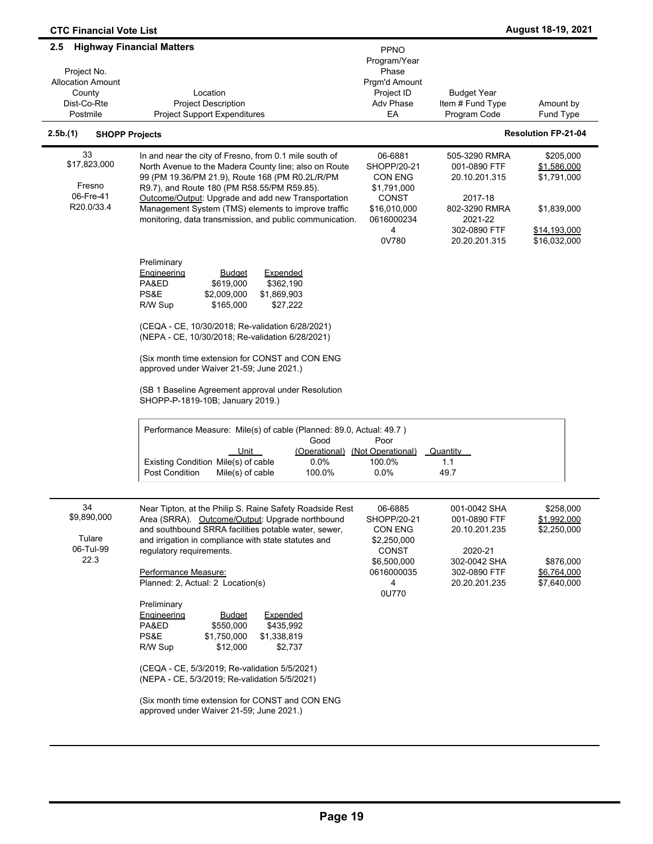| <b>CTC Financial Vote List</b>                                                      |                                                                                                                                                                                                                                                                                                                                                                                                                                                                                                                                                                                                                                                                                                           |                                                                                                              |                                                                                                                        | August 18-19, 2021                                                                     |
|-------------------------------------------------------------------------------------|-----------------------------------------------------------------------------------------------------------------------------------------------------------------------------------------------------------------------------------------------------------------------------------------------------------------------------------------------------------------------------------------------------------------------------------------------------------------------------------------------------------------------------------------------------------------------------------------------------------------------------------------------------------------------------------------------------------|--------------------------------------------------------------------------------------------------------------|------------------------------------------------------------------------------------------------------------------------|----------------------------------------------------------------------------------------|
| 2.5<br>Project No.<br><b>Allocation Amount</b><br>County<br>Dist-Co-Rte<br>Postmile | <b>Highway Financial Matters</b><br>Location<br><b>Project Description</b><br><b>Project Support Expenditures</b>                                                                                                                                                                                                                                                                                                                                                                                                                                                                                                                                                                                         | PPNO<br>Program/Year<br>Phase<br>Prgm'd Amount<br>Project ID<br>Adv Phase<br>EA                              | <b>Budget Year</b><br>Item # Fund Type<br>Program Code                                                                 | Amount by<br><b>Fund Type</b>                                                          |
| 2.5b.(1)<br><b>SHOPP Projects</b>                                                   |                                                                                                                                                                                                                                                                                                                                                                                                                                                                                                                                                                                                                                                                                                           |                                                                                                              |                                                                                                                        | <b>Resolution FP-21-04</b>                                                             |
| 33<br>\$17,823,000<br>Fresno<br>06-Fre-41<br>R20.0/33.4                             | In and near the city of Fresno, from 0.1 mile south of<br>North Avenue to the Madera County line; also on Route<br>99 (PM 19.36/PM 21.9), Route 168 (PM R0.2L/R/PM<br>R9.7), and Route 180 (PM R58.55/PM R59.85).<br>Outcome/Output: Upgrade and add new Transportation<br>Management System (TMS) elements to improve traffic<br>monitoring, data transmission, and public communication.                                                                                                                                                                                                                                                                                                                | 06-6881<br>SHOPP/20-21<br><b>CON ENG</b><br>\$1,791,000<br>CONST<br>\$16,010,000<br>0616000234<br>4<br>0V780 | 505-3290 RMRA<br>001-0890 FTF<br>20.10.201.315<br>2017-18<br>802-3290 RMRA<br>2021-22<br>302-0890 FTF<br>20.20.201.315 | \$205,000<br>\$1,586,000<br>\$1,791,000<br>\$1,839,000<br>\$14,193,000<br>\$16,032,000 |
|                                                                                     | Preliminary<br><b>Expended</b><br><b>Engineering</b><br><b>Budget</b><br>\$619,000<br>\$362,190<br>PA&ED<br>PS&E<br>\$1,869,903<br>\$2,009,000<br>\$165,000<br>R/W Sup<br>\$27,222<br>(CEQA - CE, 10/30/2018; Re-validation 6/28/2021)<br>(NEPA - CE, 10/30/2018; Re-validation 6/28/2021)<br>(Six month time extension for CONST and CON ENG<br>approved under Waiver 21-59; June 2021.)<br>(SB 1 Baseline Agreement approval under Resolution<br>SHOPP-P-1819-10B; January 2019.)<br>Performance Measure: Mile(s) of cable (Planned: 89.0, Actual: 49.7)<br>Good<br>Unit<br>(Operational)<br>Existing Condition Mile(s) of cable<br>0.0%<br><b>Post Condition</b><br>Mile(s) of cable<br>100.0%         | Poor<br>(Not Operational)<br>100.0%<br>$0.0\%$                                                               | Quantity<br>1.1<br>49.7                                                                                                |                                                                                        |
| 34<br>\$9,890,000<br>Tulare<br>06-Tul-99<br>22.3                                    | Near Tipton, at the Philip S. Raine Safety Roadside Rest<br>Area (SRRA). Outcome/Output: Upgrade northbound<br>and southbound SRRA facilities potable water, sewer,<br>and irrigation in compliance with state statutes and<br>regulatory requirements.<br>Performance Measure:<br>Planned: 2, Actual: 2 Location(s)<br>Preliminary<br><b>Expended</b><br><b>Engineering</b><br><u>Budget</u><br>PA&ED<br>\$550,000<br>\$435,992<br>PS&E<br>\$1,750,000<br>\$1,338,819<br>\$12,000<br>\$2,737<br>R/W Sup<br>(CEQA - CE, 5/3/2019; Re-validation 5/5/2021)<br>(NEPA - CE, 5/3/2019; Re-validation 5/5/2021)<br>(Six month time extension for CONST and CON ENG<br>approved under Waiver 21-59; June 2021.) | 06-6885<br>SHOPP/20-21<br>CON ENG<br>\$2,250,000<br><b>CONST</b><br>\$6,500,000<br>0616000035<br>4<br>0U770  | 001-0042 SHA<br>001-0890 FTF<br>20.10.201.235<br>2020-21<br>302-0042 SHA<br>302-0890 FTF<br>20.20.201.235              | \$258,000<br>\$1,992,000<br>\$2,250,000<br>\$876,000<br>\$6,764,000<br>\$7,640,000     |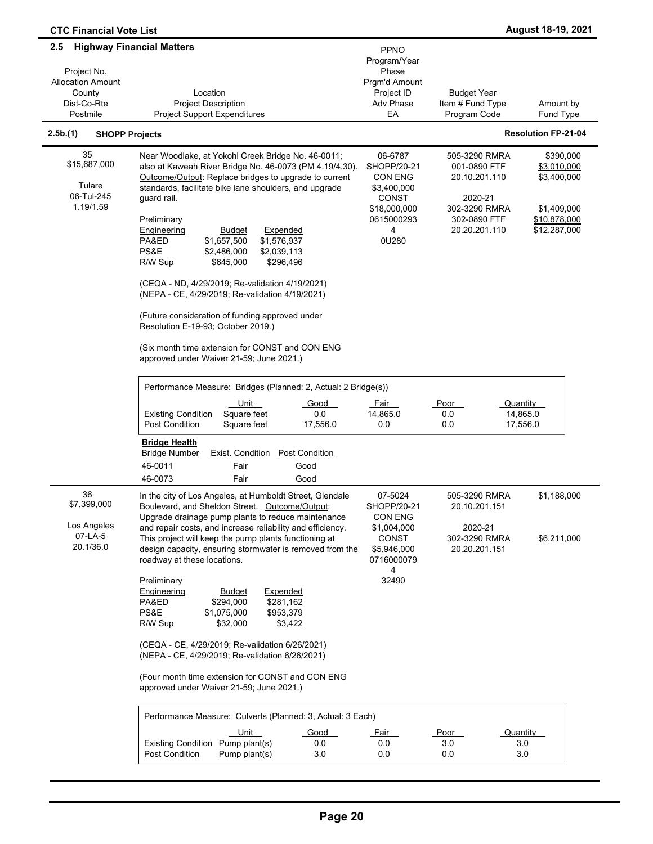| <b>CTC Financial Vote List</b>                                                                                          |                                                                                                                                                                                                                                                                                                                                                                                                                                                                                                                                                                                                                                                                                                                                                                                                              |                                                                                                                                    |                                                                                                                     | August 18-19, 2021                                                                                 |
|-------------------------------------------------------------------------------------------------------------------------|--------------------------------------------------------------------------------------------------------------------------------------------------------------------------------------------------------------------------------------------------------------------------------------------------------------------------------------------------------------------------------------------------------------------------------------------------------------------------------------------------------------------------------------------------------------------------------------------------------------------------------------------------------------------------------------------------------------------------------------------------------------------------------------------------------------|------------------------------------------------------------------------------------------------------------------------------------|---------------------------------------------------------------------------------------------------------------------|----------------------------------------------------------------------------------------------------|
| <b>Highway Financial Matters</b><br>2.5<br>Project No.<br><b>Allocation Amount</b><br>County<br>Dist-Co-Rte<br>Postmile | Location<br><b>Project Description</b><br><b>Project Support Expenditures</b>                                                                                                                                                                                                                                                                                                                                                                                                                                                                                                                                                                                                                                                                                                                                | PPNO<br>Program/Year<br>Phase<br>Prgm'd Amount<br>Project ID<br>Adv Phase<br>EA                                                    | <b>Budget Year</b><br>Item # Fund Type<br>Program Code                                                              | Amount by<br>Fund Type                                                                             |
| 2.5b.(1)<br><b>SHOPP Projects</b>                                                                                       |                                                                                                                                                                                                                                                                                                                                                                                                                                                                                                                                                                                                                                                                                                                                                                                                              |                                                                                                                                    |                                                                                                                     | <b>Resolution FP-21-04</b>                                                                         |
|                                                                                                                         |                                                                                                                                                                                                                                                                                                                                                                                                                                                                                                                                                                                                                                                                                                                                                                                                              |                                                                                                                                    |                                                                                                                     |                                                                                                    |
| 35<br>\$15,687,000<br>Tulare<br>06-Tul-245<br>1.19/1.59                                                                 | Near Woodlake, at Yokohl Creek Bridge No. 46-0011;<br>also at Kaweah River Bridge No. 46-0073 (PM 4.19/4.30).<br>Outcome/Output: Replace bridges to upgrade to current<br>standards, facilitate bike lane shoulders, and upgrade<br>guard rail.<br>Preliminary<br>Engineering<br>Expended<br><b>Budget</b><br>PA&ED<br>\$1,657,500<br>\$1,576,937<br>PS&E<br>\$2,486,000<br>\$2,039,113<br>\$645,000<br>\$296,496<br>R/W Sup<br>(CEQA - ND, 4/29/2019; Re-validation 4/19/2021)<br>(NEPA - CE, 4/29/2019; Re-validation 4/19/2021)<br>(Future consideration of funding approved under<br>Resolution E-19-93; October 2019.)<br>(Six month time extension for CONST and CON ENG<br>approved under Waiver 21-59; June 2021.)<br>Performance Measure: Bridges (Planned: 2, Actual: 2 Bridge(s))<br>Unit<br>Good | 06-6787<br>SHOPP/20-21<br><b>CON ENG</b><br>\$3,400,000<br><b>CONST</b><br>\$18,000,000<br>0615000293<br>4<br>0U280<br><u>Fair</u> | 505-3290 RMRA<br>001-0890 FTF<br>20.10.201.110<br>2020-21<br>302-3290 RMRA<br>302-0890 FTF<br>20.20.201.110<br>Poor | \$390,000<br>\$3,010,000<br>\$3,400,000<br>\$1,409,000<br>\$10,878,000<br>\$12,287,000<br>Quantity |
|                                                                                                                         | <b>Existing Condition</b><br>Square feet<br>0.0<br><b>Post Condition</b><br>Square feet<br>17,556.0<br><b>Bridge Health</b><br><b>Post Condition</b><br><b>Bridge Number</b><br><b>Exist. Condition</b>                                                                                                                                                                                                                                                                                                                                                                                                                                                                                                                                                                                                      | 14,865.0<br>0.0                                                                                                                    | 0.0<br>0.0                                                                                                          | 14,865.0<br>17,556.0                                                                               |
|                                                                                                                         | 46-0011<br>Fair<br>Good                                                                                                                                                                                                                                                                                                                                                                                                                                                                                                                                                                                                                                                                                                                                                                                      |                                                                                                                                    |                                                                                                                     |                                                                                                    |
|                                                                                                                         | 46-0073<br>Fair<br>Good                                                                                                                                                                                                                                                                                                                                                                                                                                                                                                                                                                                                                                                                                                                                                                                      |                                                                                                                                    |                                                                                                                     |                                                                                                    |
| 36<br>\$7,399,000<br>Los Angeles<br>07-LA-5<br>20.1/36.0                                                                | In the city of Los Angeles, at Humboldt Street, Glendale<br>Boulevard, and Sheldon Street. Outcome/Output:<br>Upgrade drainage pump plants to reduce maintenance<br>and repair costs, and increase reliability and efficiency.<br>This project will keep the pump plants functioning at<br>design capacity, ensuring stormwater is removed from the<br>roadway at these locations.                                                                                                                                                                                                                                                                                                                                                                                                                           | 07-5024<br>SHOPP/20-21<br>CON ENG<br>\$1,004,000<br><b>CONST</b><br>\$5,946,000<br>0716000079<br>4                                 | 505-3290 RMRA<br>20.10.201.151<br>2020-21<br>302-3290 RMRA<br>20.20.201.151                                         | \$1,188,000<br>\$6,211,000                                                                         |
|                                                                                                                         | Preliminary<br><b>Budget</b><br>Expended<br><b>Engineering</b><br>PA&ED<br>\$294,000<br>\$281,162<br>PS&E<br>\$1,075,000<br>\$953,379<br>R/W Sup<br>\$32,000<br>\$3,422<br>(CEQA - CE, 4/29/2019; Re-validation 6/26/2021)<br>(NEPA - CE, 4/29/2019; Re-validation 6/26/2021)<br>(Four month time extension for CONST and CON ENG<br>approved under Waiver 21-59; June 2021.)<br>Performance Measure: Culverts (Planned: 3, Actual: 3 Each)<br><u>Unit</u><br>Good<br>Existing Condition Pump plant(s)<br>0.0<br>Post Condition<br>Pump plant(s)<br>3.0                                                                                                                                                                                                                                                      | 32490<br><u>Fair</u><br>0.0<br>0.0                                                                                                 | Poor<br>3.0<br>0.0                                                                                                  | Quantity<br>3.0<br>3.0                                                                             |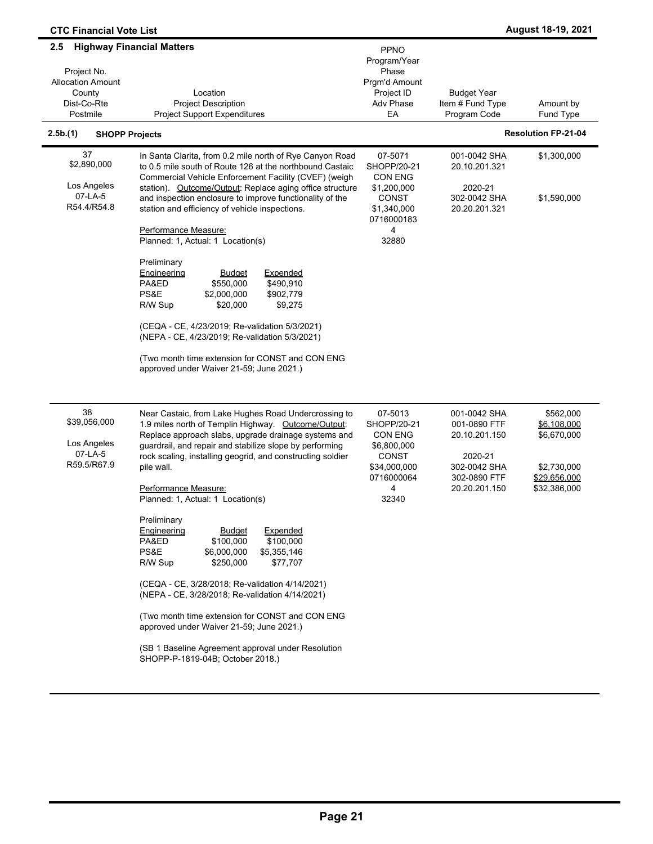| <b>CTC Financial Vote List</b>                                                                                                                               |                                                                                                                                                                                                                                                                                                                                                                                                                                                                                                                                                                                                                                                                                                                                                                                                                                                       |                                                                                                              |                                                                                                           | August 18-19, 2021                                                                     |
|--------------------------------------------------------------------------------------------------------------------------------------------------------------|-------------------------------------------------------------------------------------------------------------------------------------------------------------------------------------------------------------------------------------------------------------------------------------------------------------------------------------------------------------------------------------------------------------------------------------------------------------------------------------------------------------------------------------------------------------------------------------------------------------------------------------------------------------------------------------------------------------------------------------------------------------------------------------------------------------------------------------------------------|--------------------------------------------------------------------------------------------------------------|-----------------------------------------------------------------------------------------------------------|----------------------------------------------------------------------------------------|
| <b>Highway Financial Matters</b><br>2.5<br>Project No.<br><b>Allocation Amount</b><br>County<br>Dist-Co-Rte<br>Postmile<br>2.5b.(1)<br><b>SHOPP Projects</b> | Location<br><b>Project Description</b><br><b>Project Support Expenditures</b>                                                                                                                                                                                                                                                                                                                                                                                                                                                                                                                                                                                                                                                                                                                                                                         | PPNO<br>Program/Year<br>Phase<br>Prgm'd Amount<br>Project ID<br>Adv Phase<br>EA                              | <b>Budget Year</b><br>Item # Fund Type<br>Program Code                                                    | Amount by<br>Fund Type<br><b>Resolution FP-21-04</b>                                   |
|                                                                                                                                                              |                                                                                                                                                                                                                                                                                                                                                                                                                                                                                                                                                                                                                                                                                                                                                                                                                                                       |                                                                                                              |                                                                                                           |                                                                                        |
| 37<br>\$2,890,000<br>Los Angeles<br>07-LA-5<br>R54.4/R54.8                                                                                                   | In Santa Clarita, from 0.2 mile north of Rye Canyon Road<br>to 0.5 mile south of Route 126 at the northbound Castaic<br>Commercial Vehicle Enforcement Facility (CVEF) (weigh<br>station). Outcome/Output: Replace aging office structure<br>and inspection enclosure to improve functionality of the<br>station and efficiency of vehicle inspections.<br>Performance Measure:<br>Planned: 1, Actual: 1 Location(s)                                                                                                                                                                                                                                                                                                                                                                                                                                  | 07-5071<br>SHOPP/20-21<br><b>CON ENG</b><br>\$1,200,000<br>CONST<br>\$1,340,000<br>0716000183<br>4<br>32880  | 001-0042 SHA<br>20.10.201.321<br>2020-21<br>302-0042 SHA<br>20.20.201.321                                 | \$1,300,000<br>\$1,590,000                                                             |
|                                                                                                                                                              | Preliminary<br>Engineering<br><b>Expended</b><br><b>Budget</b><br>PA&ED<br>\$550,000<br>\$490,910<br>PS&E<br>\$2,000,000<br>\$902,779<br>\$20,000<br>\$9,275<br>R/W Sup<br>(CEQA - CE, 4/23/2019; Re-validation 5/3/2021)<br>(NEPA - CE, 4/23/2019; Re-validation 5/3/2021)<br>(Two month time extension for CONST and CON ENG<br>approved under Waiver 21-59; June 2021.)                                                                                                                                                                                                                                                                                                                                                                                                                                                                            |                                                                                                              |                                                                                                           |                                                                                        |
| 38<br>\$39,056,000<br>Los Angeles<br>07-LA-5<br>R59.5/R67.9                                                                                                  | Near Castaic, from Lake Hughes Road Undercrossing to<br>1.9 miles north of Templin Highway. Outcome/Output:<br>Replace approach slabs, upgrade drainage systems and<br>guardrail, and repair and stabilize slope by performing<br>rock scaling, installing geogrid, and constructing soldier<br>pile wall.<br>Performance Measure:<br>Planned: 1, Actual: 1 Location(s)<br>Preliminary<br>Expended<br><b>Engineering</b><br><b>Budget</b><br>PA&ED<br>\$100,000<br>\$100,000<br>PS&E<br>\$5,355,146<br>\$6,000,000<br>R/W Sup<br>\$250,000<br>\$77,707<br>(CEQA - CE, 3/28/2018; Re-validation 4/14/2021)<br>(NEPA - CE, 3/28/2018; Re-validation 4/14/2021)<br>(Two month time extension for CONST and CON ENG<br>approved under Waiver 21-59; June 2021.)<br>(SB 1 Baseline Agreement approval under Resolution<br>SHOPP-P-1819-04B; October 2018.) | 07-5013<br>SHOPP/20-21<br><b>CON ENG</b><br>\$6,800,000<br>CONST<br>\$34,000,000<br>0716000064<br>4<br>32340 | 001-0042 SHA<br>001-0890 FTF<br>20.10.201.150<br>2020-21<br>302-0042 SHA<br>302-0890 FTF<br>20.20.201.150 | \$562,000<br>\$6,108,000<br>\$6,670,000<br>\$2,730,000<br>\$29,656,000<br>\$32,386,000 |

÷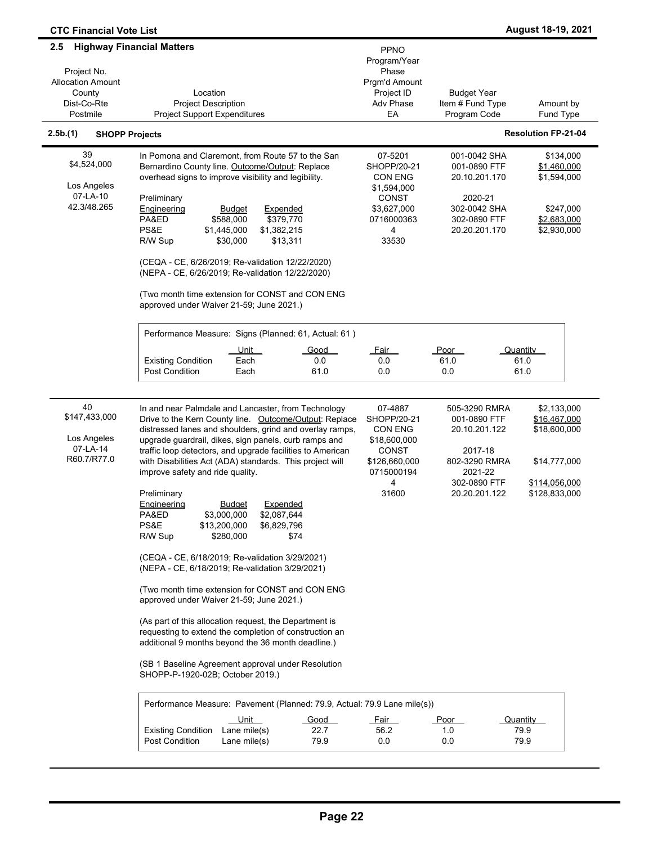| <b>CTC Financial Vote List</b>                                |                                                                                                                                                                                                                                                                                                                                                                                                                                                                                                                                                                                                                                                                                                  |                                                                                                                    |                                                                                                           | August 18-19, 2021                                                                 |
|---------------------------------------------------------------|--------------------------------------------------------------------------------------------------------------------------------------------------------------------------------------------------------------------------------------------------------------------------------------------------------------------------------------------------------------------------------------------------------------------------------------------------------------------------------------------------------------------------------------------------------------------------------------------------------------------------------------------------------------------------------------------------|--------------------------------------------------------------------------------------------------------------------|-----------------------------------------------------------------------------------------------------------|------------------------------------------------------------------------------------|
| $2.5^{\circ}$                                                 | <b>Highway Financial Matters</b>                                                                                                                                                                                                                                                                                                                                                                                                                                                                                                                                                                                                                                                                 | PPNO<br>Program/Year                                                                                               |                                                                                                           |                                                                                    |
| Project No.<br><b>Allocation Amount</b><br>County             | Location                                                                                                                                                                                                                                                                                                                                                                                                                                                                                                                                                                                                                                                                                         | Phase<br>Prgm'd Amount<br>Project ID                                                                               | <b>Budget Year</b>                                                                                        |                                                                                    |
| Dist-Co-Rte<br>Postmile                                       | <b>Project Description</b><br><b>Project Support Expenditures</b>                                                                                                                                                                                                                                                                                                                                                                                                                                                                                                                                                                                                                                | Adv Phase<br>EA                                                                                                    | Item # Fund Type<br>Program Code                                                                          | Amount by<br>Fund Type                                                             |
| 2.5b.(1)<br><b>SHOPP Projects</b>                             |                                                                                                                                                                                                                                                                                                                                                                                                                                                                                                                                                                                                                                                                                                  |                                                                                                                    |                                                                                                           | <b>Resolution FP-21-04</b>                                                         |
| 39<br>\$4,524,000<br>Los Angeles<br>07-LA-10<br>42.3/48.265   | In Pomona and Claremont, from Route 57 to the San<br>Bernardino County line. Outcome/Output: Replace<br>overhead signs to improve visibility and legibility.<br>Preliminary<br>Engineering<br><b>Budget</b><br>Expended<br>\$379,770<br>PA&ED<br>\$588,000<br>PS&E<br>\$1,382,215<br>\$1,445,000<br>R/W Sup<br>\$30,000<br>\$13,311<br>(CEQA - CE, 6/26/2019; Re-validation 12/22/2020)<br>(NEPA - CE, 6/26/2019; Re-validation 12/22/2020)                                                                                                                                                                                                                                                      | 07-5201<br>SHOPP/20-21<br><b>CON ENG</b><br>\$1,594,000<br><b>CONST</b><br>\$3,627,000<br>0716000363<br>4<br>33530 | 001-0042 SHA<br>001-0890 FTF<br>20.10.201.170<br>2020-21<br>302-0042 SHA<br>302-0890 FTF<br>20.20.201.170 | \$134,000<br>\$1,460,000<br>\$1,594,000<br>\$247,000<br>\$2,683,000<br>\$2,930,000 |
|                                                               | (Two month time extension for CONST and CON ENG<br>approved under Waiver 21-59; June 2021.)                                                                                                                                                                                                                                                                                                                                                                                                                                                                                                                                                                                                      |                                                                                                                    |                                                                                                           |                                                                                    |
|                                                               | Performance Measure: Signs (Planned: 61, Actual: 61)                                                                                                                                                                                                                                                                                                                                                                                                                                                                                                                                                                                                                                             |                                                                                                                    |                                                                                                           |                                                                                    |
|                                                               | <u>Unit</u><br>Good<br><b>Existing Condition</b><br>Each<br>0.0<br><b>Post Condition</b><br>Each<br>61.0                                                                                                                                                                                                                                                                                                                                                                                                                                                                                                                                                                                         | Fair<br>0.0<br>0.0                                                                                                 | Poor<br>61.0<br>0.0                                                                                       | Quantity<br>61.0<br>61.0                                                           |
| 40<br>\$147,433,000<br>Los Angeles<br>07-LA-14<br>R60.7/R77.0 | In and near Palmdale and Lancaster, from Technology<br>Drive to the Kern County line. Outcome/Output: Replace<br>distressed lanes and shoulders, grind and overlay ramps,<br>upgrade guardrail, dikes, sign panels, curb ramps and<br>traffic loop detectors, and upgrade facilities to American<br>with Disabilities Act (ADA) standards. This project will                                                                                                                                                                                                                                                                                                                                     | 07-4887<br>SHOPP/20-21<br><b>CON ENG</b><br>\$18,600,000<br>CONST<br>\$126,660,000                                 | 505-3290 RMRA<br>001-0890 FTF<br>20.10.201.122<br>2017-18<br>802-3290 RMRA                                | \$2,133,000<br>\$16,467,000<br>\$18,600,000<br>\$14,777,000                        |
|                                                               | improve safety and ride quality.<br>Preliminary<br><u>Engineering</u><br><u>Budget</u><br><u>Expended</u><br>PA&ED<br>\$3,000,000<br>\$2,087,644<br>PS&E<br>\$13,200,000<br>\$6,829,796<br>R/W Sup<br>\$280,000<br>\$74<br>(CEQA - CE, 6/18/2019; Re-validation 3/29/2021)<br>(NEPA - CE, 6/18/2019; Re-validation 3/29/2021)<br>(Two month time extension for CONST and CON ENG<br>approved under Waiver 21-59; June 2021.)<br>(As part of this allocation request, the Department is<br>requesting to extend the completion of construction an<br>additional 9 months beyond the 36 month deadline.)<br>(SB 1 Baseline Agreement approval under Resolution<br>SHOPP-P-1920-02B; October 2019.) | 0715000194<br>4<br>31600                                                                                           | 2021-22<br>302-0890 FTF<br>20.20.201.122                                                                  | \$114,056,000<br>\$128,833,000                                                     |
|                                                               | Performance Measure: Pavement (Planned: 79.9, Actual: 79.9 Lane mile(s))<br>Unit<br>Good<br>22.7<br><b>Existing Condition</b><br>Lane mile $(s)$<br><b>Post Condition</b><br>79.9<br>Lane mile $(s)$                                                                                                                                                                                                                                                                                                                                                                                                                                                                                             | Fair<br>56.2<br>0.0                                                                                                | Poor<br>1.0<br>0.0                                                                                        | Quantity<br>79.9<br>79.9                                                           |

 $\overline{\phantom{0}}$ 

 $\overline{\phantom{a}}$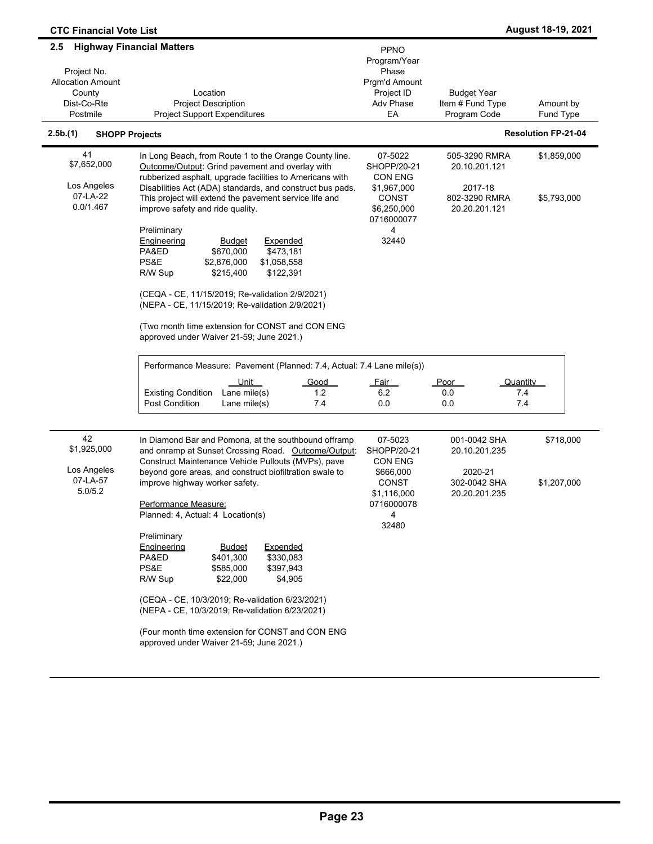| <b>CTC Financial Vote List</b>                                                      |                                                                                                                                                                                                                                                                                                                                                                                                                                                                             |                                                                                                           |                                                                             | August 18-19, 2021         |
|-------------------------------------------------------------------------------------|-----------------------------------------------------------------------------------------------------------------------------------------------------------------------------------------------------------------------------------------------------------------------------------------------------------------------------------------------------------------------------------------------------------------------------------------------------------------------------|-----------------------------------------------------------------------------------------------------------|-----------------------------------------------------------------------------|----------------------------|
| 2.5<br>Project No.<br><b>Allocation Amount</b><br>County<br>Dist-Co-Rte<br>Postmile | <b>Highway Financial Matters</b><br>Location<br><b>Project Description</b><br><b>Project Support Expenditures</b>                                                                                                                                                                                                                                                                                                                                                           | PPNO<br>Program/Year<br>Phase<br>Prgm'd Amount<br>Project ID<br><b>Adv Phase</b><br>EA                    | <b>Budget Year</b><br>Item # Fund Type<br>Program Code                      | Amount by<br>Fund Type     |
| 2.5b.(1)<br><b>SHOPP Projects</b>                                                   |                                                                                                                                                                                                                                                                                                                                                                                                                                                                             |                                                                                                           |                                                                             | <b>Resolution FP-21-04</b> |
| 41<br>\$7,652,000<br>Los Angeles<br>07-LA-22<br>0.0/1.467                           | In Long Beach, from Route 1 to the Orange County line.<br>Outcome/Output: Grind pavement and overlay with<br>rubberized asphalt, upgrade facilities to Americans with<br>Disabilities Act (ADA) standards, and construct bus pads.<br>This project will extend the pavement service life and<br>improve safety and ride quality.                                                                                                                                            | 07-5022<br>SHOPP/20-21<br><b>CON ENG</b><br>\$1,967,000<br>CONST<br>\$6,250,000<br>0716000077             | 505-3290 RMRA<br>20.10.201.121<br>2017-18<br>802-3290 RMRA<br>20.20.201.121 | \$1,859,000<br>\$5,793,000 |
|                                                                                     | Preliminary<br><b>Engineering</b><br>Expended<br><u>Budget</u><br>\$473,181<br>PA&ED<br>\$670,000<br>PS&E<br>\$1,058,558<br>\$2,876,000<br>\$215,400<br>\$122,391<br>R/W Sup<br>(CEQA - CE, 11/15/2019; Re-validation 2/9/2021)<br>(NEPA - CE, 11/15/2019; Re-validation 2/9/2021)<br>(Two month time extension for CONST and CON ENG<br>approved under Waiver 21-59; June 2021.)<br>Performance Measure: Pavement (Planned: 7.4, Actual: 7.4 Lane mile(s))<br>Unit<br>Good | 4<br>32440<br><b>Fair</b>                                                                                 | Poor<br>Quantity                                                            |                            |
|                                                                                     | Lane mile(s)<br><b>Existing Condition</b><br>1.2<br>Post Condition<br>7.4<br>Lane mile(s)                                                                                                                                                                                                                                                                                                                                                                                   | 6.2<br>0.0                                                                                                | 0.0<br>7.4<br>7.4<br>0.0                                                    |                            |
| 42<br>\$1,925,000<br>Los Angeles<br>07-LA-57<br>5.0/5.2                             | In Diamond Bar and Pomona, at the southbound offramp<br>and onramp at Sunset Crossing Road. Outcome/Output:<br>Construct Maintenance Vehicle Pullouts (MVPs), pave<br>beyond gore areas, and construct biofiltration swale to<br>improve highway worker safety.<br>Performance Measure:<br>Planned: 4, Actual: 4 Location(s)                                                                                                                                                | 07-5023<br>SHOPP/20-21<br>CON ENG<br>\$666,000<br><b>CONST</b><br>\$1,116,000<br>0716000078<br>4<br>32480 | 001-0042 SHA<br>20.10.201.235<br>2020-21<br>302-0042 SHA<br>20.20.201.235   | \$718,000<br>\$1,207,000   |
|                                                                                     | Preliminary<br>Engineering<br><b>Budget</b><br>Expended<br>PA&ED<br>\$401,300<br>\$330,083<br>PS&E<br>\$585,000<br>\$397,943<br>R/W Sup<br>\$22,000<br>\$4,905<br>(CEQA - CE, 10/3/2019; Re-validation 6/23/2021)<br>(NEPA - CE, 10/3/2019; Re-validation 6/23/2021)<br>(Four month time extension for CONST and CON ENG<br>approved under Waiver 21-59; June 2021.)                                                                                                        |                                                                                                           |                                                                             |                            |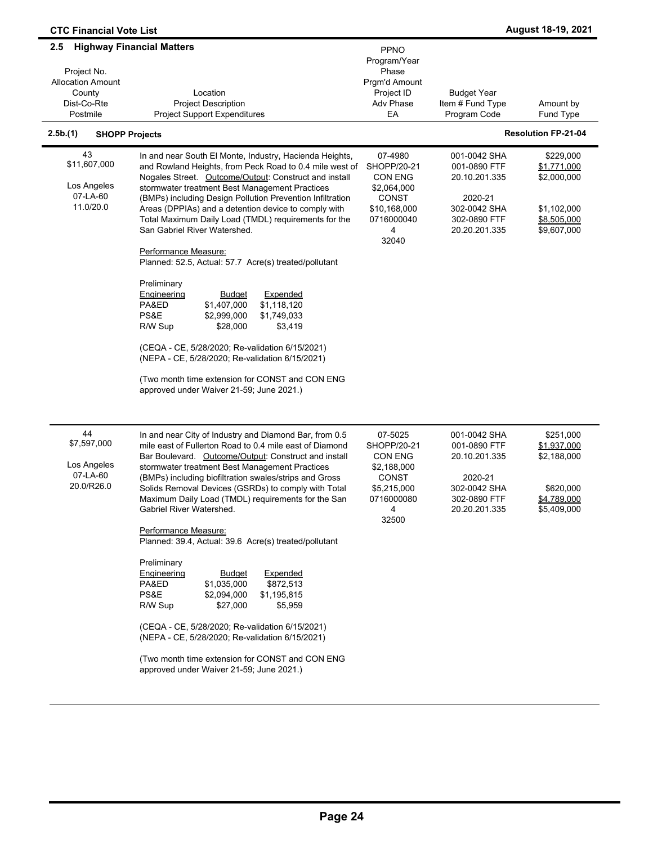| <b>CTC Financial Vote List</b>                                                      |                                                                                                                                                                                                                                                                                                                                                                                                                                                                                                                                                                                                                                                                                                                                                                                                                                                                                                            |                                                                                                              |                                                                                                           | August 18-19, 2021                                                                   |
|-------------------------------------------------------------------------------------|------------------------------------------------------------------------------------------------------------------------------------------------------------------------------------------------------------------------------------------------------------------------------------------------------------------------------------------------------------------------------------------------------------------------------------------------------------------------------------------------------------------------------------------------------------------------------------------------------------------------------------------------------------------------------------------------------------------------------------------------------------------------------------------------------------------------------------------------------------------------------------------------------------|--------------------------------------------------------------------------------------------------------------|-----------------------------------------------------------------------------------------------------------|--------------------------------------------------------------------------------------|
| 2.5<br>Project No.<br><b>Allocation Amount</b><br>County<br>Dist-Co-Rte<br>Postmile | <b>Highway Financial Matters</b><br>Location<br><b>Project Description</b><br><b>Project Support Expenditures</b>                                                                                                                                                                                                                                                                                                                                                                                                                                                                                                                                                                                                                                                                                                                                                                                          | <b>PPNO</b><br>Program/Year<br>Phase<br>Prgm'd Amount<br>Project ID<br>Adv Phase<br>EA                       | <b>Budget Year</b><br>Item # Fund Type<br>Program Code                                                    | Amount by<br>Fund Type                                                               |
| 2.5b.(1)<br><b>SHOPP Projects</b>                                                   |                                                                                                                                                                                                                                                                                                                                                                                                                                                                                                                                                                                                                                                                                                                                                                                                                                                                                                            |                                                                                                              |                                                                                                           | <b>Resolution FP-21-04</b>                                                           |
| 43<br>\$11,607,000<br>Los Angeles<br>07-LA-60<br>11.0/20.0                          | In and near South El Monte, Industry, Hacienda Heights,<br>and Rowland Heights, from Peck Road to 0.4 mile west of<br>Nogales Street. Outcome/Output: Construct and install<br>stormwater treatment Best Management Practices<br>(BMPs) including Design Pollution Prevention Infiltration<br>Areas (DPPIAs) and a detention device to comply with<br>Total Maximum Daily Load (TMDL) requirements for the<br>San Gabriel River Watershed.<br>Performance Measure:<br>Planned: 52.5, Actual: 57.7 Acre(s) treated/pollutant<br>Preliminary<br>Engineering<br>Expended<br><u>Budget</u><br>PA&ED<br>\$1,407,000<br>\$1,118,120<br>\$1,749,033<br>PS&E<br>\$2,999,000<br>\$28,000<br>\$3,419<br>R/W Sup<br>(CEQA - CE, 5/28/2020; Re-validation 6/15/2021)<br>(NEPA - CE, 5/28/2020; Re-validation 6/15/2021)<br>(Two month time extension for CONST and CON ENG<br>approved under Waiver 21-59; June 2021.) | 07-4980<br>SHOPP/20-21<br><b>CON ENG</b><br>\$2,064,000<br>CONST<br>\$10,168,000<br>0716000040<br>4<br>32040 | 001-0042 SHA<br>001-0890 FTF<br>20.10.201.335<br>2020-21<br>302-0042 SHA<br>302-0890 FTF<br>20.20.201.335 | \$229,000<br>\$1,771,000<br>\$2,000,000<br>\$1,102,000<br>\$8,505,000<br>\$9,607,000 |
| 44<br>\$7,597,000<br>Los Angeles<br>07-LA-60<br>20.0/R26.0                          | In and near City of Industry and Diamond Bar, from 0.5<br>mile east of Fullerton Road to 0.4 mile east of Diamond<br>Bar Boulevard. Outcome/Output: Construct and install<br>stormwater treatment Best Management Practices<br>(BMPs) including biofiltration swales/strips and Gross<br>Solids Removal Devices (GSRDs) to comply with Total<br>Maximum Daily Load (TMDL) requirements for the San<br>Gabriel River Watershed.<br>Performance Measure:<br>Planned: 39.4, Actual: 39.6 Acre(s) treated/pollutant<br>Preliminary<br>Engineering<br>Expended<br><b>Budget</b><br>PA&ED<br>\$1,035,000<br>\$872,513<br>PS&E<br>\$2,094,000<br>\$1,195,815<br>\$27,000<br>R/W Sup<br>\$5,959<br>(CEQA - CE, 5/28/2020; Re-validation 6/15/2021)<br>(NEPA - CE, 5/28/2020; Re-validation 6/15/2021)<br>(Two month time extension for CONST and CON ENG<br>approved under Waiver 21-59; June 2021.)               | 07-5025<br>SHOPP/20-21<br>CON ENG<br>\$2,188,000<br><b>CONST</b><br>\$5,215,000<br>0716000080<br>4<br>32500  | 001-0042 SHA<br>001-0890 FTF<br>20.10.201.335<br>2020-21<br>302-0042 SHA<br>302-0890 FTF<br>20.20.201.335 | \$251,000<br>\$1,937,000<br>\$2,188,000<br>\$620,000<br>\$4,789,000<br>\$5,409,000   |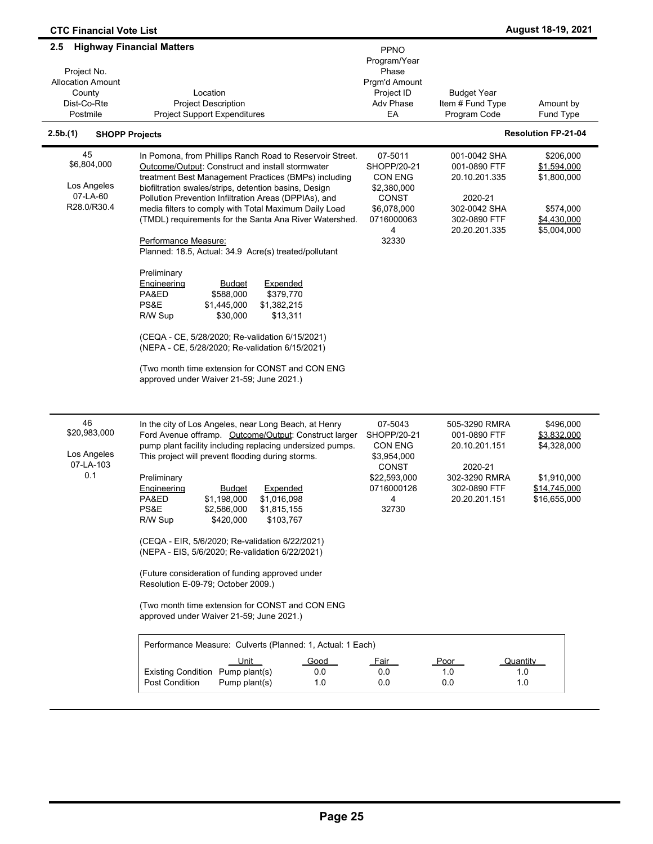| <b>CTC Financial Vote List</b>                                                                   |                                                                                                                                                                                                                                                                                                                                                                                                                                                                                                                                                                                                                                                                                                                                                                                                                                                                        |                                                                                                                          |                                                                                                             | August 18-19, 2021                                                                     |
|--------------------------------------------------------------------------------------------------|------------------------------------------------------------------------------------------------------------------------------------------------------------------------------------------------------------------------------------------------------------------------------------------------------------------------------------------------------------------------------------------------------------------------------------------------------------------------------------------------------------------------------------------------------------------------------------------------------------------------------------------------------------------------------------------------------------------------------------------------------------------------------------------------------------------------------------------------------------------------|--------------------------------------------------------------------------------------------------------------------------|-------------------------------------------------------------------------------------------------------------|----------------------------------------------------------------------------------------|
| $2.5\phantom{0}$<br>Project No.<br><b>Allocation Amount</b><br>County<br>Dist-Co-Rte<br>Postmile | <b>Highway Financial Matters</b><br>Location<br><b>Project Description</b><br><b>Project Support Expenditures</b>                                                                                                                                                                                                                                                                                                                                                                                                                                                                                                                                                                                                                                                                                                                                                      | PPNO<br>Program/Year<br>Phase<br>Prgm'd Amount<br>Project ID<br>Adv Phase<br>EA                                          | <b>Budget Year</b><br>Item # Fund Type<br>Program Code                                                      | Amount by<br>Fund Type                                                                 |
| 2.5b(1)<br><b>SHOPP Projects</b>                                                                 |                                                                                                                                                                                                                                                                                                                                                                                                                                                                                                                                                                                                                                                                                                                                                                                                                                                                        |                                                                                                                          |                                                                                                             | <b>Resolution FP-21-04</b>                                                             |
| 45<br>\$6,804,000<br>Los Angeles<br>07-LA-60<br>R28.0/R30.4                                      | In Pomona, from Phillips Ranch Road to Reservoir Street.<br>Outcome/Output: Construct and install stormwater<br>treatment Best Management Practices (BMPs) including<br>biofiltration swales/strips, detention basins, Design<br>Pollution Prevention Infiltration Areas (DPPIAs), and<br>media filters to comply with Total Maximum Daily Load<br>(TMDL) requirements for the Santa Ana River Watershed.<br>Performance Measure:<br>Planned: 18.5, Actual: 34.9 Acre(s) treated/pollutant<br>Preliminary<br>Engineering<br>Expended<br><u>Budget</u><br>\$379,770<br>PA&ED<br>\$588,000<br>PS&E<br>\$1,445,000<br>\$1,382,215<br>\$30,000<br>\$13,311<br>R/W Sup<br>(CEQA - CE, 5/28/2020; Re-validation 6/15/2021)<br>(NEPA - CE, 5/28/2020; Re-validation 6/15/2021)<br>(Two month time extension for CONST and CON ENG<br>approved under Waiver 21-59; June 2021.) | 07-5011<br>SHOPP/20-21<br>CON ENG<br>\$2,380,000<br><b>CONST</b><br>\$6,078,000<br>0716000063<br>$\overline{4}$<br>32330 | 001-0042 SHA<br>001-0890 FTF<br>20.10.201.335<br>2020-21<br>302-0042 SHA<br>302-0890 FTF<br>20.20.201.335   | \$206,000<br>\$1,594,000<br>\$1,800,000<br>\$574,000<br>\$4,430,000<br>\$5,004,000     |
| 46<br>\$20,983,000<br>Los Angeles<br>07-LA-103<br>0.1                                            | In the city of Los Angeles, near Long Beach, at Henry<br>Ford Avenue offramp. Outcome/Output: Construct larger<br>pump plant facility including replacing undersized pumps.<br>This project will prevent flooding during storms.<br>Preliminary<br>Engineering<br>Budget<br>Expended<br>PA&ED<br>\$1,198,000<br>\$1,016,098<br>PS&E<br>\$2,586,000<br>\$1,815,155<br>\$420,000<br>\$103,767<br>R/W Sup<br>(CEQA - EIR, 5/6/2020; Re-validation 6/22/2021)<br>(NEPA - EIS, 5/6/2020; Re-validation 6/22/2021)<br>(Future consideration of funding approved under<br>Resolution E-09-79; October 2009.)<br>(Two month time extension for CONST and CON ENG<br>approved under Waiver 21-59; June 2021.)<br>Performance Measure: Culverts (Planned: 1, Actual: 1 Each)                                                                                                     | 07-5043<br>SHOPP/20-21<br>CON ENG<br>\$3,954,000<br><b>CONST</b><br>\$22,593,000<br>0716000126<br>4<br>32730             | 505-3290 RMRA<br>001-0890 FTF<br>20.10.201.151<br>2020-21<br>302-3290 RMRA<br>302-0890 FTF<br>20.20.201.151 | \$496,000<br>\$3,832,000<br>\$4,328,000<br>\$1,910,000<br>\$14,745,000<br>\$16,655,000 |
|                                                                                                  | Unit<br>Good<br>Existing Condition Pump plant(s)<br>0.0<br><b>Post Condition</b><br>Pump plant(s)<br>1.0                                                                                                                                                                                                                                                                                                                                                                                                                                                                                                                                                                                                                                                                                                                                                               | <u>Fair</u><br>0.0<br>0.0                                                                                                | <u>Poor</u><br>1.0<br>0.0                                                                                   | Quantity<br>1.0<br>1.0                                                                 |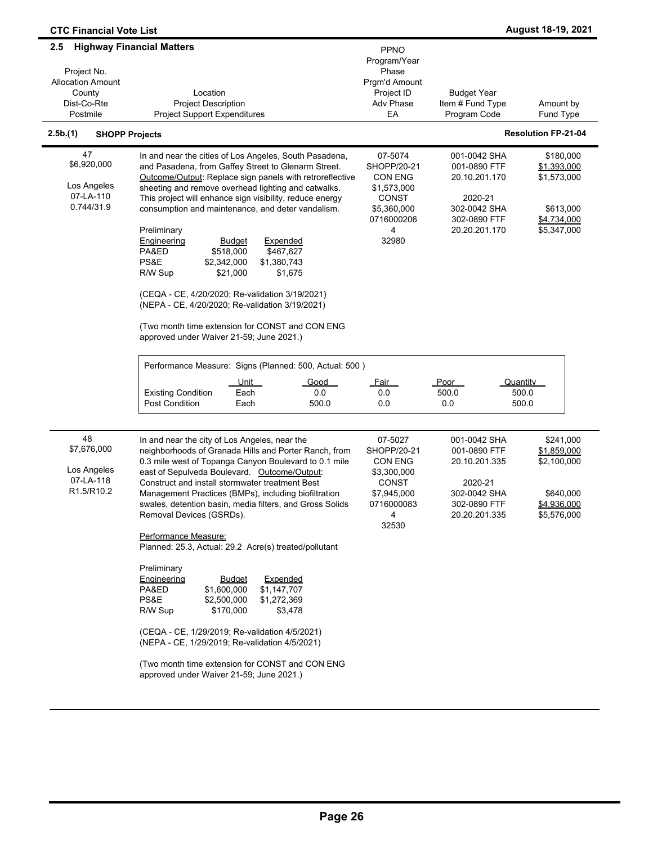| <b>CTC Financial Vote List</b>                                                       |                                                                                                                                                                                                                                                                                                                                                                                                                                                                                                                                                                                                                                                                                                                                                                                        |                                                                                                                                 |                                                                                                           | August 18-19, 2021                                                                 |
|--------------------------------------------------------------------------------------|----------------------------------------------------------------------------------------------------------------------------------------------------------------------------------------------------------------------------------------------------------------------------------------------------------------------------------------------------------------------------------------------------------------------------------------------------------------------------------------------------------------------------------------------------------------------------------------------------------------------------------------------------------------------------------------------------------------------------------------------------------------------------------------|---------------------------------------------------------------------------------------------------------------------------------|-----------------------------------------------------------------------------------------------------------|------------------------------------------------------------------------------------|
| 2.5<br>Project No.<br><b>Allocation Amount</b><br>County<br>Dist-Co-Rte<br>Postmile  | <b>Highway Financial Matters</b><br>Location<br><b>Project Description</b><br><b>Project Support Expenditures</b>                                                                                                                                                                                                                                                                                                                                                                                                                                                                                                                                                                                                                                                                      | PPNO<br>Program/Year<br>Phase<br>Prgm'd Amount<br>Project ID<br>Adv Phase<br>EA                                                 | <b>Budget Year</b><br>Item # Fund Type<br>Program Code                                                    | Amount by<br>Fund Type                                                             |
| 2.5b.(1)                                                                             | <b>SHOPP Projects</b>                                                                                                                                                                                                                                                                                                                                                                                                                                                                                                                                                                                                                                                                                                                                                                  |                                                                                                                                 |                                                                                                           | <b>Resolution FP-21-04</b>                                                         |
| 47<br>\$6,920,000<br>Los Angeles<br>07-LA-110<br>0.744/31.9                          | In and near the cities of Los Angeles, South Pasadena,<br>and Pasadena, from Gaffey Street to Glenarm Street.<br>Outcome/Output: Replace sign panels with retroreflective<br>sheeting and remove overhead lighting and catwalks.<br>This project will enhance sign visibility, reduce energy<br>consumption and maintenance, and deter vandalism.<br>Preliminary<br>Expended<br>Engineering<br><b>Budget</b><br>PA&ED<br>\$518,000<br>\$467,627<br>PS&E<br>\$1,380,743<br>\$2,342,000<br>R/W Sup<br>\$21,000<br>\$1,675<br>(CEQA - CE, 4/20/2020; Re-validation 3/19/2021)<br>(NEPA - CE, 4/20/2020; Re-validation 3/19/2021)<br>(Two month time extension for CONST and CON ENG<br>approved under Waiver 21-59; June 2021.)<br>Performance Measure: Signs (Planned: 500, Actual: 500) | 07-5074<br>SHOPP/20-21<br><b>CON ENG</b><br>\$1,573,000<br><b>CONST</b><br>\$5,360,000<br>0716000206<br>$\overline{4}$<br>32980 | 001-0042 SHA<br>001-0890 FTF<br>20.10.201.170<br>2020-21<br>302-0042 SHA<br>302-0890 FTF<br>20.20.201.170 | \$180,000<br>\$1,393,000<br>\$1,573,000<br>\$613,000<br>\$4,734,000<br>\$5,347,000 |
|                                                                                      | Unit<br>Good<br>Each<br><b>Existing Condition</b><br>0.0<br><b>Post Condition</b><br>Each<br>500.0                                                                                                                                                                                                                                                                                                                                                                                                                                                                                                                                                                                                                                                                                     | <u>Fair</u><br>0.0<br>0.0                                                                                                       | Poor<br>500.0<br>0.0                                                                                      | Quantity<br>500.0<br>500.0                                                         |
| 48<br>\$7,676,000<br>Los Angeles<br>07-LA-118<br>R <sub>1.5</sub> /R <sub>10.2</sub> | In and near the city of Los Angeles, near the<br>neighborhoods of Granada Hills and Porter Ranch, from<br>0.3 mile west of Topanga Canyon Boulevard to 0.1 mile<br>east of Sepulveda Boulevard. Outcome/Output:<br>Construct and install stormwater treatment Best<br>Management Practices (BMPs), including biofiltration<br>swales, detention basin, media filters, and Gross Solids<br>Removal Devices (GSRDs).<br>Performance Measure:                                                                                                                                                                                                                                                                                                                                             | 07-5027<br>SHOPP/20-21<br><b>CON ENG</b><br>\$3,300,000<br><b>CONST</b><br>\$7,945,000<br>0716000083<br>4<br>32530              | 001-0042 SHA<br>001-0890 FTF<br>20.10.201.335<br>2020-21<br>302-0042 SHA<br>302-0890 FTF<br>20.20.201.335 | \$241,000<br>\$1,859,000<br>\$2,100,000<br>\$640,000<br>\$4,936,000<br>\$5,576,000 |
|                                                                                      | Planned: 25.3, Actual: 29.2 Acre(s) treated/pollutant<br>Preliminary<br><b>Engineering</b><br>Expended<br><u>Budget</u><br>PA&ED<br>\$1,600,000<br>\$1,147,707<br>PS&E<br>\$2,500,000<br>\$1,272,369<br>R/W Sup<br>\$170,000<br>\$3,478<br>(CEQA - CE, 1/29/2019; Re-validation 4/5/2021)<br>(NEPA - CE, 1/29/2019; Re-validation 4/5/2021)<br>(Two month time extension for CONST and CON ENG<br>approved under Waiver 21-59; June 2021.)                                                                                                                                                                                                                                                                                                                                             |                                                                                                                                 |                                                                                                           |                                                                                    |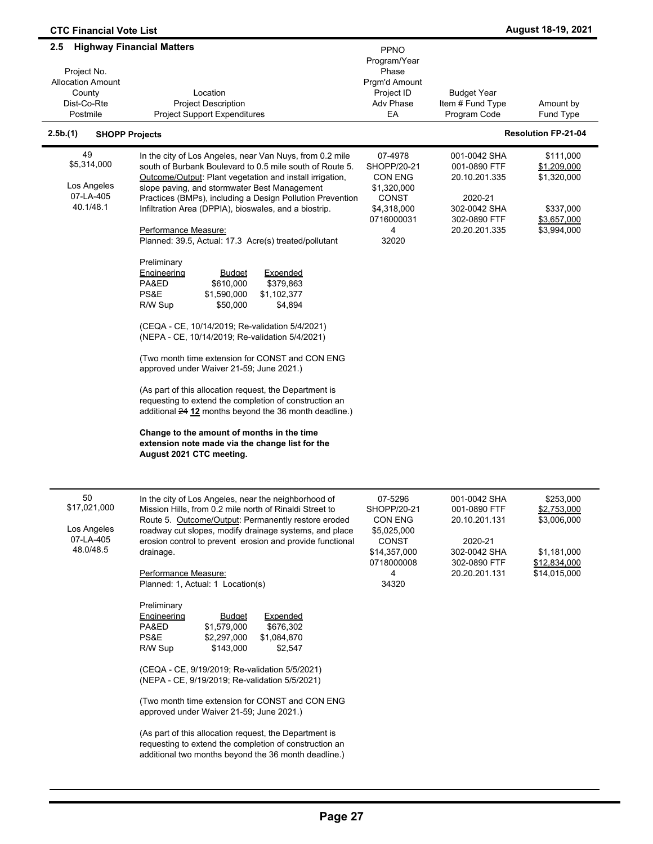| <b>CTC Financial Vote List</b>                                                      |                                                                                                                                                                                                                                                                                                                                                                                                                                                                                                                                                                                                                                                                                                                                                                                                                                                                                                                                                                                                                                                                                                                               |                                                                                                       |                                                                                                           | August 18-19, 2021                                                                     |
|-------------------------------------------------------------------------------------|-------------------------------------------------------------------------------------------------------------------------------------------------------------------------------------------------------------------------------------------------------------------------------------------------------------------------------------------------------------------------------------------------------------------------------------------------------------------------------------------------------------------------------------------------------------------------------------------------------------------------------------------------------------------------------------------------------------------------------------------------------------------------------------------------------------------------------------------------------------------------------------------------------------------------------------------------------------------------------------------------------------------------------------------------------------------------------------------------------------------------------|-------------------------------------------------------------------------------------------------------|-----------------------------------------------------------------------------------------------------------|----------------------------------------------------------------------------------------|
| 2.5<br>Project No.<br><b>Allocation Amount</b><br>County<br>Dist-Co-Rte<br>Postmile | <b>Highway Financial Matters</b><br>Location<br><b>Project Description</b><br><b>Project Support Expenditures</b>                                                                                                                                                                                                                                                                                                                                                                                                                                                                                                                                                                                                                                                                                                                                                                                                                                                                                                                                                                                                             | PPNO<br>Program/Year<br>Phase<br>Prgm'd Amount<br>Project ID<br>Adv Phase<br>EA                       | <b>Budget Year</b><br>Item # Fund Type<br>Program Code                                                    | Amount by<br>Fund Type                                                                 |
| 2.5b(1)<br><b>SHOPP Projects</b>                                                    |                                                                                                                                                                                                                                                                                                                                                                                                                                                                                                                                                                                                                                                                                                                                                                                                                                                                                                                                                                                                                                                                                                                               |                                                                                                       |                                                                                                           | <b>Resolution FP-21-04</b>                                                             |
| 49<br>\$5,314,000<br>Los Angeles<br>07-LA-405<br>40.1/48.1                          | In the city of Los Angeles, near Van Nuys, from 0.2 mile<br>south of Burbank Boulevard to 0.5 mile south of Route 5.<br>Outcome/Output: Plant vegetation and install irrigation,<br>slope paving, and stormwater Best Management<br>Practices (BMPs), including a Design Pollution Prevention<br>Infiltration Area (DPPIA), bioswales, and a biostrip.<br>Performance Measure:<br>Planned: 39.5, Actual: 17.3 Acre(s) treated/pollutant<br>Preliminary<br>Engineering<br><b>Budget</b><br>Expended<br>PA&ED<br>\$610,000<br>\$379,863<br>PS&E<br>\$1,590,000<br>\$1,102,377<br>R/W Sup<br>\$50,000<br>\$4,894<br>(CEQA - CE, 10/14/2019; Re-validation 5/4/2021)<br>(NEPA - CE, 10/14/2019; Re-validation 5/4/2021)<br>(Two month time extension for CONST and CON ENG<br>approved under Waiver 21-59; June 2021.)<br>(As part of this allocation request, the Department is<br>requesting to extend the completion of construction an<br>additional 24 12 months beyond the 36 month deadline.)<br>Change to the amount of months in the time<br>extension note made via the change list for the<br>August 2021 CTC meeting. | 07-4978<br>SHOPP/20-21<br>CON ENG<br>\$1,320,000<br>CONST<br>\$4,318,000<br>0716000031<br>4<br>32020  | 001-0042 SHA<br>001-0890 FTF<br>20.10.201.335<br>2020-21<br>302-0042 SHA<br>302-0890 FTF<br>20.20.201.335 | \$111,000<br>\$1,209,000<br>\$1,320,000<br>\$337,000<br>\$3,657,000<br>\$3,994,000     |
| 50<br>\$17,021,000<br>Los Angeles<br>07-LA-405<br>48.0/48.5                         | In the city of Los Angeles, near the neighborhood of<br>Mission Hills, from 0.2 mile north of Rinaldi Street to<br>Route 5. Outcome/Output: Permanently restore eroded<br>roadway cut slopes, modify drainage systems, and place<br>erosion control to prevent erosion and provide functional<br>drainage.<br>Performance Measure:<br>Planned: 1, Actual: 1 Location(s)<br>Preliminary<br>Engineering<br><u>Budget</u><br>Expended<br>PA&ED<br>\$1,579,000<br>\$676,302<br>PS&E<br>\$2,297,000<br>\$1,084,870<br>\$143,000<br>\$2,547<br>R/W Sup<br>(CEQA - CE, 9/19/2019; Re-validation 5/5/2021)<br>(NEPA - CE, 9/19/2019; Re-validation 5/5/2021)<br>(Two month time extension for CONST and CON ENG<br>approved under Waiver 21-59; June 2021.)<br>(As part of this allocation request, the Department is<br>requesting to extend the completion of construction an<br>additional two months beyond the 36 month deadline.)                                                                                                                                                                                               | 07-5296<br>SHOPP/20-21<br>CON ENG<br>\$5,025,000<br>CONST<br>\$14,357,000<br>0718000008<br>4<br>34320 | 001-0042 SHA<br>001-0890 FTF<br>20.10.201.131<br>2020-21<br>302-0042 SHA<br>302-0890 FTF<br>20.20.201.131 | \$253,000<br>\$2,753,000<br>\$3,006,000<br>\$1,181,000<br>\$12,834,000<br>\$14,015,000 |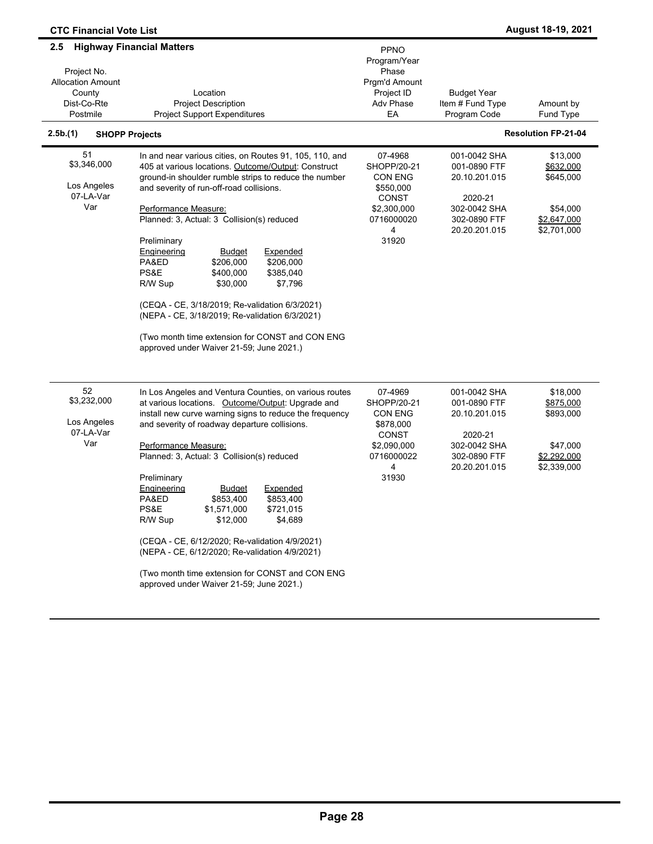| <b>CTC Financial Vote List</b>                                                      |                                                                                                                                                                                                                                                                                                                                                                                                                                                                                                                                                                                                                                                                      |                                                                                                           |                                                                                                           | August 18-19, 2021                                                           |
|-------------------------------------------------------------------------------------|----------------------------------------------------------------------------------------------------------------------------------------------------------------------------------------------------------------------------------------------------------------------------------------------------------------------------------------------------------------------------------------------------------------------------------------------------------------------------------------------------------------------------------------------------------------------------------------------------------------------------------------------------------------------|-----------------------------------------------------------------------------------------------------------|-----------------------------------------------------------------------------------------------------------|------------------------------------------------------------------------------|
| 2.5<br>Project No.<br><b>Allocation Amount</b><br>County<br>Dist-Co-Rte<br>Postmile | <b>Highway Financial Matters</b><br>Location<br><b>Project Description</b><br><b>Project Support Expenditures</b>                                                                                                                                                                                                                                                                                                                                                                                                                                                                                                                                                    | <b>PPNO</b><br>Program/Year<br>Phase<br>Prgm'd Amount<br>Project ID<br>Adv Phase<br>EA                    | <b>Budget Year</b><br>Item # Fund Type<br>Program Code                                                    | Amount by<br>Fund Type                                                       |
| 2.5b(1)<br><b>SHOPP Projects</b>                                                    |                                                                                                                                                                                                                                                                                                                                                                                                                                                                                                                                                                                                                                                                      |                                                                                                           |                                                                                                           | <b>Resolution FP-21-04</b>                                                   |
| 51<br>\$3,346,000<br>Los Angeles<br>07-LA-Var<br>Var                                | In and near various cities, on Routes 91, 105, 110, and<br>405 at various locations. Outcome/Output: Construct<br>ground-in shoulder rumble strips to reduce the number<br>and severity of run-off-road collisions.<br>Performance Measure:<br>Planned: 3, Actual: 3 Collision(s) reduced<br>Preliminary<br>Engineering<br><b>Budget</b><br>Expended<br>\$206.000<br>\$206,000<br>PA&ED<br>PS&E<br>\$400,000<br>\$385,040<br>R/W Sup<br>\$30,000<br>\$7,796<br>(CEQA - CE, 3/18/2019; Re-validation 6/3/2021)<br>(NEPA - CE, 3/18/2019; Re-validation 6/3/2021)<br>(Two month time extension for CONST and CON ENG<br>approved under Waiver 21-59; June 2021.)       | 07-4968<br>SHOPP/20-21<br>CON ENG<br>\$550,000<br><b>CONST</b><br>\$2,300,000<br>0716000020<br>4<br>31920 | 001-0042 SHA<br>001-0890 FTF<br>20.10.201.015<br>2020-21<br>302-0042 SHA<br>302-0890 FTF<br>20.20.201.015 | \$13,000<br>\$632,000<br>\$645,000<br>\$54,000<br>\$2,647,000<br>\$2,701,000 |
| 52<br>\$3,232,000<br>Los Angeles<br>07-LA-Var<br>Var                                | In Los Angeles and Ventura Counties, on various routes<br>at various locations. Outcome/Output: Upgrade and<br>install new curve warning signs to reduce the frequency<br>and severity of roadway departure collisions.<br>Performance Measure:<br>Planned: 3, Actual: 3 Collision(s) reduced<br>Preliminary<br>Engineering<br><b>Budget</b><br>Expended<br>PA&ED<br>\$853,400<br>\$853,400<br>PS&E<br>\$1,571,000<br>\$721,015<br>\$12,000<br>\$4,689<br>R/W Sup<br>(CEQA - CE, 6/12/2020; Re-validation 4/9/2021)<br>(NEPA - CE, 6/12/2020; Re-validation 4/9/2021)<br>(Two month time extension for CONST and CON ENG<br>approved under Waiver 21-59; June 2021.) | 07-4969<br>SHOPP/20-21<br>CON ENG<br>\$878,000<br><b>CONST</b><br>\$2,090,000<br>0716000022<br>4<br>31930 | 001-0042 SHA<br>001-0890 FTF<br>20.10.201.015<br>2020-21<br>302-0042 SHA<br>302-0890 FTF<br>20.20.201.015 | \$18,000<br>\$875,000<br>\$893,000<br>\$47,000<br>\$2,292,000<br>\$2,339,000 |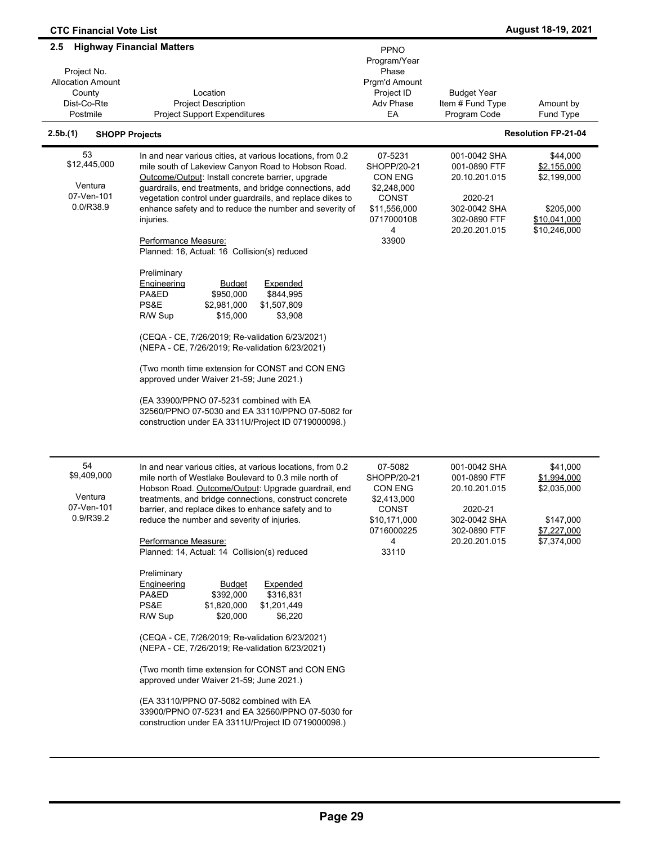| <b>CTC Financial Vote List</b>                                                                |                                                                                                                                                                                                                                                                                                                                                                                                                                                                                                                                                                                                                                                                                                                                                                                                                                                                                                                                                                                |                                                                                                                     |                                                                                                           | August 18-19, 2021                                                                  |
|-----------------------------------------------------------------------------------------------|--------------------------------------------------------------------------------------------------------------------------------------------------------------------------------------------------------------------------------------------------------------------------------------------------------------------------------------------------------------------------------------------------------------------------------------------------------------------------------------------------------------------------------------------------------------------------------------------------------------------------------------------------------------------------------------------------------------------------------------------------------------------------------------------------------------------------------------------------------------------------------------------------------------------------------------------------------------------------------|---------------------------------------------------------------------------------------------------------------------|-----------------------------------------------------------------------------------------------------------|-------------------------------------------------------------------------------------|
| $2.5^{\circ}$<br>Project No.<br><b>Allocation Amount</b><br>County<br>Dist-Co-Rte<br>Postmile | <b>Highway Financial Matters</b><br>Location<br><b>Project Description</b><br><b>Project Support Expenditures</b>                                                                                                                                                                                                                                                                                                                                                                                                                                                                                                                                                                                                                                                                                                                                                                                                                                                              | PPNO<br>Program/Year<br>Phase<br>Prgm'd Amount<br>Project ID<br>Adv Phase<br>EA                                     | <b>Budget Year</b><br>Item # Fund Type<br>Program Code                                                    | Amount by<br>Fund Type                                                              |
| 2.5b(1)<br><b>SHOPP Projects</b>                                                              |                                                                                                                                                                                                                                                                                                                                                                                                                                                                                                                                                                                                                                                                                                                                                                                                                                                                                                                                                                                |                                                                                                                     |                                                                                                           | <b>Resolution FP-21-04</b>                                                          |
| 53<br>\$12,445,000<br>Ventura<br>07-Ven-101<br>0.0/R38.9                                      | In and near various cities, at various locations, from 0.2<br>mile south of Lakeview Canyon Road to Hobson Road.<br>Outcome/Output: Install concrete barrier, upgrade<br>guardrails, end treatments, and bridge connections, add<br>vegetation control under guardrails, and replace dikes to<br>enhance safety and to reduce the number and severity of<br>injuries.<br>Performance Measure:<br>Planned: 16, Actual: 16 Collision(s) reduced<br>Preliminary<br>Engineering<br>Expended<br><u>Budget</u><br>PA&ED<br>\$950,000<br>\$844,995<br>PS&E<br>\$1,507,809<br>\$2,981,000<br>R/W Sup<br>\$15,000<br>\$3,908<br>(CEQA - CE, 7/26/2019; Re-validation 6/23/2021)<br>(NEPA - CE, 7/26/2019; Re-validation 6/23/2021)<br>(Two month time extension for CONST and CON ENG<br>approved under Waiver 21-59; June 2021.)<br>(EA 33900/PPNO 07-5231 combined with EA<br>32560/PPNO 07-5030 and EA 33110/PPNO 07-5082 for<br>construction under EA 3311U/Project ID 0719000098.) | 07-5231<br>SHOPP/20-21<br><b>CON ENG</b><br>\$2,248,000<br><b>CONST</b><br>\$11,556,000<br>0717000108<br>4<br>33900 | 001-0042 SHA<br>001-0890 FTF<br>20.10.201.015<br>2020-21<br>302-0042 SHA<br>302-0890 FTF<br>20.20.201.015 | \$44,000<br>\$2,155,000<br>\$2,199,000<br>\$205,000<br>\$10,041,000<br>\$10,246,000 |
| 54<br>\$9,409,000<br>Ventura<br>07-Ven-101<br>0.9/R39.2                                       | In and near various cities, at various locations, from 0.2<br>mile north of Westlake Boulevard to 0.3 mile north of<br>Hobson Road. Outcome/Output: Upgrade guardrail, end<br>treatments, and bridge connections, construct concrete<br>barrier, and replace dikes to enhance safety and to<br>reduce the number and severity of injuries.<br>Performance Measure:<br>Planned: 14, Actual: 14 Collision(s) reduced<br>Preliminary<br>Expended<br><b>Engineering</b><br><u>Budget</u><br>\$316,831<br>PA&ED<br>\$392,000<br>PS&E<br>\$1,820,000<br>\$1,201,449<br>R/W Sup<br>\$20,000<br>\$6,220<br>(CEQA - CE, 7/26/2019; Re-validation 6/23/2021)<br>(NEPA - CE, 7/26/2019; Re-validation 6/23/2021)<br>(Two month time extension for CONST and CON ENG<br>approved under Waiver 21-59; June 2021.)<br>(EA 33110/PPNO 07-5082 combined with EA<br>33900/PPNO 07-5231 and EA 32560/PPNO 07-5030 for<br>construction under EA 3311U/Project ID 0719000098.)                     | 07-5082<br>SHOPP/20-21<br>CON ENG<br>\$2,413,000<br><b>CONST</b><br>\$10,171,000<br>0716000225<br>4<br>33110        | 001-0042 SHA<br>001-0890 FTF<br>20.10.201.015<br>2020-21<br>302-0042 SHA<br>302-0890 FTF<br>20.20.201.015 | \$41,000<br>\$1,994,000<br>\$2,035,000<br>\$147,000<br>\$7,227,000<br>\$7,374,000   |

 $\blacksquare$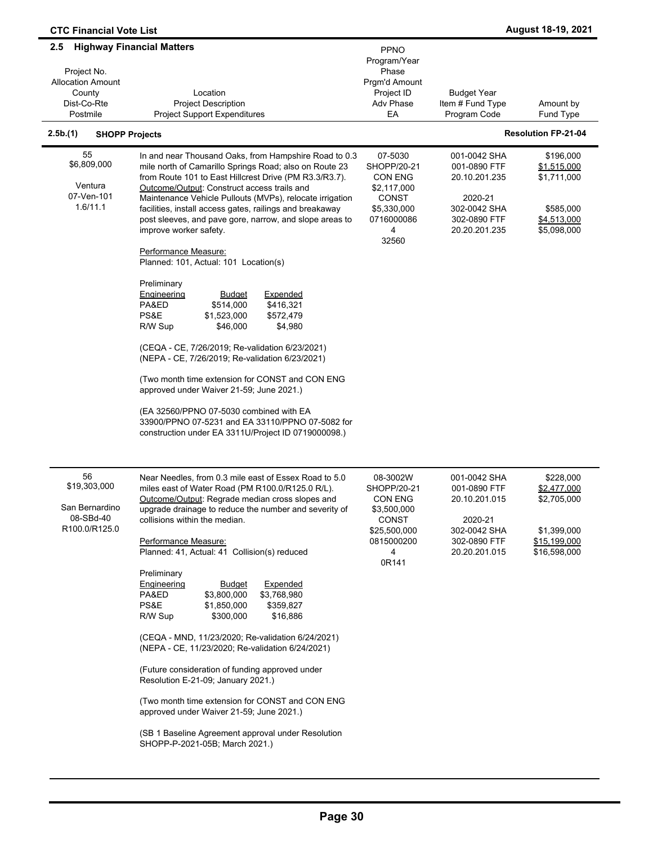| <b>CTC Financial Vote List</b>                                                               |                                                                                                                                                                                                                                                                                                                                                                                                                                                                                                                                                                                                                                                                                                                                                                                                                                                                                                          |                                                                                                               |                                                                                                           | <b>August 18-19, 2021</b>                                                              |
|----------------------------------------------------------------------------------------------|----------------------------------------------------------------------------------------------------------------------------------------------------------------------------------------------------------------------------------------------------------------------------------------------------------------------------------------------------------------------------------------------------------------------------------------------------------------------------------------------------------------------------------------------------------------------------------------------------------------------------------------------------------------------------------------------------------------------------------------------------------------------------------------------------------------------------------------------------------------------------------------------------------|---------------------------------------------------------------------------------------------------------------|-----------------------------------------------------------------------------------------------------------|----------------------------------------------------------------------------------------|
| <b>Highway Financial Matters</b><br>2.5<br>Project No.<br><b>Allocation Amount</b><br>County | Location                                                                                                                                                                                                                                                                                                                                                                                                                                                                                                                                                                                                                                                                                                                                                                                                                                                                                                 | PPNO<br>Program/Year<br>Phase<br>Prgm'd Amount<br>Project ID                                                  | <b>Budget Year</b>                                                                                        |                                                                                        |
| Dist-Co-Rte<br>Postmile                                                                      | <b>Project Description</b><br><b>Project Support Expenditures</b>                                                                                                                                                                                                                                                                                                                                                                                                                                                                                                                                                                                                                                                                                                                                                                                                                                        | Adv Phase<br>EA                                                                                               | Item # Fund Type<br>Program Code                                                                          | Amount by<br>Fund Type                                                                 |
| 2.5b.(1)<br><b>SHOPP Projects</b>                                                            |                                                                                                                                                                                                                                                                                                                                                                                                                                                                                                                                                                                                                                                                                                                                                                                                                                                                                                          |                                                                                                               |                                                                                                           | <b>Resolution FP-21-04</b>                                                             |
| 55<br>\$6,809,000<br>Ventura<br>07-Ven-101<br>1.6/11.1                                       | In and near Thousand Oaks, from Hampshire Road to 0.3<br>mile north of Camarillo Springs Road; also on Route 23<br>from Route 101 to East Hillcrest Drive (PM R3.3/R3.7).<br>Outcome/Output: Construct access trails and<br>Maintenance Vehicle Pullouts (MVPs), relocate irrigation<br>facilities, install access gates, railings and breakaway<br>post sleeves, and pave gore, narrow, and slope areas to<br>improve worker safety.<br>Performance Measure:                                                                                                                                                                                                                                                                                                                                                                                                                                            | 07-5030<br>SHOPP/20-21<br><b>CON ENG</b><br>\$2,117,000<br>CONST<br>\$5,330,000<br>0716000086<br>4<br>32560   | 001-0042 SHA<br>001-0890 FTF<br>20.10.201.235<br>2020-21<br>302-0042 SHA<br>302-0890 FTF<br>20.20.201.235 | \$196,000<br>\$1,515,000<br>\$1,711,000<br>\$585,000<br>\$4,513,000<br>\$5,098,000     |
|                                                                                              | Planned: 101, Actual: 101 Location(s)<br>Preliminary<br>Engineering<br>Expended<br><b>Budget</b><br>PA&ED<br>\$416,321<br>\$514,000<br>PS&E<br>\$1,523,000<br>\$572,479<br>R/W Sup<br>\$46,000<br>\$4,980<br>(CEQA - CE, 7/26/2019; Re-validation 6/23/2021)<br>(NEPA - CE, 7/26/2019; Re-validation 6/23/2021)<br>(Two month time extension for CONST and CON ENG<br>approved under Waiver 21-59; June 2021.)<br>(EA 32560/PPNO 07-5030 combined with EA<br>33900/PPNO 07-5231 and EA 33110/PPNO 07-5082 for<br>construction under EA 3311U/Project ID 0719000098.)                                                                                                                                                                                                                                                                                                                                     |                                                                                                               |                                                                                                           |                                                                                        |
| 56<br>\$19,303,000<br>San Bernardino<br>08-SBd-40<br>R100.0/R125.0                           | Near Needles, from 0.3 mile east of Essex Road to 5.0<br>miles east of Water Road (PM R100.0/R125.0 R/L).<br>Outcome/Output: Regrade median cross slopes and<br>upgrade drainage to reduce the number and severity of<br>collisions within the median.<br>Performance Measure:<br>Planned: 41, Actual: 41 Collision(s) reduced<br>Preliminary<br>Expended<br><b>Engineering</b><br><b>Budget</b><br>PA&ED<br>\$3,800,000<br>\$3,768,980<br>PS&E<br>\$1,850,000<br>\$359,827<br>R/W Sup<br>\$300,000<br>\$16,886<br>(CEQA - MND, 11/23/2020; Re-validation 6/24/2021)<br>(NEPA - CE, 11/23/2020; Re-validation 6/24/2021)<br>(Future consideration of funding approved under<br>Resolution E-21-09; January 2021.)<br>(Two month time extension for CONST and CON ENG<br>approved under Waiver 21-59; June 2021.)<br>(SB 1 Baseline Agreement approval under Resolution<br>SHOPP-P-2021-05B; March 2021.) | 08-3002W<br>SHOPP/20-21<br><b>CON ENG</b><br>\$3,500,000<br>CONST<br>\$25,500,000<br>0815000200<br>4<br>0R141 | 001-0042 SHA<br>001-0890 FTF<br>20.10.201.015<br>2020-21<br>302-0042 SHA<br>302-0890 FTF<br>20.20.201.015 | \$228,000<br>\$2,477,000<br>\$2,705,000<br>\$1,399,000<br>\$15,199,000<br>\$16,598,000 |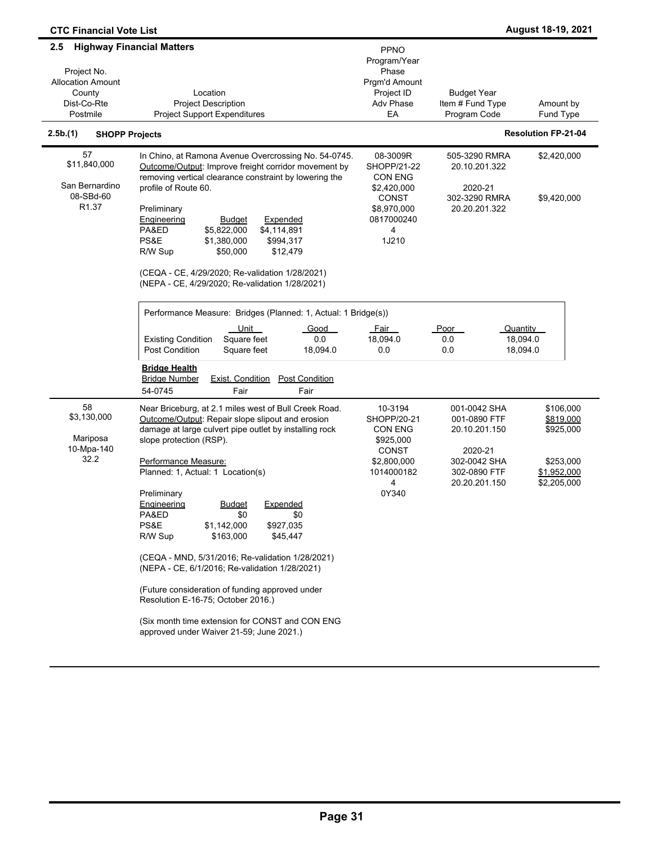| <b>CTC Financial Vote List</b>                                                      |                                                                                                                                                                                                                                                                                                                                                                                                                                                                                                         |                                                                                                    |                                                                          | August 18-19, 2021                               |
|-------------------------------------------------------------------------------------|---------------------------------------------------------------------------------------------------------------------------------------------------------------------------------------------------------------------------------------------------------------------------------------------------------------------------------------------------------------------------------------------------------------------------------------------------------------------------------------------------------|----------------------------------------------------------------------------------------------------|--------------------------------------------------------------------------|--------------------------------------------------|
| 2.5<br>Project No.<br><b>Allocation Amount</b><br>County<br>Dist-Co-Rte<br>Postmile | <b>Highway Financial Matters</b><br>Location<br><b>Project Description</b><br><b>Project Support Expenditures</b>                                                                                                                                                                                                                                                                                                                                                                                       | PPNO<br>Program/Year<br>Phase<br>Prgm'd Amount<br>Project ID<br>Adv Phase<br>EA                    | <b>Budget Year</b><br>Item # Fund Type<br>Program Code                   | Amount by<br>Fund Type                           |
| 2.5b.(1)<br><b>SHOPP Projects</b>                                                   |                                                                                                                                                                                                                                                                                                                                                                                                                                                                                                         |                                                                                                    |                                                                          | <b>Resolution FP-21-04</b>                       |
| 57<br>\$11,840,000<br>San Bernardino<br>08-SBd-60                                   | In Chino, at Ramona Avenue Overcrossing No. 54-0745.<br>Outcome/Output: Improve freight corridor movement by<br>removing vertical clearance constraint by lowering the<br>profile of Route 60.                                                                                                                                                                                                                                                                                                          | 08-3009R<br><b>SHOPP/21-22</b><br><b>CON ENG</b><br>\$2,420,000<br><b>CONST</b>                    | 505-3290 RMRA<br>20.10.201.322<br>2020-21<br>302-3290 RMRA               | \$2,420,000<br>\$9,420,000                       |
| R <sub>1.37</sub>                                                                   | Preliminary<br>Expended<br>Engineering<br><b>Budget</b><br>PA&ED<br>\$5,822,000<br>\$4,114,891<br>PS&E<br>\$1,380,000<br>\$994,317<br>R/W Sup<br>\$50,000<br>\$12,479<br>(CEQA - CE, 4/29/2020; Re-validation 1/28/2021)<br>(NEPA - CE, 4/29/2020; Re-validation 1/28/2021)                                                                                                                                                                                                                             | \$8,970,000<br>0817000240<br>4<br>1J210                                                            | 20.20.201.322                                                            |                                                  |
|                                                                                     | Performance Measure: Bridges (Planned: 1, Actual: 1 Bridge(s))<br>Unit<br>Good<br>Square feet<br><b>Existing Condition</b><br>0.0<br><b>Post Condition</b><br>Square feet<br>18,094.0<br><b>Bridge Health</b><br><b>Bridge Number</b><br><b>Exist. Condition</b><br><b>Post Condition</b><br>54-0745<br>Fair<br>Fair                                                                                                                                                                                    | Fair<br>18,094.0<br>0.0                                                                            | Poor<br>Quantity<br>18,094.0<br>0.0<br>18,094.0<br>0.0                   |                                                  |
| 58<br>\$3,130,000<br>Mariposa<br>10-Mpa-140<br>32.2                                 | Near Briceburg, at 2.1 miles west of Bull Creek Road.<br>Outcome/Output: Repair slope slipout and erosion<br>damage at large culvert pipe outlet by installing rock<br>slope protection (RSP).<br>Performance Measure:                                                                                                                                                                                                                                                                                  | 10-3194<br>SHOPP/20-21<br><b>CON ENG</b><br>\$925,000<br><b>CONST</b><br>\$2,800,000<br>1014000182 | 001-0042 SHA<br>001-0890 FTF<br>20.10.201.150<br>2020-21<br>302-0042 SHA | \$106,000<br>\$819,000<br>\$925,000<br>\$253,000 |
|                                                                                     | Planned: 1, Actual: 1 Location(s)<br>Preliminary<br><u>Budget</u><br><u>Expended</u><br><b>Lngineering</b><br>PA&ED<br>\$0<br>\$0<br>PS&E<br>\$1,142,000<br>\$927,035<br>R/W Sup<br>\$163,000<br>\$45,447<br>(CEQA - MND, 5/31/2016; Re-validation 1/28/2021)<br>(NEPA - CE, 6/1/2016; Re-validation 1/28/2021)<br>(Future consideration of funding approved under<br>Resolution E-16-75; October 2016.)<br>(Six month time extension for CONST and CON ENG<br>approved under Waiver 21-59; June 2021.) | 4<br>0Y340                                                                                         | 302-0890 FTF<br>20.20.201.150                                            | \$1,952,000<br>\$2,205,000                       |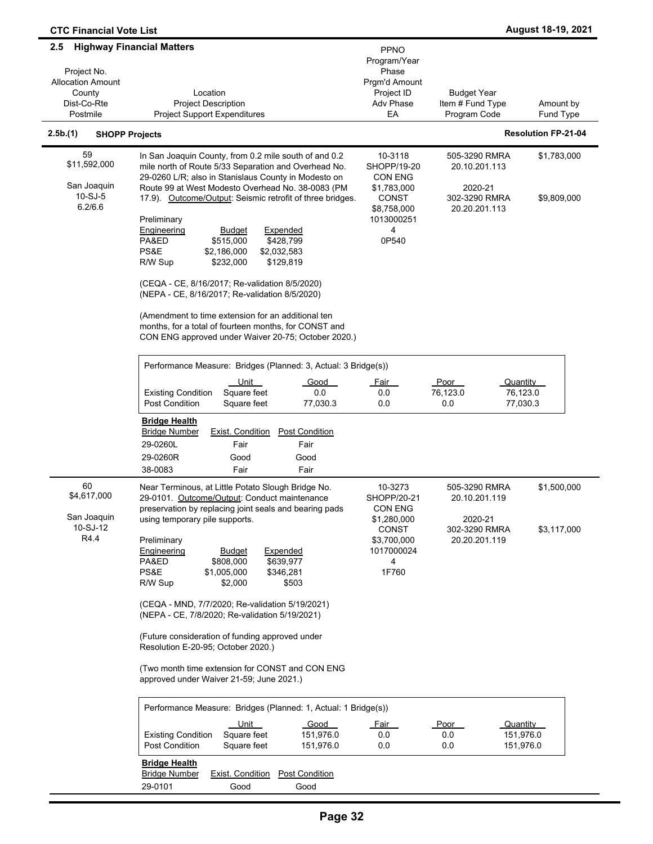| $2.5\phantom{0}$                  | <b>Highway Financial Matters</b>                                                                                                                                   |                               |                                |                            |
|-----------------------------------|--------------------------------------------------------------------------------------------------------------------------------------------------------------------|-------------------------------|--------------------------------|----------------------------|
|                                   |                                                                                                                                                                    | PPNO                          |                                |                            |
| Project No.                       |                                                                                                                                                                    | Program/Year<br>Phase         |                                |                            |
| <b>Allocation Amount</b>          |                                                                                                                                                                    | Prgm'd Amount                 |                                |                            |
| County                            | Location                                                                                                                                                           | Project ID                    | <b>Budget Year</b>             |                            |
| Dist-Co-Rte                       | <b>Project Description</b>                                                                                                                                         | Adv Phase                     | Item # Fund Type               | Amount by                  |
| Postmile                          | <b>Project Support Expenditures</b>                                                                                                                                | EA                            | Program Code                   | Fund Type                  |
| 2.5b.(1)<br><b>SHOPP Projects</b> |                                                                                                                                                                    |                               |                                | <b>Resolution FP-21-04</b> |
| 59                                | In San Joaquin County, from 0.2 mile south of and 0.2                                                                                                              | 10-3118                       | 505-3290 RMRA                  | \$1,783,000                |
| \$11,592,000                      | mile north of Route 5/33 Separation and Overhead No.<br>29-0260 L/R; also in Stanislaus County in Modesto on                                                       | SHOPP/19-20<br><b>CON ENG</b> | 20.10.201.113                  |                            |
| San Joaquin                       | Route 99 at West Modesto Overhead No. 38-0083 (PM                                                                                                                  | \$1,783,000                   | 2020-21                        |                            |
| $10-SJ-5$<br>6.2/6.6              | 17.9). Outcome/Output: Seismic retrofit of three bridges.                                                                                                          | <b>CONST</b><br>\$8,758,000   | 302-3290 RMRA<br>20.20.201.113 | \$9,809,000                |
|                                   | Preliminary                                                                                                                                                        | 1013000251                    |                                |                            |
|                                   | <b>Engineering</b><br><b>Budget</b><br>Expended                                                                                                                    | 4                             |                                |                            |
|                                   | \$428,799<br>PA&ED<br>\$515,000                                                                                                                                    | 0P540                         |                                |                            |
|                                   | PS&E<br>\$2,186,000<br>\$2,032,583                                                                                                                                 |                               |                                |                            |
|                                   | \$129,819<br>R/W Sup<br>\$232,000                                                                                                                                  |                               |                                |                            |
|                                   | (CEQA - CE, 8/16/2017; Re-validation 8/5/2020)<br>(NEPA - CE, 8/16/2017; Re-validation 8/5/2020)                                                                   |                               |                                |                            |
|                                   | (Amendment to time extension for an additional ten<br>months, for a total of fourteen months, for CONST and<br>CON ENG approved under Waiver 20-75; October 2020.) |                               |                                |                            |
|                                   | Performance Measure: Bridges (Planned: 3, Actual: 3 Bridge(s))                                                                                                     |                               |                                |                            |
|                                   | <u>Unit</u><br>Good                                                                                                                                                | <b>Fair</b>                   | Poor                           | Quantity                   |
|                                   | <b>Existing Condition</b><br>Square feet<br>0.0                                                                                                                    | 0.0                           | 76,123.0                       | 76,123.0                   |
|                                   | <b>Post Condition</b><br>Square feet<br>77,030.3                                                                                                                   | 0.0                           | 0.0                            | 77,030.3                   |
|                                   | <b>Bridge Health</b>                                                                                                                                               |                               |                                |                            |
|                                   | <b>Bridge Number</b><br><b>Exist. Condition</b><br><b>Post Condition</b>                                                                                           |                               |                                |                            |
|                                   | 29-0260L<br>Fair<br>Fair                                                                                                                                           |                               |                                |                            |
|                                   | 29-0260R<br>Good<br>Good                                                                                                                                           |                               |                                |                            |
|                                   | 38-0083<br>Fair<br>Fair                                                                                                                                            |                               |                                |                            |
| 60                                | Near Terminous, at Little Potato Slough Bridge No.                                                                                                                 | 10-3273                       | 505-3290 RMRA                  | \$1,500,000                |
| \$4,617,000                       | 29-0101. Outcome/Output: Conduct maintenance                                                                                                                       | SHOPP/20-21                   | 20.10.201.119                  |                            |
|                                   | preservation by replacing joint seals and bearing pads                                                                                                             | CON ENG                       |                                |                            |
| San Joaquin                       | using temporary pile supports.                                                                                                                                     | \$1,280,000                   | 2020-21                        |                            |
| 10-SJ-12                          |                                                                                                                                                                    | <b>CONST</b>                  | 302-3290 RMRA                  | \$3,117,000                |
| R4.4                              | Preliminary                                                                                                                                                        | \$3,700,000                   | 20.20.201.119                  |                            |
|                                   | Engineering<br><b>Budget</b><br>Expended                                                                                                                           | 1017000024                    |                                |                            |
|                                   | PA&ED<br>\$808,000<br>\$639,977                                                                                                                                    | 4                             |                                |                            |
|                                   | PS&E<br>\$1,005,000<br>\$346,281                                                                                                                                   | 1F760                         |                                |                            |
|                                   | \$2,000<br>R/W Sup<br>\$503                                                                                                                                        |                               |                                |                            |
|                                   | (CEQA - MND, 7/7/2020; Re-validation 5/19/2021)<br>(NEPA - CE, 7/8/2020; Re-validation 5/19/2021)                                                                  |                               |                                |                            |
|                                   | (Future consideration of funding approved under<br>Resolution E-20-95; October 2020.)                                                                              |                               |                                |                            |
|                                   | (Two month time extension for CONST and CON ENG<br>approved under Waiver 21-59; June 2021.)                                                                        |                               |                                |                            |
|                                   | Performance Measure: Bridges (Planned: 1, Actual: 1 Bridge(s))                                                                                                     |                               |                                |                            |
|                                   | Unit<br>Good                                                                                                                                                       | <u>Fair</u>                   | <u>Poor</u>                    | Quantity                   |
|                                   | <b>Existing Condition</b><br>Square feet<br>151,976.0                                                                                                              | 0.0                           | 0.0                            | 151,976.0                  |
|                                   | Post Condition<br>Square feet<br>151,976.0                                                                                                                         | 0.0                           | 0.0                            | 151,976.0                  |
|                                   | <b>Bridge Health</b>                                                                                                                                               |                               |                                |                            |
|                                   | <b>Post Condition</b><br><b>Bridge Number</b><br><b>Exist. Condition</b>                                                                                           |                               |                                |                            |
|                                   | 29-0101<br>Good<br>Good                                                                                                                                            |                               |                                |                            |
|                                   |                                                                                                                                                                    |                               |                                |                            |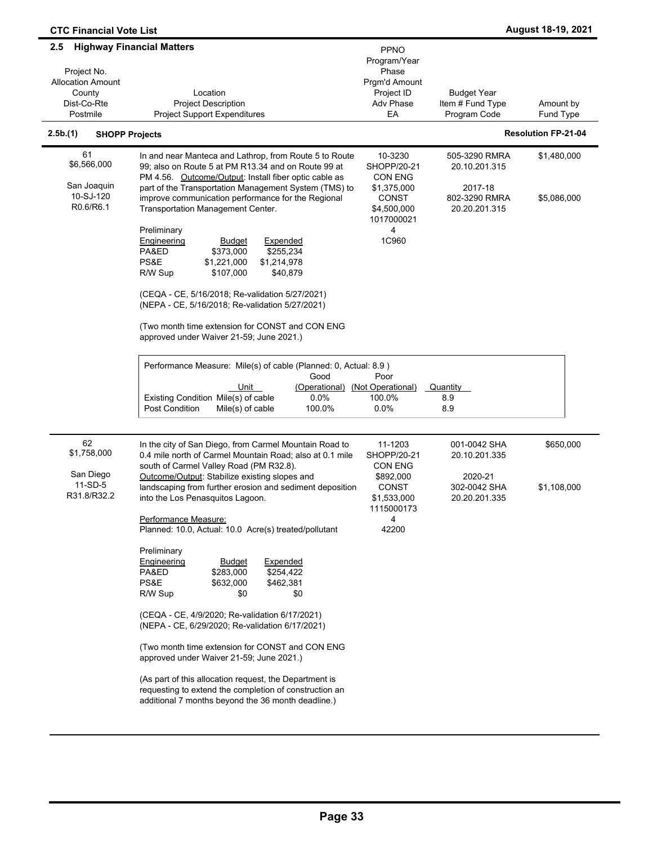| <b>CTC Financial Vote List</b>                                                                                          |                                                                                                                                                                                                                                                                                                                                                                                                                                                                                                                                                                                                                 |                                                                                                      |                                                                             | August 18-19, 2021         |
|-------------------------------------------------------------------------------------------------------------------------|-----------------------------------------------------------------------------------------------------------------------------------------------------------------------------------------------------------------------------------------------------------------------------------------------------------------------------------------------------------------------------------------------------------------------------------------------------------------------------------------------------------------------------------------------------------------------------------------------------------------|------------------------------------------------------------------------------------------------------|-----------------------------------------------------------------------------|----------------------------|
| <b>Highway Financial Matters</b><br>2.5<br>Project No.<br><b>Allocation Amount</b><br>County<br>Dist-Co-Rte<br>Postmile | Location<br><b>Project Description</b><br><b>Project Support Expenditures</b>                                                                                                                                                                                                                                                                                                                                                                                                                                                                                                                                   | <b>PPNO</b><br>Program/Year<br>Phase<br>Prgm'd Amount<br>Project ID<br>Adv Phase<br>EA               | <b>Budget Year</b><br>Item # Fund Type<br>Program Code                      | Amount by<br>Fund Type     |
| 2.5b.(1)<br><b>SHOPP Projects</b>                                                                                       |                                                                                                                                                                                                                                                                                                                                                                                                                                                                                                                                                                                                                 |                                                                                                      |                                                                             | <b>Resolution FP-21-04</b> |
| 61<br>\$6,566,000<br>San Joaquin<br>10-SJ-120<br>R0.6/R6.1                                                              | In and near Manteca and Lathrop, from Route 5 to Route<br>99; also on Route 5 at PM R13.34 and on Route 99 at<br>PM 4.56. Outcome/Output: Install fiber optic cable as<br>part of the Transportation Management System (TMS) to<br>improve communication performance for the Regional<br>Transportation Management Center.<br>Preliminary<br><b>Engineering</b><br><b>Budget</b><br>Expended<br>PA&ED<br>\$373,000<br>\$255,234<br>PS&E<br>\$1,221,000<br>\$1,214,978<br>R/W Sup<br>\$107,000<br>\$40,879<br>(CEQA - CE, 5/16/2018; Re-validation 5/27/2021)<br>(NEPA - CE, 5/16/2018; Re-validation 5/27/2021) | 10-3230<br>SHOPP/20-21<br>CON ENG<br>\$1,375,000<br>CONST<br>\$4,500,000<br>1017000021<br>4<br>1C960 | 505-3290 RMRA<br>20.10.201.315<br>2017-18<br>802-3290 RMRA<br>20.20.201.315 | \$1,480,000<br>\$5,086,000 |
|                                                                                                                         | (Two month time extension for CONST and CON ENG<br>approved under Waiver 21-59; June 2021.)<br>Performance Measure: Mile(s) of cable (Planned: 0, Actual: 8.9)<br>Good<br>Unit<br>(Operational)<br>Existing Condition Mile(s) of cable<br>0.0%<br>Post Condition<br>Mile(s) of cable<br>100.0%                                                                                                                                                                                                                                                                                                                  | Poor<br>(Not Operational)<br>100.0%<br>$0.0\%$                                                       | Quantity<br>8.9<br>8.9                                                      |                            |
| 62<br>\$1,758,000<br>San Diego<br>11-SD-5<br>R31.8/R32.2                                                                | In the city of San Diego, from Carmel Mountain Road to<br>0.4 mile north of Carmel Mountain Road; also at 0.1 mile<br>south of Carmel Valley Road (PM R32.8).<br>Outcome/Output: Stabilize existing slopes and<br>landscaping from further erosion and sediment deposition<br>into the Los Penasquitos Lagoon.<br>Performance Measure:                                                                                                                                                                                                                                                                          | 11-1203<br>SHOPP/20-21<br>CON ENG<br>\$892,000<br><b>CONST</b><br>\$1,533,000<br>1115000173<br>4     | 001-0042 SHA<br>20.10.201.335<br>2020-21<br>302-0042 SHA<br>20.20.201.335   | \$650,000<br>\$1,108,000   |
|                                                                                                                         | Planned: 10.0, Actual: 10.0 Acre(s) treated/pollutant<br>Preliminary<br>Engineering<br>Expended<br><b>Budget</b><br>PA&ED<br>\$283,000<br>\$254,422<br>PS&E<br>\$632,000<br>\$462,381<br>R/W Sup<br>\$0<br>\$0<br>(CEQA - CE, 4/9/2020; Re-validation 6/17/2021)<br>(NEPA - CE, 6/29/2020; Re-validation 6/17/2021)<br>(Two month time extension for CONST and CON ENG<br>approved under Waiver 21-59; June 2021.)<br>(As part of this allocation request, the Department is<br>requesting to extend the completion of construction an<br>additional 7 months beyond the 36 month deadline.)                    | 42200                                                                                                |                                                                             |                            |

-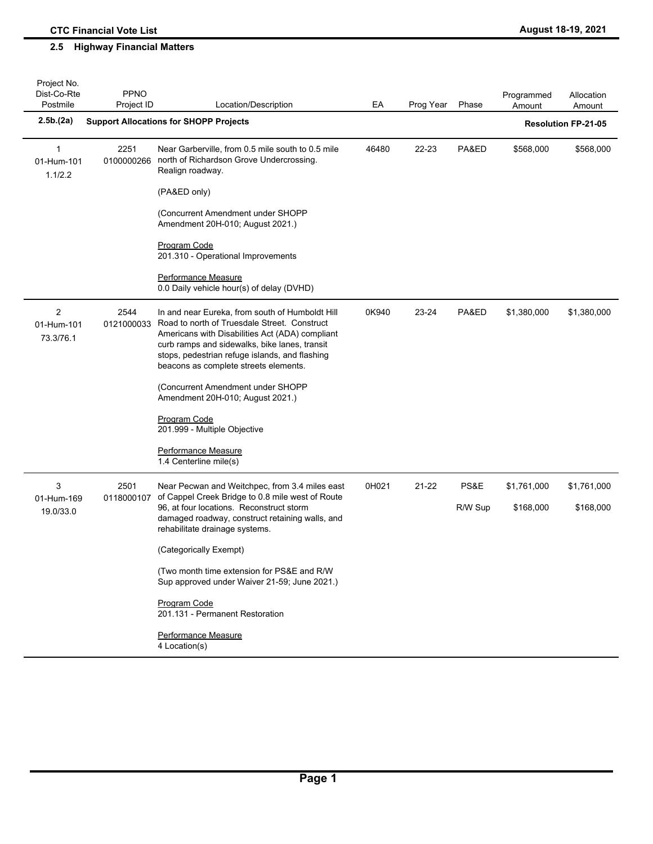## **2.5 Highway Financial Matters**

| Project No.<br>Dist-Co-Rte<br>Postmile    | <b>PPNO</b><br>Project ID | Location/Description                                                                                                                                                                                                                                                                           | EA    | Prog Year | Phase   | Programmed<br>Amount | Allocation<br>Amount       |
|-------------------------------------------|---------------------------|------------------------------------------------------------------------------------------------------------------------------------------------------------------------------------------------------------------------------------------------------------------------------------------------|-------|-----------|---------|----------------------|----------------------------|
| 2.5b(2a)                                  |                           | <b>Support Allocations for SHOPP Projects</b>                                                                                                                                                                                                                                                  |       |           |         |                      | <b>Resolution FP-21-05</b> |
| $\mathbf{1}$<br>01-Hum-101<br>1.1/2.2     | 2251<br>0100000266        | Near Garberville, from 0.5 mile south to 0.5 mile<br>north of Richardson Grove Undercrossing.<br>Realign roadway.                                                                                                                                                                              | 46480 | 22-23     | PA&ED   | \$568,000            | \$568,000                  |
|                                           |                           | (PA&ED only)                                                                                                                                                                                                                                                                                   |       |           |         |                      |                            |
|                                           |                           | (Concurrent Amendment under SHOPP<br>Amendment 20H-010; August 2021.)                                                                                                                                                                                                                          |       |           |         |                      |                            |
|                                           |                           | <b>Program Code</b><br>201.310 - Operational Improvements                                                                                                                                                                                                                                      |       |           |         |                      |                            |
|                                           |                           | <b>Performance Measure</b><br>0.0 Daily vehicle hour(s) of delay (DVHD)                                                                                                                                                                                                                        |       |           |         |                      |                            |
| $\overline{2}$<br>01-Hum-101<br>73.3/76.1 | 2544<br>0121000033        | In and near Eureka, from south of Humboldt Hill<br>Road to north of Truesdale Street. Construct<br>Americans with Disabilities Act (ADA) compliant<br>curb ramps and sidewalks, bike lanes, transit<br>stops, pedestrian refuge islands, and flashing<br>beacons as complete streets elements. | 0K940 | 23-24     | PA&ED   | \$1,380,000          | \$1,380,000                |
|                                           |                           | (Concurrent Amendment under SHOPP<br>Amendment 20H-010; August 2021.)                                                                                                                                                                                                                          |       |           |         |                      |                            |
|                                           |                           | Program Code<br>201.999 - Multiple Objective                                                                                                                                                                                                                                                   |       |           |         |                      |                            |
|                                           |                           | Performance Measure<br>1.4 Centerline mile(s)                                                                                                                                                                                                                                                  |       |           |         |                      |                            |
| 3                                         | 2501                      | Near Pecwan and Weitchpec, from 3.4 miles east<br>of Cappel Creek Bridge to 0.8 mile west of Route                                                                                                                                                                                             | 0H021 | 21-22     | PS&E    | \$1,761,000          | \$1,761,000                |
| 01-Hum-169<br>19.0/33.0                   | 0118000107                | 96, at four locations. Reconstruct storm<br>damaged roadway, construct retaining walls, and<br>rehabilitate drainage systems.                                                                                                                                                                  |       |           | R/W Sup | \$168,000            | \$168,000                  |
|                                           |                           | (Categorically Exempt)                                                                                                                                                                                                                                                                         |       |           |         |                      |                            |
|                                           |                           | (Two month time extension for PS&E and R/W<br>Sup approved under Waiver 21-59; June 2021.)                                                                                                                                                                                                     |       |           |         |                      |                            |
|                                           |                           | Program Code<br>201.131 - Permanent Restoration                                                                                                                                                                                                                                                |       |           |         |                      |                            |
|                                           |                           | Performance Measure<br>4 Location(s)                                                                                                                                                                                                                                                           |       |           |         |                      |                            |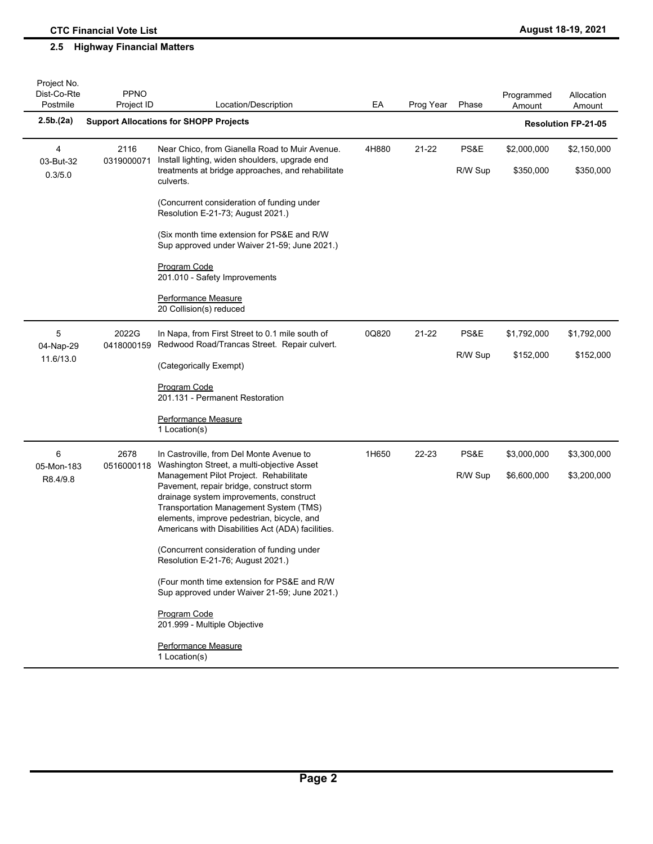| Project No.<br>Dist-Co-Rte<br>Postmile | <b>PPNO</b><br>Project ID | Location/Description                                                                                                                                                                                                                                                       | EA    | Prog Year | Phase           | Programmed<br>Amount     | Allocation<br>Amount       |
|----------------------------------------|---------------------------|----------------------------------------------------------------------------------------------------------------------------------------------------------------------------------------------------------------------------------------------------------------------------|-------|-----------|-----------------|--------------------------|----------------------------|
| 2.5b(2a)                               |                           | <b>Support Allocations for SHOPP Projects</b>                                                                                                                                                                                                                              |       |           |                 |                          | <b>Resolution FP-21-05</b> |
| 4<br>03-But-32                         | 2116<br>0319000071        | Near Chico, from Gianella Road to Muir Avenue.<br>Install lighting, widen shoulders, upgrade end<br>treatments at bridge approaches, and rehabilitate                                                                                                                      | 4H880 | 21-22     | PS&E<br>R/W Sup | \$2,000,000<br>\$350,000 | \$2,150,000<br>\$350,000   |
| 0.3/5.0                                |                           | culverts.<br>(Concurrent consideration of funding under                                                                                                                                                                                                                    |       |           |                 |                          |                            |
|                                        |                           | Resolution E-21-73; August 2021.)                                                                                                                                                                                                                                          |       |           |                 |                          |                            |
|                                        |                           | (Six month time extension for PS&E and R/W<br>Sup approved under Waiver 21-59; June 2021.)                                                                                                                                                                                 |       |           |                 |                          |                            |
|                                        |                           | Program Code<br>201.010 - Safety Improvements                                                                                                                                                                                                                              |       |           |                 |                          |                            |
|                                        |                           | Performance Measure<br>20 Collision(s) reduced                                                                                                                                                                                                                             |       |           |                 |                          |                            |
| 5<br>04-Nap-29                         | 2022G<br>0418000159       | In Napa, from First Street to 0.1 mile south of<br>Redwood Road/Trancas Street. Repair culvert.                                                                                                                                                                            | 0Q820 | 21-22     | PS&E            | \$1,792,000              | \$1,792,000                |
| 11.6/13.0                              |                           | (Categorically Exempt)                                                                                                                                                                                                                                                     |       | R/W Sup   | \$152,000       | \$152,000                |                            |
|                                        |                           | Program Code<br>201.131 - Permanent Restoration                                                                                                                                                                                                                            |       |           |                 |                          |                            |
|                                        |                           | Performance Measure<br>1 Location(s)                                                                                                                                                                                                                                       |       |           |                 |                          |                            |
| 6<br>05-Mon-183                        | 2678<br>0516000118        | In Castroville, from Del Monte Avenue to<br>Washington Street, a multi-objective Asset                                                                                                                                                                                     | 1H650 | 22-23     | PS&E            | \$3,000,000              | \$3,300,000                |
| R8.4/9.8                               |                           | Management Pilot Project. Rehabilitate<br>Pavement, repair bridge, construct storm<br>drainage system improvements, construct<br>Transportation Management System (TMS)<br>elements, improve pedestrian, bicycle, and<br>Americans with Disabilities Act (ADA) facilities. |       |           | R/W Sup         | \$6,600,000              | \$3,200,000                |
|                                        |                           | (Concurrent consideration of funding under<br>Resolution E-21-76; August 2021.)                                                                                                                                                                                            |       |           |                 |                          |                            |
|                                        |                           | (Four month time extension for PS&E and R/W<br>Sup approved under Waiver 21-59; June 2021.)                                                                                                                                                                                |       |           |                 |                          |                            |
|                                        |                           | Program Code<br>201.999 - Multiple Objective                                                                                                                                                                                                                               |       |           |                 |                          |                            |
|                                        |                           | Performance Measure<br>1 Location(s)                                                                                                                                                                                                                                       |       |           |                 |                          |                            |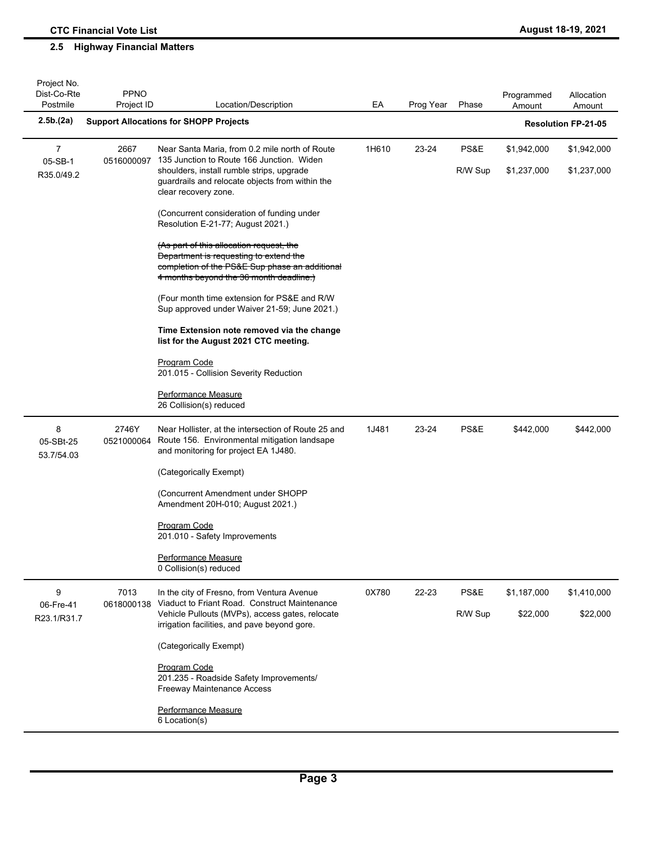| Project No.<br>Dist-Co-Rte<br>Postmile | <b>PPNO</b><br>Project ID | Location/Description                                                                                                                                                                   | EA    | Prog Year | Phase   | Programmed<br>Amount | Allocation<br>Amount       |
|----------------------------------------|---------------------------|----------------------------------------------------------------------------------------------------------------------------------------------------------------------------------------|-------|-----------|---------|----------------------|----------------------------|
| 2.5b.(2a)                              |                           | <b>Support Allocations for SHOPP Projects</b>                                                                                                                                          |       |           |         |                      | <b>Resolution FP-21-05</b> |
| 7                                      | 2667                      | Near Santa Maria, from 0.2 mile north of Route                                                                                                                                         | 1H610 | 23-24     | PS&E    | \$1,942,000          | \$1,942,000                |
| 05-SB-1<br>R35.0/49.2                  | 0516000097                | 135 Junction to Route 166 Junction. Widen<br>shoulders, install rumble strips, upgrade<br>guardrails and relocate objects from within the<br>clear recovery zone.                      |       |           | R/W Sup | \$1,237,000          | \$1,237,000                |
|                                        |                           | (Concurrent consideration of funding under<br>Resolution E-21-77; August 2021.)                                                                                                        |       |           |         |                      |                            |
|                                        |                           | (As part of this allocation request, the<br><b>Department is requesting to extend the</b><br>completion of the PS&E Sup phase an additional<br>4 months beyond the 36 month deadline.) |       |           |         |                      |                            |
|                                        |                           | (Four month time extension for PS&E and R/W)<br>Sup approved under Waiver 21-59; June 2021.)                                                                                           |       |           |         |                      |                            |
|                                        |                           | Time Extension note removed via the change<br>list for the August 2021 CTC meeting.                                                                                                    |       |           |         |                      |                            |
|                                        |                           | Program Code<br>201.015 - Collision Severity Reduction                                                                                                                                 |       |           |         |                      |                            |
|                                        |                           | Performance Measure<br>26 Collision(s) reduced                                                                                                                                         |       |           |         |                      |                            |
| 8<br>05-SBt-25<br>53.7/54.03           | 2746Y<br>0521000064       | Near Hollister, at the intersection of Route 25 and<br>Route 156. Environmental mitigation landsape<br>and monitoring for project EA 1J480.                                            | 1J481 | 23-24     | PS&E    | \$442,000            | \$442,000                  |
|                                        |                           | (Categorically Exempt)                                                                                                                                                                 |       |           |         |                      |                            |
|                                        |                           | (Concurrent Amendment under SHOPP<br>Amendment 20H-010; August 2021.)                                                                                                                  |       |           |         |                      |                            |
|                                        |                           | <b>Program Code</b><br>201.010 - Safety Improvements                                                                                                                                   |       |           |         |                      |                            |
|                                        |                           | Performance Measure<br>0 Collision(s) reduced                                                                                                                                          |       |           |         |                      |                            |
| 9<br>06-Fre-41                         | 7013<br>0618000138        | In the city of Fresno, from Ventura Avenue<br>Viaduct to Friant Road. Construct Maintenance                                                                                            | 0X780 | 22-23     | PS&E    | \$1,187,000          | \$1,410,000                |
| R23.1/R31.7                            |                           | Vehicle Pullouts (MVPs), access gates, relocate<br>irrigation facilities, and pave beyond gore.                                                                                        |       |           | R/W Sup | \$22,000             | \$22,000                   |
|                                        |                           | (Categorically Exempt)                                                                                                                                                                 |       |           |         |                      |                            |
|                                        |                           | Program Code<br>201.235 - Roadside Safety Improvements/<br>Freeway Maintenance Access                                                                                                  |       |           |         |                      |                            |
|                                        |                           | Performance Measure<br>6 Location(s)                                                                                                                                                   |       |           |         |                      |                            |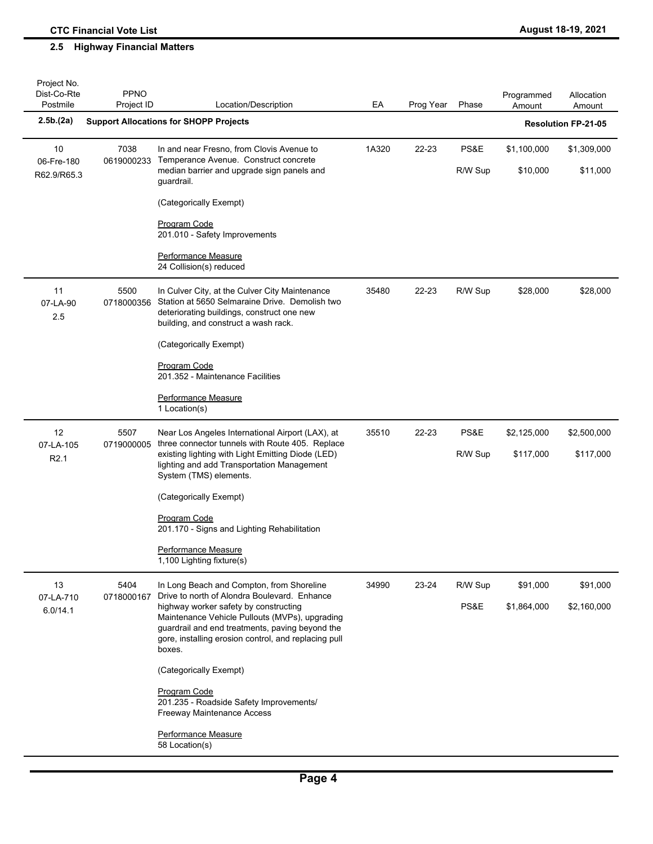| Project No.<br>Dist-Co-Rte<br>Postmile | <b>PPNO</b><br>Project ID | Location/Description                                                                                                                                                                                         | EA    | Prog Year | Phase   | Programmed<br>Amount | Allocation<br>Amount       |
|----------------------------------------|---------------------------|--------------------------------------------------------------------------------------------------------------------------------------------------------------------------------------------------------------|-------|-----------|---------|----------------------|----------------------------|
| 2.5b(2a)                               |                           | <b>Support Allocations for SHOPP Projects</b>                                                                                                                                                                |       |           |         |                      | <b>Resolution FP-21-05</b> |
| 10                                     | 7038                      | In and near Fresno, from Clovis Avenue to<br>Temperance Avenue. Construct concrete                                                                                                                           | 1A320 | 22-23     | PS&E    | \$1,100,000          | \$1,309,000                |
| 06-Fre-180<br>R62.9/R65.3              | 0619000233                | median barrier and upgrade sign panels and<br>guardrail.                                                                                                                                                     |       |           | R/W Sup | \$10,000             | \$11,000                   |
|                                        |                           | (Categorically Exempt)                                                                                                                                                                                       |       |           |         |                      |                            |
|                                        |                           | Program Code<br>201.010 - Safety Improvements                                                                                                                                                                |       |           |         |                      |                            |
|                                        |                           | Performance Measure<br>24 Collision(s) reduced                                                                                                                                                               |       |           |         |                      |                            |
| 11<br>07-LA-90<br>2.5                  | 5500<br>0718000356        | In Culver City, at the Culver City Maintenance<br>Station at 5650 Selmaraine Drive. Demolish two<br>deteriorating buildings, construct one new<br>building, and construct a wash rack.                       | 35480 | 22-23     | R/W Sup | \$28,000             | \$28,000                   |
|                                        |                           | (Categorically Exempt)                                                                                                                                                                                       |       |           |         |                      |                            |
|                                        |                           | Program Code<br>201.352 - Maintenance Facilities                                                                                                                                                             |       |           |         |                      |                            |
|                                        |                           | Performance Measure<br>1 Location(s)                                                                                                                                                                         |       |           |         |                      |                            |
| 12<br>07-LA-105                        | 5507<br>0719000005        | Near Los Angeles International Airport (LAX), at<br>three connector tunnels with Route 405. Replace                                                                                                          | 35510 | 22-23     | PS&E    | \$2,125,000          | \$2,500,000                |
| R <sub>2.1</sub>                       |                           | existing lighting with Light Emitting Diode (LED)<br>lighting and add Transportation Management<br>System (TMS) elements.                                                                                    |       |           | R/W Sup | \$117,000            | \$117,000                  |
|                                        |                           | (Categorically Exempt)                                                                                                                                                                                       |       |           |         |                      |                            |
|                                        |                           | Program Code<br>201.170 - Signs and Lighting Rehabilitation                                                                                                                                                  |       |           |         |                      |                            |
|                                        |                           | <b>Performance Measure</b><br>1,100 Lighting fixture(s)                                                                                                                                                      |       |           |         |                      |                            |
| 13                                     | 5404<br>0718000167        | In Long Beach and Compton, from Shoreline<br>Drive to north of Alondra Boulevard. Enhance                                                                                                                    | 34990 | 23-24     | R/W Sup | \$91,000             | \$91,000                   |
| 07-LA-710<br>6.0/14.1                  |                           | highway worker safety by constructing<br>Maintenance Vehicle Pullouts (MVPs), upgrading<br>guardrail and end treatments, paving beyond the<br>gore, installing erosion control, and replacing pull<br>boxes. |       |           | PS&E    | \$1,864,000          | \$2,160,000                |
|                                        |                           | (Categorically Exempt)                                                                                                                                                                                       |       |           |         |                      |                            |
|                                        |                           | Program Code<br>201.235 - Roadside Safety Improvements/<br>Freeway Maintenance Access                                                                                                                        |       |           |         |                      |                            |
|                                        |                           | Performance Measure<br>58 Location(s)                                                                                                                                                                        |       |           |         |                      |                            |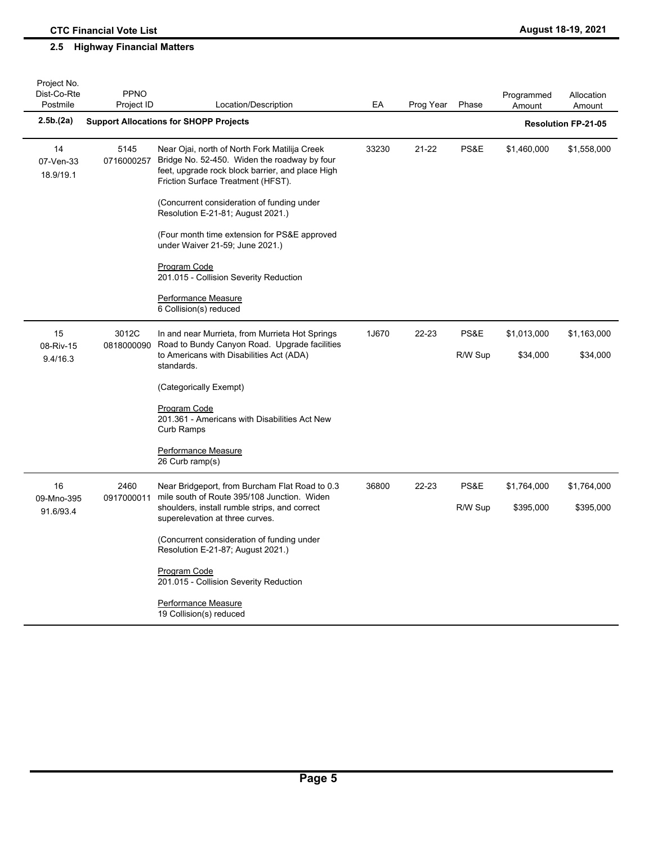| Project No.<br>Dist-Co-Rte<br>Postmile | <b>PPNO</b><br>Project ID | Location/Description                                                                                                                                                                                                                                                                                                                                                                                                                                                     | EA    | Prog Year | Phase           | Programmed<br>Amount     | Allocation<br>Amount       |
|----------------------------------------|---------------------------|--------------------------------------------------------------------------------------------------------------------------------------------------------------------------------------------------------------------------------------------------------------------------------------------------------------------------------------------------------------------------------------------------------------------------------------------------------------------------|-------|-----------|-----------------|--------------------------|----------------------------|
| 2.5b.(2a)                              |                           | <b>Support Allocations for SHOPP Projects</b>                                                                                                                                                                                                                                                                                                                                                                                                                            |       |           |                 |                          | <b>Resolution FP-21-05</b> |
| 14<br>07-Ven-33<br>18.9/19.1           | 5145<br>0716000257        | Near Ojai, north of North Fork Matilija Creek<br>Bridge No. 52-450. Widen the roadway by four<br>feet, upgrade rock block barrier, and place High<br>Friction Surface Treatment (HFST).<br>(Concurrent consideration of funding under<br>Resolution E-21-81; August 2021.)<br>(Four month time extension for PS&E approved<br>under Waiver 21-59; June 2021.)<br>Program Code<br>201.015 - Collision Severity Reduction<br>Performance Measure<br>6 Collision(s) reduced | 33230 | 21-22     | PS&E            | \$1,460,000              | \$1,558,000                |
| 15<br>08-Riv-15<br>9.4/16.3            | 3012C<br>0818000090       | In and near Murrieta, from Murrieta Hot Springs<br>Road to Bundy Canyon Road. Upgrade facilities<br>to Americans with Disabilities Act (ADA)<br>standards.<br>(Categorically Exempt)<br>Program Code<br>201.361 - Americans with Disabilities Act New<br>Curb Ramps<br>Performance Measure<br>26 Curb ramp(s)                                                                                                                                                            | 1J670 | 22-23     | PS&E<br>R/W Sup | \$1,013,000<br>\$34,000  | \$1,163,000<br>\$34,000    |
| 16<br>09-Mno-395<br>91.6/93.4          | 2460<br>0917000011        | Near Bridgeport, from Burcham Flat Road to 0.3<br>mile south of Route 395/108 Junction. Widen<br>shoulders, install rumble strips, and correct<br>superelevation at three curves.<br>(Concurrent consideration of funding under<br>Resolution E-21-87; August 2021.)<br>Program Code<br>201.015 - Collision Severity Reduction<br>Performance Measure<br>19 Collision(s) reduced                                                                                         | 36800 | 22-23     | PS&E<br>R/W Sup | \$1,764,000<br>\$395,000 | \$1,764,000<br>\$395,000   |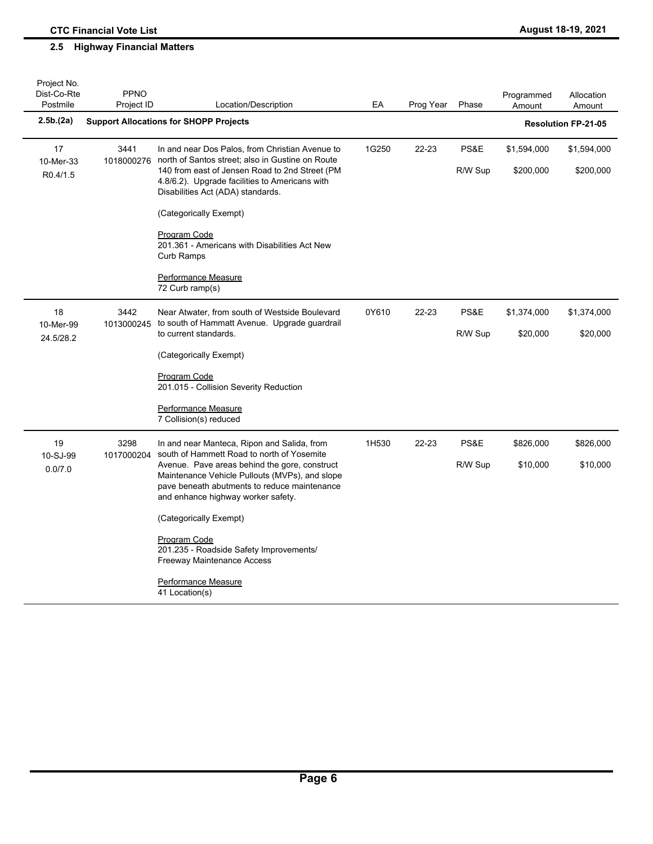| Project No.<br>Dist-Co-Rte   | <b>PPNO</b>        |                                                                                                                                                                                                                                                                                                                                                                                                                                                       |       |           |                 | Programmed               | Allocation                 |
|------------------------------|--------------------|-------------------------------------------------------------------------------------------------------------------------------------------------------------------------------------------------------------------------------------------------------------------------------------------------------------------------------------------------------------------------------------------------------------------------------------------------------|-------|-----------|-----------------|--------------------------|----------------------------|
| Postmile                     | Project ID         | Location/Description                                                                                                                                                                                                                                                                                                                                                                                                                                  | EA    | Prog Year | Phase           | Amount                   | Amount                     |
| 2.5b.(2a)                    |                    | <b>Support Allocations for SHOPP Projects</b>                                                                                                                                                                                                                                                                                                                                                                                                         |       |           |                 |                          | <b>Resolution FP-21-05</b> |
| 17<br>10-Mer-33<br>R0.4/1.5  | 3441<br>1018000276 | In and near Dos Palos, from Christian Avenue to<br>north of Santos street; also in Gustine on Route<br>140 from east of Jensen Road to 2nd Street (PM<br>4.8/6.2). Upgrade facilities to Americans with<br>Disabilities Act (ADA) standards.                                                                                                                                                                                                          | 1G250 | 22-23     | PS&E<br>R/W Sup | \$1,594,000<br>\$200,000 | \$1,594,000<br>\$200,000   |
|                              |                    | (Categorically Exempt)<br><b>Program Code</b><br>201.361 - Americans with Disabilities Act New<br>Curb Ramps<br>Performance Measure<br>72 Curb ramp(s)                                                                                                                                                                                                                                                                                                |       |           |                 |                          |                            |
| 18<br>10-Mer-99<br>24.5/28.2 | 3442<br>1013000245 | Near Atwater, from south of Westside Boulevard<br>to south of Hammatt Avenue. Upgrade guardrail<br>to current standards.<br>(Categorically Exempt)<br>Program Code<br>201.015 - Collision Severity Reduction<br>Performance Measure<br>7 Collision(s) reduced                                                                                                                                                                                         | 0Y610 | 22-23     | PS&E<br>R/W Sup | \$1,374,000<br>\$20,000  | \$1,374,000<br>\$20,000    |
| 19<br>10-SJ-99<br>0.0/7.0    | 3298<br>1017000204 | In and near Manteca, Ripon and Salida, from<br>south of Hammett Road to north of Yosemite<br>Avenue. Pave areas behind the gore, construct<br>Maintenance Vehicle Pullouts (MVPs), and slope<br>pave beneath abutments to reduce maintenance<br>and enhance highway worker safety.<br>(Categorically Exempt)<br>Program Code<br>201.235 - Roadside Safety Improvements/<br>Freeway Maintenance Access<br><b>Performance Measure</b><br>41 Location(s) | 1H530 | 22-23     | PS&E<br>R/W Sup | \$826,000<br>\$10,000    | \$826,000<br>\$10,000      |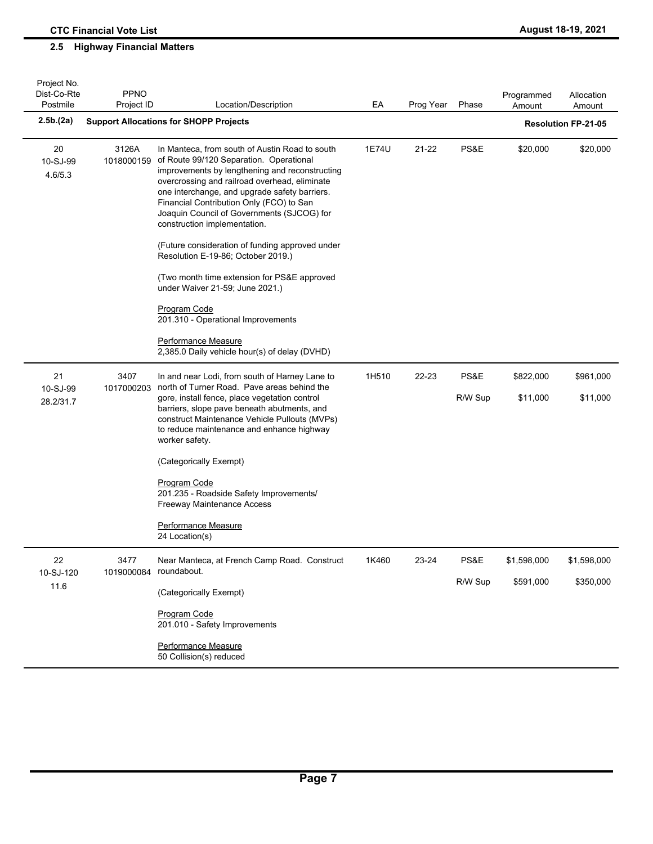| Project No.<br>Dist-Co-Rte<br>Postmile | <b>PPNO</b><br>Project ID | Location/Description                                                                                                                                                                                                                                                                                                                                                                                                       | EA    | Prog Year | Phase   | Programmed<br>Amount | Allocation<br>Amount       |
|----------------------------------------|---------------------------|----------------------------------------------------------------------------------------------------------------------------------------------------------------------------------------------------------------------------------------------------------------------------------------------------------------------------------------------------------------------------------------------------------------------------|-------|-----------|---------|----------------------|----------------------------|
| 2.5b.(2a)                              |                           | <b>Support Allocations for SHOPP Projects</b>                                                                                                                                                                                                                                                                                                                                                                              |       |           |         |                      | <b>Resolution FP-21-05</b> |
| 20<br>10-SJ-99<br>4.6/5.3              | 3126A<br>1018000159       | In Manteca, from south of Austin Road to south<br>of Route 99/120 Separation. Operational<br>improvements by lengthening and reconstructing<br>overcrossing and railroad overhead, eliminate<br>one interchange, and upgrade safety barriers.<br>Financial Contribution Only (FCO) to San<br>Joaquin Council of Governments (SJCOG) for<br>construction implementation.<br>(Future consideration of funding approved under | 1E74U | 21-22     | PS&E    | \$20,000             | \$20,000                   |
|                                        |                           | Resolution E-19-86; October 2019.)<br>(Two month time extension for PS&E approved<br>under Waiver 21-59; June 2021.)                                                                                                                                                                                                                                                                                                       |       |           |         |                      |                            |
|                                        |                           | <b>Program Code</b><br>201.310 - Operational Improvements                                                                                                                                                                                                                                                                                                                                                                  |       |           |         |                      |                            |
|                                        |                           | Performance Measure<br>2,385.0 Daily vehicle hour(s) of delay (DVHD)                                                                                                                                                                                                                                                                                                                                                       |       |           |         |                      |                            |
| 21<br>10-SJ-99                         | 3407<br>1017000203        | In and near Lodi, from south of Harney Lane to<br>north of Turner Road. Pave areas behind the                                                                                                                                                                                                                                                                                                                              | 1H510 | 22-23     | PS&E    | \$822,000            | \$961,000                  |
| 28.2/31.7                              |                           | gore, install fence, place vegetation control<br>barriers, slope pave beneath abutments, and<br>construct Maintenance Vehicle Pullouts (MVPs)<br>to reduce maintenance and enhance highway<br>worker safety.                                                                                                                                                                                                               |       |           | R/W Sup | \$11,000             | \$11,000                   |
|                                        |                           | (Categorically Exempt)                                                                                                                                                                                                                                                                                                                                                                                                     |       |           |         |                      |                            |
|                                        |                           | <b>Program Code</b><br>201.235 - Roadside Safety Improvements/<br>Freeway Maintenance Access                                                                                                                                                                                                                                                                                                                               |       |           |         |                      |                            |
|                                        |                           | Performance Measure<br>24 Location(s)                                                                                                                                                                                                                                                                                                                                                                                      |       |           |         |                      |                            |
| 22<br>10-SJ-120                        | 3477<br>1019000084        | Near Manteca, at French Camp Road. Construct<br>roundabout.                                                                                                                                                                                                                                                                                                                                                                | 1K460 | 23-24     | PS&E    | \$1,598,000          | \$1,598,000                |
| 11.6                                   |                           | (Categorically Exempt)                                                                                                                                                                                                                                                                                                                                                                                                     |       |           | R/W Sup | \$591,000            | \$350,000                  |
|                                        |                           | Program Code<br>201.010 - Safety Improvements                                                                                                                                                                                                                                                                                                                                                                              |       |           |         |                      |                            |
|                                        |                           | Performance Measure<br>50 Collision(s) reduced                                                                                                                                                                                                                                                                                                                                                                             |       |           |         |                      |                            |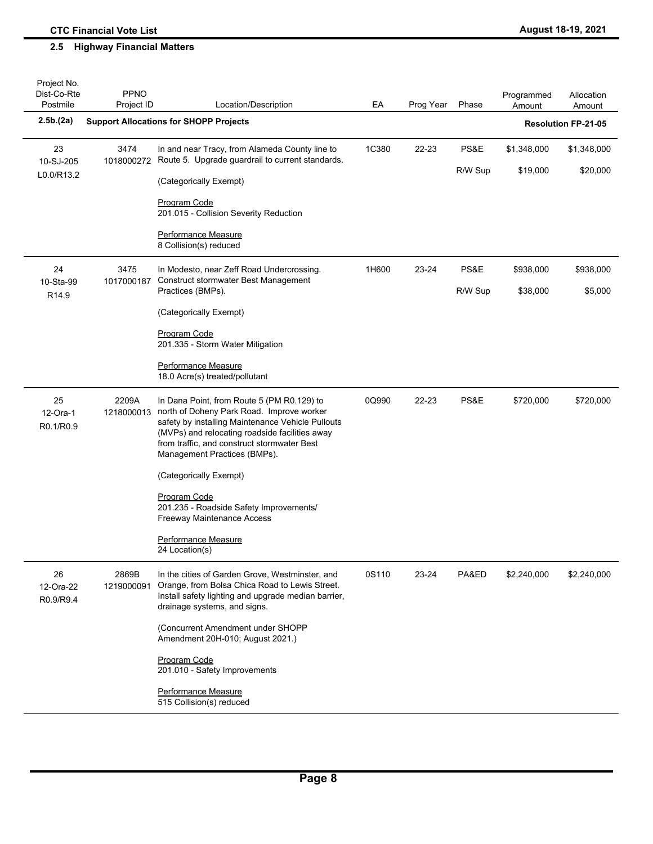| Project No.<br>Dist-Co-Rte<br>Postmile | PPNO<br>Project ID  | Location/Description                                                                                                                                                                                                                                                          | EA    | Prog Year | Phase   | Programmed<br>Amount | Allocation<br>Amount       |
|----------------------------------------|---------------------|-------------------------------------------------------------------------------------------------------------------------------------------------------------------------------------------------------------------------------------------------------------------------------|-------|-----------|---------|----------------------|----------------------------|
| 2.5b(2a)                               |                     | <b>Support Allocations for SHOPP Projects</b>                                                                                                                                                                                                                                 |       |           |         |                      | <b>Resolution FP-21-05</b> |
| 23<br>10-SJ-205                        | 3474<br>1018000272  | In and near Tracy, from Alameda County line to<br>Route 5. Upgrade guardrail to current standards.                                                                                                                                                                            | 1C380 | 22-23     | PS&E    | \$1,348,000          | \$1,348,000                |
| L0.0/R13.2                             |                     | (Categorically Exempt)                                                                                                                                                                                                                                                        |       |           | R/W Sup | \$19,000             | \$20,000                   |
|                                        |                     | Program Code<br>201.015 - Collision Severity Reduction                                                                                                                                                                                                                        |       |           |         |                      |                            |
|                                        |                     | Performance Measure<br>8 Collision(s) reduced                                                                                                                                                                                                                                 |       |           |         |                      |                            |
| 24<br>10-Sta-99                        | 3475<br>1017000187  | In Modesto, near Zeff Road Undercrossing.<br><b>Construct stormwater Best Management</b>                                                                                                                                                                                      | 1H600 | 23-24     | PS&E    | \$938,000            | \$938,000                  |
| R14.9                                  |                     | Practices (BMPs).                                                                                                                                                                                                                                                             |       |           | R/W Sup | \$38,000             | \$5,000                    |
|                                        |                     | (Categorically Exempt)                                                                                                                                                                                                                                                        |       |           |         |                      |                            |
|                                        |                     | <b>Program Code</b><br>201.335 - Storm Water Mitigation                                                                                                                                                                                                                       |       |           |         |                      |                            |
|                                        |                     | Performance Measure<br>18.0 Acre(s) treated/pollutant                                                                                                                                                                                                                         |       |           |         |                      |                            |
| 25<br>12-Ora-1<br>R0.1/R0.9            | 2209A<br>1218000013 | In Dana Point, from Route 5 (PM R0.129) to<br>north of Doheny Park Road. Improve worker<br>safety by installing Maintenance Vehicle Pullouts<br>(MVPs) and relocating roadside facilities away<br>from traffic, and construct stormwater Best<br>Management Practices (BMPs). | 0Q990 | 22-23     | PS&E    | \$720,000            | \$720,000                  |
|                                        |                     | (Categorically Exempt)                                                                                                                                                                                                                                                        |       |           |         |                      |                            |
|                                        |                     | Program Code<br>201.235 - Roadside Safety Improvements/<br><b>Freeway Maintenance Access</b>                                                                                                                                                                                  |       |           |         |                      |                            |
|                                        |                     | Performance Measure<br>24 Location(s)                                                                                                                                                                                                                                         |       |           |         |                      |                            |
| 26<br>12-Ora-22<br>R0.9/R9.4           | 2869B<br>1219000091 | In the cities of Garden Grove, Westminster, and<br>Orange, from Bolsa Chica Road to Lewis Street.<br>Install safety lighting and upgrade median barrier,<br>drainage systems, and signs.                                                                                      | 0S110 | 23-24     | PA&ED   | \$2,240,000          | \$2,240,000                |
|                                        |                     | (Concurrent Amendment under SHOPP<br>Amendment 20H-010; August 2021.)                                                                                                                                                                                                         |       |           |         |                      |                            |
|                                        |                     | Program Code<br>201.010 - Safety Improvements                                                                                                                                                                                                                                 |       |           |         |                      |                            |
|                                        |                     | Performance Measure<br>515 Collision(s) reduced                                                                                                                                                                                                                               |       |           |         |                      |                            |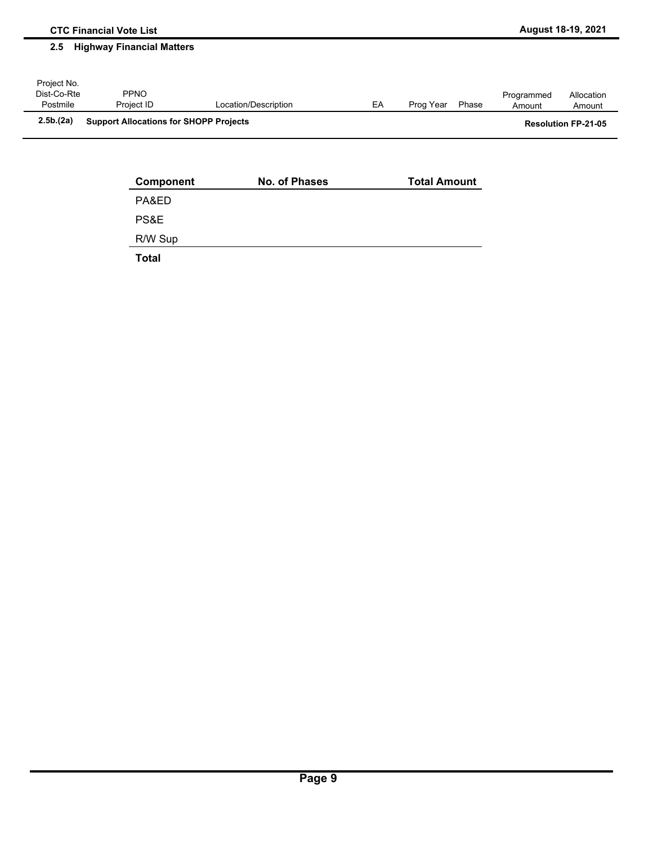| Component    | No. of Phases | <b>Total Amount</b> |
|--------------|---------------|---------------------|
| PA&ED        |               |                     |
| PS&E         |               |                     |
| R/W Sup      |               |                     |
| <b>Total</b> |               |                     |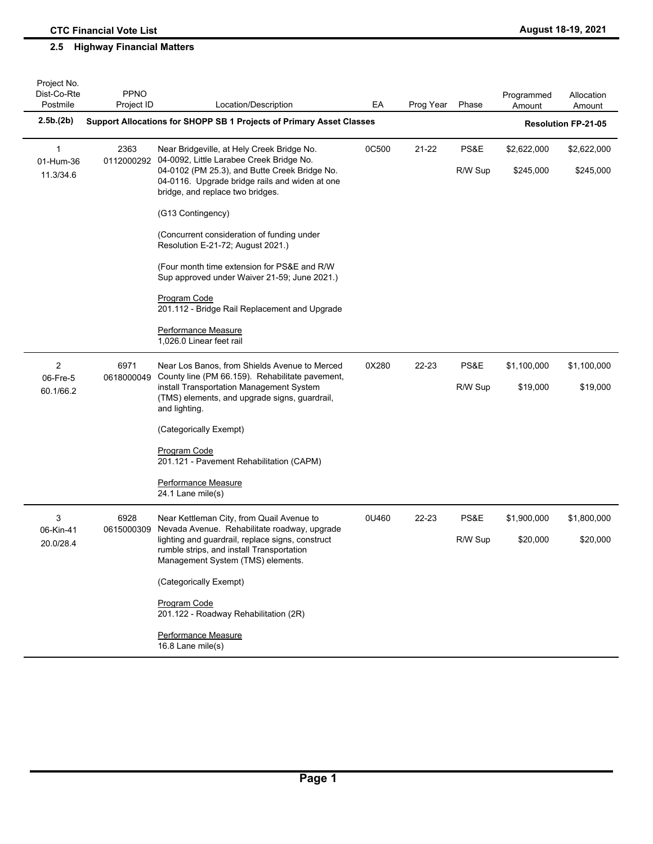| Project No.<br>Dist-Co-Rte<br>Postmile | <b>PPNO</b><br>Project ID | Location/Description                                                                                                                                                                                                          | EA                                                                   | Prog Year | Phase           | Programmed<br>Amount     | Allocation<br>Amount     |
|----------------------------------------|---------------------------|-------------------------------------------------------------------------------------------------------------------------------------------------------------------------------------------------------------------------------|----------------------------------------------------------------------|-----------|-----------------|--------------------------|--------------------------|
| 2.5b.(2b)                              |                           |                                                                                                                                                                                                                               | Support Allocations for SHOPP SB 1 Projects of Primary Asset Classes |           |                 |                          |                          |
| 1<br>01-Hum-36<br>11.3/34.6            | 2363<br>0112000292        | Near Bridgeville, at Hely Creek Bridge No.<br>04-0092, Little Larabee Creek Bridge No.<br>04-0102 (PM 25.3), and Butte Creek Bridge No.<br>04-0116. Upgrade bridge rails and widen at one<br>bridge, and replace two bridges. | 0C500                                                                | 21-22     | PS&E<br>R/W Sup | \$2,622,000<br>\$245,000 | \$2,622,000<br>\$245,000 |
|                                        |                           | (G13 Contingency)                                                                                                                                                                                                             |                                                                      |           |                 |                          |                          |
|                                        |                           | (Concurrent consideration of funding under<br>Resolution E-21-72; August 2021.)                                                                                                                                               |                                                                      |           |                 |                          |                          |
|                                        |                           | (Four month time extension for PS&E and R/W)<br>Sup approved under Waiver 21-59; June 2021.)                                                                                                                                  |                                                                      |           |                 |                          |                          |
|                                        |                           | <b>Program Code</b><br>201.112 - Bridge Rail Replacement and Upgrade                                                                                                                                                          |                                                                      |           |                 |                          |                          |
|                                        |                           | Performance Measure<br>1,026.0 Linear feet rail                                                                                                                                                                               |                                                                      |           |                 |                          |                          |
| 2<br>06-Fre-5                          | 6971<br>0618000049        | Near Los Banos, from Shields Avenue to Merced<br>County line (PM 66.159). Rehabilitate pavement,                                                                                                                              | 0X280                                                                | 22-23     | PS&E            | \$1,100,000              | \$1,100,000              |
| 60.1/66.2                              |                           | install Transportation Management System<br>(TMS) elements, and upgrade signs, guardrail,<br>and lighting.                                                                                                                    |                                                                      |           | R/W Sup         | \$19,000                 | \$19,000                 |
|                                        |                           | (Categorically Exempt)                                                                                                                                                                                                        |                                                                      |           |                 |                          |                          |
|                                        |                           | <b>Program Code</b><br>201.121 - Pavement Rehabilitation (CAPM)                                                                                                                                                               |                                                                      |           |                 |                          |                          |
|                                        |                           | <b>Performance Measure</b><br>24.1 Lane mile(s)                                                                                                                                                                               |                                                                      |           |                 |                          |                          |
| 3                                      | 6928<br>0615000309        | Near Kettleman City, from Quail Avenue to<br>Nevada Avenue. Rehabilitate roadway, upgrade                                                                                                                                     | 0U460                                                                | 22-23     | PS&E            | \$1,900,000              | \$1,800,000              |
| 06-Kin-41<br>20.0/28.4                 |                           | lighting and guardrail, replace signs, construct<br>rumble strips, and install Transportation<br>Management System (TMS) elements.                                                                                            |                                                                      |           | R/W Sup         | \$20,000                 | \$20,000                 |
|                                        |                           | (Categorically Exempt)                                                                                                                                                                                                        |                                                                      |           |                 |                          |                          |
|                                        |                           | Program Code<br>201.122 - Roadway Rehabilitation (2R)                                                                                                                                                                         |                                                                      |           |                 |                          |                          |
|                                        |                           | Performance Measure<br>16.8 Lane mile(s)                                                                                                                                                                                      |                                                                      |           |                 |                          |                          |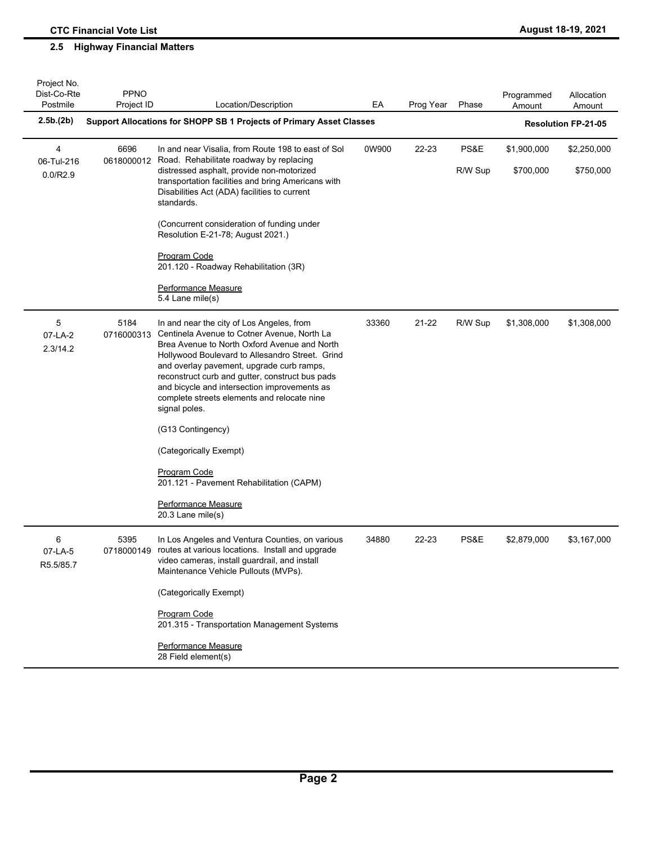| Project No.<br>Dist-Co-Rte<br>Postmile | <b>PPNO</b><br>Project ID | Location/Description                                                                                                                                                                                                                                                                                                                                                                                                                                                                                                                                                      | EA    | Prog Year | Phase   | Programmed<br>Amount | Allocation<br>Amount       |
|----------------------------------------|---------------------------|---------------------------------------------------------------------------------------------------------------------------------------------------------------------------------------------------------------------------------------------------------------------------------------------------------------------------------------------------------------------------------------------------------------------------------------------------------------------------------------------------------------------------------------------------------------------------|-------|-----------|---------|----------------------|----------------------------|
| 2.5b.(2b)                              |                           | Support Allocations for SHOPP SB 1 Projects of Primary Asset Classes                                                                                                                                                                                                                                                                                                                                                                                                                                                                                                      |       |           |         |                      | <b>Resolution FP-21-05</b> |
| 4<br>06-Tul-216                        | 6696<br>0618000012        | In and near Visalia, from Route 198 to east of Sol<br>Road. Rehabilitate roadway by replacing                                                                                                                                                                                                                                                                                                                                                                                                                                                                             | 0W900 | 22-23     | PS&E    | \$1,900,000          | \$2,250,000                |
| 0.0/R2.9                               |                           | distressed asphalt, provide non-motorized<br>transportation facilities and bring Americans with<br>Disabilities Act (ADA) facilities to current<br>standards.                                                                                                                                                                                                                                                                                                                                                                                                             |       |           | R/W Sup | \$700,000            | \$750,000                  |
|                                        |                           | (Concurrent consideration of funding under<br>Resolution E-21-78; August 2021.)                                                                                                                                                                                                                                                                                                                                                                                                                                                                                           |       |           |         |                      |                            |
|                                        |                           | <b>Program Code</b><br>201.120 - Roadway Rehabilitation (3R)                                                                                                                                                                                                                                                                                                                                                                                                                                                                                                              |       |           |         |                      |                            |
|                                        |                           | Performance Measure<br>5.4 Lane mile(s)                                                                                                                                                                                                                                                                                                                                                                                                                                                                                                                                   |       |           |         |                      |                            |
| 5<br>07-LA-2<br>2.3/14.2               | 5184<br>0716000313        | In and near the city of Los Angeles, from<br>Centinela Avenue to Cotner Avenue, North La<br>Brea Avenue to North Oxford Avenue and North<br>Hollywood Boulevard to Allesandro Street. Grind<br>and overlay pavement, upgrade curb ramps,<br>reconstruct curb and gutter, construct bus pads<br>and bicycle and intersection improvements as<br>complete streets elements and relocate nine<br>signal poles.<br>(G13 Contingency)<br>(Categorically Exempt)<br><b>Program Code</b><br>201.121 - Pavement Rehabilitation (CAPM)<br>Performance Measure<br>20.3 Lane mile(s) | 33360 | 21-22     | R/W Sup | \$1,308,000          | \$1,308,000                |
| 6<br>07-LA-5<br>R5.5/85.7              | 5395<br>0718000149        | In Los Angeles and Ventura Counties, on various<br>routes at various locations. Install and upgrade<br>video cameras, install guardrail, and install<br>Maintenance Vehicle Pullouts (MVPs).<br>(Categorically Exempt)<br>Program Code<br>201.315 - Transportation Management Systems<br>Performance Measure<br>28 Field element(s)                                                                                                                                                                                                                                       | 34880 | 22-23     | PS&E    | \$2,879,000          | \$3,167,000                |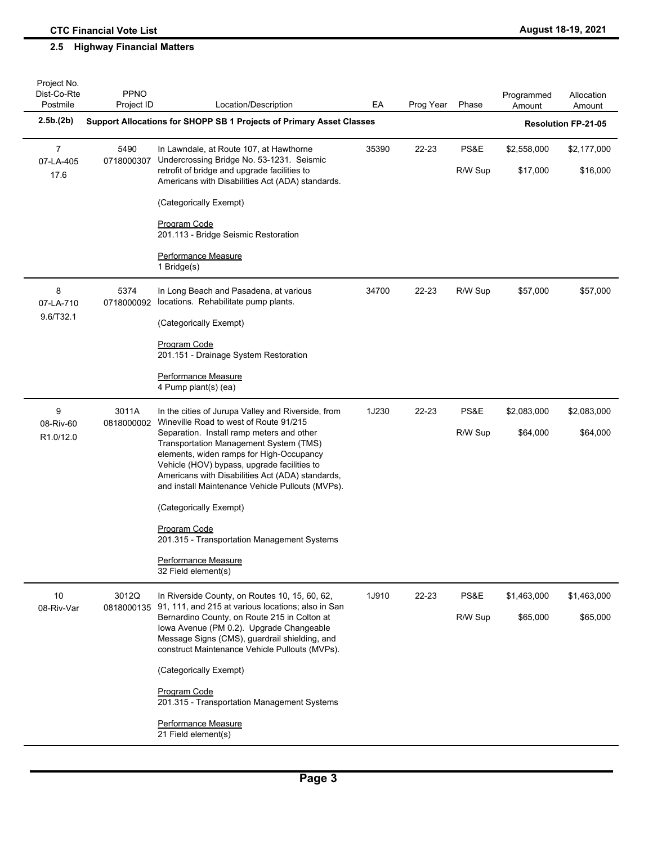| Project No.<br>Dist-Co-Rte<br>Postmile | <b>PPNO</b><br>Project ID | Location/Description                                                                                                                                                                                                                                                                   | EA    | Prog Year | Phase           | Programmed<br>Amount    | Allocation<br>Amount       |
|----------------------------------------|---------------------------|----------------------------------------------------------------------------------------------------------------------------------------------------------------------------------------------------------------------------------------------------------------------------------------|-------|-----------|-----------------|-------------------------|----------------------------|
| 2.5b.(2b)                              |                           | Support Allocations for SHOPP SB 1 Projects of Primary Asset Classes                                                                                                                                                                                                                   |       |           |                 |                         | <b>Resolution FP-21-05</b> |
| $\overline{7}$<br>07-LA-405<br>17.6    | 5490<br>0718000307        | In Lawndale, at Route 107, at Hawthorne<br>Undercrossing Bridge No. 53-1231. Seismic<br>retrofit of bridge and upgrade facilities to                                                                                                                                                   | 35390 | 22-23     | PS&E<br>R/W Sup | \$2,558,000<br>\$17,000 | \$2,177,000<br>\$16,000    |
|                                        |                           | Americans with Disabilities Act (ADA) standards.<br>(Categorically Exempt)                                                                                                                                                                                                             |       |           |                 |                         |                            |
|                                        |                           | Program Code                                                                                                                                                                                                                                                                           |       |           |                 |                         |                            |
|                                        |                           | 201.113 - Bridge Seismic Restoration                                                                                                                                                                                                                                                   |       |           |                 |                         |                            |
|                                        |                           | Performance Measure<br>1 Bridge(s)                                                                                                                                                                                                                                                     |       |           |                 |                         |                            |
| 8<br>07-LA-710                         | 5374<br>0718000092        | In Long Beach and Pasadena, at various<br>locations. Rehabilitate pump plants.                                                                                                                                                                                                         | 34700 | 22-23     | R/W Sup         | \$57,000                | \$57,000                   |
| 9.6/T32.1                              |                           | (Categorically Exempt)                                                                                                                                                                                                                                                                 |       |           |                 |                         |                            |
|                                        |                           | Program Code<br>201.151 - Drainage System Restoration                                                                                                                                                                                                                                  |       |           |                 |                         |                            |
|                                        |                           | Performance Measure<br>4 Pump plant(s) (ea)                                                                                                                                                                                                                                            |       |           |                 |                         |                            |
| 9<br>08-Riv-60                         | 3011A<br>0818000002       | In the cities of Jurupa Valley and Riverside, from<br>Wineville Road to west of Route 91/215                                                                                                                                                                                           | 1J230 | 22-23     | PS&E            | \$2,083,000             | \$2,083,000                |
| R <sub>1.0</sub> /12.0                 |                           | Separation. Install ramp meters and other<br>Transportation Management System (TMS)<br>elements, widen ramps for High-Occupancy<br>Vehicle (HOV) bypass, upgrade facilities to<br>Americans with Disabilities Act (ADA) standards,<br>and install Maintenance Vehicle Pullouts (MVPs). |       |           | R/W Sup         | \$64,000                | \$64,000                   |
|                                        |                           | (Categorically Exempt)                                                                                                                                                                                                                                                                 |       |           |                 |                         |                            |
|                                        |                           | Program Code<br>201.315 - Transportation Management Systems                                                                                                                                                                                                                            |       |           |                 |                         |                            |
|                                        |                           | Performance Measure<br>32 Field element(s)                                                                                                                                                                                                                                             |       |           |                 |                         |                            |
| 10<br>08-Riv-Var                       | 3012Q<br>0818000135       | In Riverside County, on Routes 10, 15, 60, 62,<br>91, 111, and 215 at various locations; also in San                                                                                                                                                                                   | 1J910 | 22-23     | PS&E            | \$1,463,000             | \$1,463,000                |
|                                        |                           | Bernardino County, on Route 215 in Colton at<br>Iowa Avenue (PM 0.2). Upgrade Changeable<br>Message Signs (CMS), guardrail shielding, and<br>construct Maintenance Vehicle Pullouts (MVPs).                                                                                            |       |           | R/W Sup         | \$65,000                | \$65,000                   |
|                                        |                           | (Categorically Exempt)                                                                                                                                                                                                                                                                 |       |           |                 |                         |                            |
|                                        |                           | Program Code<br>201.315 - Transportation Management Systems                                                                                                                                                                                                                            |       |           |                 |                         |                            |
|                                        |                           | Performance Measure<br>21 Field element(s)                                                                                                                                                                                                                                             |       |           |                 |                         |                            |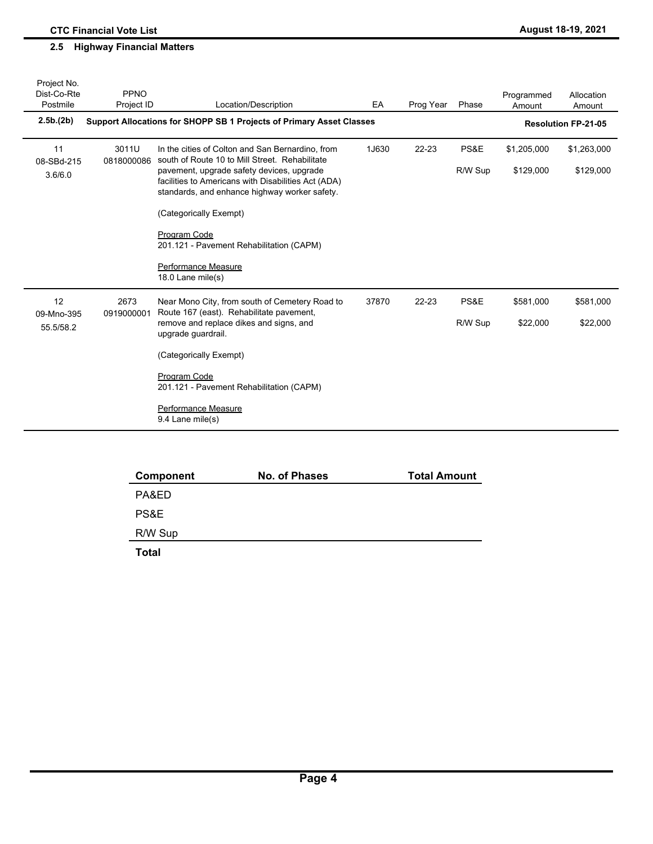| Dist-Co-Rte<br>PPNO<br>Postmile<br>Project ID<br>Location/Description<br>EA<br>Prog Year<br>Phase                                                                           | Programmed                 | Allocation |
|-----------------------------------------------------------------------------------------------------------------------------------------------------------------------------|----------------------------|------------|
|                                                                                                                                                                             | Amount<br>Amount           |            |
| 2.5b.(2b)<br>Support Allocations for SHOPP SB 1 Projects of Primary Asset Classes                                                                                           | <b>Resolution FP-21-05</b> |            |
| PS&E<br>11<br>3011U<br>1J630<br>$22 - 23$<br>In the cities of Colton and San Bernardino, from<br>south of Route 10 to Mill Street. Rehabilitate<br>0818000086<br>08-SBd-215 | \$1,205,000<br>\$1,263,000 |            |
| pavement, upgrade safety devices, upgrade<br>R/W Sup<br>3.6/6.0<br>facilities to Americans with Disabilities Act (ADA)<br>standards, and enhance highway worker safety.     | \$129,000                  | \$129,000  |
| (Categorically Exempt)                                                                                                                                                      |                            |            |
| Program Code<br>201.121 - Pavement Rehabilitation (CAPM)                                                                                                                    |                            |            |
| Performance Measure<br>18.0 Lane mile(s)                                                                                                                                    |                            |            |
| 12<br>2673<br>PS&E<br>Near Mono City, from south of Cemetery Road to<br>37870<br>$22 - 23$<br>Route 167 (east). Rehabilitate pavement,<br>0919000001<br>09-Mno-395          | \$581,000                  | \$581,000  |
| remove and replace dikes and signs, and<br>R/W Sup<br>55.5/58.2<br>upgrade guardrail.                                                                                       | \$22,000                   | \$22,000   |
| (Categorically Exempt)                                                                                                                                                      |                            |            |
| Program Code<br>201.121 - Pavement Rehabilitation (CAPM)                                                                                                                    |                            |            |
| Performance Measure<br>9.4 Lane mile(s)                                                                                                                                     |                            |            |

| Component | No. of Phases | <b>Total Amount</b> |
|-----------|---------------|---------------------|
| PA&ED     |               |                     |
| PS&E      |               |                     |
| R/W Sup   |               |                     |
| - - -     |               |                     |

**Total**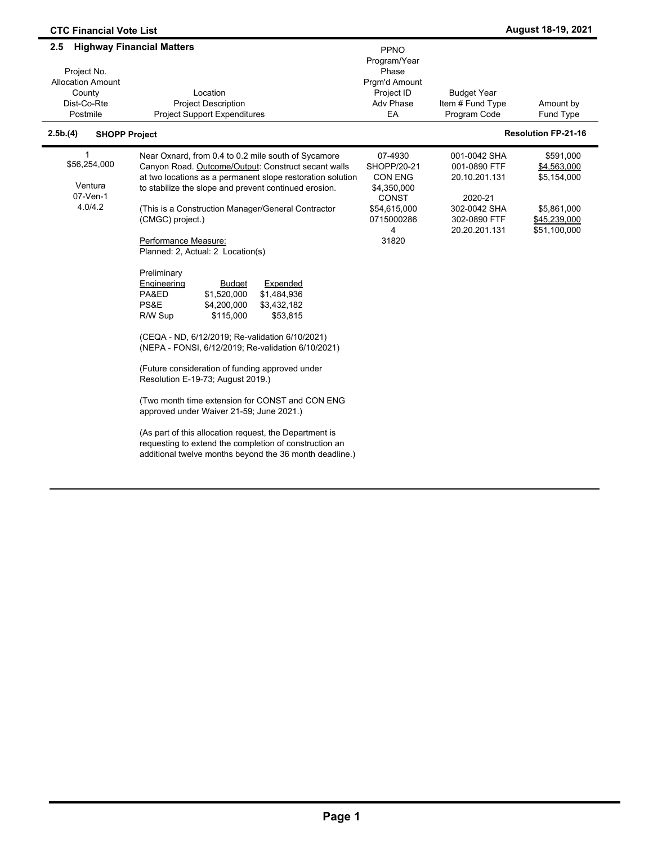| <b>CTC Financial Vote List</b>                                                      |                                                                                                                                                                                                                                                                                                                                                                                                                                                                                                                                                                                                                                                                                                                                                                                                                                                                                                                                                                                                                                     |                                                                                                              |                                                                                                           | August 18-19, 2021                                                                     |
|-------------------------------------------------------------------------------------|-------------------------------------------------------------------------------------------------------------------------------------------------------------------------------------------------------------------------------------------------------------------------------------------------------------------------------------------------------------------------------------------------------------------------------------------------------------------------------------------------------------------------------------------------------------------------------------------------------------------------------------------------------------------------------------------------------------------------------------------------------------------------------------------------------------------------------------------------------------------------------------------------------------------------------------------------------------------------------------------------------------------------------------|--------------------------------------------------------------------------------------------------------------|-----------------------------------------------------------------------------------------------------------|----------------------------------------------------------------------------------------|
| 2.5<br>Project No.<br><b>Allocation Amount</b><br>County<br>Dist-Co-Rte<br>Postmile | <b>Highway Financial Matters</b><br>Location<br><b>Project Description</b><br><b>Project Support Expenditures</b>                                                                                                                                                                                                                                                                                                                                                                                                                                                                                                                                                                                                                                                                                                                                                                                                                                                                                                                   | PPNO<br>Program/Year<br>Phase<br>Prgm'd Amount<br>Project ID<br><b>Adv Phase</b><br>EA                       | <b>Budget Year</b><br>Item # Fund Type<br>Program Code                                                    | Amount by<br>Fund Type                                                                 |
| 2.5b.(4)<br><b>SHOPP Project</b>                                                    |                                                                                                                                                                                                                                                                                                                                                                                                                                                                                                                                                                                                                                                                                                                                                                                                                                                                                                                                                                                                                                     |                                                                                                              |                                                                                                           | <b>Resolution FP-21-16</b>                                                             |
| 1<br>\$56,254,000<br>Ventura<br>07-Ven-1<br>4.0/4.2                                 | Near Oxnard, from 0.4 to 0.2 mile south of Sycamore<br>Canyon Road. Outcome/Output: Construct secant walls<br>at two locations as a permanent slope restoration solution<br>to stabilize the slope and prevent continued erosion.<br>(This is a Construction Manager/General Contractor<br>(CMGC) project.)<br>Performance Measure:<br>Planned: 2, Actual: 2 Location(s)<br>Preliminary<br><b>Budget</b><br>Expended<br>Engineering<br>\$1,484,936<br>PA&ED<br>\$1,520,000<br>PS&E<br>\$4,200,000<br>\$3,432,182<br>\$53,815<br>R/W Sup<br>\$115,000<br>(CEQA - ND, 6/12/2019; Re-validation 6/10/2021)<br>(NEPA - FONSI, 6/12/2019; Re-validation 6/10/2021)<br>(Future consideration of funding approved under<br>Resolution E-19-73; August 2019.)<br>(Two month time extension for CONST and CON ENG<br>approved under Waiver 21-59; June 2021.)<br>(As part of this allocation request, the Department is<br>requesting to extend the completion of construction an<br>additional twelve months beyond the 36 month deadline.) | 07-4930<br>SHOPP/20-21<br>CON ENG<br>\$4,350,000<br><b>CONST</b><br>\$54,615,000<br>0715000286<br>4<br>31820 | 001-0042 SHA<br>001-0890 FTF<br>20.10.201.131<br>2020-21<br>302-0042 SHA<br>302-0890 FTF<br>20.20.201.131 | \$591,000<br>\$4,563,000<br>\$5,154,000<br>\$5,861,000<br>\$45,239,000<br>\$51,100,000 |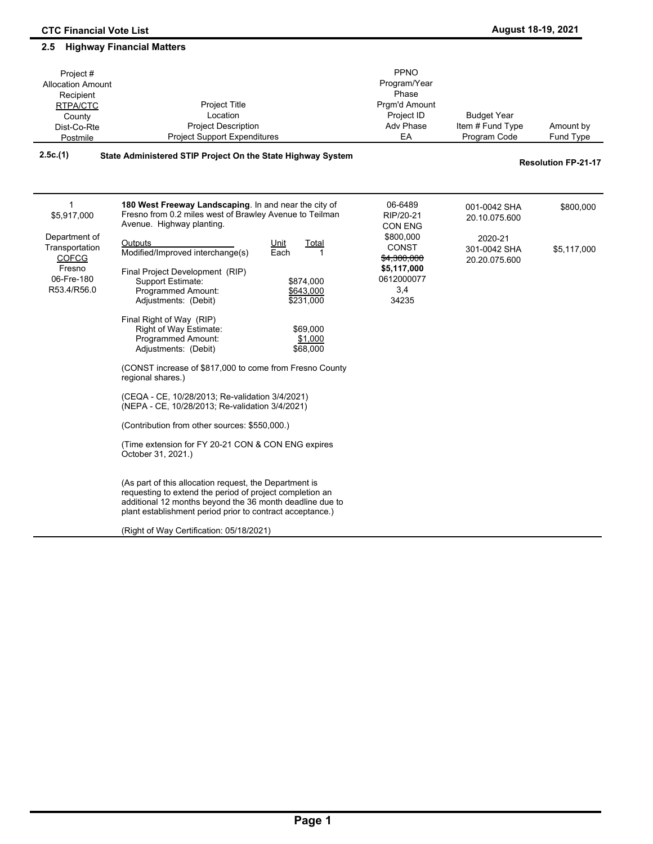| Project#<br><b>Allocation Amount</b><br>Recipient<br>RTPA/CTC<br>County<br>Dist-Co-Rte<br>Postmile | Project Title<br>Location<br><b>Project Description</b><br><b>Project Support Expenditures</b>                                                                                                                                              | PPNO<br>Program/Year<br>Phase<br>Pram'd Amount<br>Project ID<br><b>Adv Phase</b><br>EA | <b>Budget Year</b><br>Item # Fund Type<br>Program Code   | Amount by<br>Fund Type     |
|----------------------------------------------------------------------------------------------------|---------------------------------------------------------------------------------------------------------------------------------------------------------------------------------------------------------------------------------------------|----------------------------------------------------------------------------------------|----------------------------------------------------------|----------------------------|
| 2.5c.(1)                                                                                           | State Administered STIP Project On the State Highway System                                                                                                                                                                                 |                                                                                        |                                                          | <b>Resolution FP-21-17</b> |
| $\mathbf{1}$<br>\$5,917,000<br>Department of<br>Transportation                                     | 180 West Freeway Landscaping. In and near the city of<br>Fresno from 0.2 miles west of Brawley Avenue to Teilman<br>Avenue. Highway planting.<br>Outputs<br>Unit<br><b>Total</b>                                                            | 06-6489<br>RIP/20-21<br><b>CON ENG</b><br>\$800,000<br><b>CONST</b>                    | 001-0042 SHA<br>20.10.075.600<br>2020-21<br>301-0042 SHA | \$800,000<br>\$5,117,000   |
| <b>COFCG</b><br>Fresno<br>06-Fre-180<br>R53.4/R56.0                                                | Modified/Improved interchange(s)<br>Each<br>1<br>Final Project Development (RIP)<br>Support Estimate:<br>\$874,000<br>Programmed Amount:<br>\$643,000<br>Adjustments: (Debit)<br>\$231,000                                                  | \$4,300,000<br>\$5,117,000<br>0612000077<br>3,4<br>34235                               | 20.20.075.600                                            |                            |
|                                                                                                    | Final Right of Way (RIP)<br>Right of Way Estimate:<br>\$69,000<br><b>Programmed Amount:</b><br>\$1,000<br>Adjustments: (Debit)<br>\$68,000                                                                                                  |                                                                                        |                                                          |                            |
|                                                                                                    | (CONST increase of \$817,000 to come from Fresno County<br>regional shares.)                                                                                                                                                                |                                                                                        |                                                          |                            |
|                                                                                                    | (CEQA - CE, 10/28/2013; Re-validation 3/4/2021)<br>(NEPA - CE, 10/28/2013; Re-validation 3/4/2021)                                                                                                                                          |                                                                                        |                                                          |                            |
|                                                                                                    | (Contribution from other sources: \$550,000.)                                                                                                                                                                                               |                                                                                        |                                                          |                            |
|                                                                                                    | (Time extension for FY 20-21 CON & CON ENG expires<br>October 31, 2021.)                                                                                                                                                                    |                                                                                        |                                                          |                            |
|                                                                                                    | (As part of this allocation request, the Department is<br>requesting to extend the period of project completion an<br>additional 12 months beyond the 36 month deadline due to<br>plant establishment period prior to contract acceptance.) |                                                                                        |                                                          |                            |

(Right of Way Certification: 05/18/2021)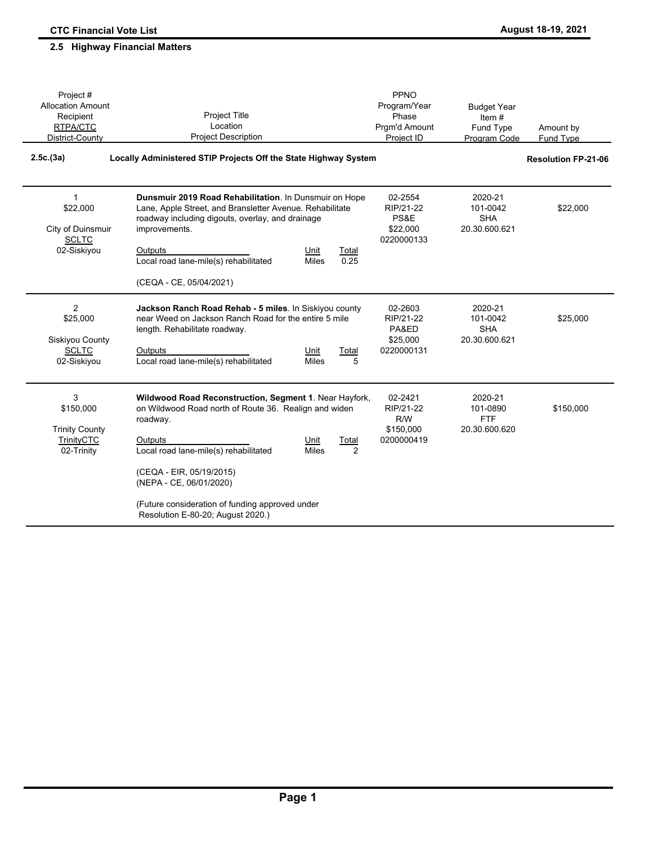| Project#<br><b>Allocation Amount</b><br>Recipient<br>RTPA/CTC<br>District-County | <b>Project Title</b><br>Location<br><b>Project Description</b>                                                                                                                                                                                                                                                                                                              | PPNO<br>Program/Year<br>Phase<br>Prgm'd Amount<br>Project ID | <b>Budget Year</b><br>Item $#$<br>Fund Type<br>Program Code | Amount by<br>Fund Type     |
|----------------------------------------------------------------------------------|-----------------------------------------------------------------------------------------------------------------------------------------------------------------------------------------------------------------------------------------------------------------------------------------------------------------------------------------------------------------------------|--------------------------------------------------------------|-------------------------------------------------------------|----------------------------|
| 2.5c.(3a)                                                                        | Locally Administered STIP Projects Off the State Highway System                                                                                                                                                                                                                                                                                                             |                                                              |                                                             | <b>Resolution FP-21-06</b> |
| $\mathbf{1}$<br>\$22,000<br>City of Duinsmuir<br><b>SCLTC</b><br>02-Siskiyou     | Dunsmuir 2019 Road Rehabilitation. In Dunsmuir on Hope<br>Lane, Apple Street, and Bransletter Avenue. Rehabilitate<br>roadway including digouts, overlay, and drainage<br>improvements.<br>Outputs<br>Unit<br>Total<br>Local road lane-mile(s) rehabilitated<br>0.25<br><b>Miles</b><br>(CEQA - CE, 05/04/2021)                                                             | 02-2554<br>RIP/21-22<br>PS&E<br>\$22,000<br>0220000133       | 2020-21<br>101-0042<br><b>SHA</b><br>20.30.600.621          | \$22,000                   |
| 2<br>\$25,000<br>Siskiyou County<br><b>SCLTC</b><br>02-Siskiyou                  | Jackson Ranch Road Rehab - 5 miles. In Siskiyou county<br>near Weed on Jackson Ranch Road for the entire 5 mile<br>length. Rehabilitate roadway.<br>Outputs<br>Unit<br>Total<br>Local road lane-mile(s) rehabilitated<br><b>Miles</b><br>5                                                                                                                                  | 02-2603<br>RIP/21-22<br>PA&ED<br>\$25,000<br>0220000131      | 2020-21<br>101-0042<br><b>SHA</b><br>20.30.600.621          | \$25,000                   |
| 3<br>\$150,000<br><b>Trinity County</b><br><b>TrinityCTC</b><br>02-Trinity       | Wildwood Road Reconstruction, Segment 1. Near Hayfork,<br>on Wildwood Road north of Route 36. Realign and widen<br>roadway.<br>Outputs<br>Unit<br><b>Total</b><br>Local road lane-mile(s) rehabilitated<br><b>Miles</b><br>2<br>(CEQA - EIR, 05/19/2015)<br>(NEPA - CE, 06/01/2020)<br>(Future consideration of funding approved under<br>Resolution E-80-20; August 2020.) | 02-2421<br>RIP/21-22<br>R/W<br>\$150,000<br>0200000419       | 2020-21<br>101-0890<br><b>FTF</b><br>20.30.600.620          | \$150,000                  |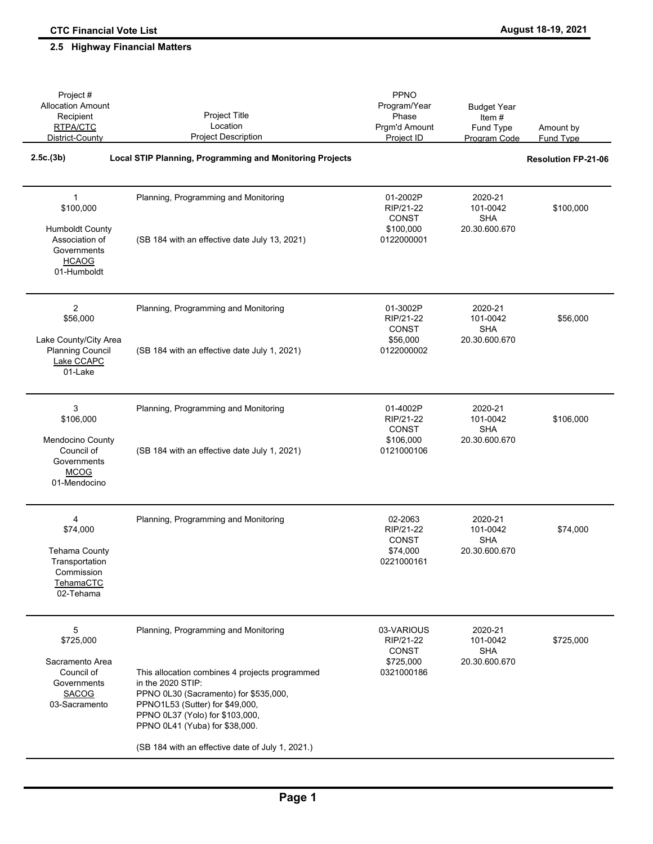| Project #<br><b>Allocation Amount</b><br>Recipient<br>RTPA/CTC<br>District-County                        | Project Title<br>Location<br><b>Project Description</b>                                                                                                                                                                                                                                                          | PPNO<br>Program/Year<br>Phase<br>Prgm'd Amount<br>Project ID    | <b>Budget Year</b><br>Item $#$<br>Fund Type<br>Program Code | Amount by<br>Fund Type     |
|----------------------------------------------------------------------------------------------------------|------------------------------------------------------------------------------------------------------------------------------------------------------------------------------------------------------------------------------------------------------------------------------------------------------------------|-----------------------------------------------------------------|-------------------------------------------------------------|----------------------------|
| 2.5c.(3b)                                                                                                | <b>Local STIP Planning, Programming and Monitoring Projects</b>                                                                                                                                                                                                                                                  |                                                                 |                                                             | <b>Resolution FP-21-06</b> |
| 1<br>\$100,000<br><b>Humboldt County</b><br>Association of<br>Governments<br><b>HCAOG</b><br>01-Humboldt | Planning, Programming and Monitoring<br>(SB 184 with an effective date July 13, 2021)                                                                                                                                                                                                                            | 01-2002P<br>RIP/21-22<br>CONST<br>\$100,000<br>0122000001       | 2020-21<br>101-0042<br><b>SHA</b><br>20.30.600.670          | \$100,000                  |
| 2<br>\$56,000<br>Lake County/City Area<br><b>Planning Council</b><br>Lake CCAPC<br>01-Lake               | Planning, Programming and Monitoring<br>(SB 184 with an effective date July 1, 2021)                                                                                                                                                                                                                             | 01-3002P<br>RIP/21-22<br><b>CONST</b><br>\$56,000<br>0122000002 | 2020-21<br>101-0042<br><b>SHA</b><br>20.30.600.670          | \$56,000                   |
| 3<br>\$106,000<br>Mendocino County<br>Council of<br>Governments<br><b>MCOG</b><br>01-Mendocino           | Planning, Programming and Monitoring<br>(SB 184 with an effective date July 1, 2021)                                                                                                                                                                                                                             | 01-4002P<br>RIP/21-22<br>CONST<br>\$106,000<br>0121000106       | 2020-21<br>101-0042<br><b>SHA</b><br>20.30.600.670          | \$106,000                  |
| 4<br>\$74,000<br><b>Tehama County</b><br>Transportation<br>Commission<br>TehamaCTC<br>02-Tehama          | Planning, Programming and Monitoring                                                                                                                                                                                                                                                                             | 02-2063<br>RIP/21-22<br>CONST<br>\$74,000<br>0221000161         | 2020-21<br>101-0042<br><b>SHA</b><br>20.30.600.670          | \$74,000                   |
| 5<br>\$725,000<br>Sacramento Area<br>Council of<br>Governments<br><b>SACOG</b><br>03-Sacramento          | Planning, Programming and Monitoring<br>This allocation combines 4 projects programmed<br>in the 2020 STIP:<br>PPNO 0L30 (Sacramento) for \$535,000,<br>PPNO1L53 (Sutter) for \$49,000,<br>PPNO 0L37 (Yolo) for \$103,000,<br>PPNO 0L41 (Yuba) for \$38,000.<br>(SB 184 with an effective date of July 1, 2021.) | 03-VARIOUS<br>RIP/21-22<br>CONST<br>\$725,000<br>0321000186     | 2020-21<br>101-0042<br><b>SHA</b><br>20.30.600.670          | \$725,000                  |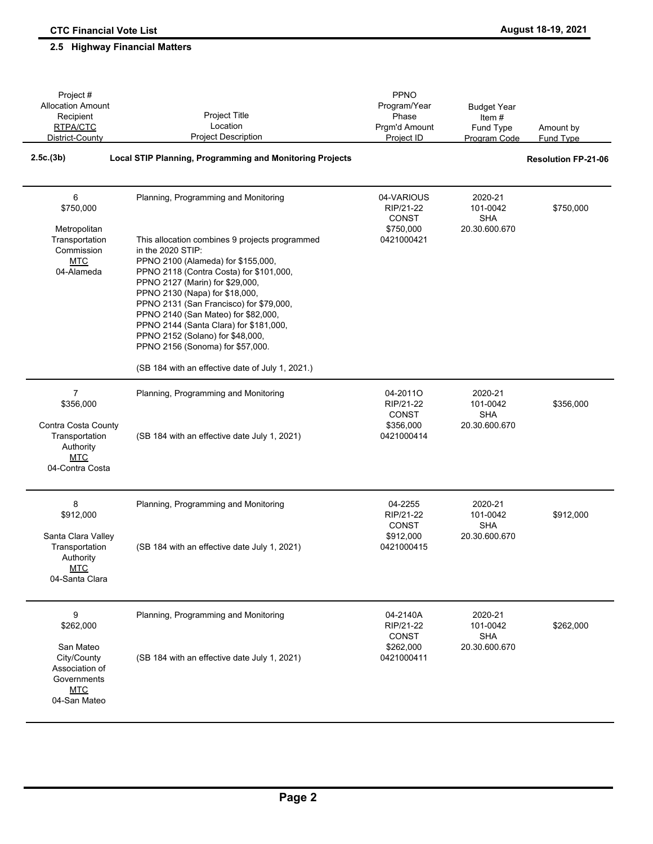#### Amount by Fund Type Project # Allocation Amount Recipient RTPA/CTC District-County Project Title Location Project Description PPNO Program/Year Phase Prgm'd Amount Project ID Budget Year Item # Fund Type Program Code **2.5c.(3b) Local STIP Planning, Programming and Monitoring Projects Resolution FP-21-06** Planning, Programming and Monitoring This allocation combines 9 projects programmed in the 2020 STIP: PPNO 2100 (Alameda) for \$155,000, PPNO 2118 (Contra Costa) for \$101,000, PPNO 2127 (Marin) for \$29,000, PPNO 2130 (Napa) for \$18,000, PPNO 2131 (San Francisco) for \$79,000, PPNO 2140 (San Mateo) for \$82,000, PPNO 2144 (Santa Clara) for \$181,000, PPNO 2152 (Solano) for \$48,000, PPNO 2156 (Sonoma) for \$57,000. (SB 184 with an effective date of July 1, 2021.) 04-VARIOUS RIP/21-22 CONST \$750,000 0421000421 2020-21 101-0042 \$750,000 SHA 20.30.600.670 \$750,000 Metropolitan **Transportation** Commission **MTC** 04-Alameda 6 Planning, Programming and Monitoring (SB 184 with an effective date July 1, 2021) 04-2011O RIP/21-22 CONST \$356,000 0421000414 2020-21 101-0042 \$356,000 SHA 20.30.600.670 \$356,000 Contra Costa County **Transportation** Authority MTC 04-Contra Costa 7 Planning, Programming and Monitoring (SB 184 with an effective date July 1, 2021) 04-2255 RIP/21-22 CONST \$912,000 0421000415 2020-21 \$912,000 SHA 20.30.600.670 \$912,000 Santa Clara Valley **Transportation** Authority **MTC** 04-Santa Clara 8 Planning, Programming and Monitoring (SB 184 with an effective date July 1, 2021) 04-2140A RIP/21-22 **CONST** \$262,000 0421000411 2020-21 101-0042 \$262,000 SHA 20.30.600.670 \$262,000 San Mateo City/County Association of Governments MTC 04-San Mateo  $\alpha$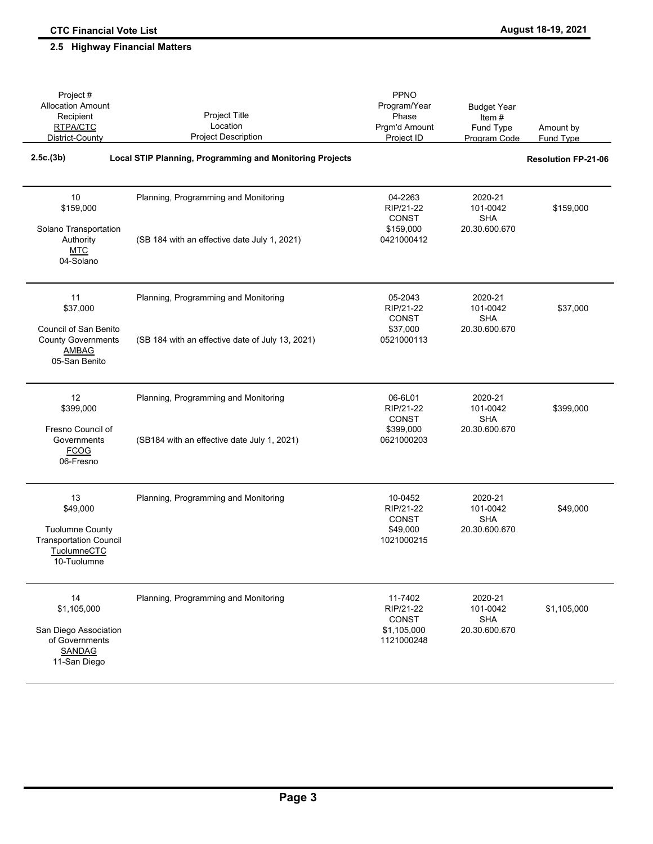| Project #<br><b>Allocation Amount</b><br>Recipient<br>RTPA/CTC<br>District-County                            | <b>Project Title</b><br>Location<br><b>Project Description</b>                           | <b>PPNO</b><br>Program/Year<br>Phase<br>Prgm'd Amount<br>Project ID | <b>Budget Year</b><br>Item#<br>Fund Type<br>Program Code | Amount by<br><b>Fund Type</b> |
|--------------------------------------------------------------------------------------------------------------|------------------------------------------------------------------------------------------|---------------------------------------------------------------------|----------------------------------------------------------|-------------------------------|
| 2.5c.(3b)                                                                                                    | <b>Local STIP Planning, Programming and Monitoring Projects</b>                          |                                                                     |                                                          | <b>Resolution FP-21-06</b>    |
| 10<br>\$159,000<br>Solano Transportation<br>Authority<br><b>MTC</b><br>04-Solano                             | Planning, Programming and Monitoring<br>(SB 184 with an effective date July 1, 2021)     | 04-2263<br>RIP/21-22<br>CONST<br>\$159,000<br>0421000412            | 2020-21<br>101-0042<br><b>SHA</b><br>20.30.600.670       | \$159,000                     |
| 11<br>\$37,000<br><b>Council of San Benito</b><br><b>County Governments</b><br><b>AMBAG</b><br>05-San Benito | Planning, Programming and Monitoring<br>(SB 184 with an effective date of July 13, 2021) | 05-2043<br>RIP/21-22<br><b>CONST</b><br>\$37,000<br>0521000113      | 2020-21<br>101-0042<br><b>SHA</b><br>20.30.600.670       | \$37,000                      |
| 12<br>\$399,000<br>Fresno Council of<br>Governments<br><b>FCOG</b><br>06-Fresno                              | Planning, Programming and Monitoring<br>(SB184 with an effective date July 1, 2021)      | 06-6L01<br>RIP/21-22<br>CONST<br>\$399,000<br>0621000203            | 2020-21<br>101-0042<br><b>SHA</b><br>20.30.600.670       | \$399,000                     |
| 13<br>\$49,000<br><b>Tuolumne County</b><br><b>Transportation Council</b><br>TuolumneCTC<br>10-Tuolumne      | Planning, Programming and Monitoring                                                     | 10-0452<br>RIP/21-22<br>CONST<br>\$49,000<br>1021000215             | 2020-21<br>101-0042<br><b>SHA</b><br>20.30.600.670       | \$49,000                      |
| 14<br>\$1,105,000<br>San Diego Association<br>of Governments<br><b>SANDAG</b><br>11-San Diego                | Planning, Programming and Monitoring                                                     | 11-7402<br>RIP/21-22<br><b>CONST</b><br>\$1,105,000<br>1121000248   | 2020-21<br>101-0042<br><b>SHA</b><br>20.30.600.670       | \$1,105,000                   |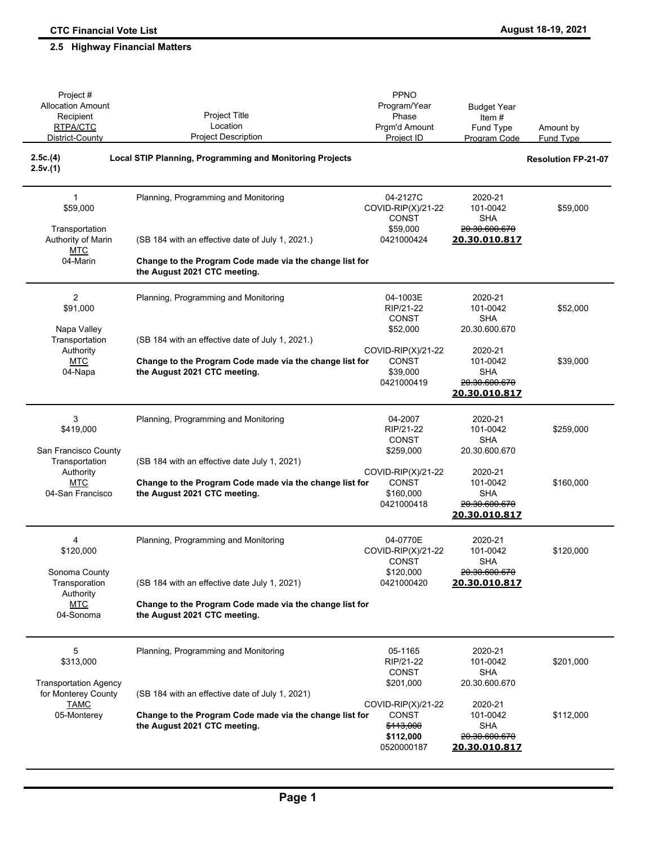| Project#<br><b>Allocation Amount</b><br>Recipient<br>RTPA/CTC<br>District-County | Project Title<br>Location<br><b>Project Description</b>                                 | PPNO<br>Program/Year<br>Phase<br>Prgm'd Amount<br>Project ID        | <b>Budget Year</b><br>Item $#$<br>Fund Type<br>Program Code                           | Amount by<br><b>Fund Type</b> |
|----------------------------------------------------------------------------------|-----------------------------------------------------------------------------------------|---------------------------------------------------------------------|---------------------------------------------------------------------------------------|-------------------------------|
| 2.5c.(4)<br>2.5v.(1)                                                             | <b>Local STIP Planning, Programming and Monitoring Projects</b>                         |                                                                     |                                                                                       | <b>Resolution FP-21-07</b>    |
| $\mathbf{1}$<br>\$59,000                                                         | Planning, Programming and Monitoring                                                    | 04-2127C<br>COVID-RIP(X)/21-22<br>CONST                             | 2020-21<br>101-0042<br><b>SHA</b>                                                     | \$59,000                      |
| Transportation<br>Authority of Marin<br><b>MTC</b>                               | (SB 184 with an effective date of July 1, 2021.)                                        | \$59,000<br>0421000424                                              | 20.30.600.670<br>20.30.010.817                                                        |                               |
| 04-Marin                                                                         | Change to the Program Code made via the change list for<br>the August 2021 CTC meeting. |                                                                     |                                                                                       |                               |
| 2<br>\$91,000<br>Napa Valley                                                     | Planning, Programming and Monitoring                                                    | 04-1003E<br>RIP/21-22<br><b>CONST</b><br>\$52,000                   | 2020-21<br>101-0042<br><b>SHA</b><br>20.30.600.670                                    | \$52,000                      |
| Transportation<br>Authority                                                      | (SB 184 with an effective date of July 1, 2021.)                                        | COVID-RIP(X)/21-22                                                  | 2020-21                                                                               |                               |
| <b>MTC</b><br>04-Napa                                                            | Change to the Program Code made via the change list for<br>the August 2021 CTC meeting. | CONST<br>\$39,000<br>0421000419                                     | 101-0042<br><b>SHA</b><br>20.30.600.670<br>20.30.010.817                              | \$39,000                      |
| 3<br>\$419,000<br>San Francisco County                                           | Planning, Programming and Monitoring                                                    | 04-2007<br>RIP/21-22<br>CONST<br>\$259,000                          | 2020-21<br>101-0042<br><b>SHA</b><br>20.30.600.670                                    | \$259,000                     |
| Transportation<br>Authority                                                      | (SB 184 with an effective date July 1, 2021)                                            | COVID-RIP(X)/21-22                                                  | 2020-21                                                                               |                               |
| <b>MTC</b><br>04-San Francisco                                                   | Change to the Program Code made via the change list for<br>the August 2021 CTC meeting. | CONST<br>\$160,000<br>0421000418                                    | 101-0042<br><b>SHA</b><br>20.30.600.670<br>20.30.010.817                              | \$160,000                     |
| 4<br>\$120,000                                                                   | Planning, Programming and Monitoring                                                    | 04-0770E<br>COVID-RIP(X)/21-22<br><b>CONST</b>                      | 2020-21<br>101-0042<br><b>SHA</b>                                                     | \$120,000                     |
| Sonoma County<br>Transporation<br>Authority                                      | (SB 184 with an effective date July 1, 2021)                                            | \$120,000<br>0421000420                                             | <del>20.30.600.670</del><br>20.30.010.817                                             |                               |
| <b>MTC</b><br>04-Sonoma                                                          | Change to the Program Code made via the change list for<br>the August 2021 CTC meeting. |                                                                     |                                                                                       |                               |
| 5<br>\$313,000                                                                   | Planning, Programming and Monitoring                                                    | 05-1165<br>RIP/21-22<br><b>CONST</b>                                | 2020-21<br>101-0042<br>SHA                                                            | \$201,000                     |
| <b>Transportation Agency</b><br>for Monterey County                              | (SB 184 with an effective date of July 1, 2021)                                         | \$201,000                                                           | 20.30.600.670                                                                         |                               |
| <b>TAMC</b><br>05-Monterey                                                       | Change to the Program Code made via the change list for<br>the August 2021 CTC meeting. | COVID-RIP(X)/21-22<br>CONST<br>\$113,000<br>\$112,000<br>0520000187 | 2020-21<br>101-0042<br><b>SHA</b><br><del>20.30.600.670</del><br><u>20.30.010.817</u> | \$112,000                     |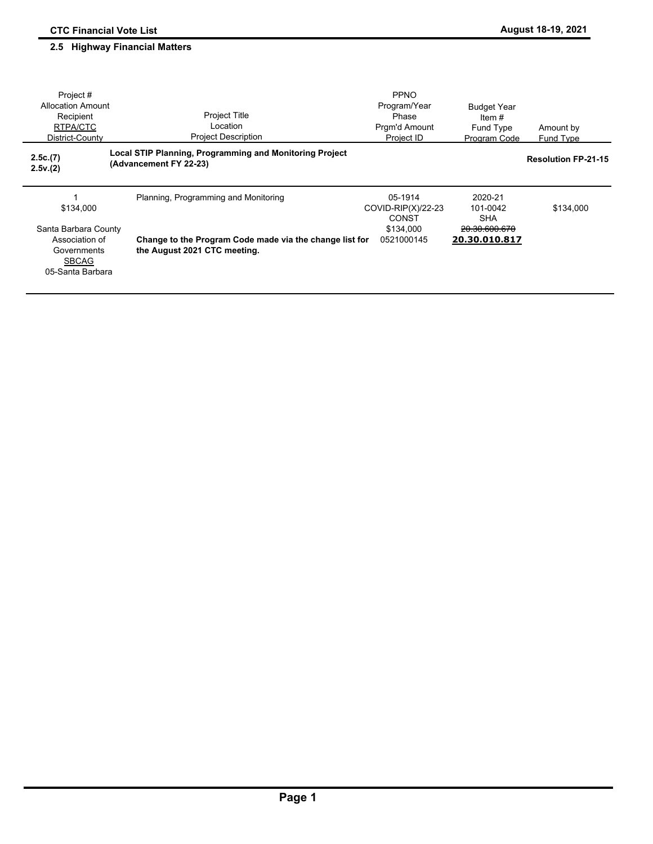| Project#<br><b>Allocation Amount</b><br>Recipient<br>RTPA/CTC<br>District-County                       | <b>Project Title</b><br>Location<br><b>Project Description</b>                                                                  | <b>PPNO</b><br>Program/Year<br>Phase<br>Prgm'd Amount<br>Project ID  | <b>Budget Year</b><br>Item $#$<br>Fund Type<br>Program Code         | Amount by<br>Fund Type     |
|--------------------------------------------------------------------------------------------------------|---------------------------------------------------------------------------------------------------------------------------------|----------------------------------------------------------------------|---------------------------------------------------------------------|----------------------------|
| 2.5c.(7)<br>2.5v.(2)                                                                                   | <b>Local STIP Planning, Programming and Monitoring Project</b><br>(Advancement FY 22-23)                                        |                                                                      |                                                                     | <b>Resolution FP-21-15</b> |
| \$134,000<br>Santa Barbara County<br>Association of<br>Governments<br><b>SBCAG</b><br>05-Santa Barbara | Planning, Programming and Monitoring<br>Change to the Program Code made via the change list for<br>the August 2021 CTC meeting. | 05-1914<br>COVID-RIP $(X)/22-23$<br>CONST<br>\$134,000<br>0521000145 | 2020-21<br>101-0042<br><b>SHA</b><br>20.30.600.670<br>20.30.010.817 | \$134,000                  |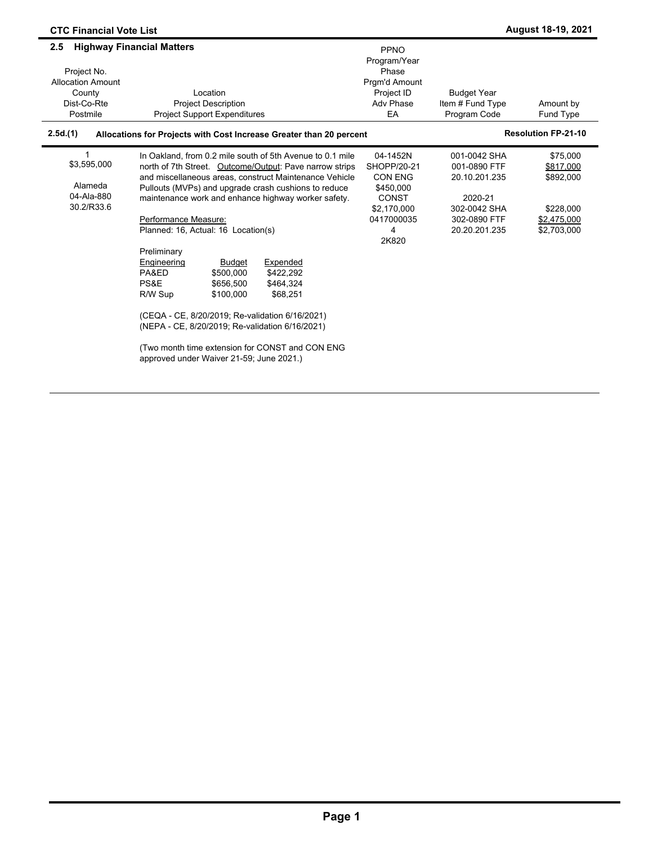| <b>CTC Financial Vote List</b>                                                      |                                                                                                                                                                                                                                                                                                                                                                                                                                                                                                                                                                                                                                                                                                                                       |                                                                                                                   |                                                                                                           | <b>August 18-19, 2021</b>                                                     |
|-------------------------------------------------------------------------------------|---------------------------------------------------------------------------------------------------------------------------------------------------------------------------------------------------------------------------------------------------------------------------------------------------------------------------------------------------------------------------------------------------------------------------------------------------------------------------------------------------------------------------------------------------------------------------------------------------------------------------------------------------------------------------------------------------------------------------------------|-------------------------------------------------------------------------------------------------------------------|-----------------------------------------------------------------------------------------------------------|-------------------------------------------------------------------------------|
| 2.5<br>Project No.<br><b>Allocation Amount</b><br>County<br>Dist-Co-Rte<br>Postmile | <b>Highway Financial Matters</b><br>Location<br><b>Project Description</b><br><b>Project Support Expenditures</b>                                                                                                                                                                                                                                                                                                                                                                                                                                                                                                                                                                                                                     | PPNO<br>Program/Year<br>Phase<br>Pram'd Amount<br>Project ID<br>Adv Phase<br>EA                                   | <b>Budget Year</b><br>Item # Fund Type<br>Program Code                                                    | Amount by<br>Fund Type                                                        |
| 2.5d.(1)                                                                            | Allocations for Projects with Cost Increase Greater than 20 percent                                                                                                                                                                                                                                                                                                                                                                                                                                                                                                                                                                                                                                                                   |                                                                                                                   |                                                                                                           | <b>Resolution FP-21-10</b>                                                    |
| 1<br>\$3,595,000<br>Alameda<br>04-Ala-880<br>30.2/R33.6                             | In Oakland, from 0.2 mile south of 5th Avenue to 0.1 mile<br>north of 7th Street. Outcome/Output: Pave narrow strips<br>and miscellaneous areas, construct Maintenance Vehicle<br>Pullouts (MVPs) and upgrade crash cushions to reduce<br>maintenance work and enhance highway worker safety.<br>Performance Measure:<br>Planned: 16, Actual: 16 Location(s)<br>Preliminary<br>Expended<br>Engineering<br><b>Budget</b><br>PA&ED<br>\$500.000<br>\$422.292<br>PS&E<br>\$464,324<br>\$656,500<br>R/W Sup<br>\$100.000<br>\$68,251<br>(CEQA - CE, 8/20/2019; Re-validation 6/16/2021)<br>(NEPA - CE, 8/20/2019; Re-validation 6/16/2021)<br>(Two month time extension for CONST and CON ENG<br>approved under Waiver 21-59; June 2021.) | 04-1452N<br>SHOPP/20-21<br><b>CON ENG</b><br>\$450,000<br><b>CONST</b><br>\$2.170.000<br>0417000035<br>4<br>2K820 | 001-0042 SHA<br>001-0890 FTF<br>20.10.201.235<br>2020-21<br>302-0042 SHA<br>302-0890 FTF<br>20.20.201.235 | \$75,000<br>\$817,000<br>\$892,000<br>\$228.000<br>\$2,475,000<br>\$2,703,000 |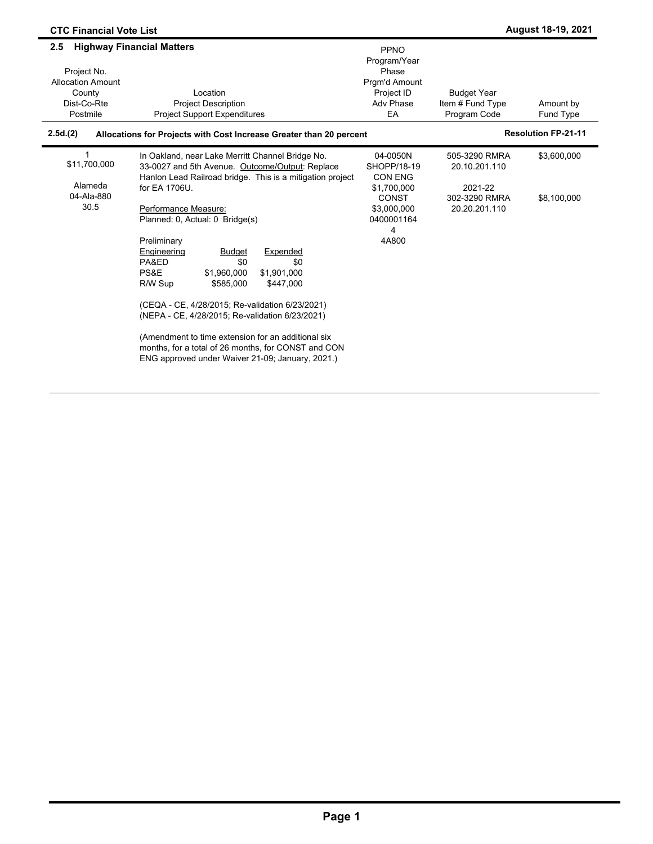| <b>CTC Financial Vote List</b>                                                      |                                                                                                                                                                                                                                                                                                                                                                                                                                                                                                                                                                                                                                                                                  |                                                                                                                     |                                                                             | <b>August 18-19, 2021</b>  |
|-------------------------------------------------------------------------------------|----------------------------------------------------------------------------------------------------------------------------------------------------------------------------------------------------------------------------------------------------------------------------------------------------------------------------------------------------------------------------------------------------------------------------------------------------------------------------------------------------------------------------------------------------------------------------------------------------------------------------------------------------------------------------------|---------------------------------------------------------------------------------------------------------------------|-----------------------------------------------------------------------------|----------------------------|
| 2.5<br>Project No.<br><b>Allocation Amount</b><br>County<br>Dist-Co-Rte<br>Postmile | <b>Highway Financial Matters</b><br>Location<br><b>Project Description</b><br><b>Project Support Expenditures</b>                                                                                                                                                                                                                                                                                                                                                                                                                                                                                                                                                                | <b>PPNO</b><br>Program/Year<br>Phase<br>Pram'd Amount<br>Project ID<br>Adv Phase<br>EA                              | <b>Budget Year</b><br>Item # Fund Type<br>Program Code                      | Amount by<br>Fund Type     |
| 2.5d(2)                                                                             | Allocations for Projects with Cost Increase Greater than 20 percent                                                                                                                                                                                                                                                                                                                                                                                                                                                                                                                                                                                                              |                                                                                                                     |                                                                             | <b>Resolution FP-21-11</b> |
| 1<br>\$11,700,000<br>Alameda<br>04-Ala-880<br>30.5                                  | In Oakland, near Lake Merritt Channel Bridge No.<br>33-0027 and 5th Avenue. Outcome/Output: Replace<br>Hanlon Lead Railroad bridge. This is a mitigation project<br>for EA 1706U.<br>Performance Measure:<br>Planned: 0, Actual: 0 Bridge(s)<br>Preliminary<br>Engineering<br><b>Budget</b><br>Expended<br>\$0<br>PA&ED<br>\$0<br>PS&E<br>\$1,960,000<br>\$1.901.000<br>\$447,000<br>R/W Sup<br>\$585.000<br>(CEQA - CE, 4/28/2015; Re-validation 6/23/2021)<br>(NEPA - CE, 4/28/2015; Re-validation 6/23/2021)<br>(Amendment to time extension for an additional six<br>months, for a total of 26 months, for CONST and CON<br>ENG approved under Waiver 21-09; January, 2021.) | 04-0050N<br>SHOPP/18-19<br><b>CON ENG</b><br>\$1,700,000<br><b>CONST</b><br>\$3,000,000<br>0400001164<br>4<br>4A800 | 505-3290 RMRA<br>20.10.201.110<br>2021-22<br>302-3290 RMRA<br>20.20.201.110 | \$3,600,000<br>\$8,100,000 |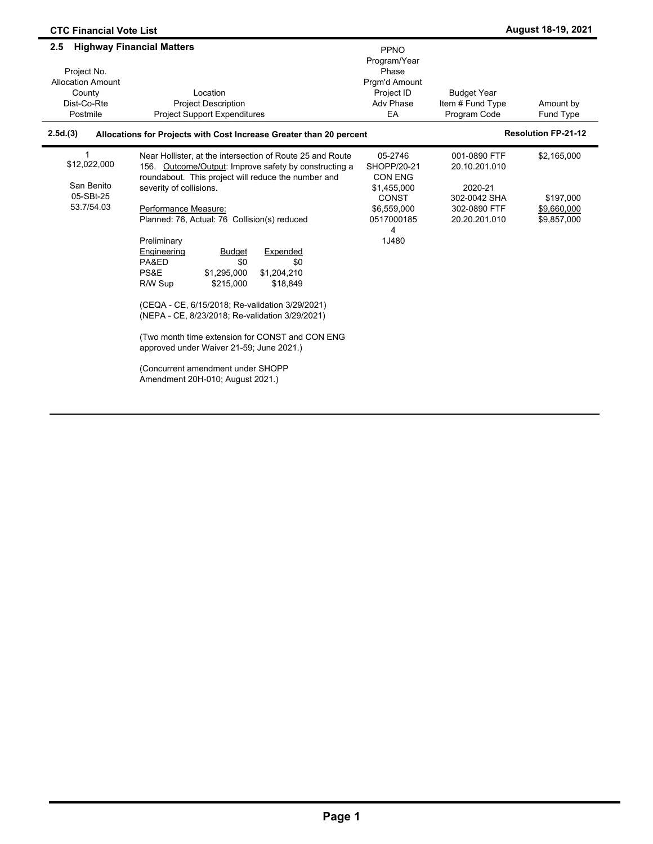| <b>CTC Financial Vote List</b>                                                      |                                                                                                                                                                                                                                                                                                                                                                                                                                                                                                                                                                                                                                                                                                                        |                                                                                                                    |                                                                                           | August 18-19, 2021                                     |
|-------------------------------------------------------------------------------------|------------------------------------------------------------------------------------------------------------------------------------------------------------------------------------------------------------------------------------------------------------------------------------------------------------------------------------------------------------------------------------------------------------------------------------------------------------------------------------------------------------------------------------------------------------------------------------------------------------------------------------------------------------------------------------------------------------------------|--------------------------------------------------------------------------------------------------------------------|-------------------------------------------------------------------------------------------|--------------------------------------------------------|
| 2.5<br>Project No.<br><b>Allocation Amount</b><br>County<br>Dist-Co-Rte<br>Postmile | <b>Highway Financial Matters</b><br>Location<br><b>Project Description</b><br><b>Project Support Expenditures</b>                                                                                                                                                                                                                                                                                                                                                                                                                                                                                                                                                                                                      | PPNO<br>Program/Year<br>Phase<br>Prgm'd Amount<br>Project ID<br>Adv Phase<br>EA                                    | <b>Budget Year</b><br>Item # Fund Type<br>Program Code                                    | Amount by<br>Fund Type                                 |
| 2.5d.(3)                                                                            | Allocations for Projects with Cost Increase Greater than 20 percent                                                                                                                                                                                                                                                                                                                                                                                                                                                                                                                                                                                                                                                    |                                                                                                                    |                                                                                           | <b>Resolution FP-21-12</b>                             |
| 1<br>\$12,022,000<br>San Benito<br>05-SBt-25<br>53.7/54.03                          | Near Hollister, at the intersection of Route 25 and Route<br>156. Outcome/Output: Improve safety by constructing a<br>roundabout. This project will reduce the number and<br>severity of collisions.<br>Performance Measure:<br>Planned: 76, Actual: 76 Collision(s) reduced<br>Preliminary<br>Expended<br>Engineering<br><b>Budget</b><br>\$0<br>\$0<br>PA&ED<br>PS&E<br>\$1,295,000<br>\$1,204,210<br>R/W Sup<br>\$215,000<br>\$18,849<br>(CEQA - CE, 6/15/2018; Re-validation 3/29/2021)<br>(NEPA - CE, 8/23/2018; Re-validation 3/29/2021)<br>(Two month time extension for CONST and CON ENG<br>approved under Waiver 21-59; June 2021.)<br>(Concurrent amendment under SHOPP<br>Amendment 20H-010; August 2021.) | 05-2746<br>SHOPP/20-21<br><b>CON ENG</b><br>\$1,455,000<br><b>CONST</b><br>\$6,559,000<br>0517000185<br>4<br>1J480 | 001-0890 FTF<br>20.10.201.010<br>2020-21<br>302-0042 SHA<br>302-0890 FTF<br>20.20.201.010 | \$2,165,000<br>\$197,000<br>\$9,660,000<br>\$9,857,000 |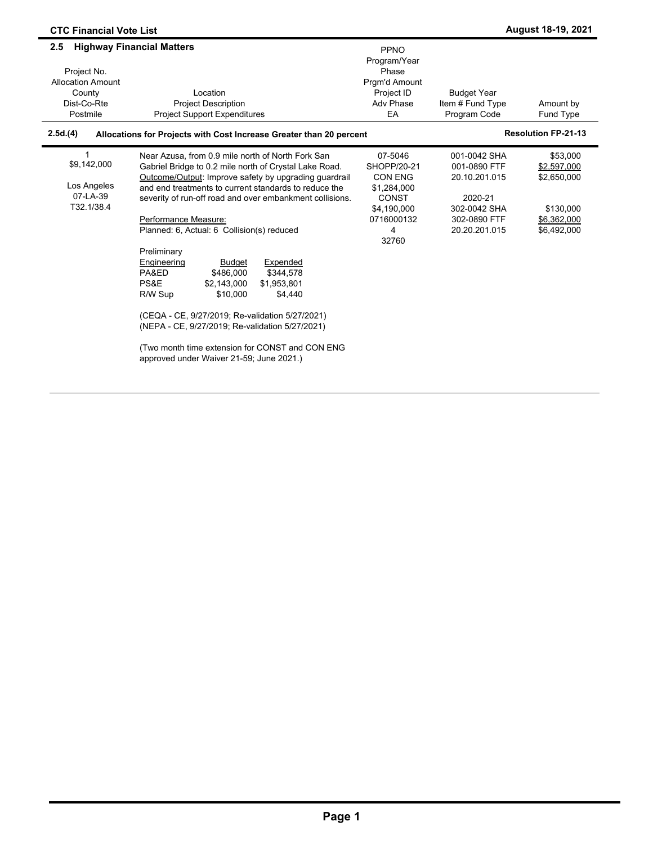| <b>CTC Financial Vote List</b>                                                      |                                                                                                                                                                                                                                                                                                                                                                                                                                                                                                                                                                                                                                                                                                                                            |                                                                                                                    |                                                                                                           | August 18-19, 2021                                                                |
|-------------------------------------------------------------------------------------|--------------------------------------------------------------------------------------------------------------------------------------------------------------------------------------------------------------------------------------------------------------------------------------------------------------------------------------------------------------------------------------------------------------------------------------------------------------------------------------------------------------------------------------------------------------------------------------------------------------------------------------------------------------------------------------------------------------------------------------------|--------------------------------------------------------------------------------------------------------------------|-----------------------------------------------------------------------------------------------------------|-----------------------------------------------------------------------------------|
| 2.5<br>Project No.<br><b>Allocation Amount</b><br>County<br>Dist-Co-Rte<br>Postmile | <b>Highway Financial Matters</b><br>Location<br><b>Project Description</b><br><b>Project Support Expenditures</b>                                                                                                                                                                                                                                                                                                                                                                                                                                                                                                                                                                                                                          | <b>PPNO</b><br>Program/Year<br>Phase<br>Pram'd Amount<br>Project ID<br>Adv Phase<br>EA                             | <b>Budget Year</b><br>Item # Fund Type<br>Program Code                                                    | Amount by<br>Fund Type                                                            |
| 2.5d.(4)                                                                            | Allocations for Projects with Cost Increase Greater than 20 percent                                                                                                                                                                                                                                                                                                                                                                                                                                                                                                                                                                                                                                                                        |                                                                                                                    |                                                                                                           | <b>Resolution FP-21-13</b>                                                        |
| 1<br>\$9,142,000<br>Los Angeles<br>07-LA-39<br>T32.1/38.4                           | Near Azusa, from 0.9 mile north of North Fork San<br>Gabriel Bridge to 0.2 mile north of Crystal Lake Road.<br>Outcome/Output: Improve safety by upgrading quardrail<br>and end treatments to current standards to reduce the<br>severity of run-off road and over embankment collisions.<br>Performance Measure:<br>Planned: 6, Actual: 6 Collision(s) reduced<br>Preliminary<br>Engineering<br>Expended<br><b>Budget</b><br>PA&ED<br>\$486.000<br>\$344.578<br>PS&E<br>\$2,143,000<br>\$1,953,801<br>R/W Sup<br>\$10,000<br>\$4,440<br>(CEQA - CE, 9/27/2019; Re-validation 5/27/2021)<br>(NEPA - CE, 9/27/2019; Re-validation 5/27/2021)<br>(Two month time extension for CONST and CON ENG<br>approved under Waiver 21-59; June 2021.) | 07-5046<br>SHOPP/20-21<br><b>CON ENG</b><br>\$1,284,000<br><b>CONST</b><br>\$4.190.000<br>0716000132<br>4<br>32760 | 001-0042 SHA<br>001-0890 FTF<br>20.10.201.015<br>2020-21<br>302-0042 SHA<br>302-0890 FTF<br>20.20.201.015 | \$53,000<br>\$2,597,000<br>\$2,650,000<br>\$130,000<br>\$6,362,000<br>\$6,492,000 |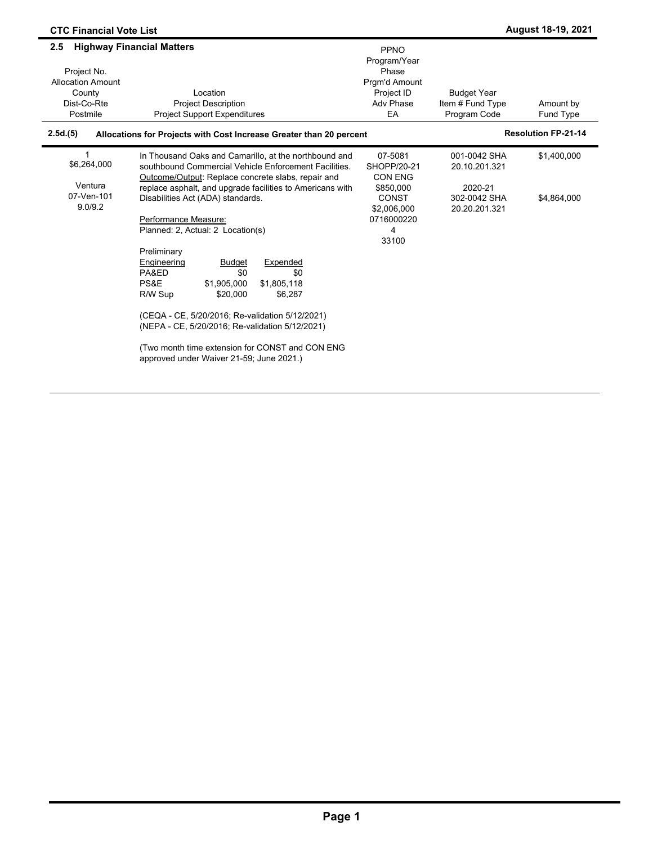| <b>CTC Financial Vote List</b>                                                      |                                                                                                                                                                                                                                                                                                                                                                                                                                                                                                                                                                                                                                                                                                     |                                                                                                                  |                                                                           | <b>August 18-19, 2021</b>  |
|-------------------------------------------------------------------------------------|-----------------------------------------------------------------------------------------------------------------------------------------------------------------------------------------------------------------------------------------------------------------------------------------------------------------------------------------------------------------------------------------------------------------------------------------------------------------------------------------------------------------------------------------------------------------------------------------------------------------------------------------------------------------------------------------------------|------------------------------------------------------------------------------------------------------------------|---------------------------------------------------------------------------|----------------------------|
| 2.5<br>Project No.<br><b>Allocation Amount</b><br>County<br>Dist-Co-Rte<br>Postmile | <b>Highway Financial Matters</b><br>Location<br><b>Project Description</b><br><b>Project Support Expenditures</b>                                                                                                                                                                                                                                                                                                                                                                                                                                                                                                                                                                                   | <b>PPNO</b><br>Program/Year<br>Phase<br>Pram'd Amount<br>Project ID<br>Adv Phase<br>EA                           | <b>Budget Year</b><br>Item # Fund Type<br>Program Code                    | Amount by<br>Fund Type     |
| 2.5d.(5)                                                                            | Allocations for Projects with Cost Increase Greater than 20 percent                                                                                                                                                                                                                                                                                                                                                                                                                                                                                                                                                                                                                                 |                                                                                                                  |                                                                           | <b>Resolution FP-21-14</b> |
| 1<br>\$6,264,000<br>Ventura<br>07-Ven-101<br>9.0/9.2                                | In Thousand Oaks and Camarillo, at the northbound and<br>southbound Commercial Vehicle Enforcement Facilities.<br>Outcome/Output: Replace concrete slabs, repair and<br>replace asphalt, and upgrade facilities to Americans with<br>Disabilities Act (ADA) standards.<br>Performance Measure:<br>Planned: 2, Actual: 2 Location(s)<br>Preliminary<br>Engineering<br><b>Budget</b><br>Expended<br>PA&ED<br>\$0<br>\$0<br>PS&E<br>\$1,905,000<br>\$1,805,118<br>R/W Sup<br>\$20,000<br>\$6,287<br>(CEQA - CE, 5/20/2016; Re-validation 5/12/2021)<br>(NEPA - CE, 5/20/2016; Re-validation 5/12/2021)<br>(Two month time extension for CONST and CON ENG)<br>approved under Waiver 21-59; June 2021.) | 07-5081<br>SHOPP/20-21<br><b>CON ENG</b><br>\$850,000<br><b>CONST</b><br>\$2,006,000<br>0716000220<br>4<br>33100 | 001-0042 SHA<br>20.10.201.321<br>2020-21<br>302-0042 SHA<br>20.20.201.321 | \$1,400,000<br>\$4,864,000 |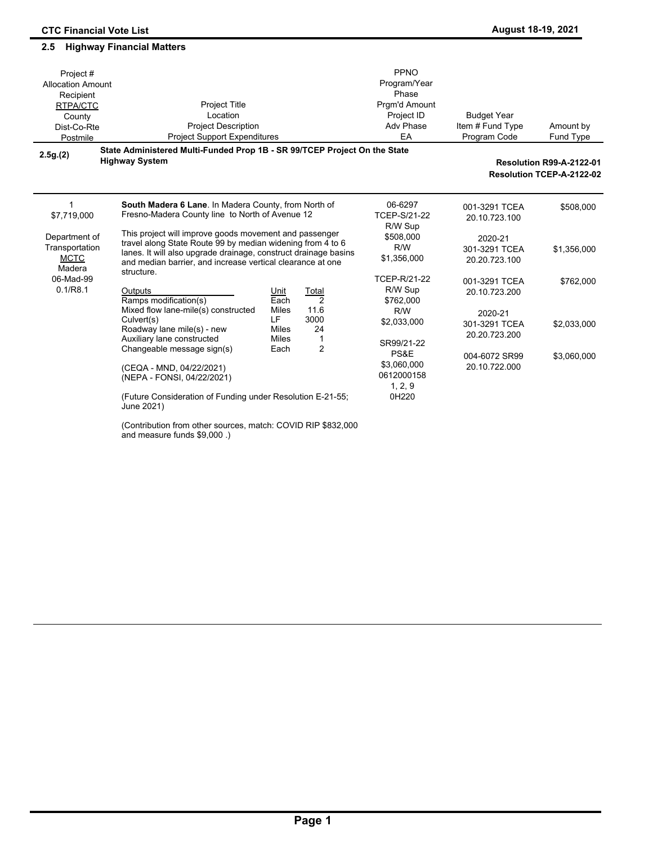#### Amount by Fund Type Project # Allocation Amount Recipient RTPA/CTC **County** Dist-Co-Rte Postmile Project Title Location Project Description Project Support Expenditures PPNO Program/Year Phase Prgm'd Amount Project ID Adv Phase EA Budget Year Item # Fund Type Program Code **2.5g.(2) State Administered Multi-Funded Prop 1B - SR 99/TCEP Project On the State Highway System Resolution R99-A-2122-01 Resolution TCEP-A-2122-02 South Madera 6 Lane**. In Madera County, from North of Fresno-Madera County line to North of Avenue 12 This project will improve goods movement and passenger travel along State Route 99 by median widening from 4 to 6 lanes. It will also upgrade drainage, construct drainage basins and median barrier, and increase vertical clearance at one structure. Outputs **Dividence Control Control**<br>Ramps modification(s) **Cach** 2 Ramps modification(s) end under the Sach 2<br>Mixed flow lane-mile(s) constructed Miles 11.6  $Mixed$  flow lane-mile(s) constructed Culvert(s) LF 3000<br>Roadway lane mile(s) - new Miles 24 Roadway lane mile(s) - new Miles<br>Auxiliary lane constructed Miles Auxiliary lane constructed Miles 1<br>Changeable message sign(s) Each 2 Changeable message sign(s) (CEQA - MND, 04/22/2021) (NEPA - FONSI, 04/22/2021) (Future Consideration of Funding under Resolution E-21-55; June 2021) 06-6297 TCEP-S/21-22 R/W Sup \$508,000 R/W \$1,356,000 TCEP-R/21-22 R/W Sup \$762,000 R/W \$2,033,000 SR99/21-22 PS&E \$3,060,000 0612000158 1, 2, 9 0H220 001-3291 TCEA \$508,000 20.10.723.100 2020-21 301-3291 TCEA \$1,356,000 20.20.723.100 001-3291 TCEA \$762,000 20.10.723.200 2020-21 301-3291 TCEA \$2,033,000 20.20.723.200 004-6072 SR99 \$3,060,000 20.10.722.000 \$7,719,000 Department of **Transportation MCTC** Madera 06-Mad-99 0.1/R8.1 1

(Contribution from other sources, match: COVID RIP \$832,000 and measure funds \$9,000 .)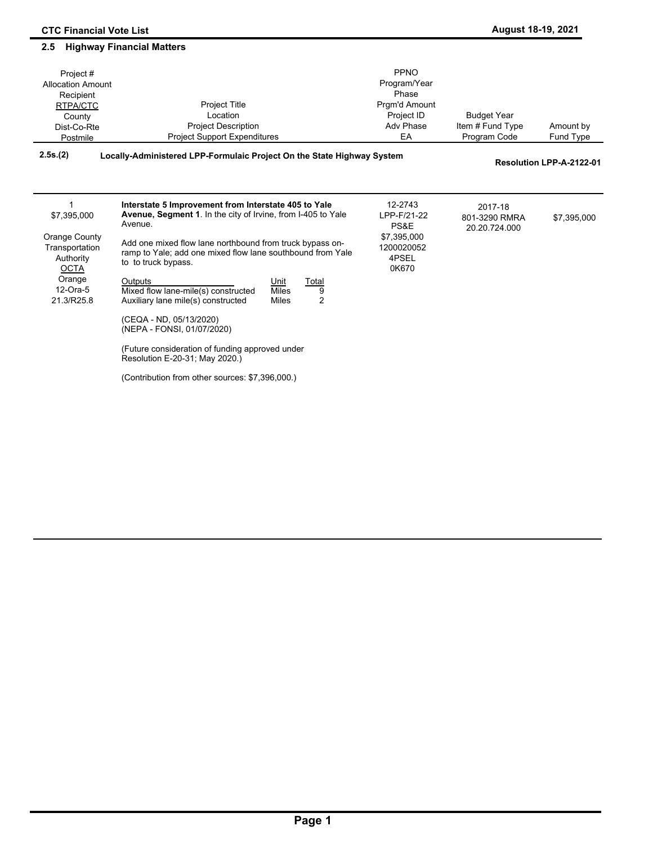| Project#<br><b>Allocation Amount</b><br>Recipient<br>RTPA/CTC<br>County<br>Dist-Co-Rte<br>Postmile             | <b>Project Title</b><br>Location<br><b>Project Description</b><br><b>Project Support Expenditures</b>                                                                                                                                                                                                                                                                                                                                                                                                                                                                                                                                                           | PPNO<br>Program/Year<br>Phase<br>Prgm'd Amount<br>Project ID<br>Adv Phase<br>EA | <b>Budget Year</b><br>Item # Fund Type<br>Program Code | Amount by<br>Fund Type   |
|----------------------------------------------------------------------------------------------------------------|-----------------------------------------------------------------------------------------------------------------------------------------------------------------------------------------------------------------------------------------------------------------------------------------------------------------------------------------------------------------------------------------------------------------------------------------------------------------------------------------------------------------------------------------------------------------------------------------------------------------------------------------------------------------|---------------------------------------------------------------------------------|--------------------------------------------------------|--------------------------|
| 2.5s.(2)                                                                                                       | Locally-Administered LPP-Formulaic Project On the State Highway System                                                                                                                                                                                                                                                                                                                                                                                                                                                                                                                                                                                          |                                                                                 |                                                        | Resolution LPP-A-2122-01 |
| \$7,395,000<br>Orange County<br>Transportation<br>Authority<br><b>OCTA</b><br>Orange<br>12-Ora-5<br>21.3/R25.8 | Interstate 5 Improvement from Interstate 405 to Yale<br><b>Avenue, Segment 1.</b> In the city of Irvine, from I-405 to Yale<br>Avenue.<br>Add one mixed flow lane northbound from truck bypass on-<br>ramp to Yale; add one mixed flow lane southbound from Yale<br>to to truck bypass.<br>Outputs<br>Unit<br><b>Total</b><br>Mixed flow lane-mile(s) constructed<br><b>Miles</b><br>9<br>$\overline{2}$<br>Auxiliary lane mile(s) constructed<br><b>Miles</b><br>(CEQA - ND, 05/13/2020)<br>(NEPA - FONSI, 01/07/2020)<br>(Future consideration of funding approved under<br>Resolution E-20-31; May 2020.)<br>(Contribution from other sources: \$7,396,000.) | 12-2743<br>LPP-F/21-22<br>PS&E<br>\$7,395,000<br>1200020052<br>4PSEL<br>0K670   | 2017-18<br>801-3290 RMRA<br>20.20.724.000              | \$7,395,000              |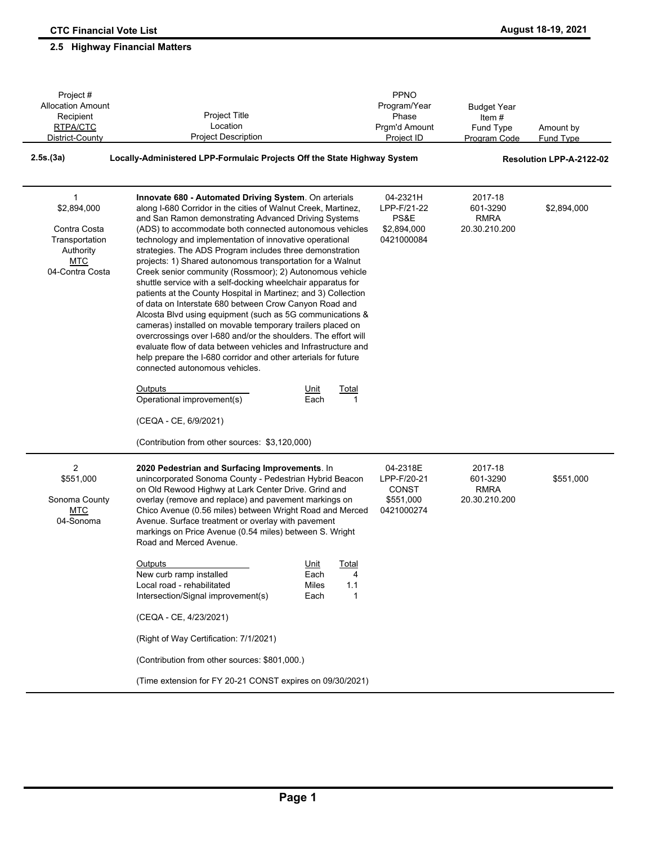| Project #                                                                                                   |                                                                                                                                                                                                                                                                                                                                                                                                                                                                                                                                                                                                                                                                                                                                                                                                                                                                                                                                                                                                                                                          | PPNO                                                               |                                                     |                          |  |  |
|-------------------------------------------------------------------------------------------------------------|----------------------------------------------------------------------------------------------------------------------------------------------------------------------------------------------------------------------------------------------------------------------------------------------------------------------------------------------------------------------------------------------------------------------------------------------------------------------------------------------------------------------------------------------------------------------------------------------------------------------------------------------------------------------------------------------------------------------------------------------------------------------------------------------------------------------------------------------------------------------------------------------------------------------------------------------------------------------------------------------------------------------------------------------------------|--------------------------------------------------------------------|-----------------------------------------------------|--------------------------|--|--|
| <b>Allocation Amount</b><br>Project Title<br>Recipient                                                      |                                                                                                                                                                                                                                                                                                                                                                                                                                                                                                                                                                                                                                                                                                                                                                                                                                                                                                                                                                                                                                                          | Program/Year<br>Phase                                              | <b>Budget Year</b><br>Item#                         |                          |  |  |
| RTPA/CTC                                                                                                    | Location                                                                                                                                                                                                                                                                                                                                                                                                                                                                                                                                                                                                                                                                                                                                                                                                                                                                                                                                                                                                                                                 | Prgm'd Amount                                                      | Fund Type                                           | Amount by                |  |  |
| District-County                                                                                             | <b>Project Description</b>                                                                                                                                                                                                                                                                                                                                                                                                                                                                                                                                                                                                                                                                                                                                                                                                                                                                                                                                                                                                                               | Project ID                                                         | Program Code                                        | <b>Fund Type</b>         |  |  |
| 2.5s.(3a)                                                                                                   | Locally-Administered LPP-Formulaic Projects Off the State Highway System                                                                                                                                                                                                                                                                                                                                                                                                                                                                                                                                                                                                                                                                                                                                                                                                                                                                                                                                                                                 |                                                                    |                                                     | Resolution LPP-A-2122-02 |  |  |
| $\mathbf{1}$<br>\$2,894,000<br>Contra Costa<br>Transportation<br>Authority<br><b>MTC</b><br>04-Contra Costa | Innovate 680 - Automated Driving System. On arterials<br>along I-680 Corridor in the cities of Walnut Creek, Martinez,<br>and San Ramon demonstrating Advanced Driving Systems<br>(ADS) to accommodate both connected autonomous vehicles<br>technology and implementation of innovative operational<br>strategies. The ADS Program includes three demonstration<br>projects: 1) Shared autonomous transportation for a Walnut<br>Creek senior community (Rossmoor); 2) Autonomous vehicle<br>shuttle service with a self-docking wheelchair apparatus for<br>patients at the County Hospital in Martinez; and 3) Collection<br>of data on Interstate 680 between Crow Canyon Road and<br>Alcosta Blvd using equipment (such as 5G communications &<br>cameras) installed on movable temporary trailers placed on<br>overcrossings over I-680 and/or the shoulders. The effort will<br>evaluate flow of data between vehicles and Infrastructure and<br>help prepare the I-680 corridor and other arterials for future<br>connected autonomous vehicles. | 04-2321H<br>LPP-F/21-22<br>PS&E<br>\$2,894,000<br>0421000084       | 2017-18<br>601-3290<br><b>RMRA</b><br>20.30.210.200 | \$2,894,000              |  |  |
|                                                                                                             | Outputs<br>Unit<br><u>Total</u><br>Operational improvement(s)<br>Each<br>(CEQA - CE, 6/9/2021)<br>(Contribution from other sources: \$3,120,000)                                                                                                                                                                                                                                                                                                                                                                                                                                                                                                                                                                                                                                                                                                                                                                                                                                                                                                         | 1                                                                  |                                                     |                          |  |  |
| 2<br>\$551,000<br>Sonoma County<br><b>MTC</b><br>04-Sonoma                                                  | 2020 Pedestrian and Surfacing Improvements. In<br>unincorporated Sonoma County - Pedestrian Hybrid Beacon<br>on Old Rewood Highwy at Lark Center Drive. Grind and<br>overlay (remove and replace) and pavement markings on<br>Chico Avenue (0.56 miles) between Wright Road and Merced<br>Avenue. Surface treatment or overlay with pavement<br>markings on Price Avenue (0.54 miles) between S. Wright<br>Road and Merced Avenue.                                                                                                                                                                                                                                                                                                                                                                                                                                                                                                                                                                                                                       | 04-2318E<br>LPP-F/20-21<br><b>CONST</b><br>\$551,000<br>0421000274 | 2017-18<br>601-3290<br><b>RMRA</b><br>20.30.210.200 | \$551,000                |  |  |
|                                                                                                             | Unit<br>Total<br><b>Outputs</b><br>New curb ramp installed<br>Each<br>Local road - rehabilitated<br>Miles<br>1.1<br>Intersection/Signal improvement(s)<br>Each<br>(CEQA - CE, 4/23/2021)                                                                                                                                                                                                                                                                                                                                                                                                                                                                                                                                                                                                                                                                                                                                                                                                                                                                 | 4<br>1                                                             |                                                     |                          |  |  |
|                                                                                                             | (Right of Way Certification: 7/1/2021)                                                                                                                                                                                                                                                                                                                                                                                                                                                                                                                                                                                                                                                                                                                                                                                                                                                                                                                                                                                                                   |                                                                    |                                                     |                          |  |  |
|                                                                                                             | (Contribution from other sources: \$801,000.)                                                                                                                                                                                                                                                                                                                                                                                                                                                                                                                                                                                                                                                                                                                                                                                                                                                                                                                                                                                                            |                                                                    |                                                     |                          |  |  |
|                                                                                                             | (Time extension for FY 20-21 CONST expires on 09/30/2021)                                                                                                                                                                                                                                                                                                                                                                                                                                                                                                                                                                                                                                                                                                                                                                                                                                                                                                                                                                                                |                                                                    |                                                     |                          |  |  |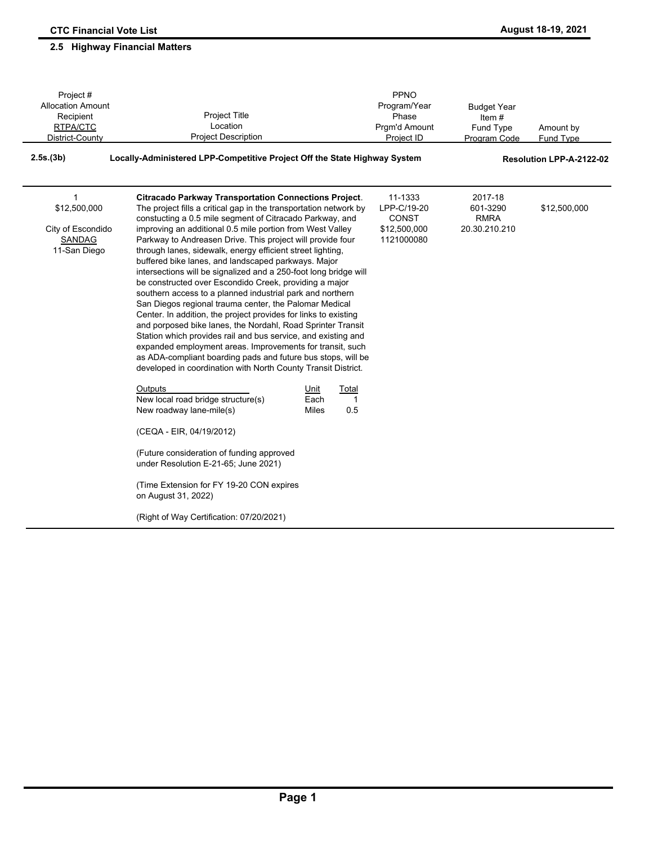### Amount by Fund Type Project # Allocation Amount Recipient RTPA/CTC District-County Project Title Location Project Description PPNO Program/Year Phase Prgm'd Amount Project ID Budget Year Item # Fund Type Program Code **2.5s.(3b) Locally-Administered LPP-Competitive Project Off the State Highway System Resolution LPP-A-2122-02 Citracado Parkway Transportation Connections Project**. The project fills a critical gap in the transportation network by constucting a 0.5 mile segment of Citracado Parkway, and improving an additional 0.5 mile portion from West Valley Parkway to Andreasen Drive. This project will provide four through lanes, sidewalk, energy efficient street lighting, buffered bike lanes, and landscaped parkways. Major intersections will be signalized and a 250-foot long bridge will be constructed over Escondido Creek, providing a major southern access to a planned industrial park and northern San Diegos regional trauma center, the Palomar Medical Center. In addition, the project provides for links to existing and porposed bike lanes, the Nordahl, Road Sprinter Transit Station which provides rail and bus service, and existing and expanded employment areas. Improvements for transit, such as ADA-compliant boarding pads and future bus stops, will be developed in coordination with North County Transit District. <u>Outputs \_\_\_\_\_\_\_\_\_\_\_\_\_\_\_\_\_\_\_\_</u>\_\_\_\_\_\_\_\_\_<u>Unit Total</u> New local road bridge structure(s) The Each 1 New roadway lane-mile(s) Miles 0.5 (CEQA - EIR, 04/19/2012) (Future consideration of funding approved under Resolution E-21-65; June 2021) (Time Extension for FY 19-20 CON expires on August 31, 2022) (Right of Way Certification: 07/20/2021) 11-1333 LPP-C/19-20 CONST \$12,500,000 1121000080 2017-18 601-3290 \$12,500,000 RMRA 20.30.210.210 \$12,500,000 City of Escondido **SANDAG** 11-San Diego 1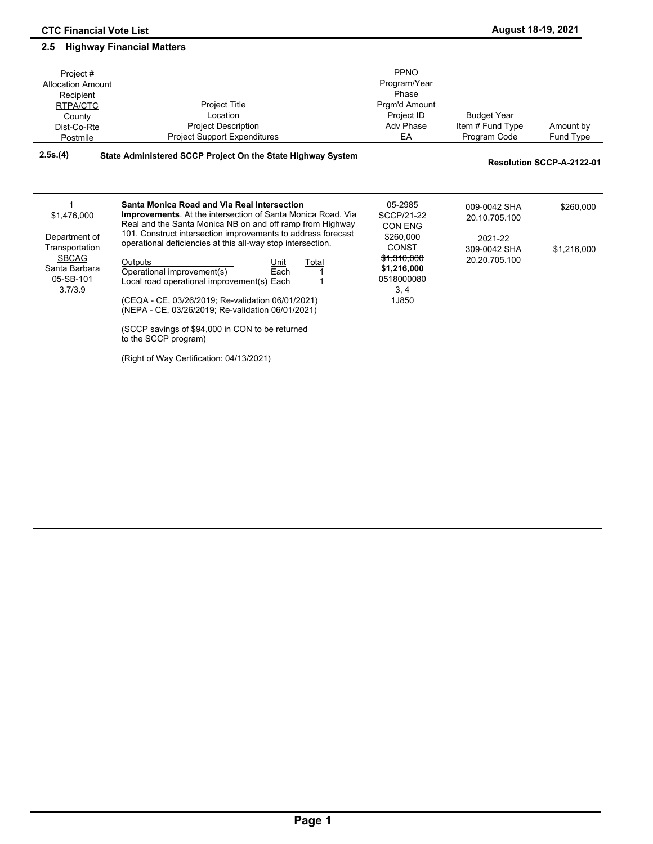### **August 18-19, 2021**

| Project#<br><b>Allocation Amount</b><br>Recipient<br>RTPA/CTC<br>County<br>Dist-Co-Rte<br>Postmile | <b>Project Title</b><br>Location<br><b>Project Description</b><br><b>Project Support Expenditures</b>                           | PPNO<br>Program/Year<br>Phase<br>Prgm'd Amount<br>Project ID<br>Adv Phase<br>EA | <b>Budget Year</b><br>Item # Fund Type<br>Program Code | Amount by<br>Fund Type    |
|----------------------------------------------------------------------------------------------------|---------------------------------------------------------------------------------------------------------------------------------|---------------------------------------------------------------------------------|--------------------------------------------------------|---------------------------|
| 2.5s.(4)                                                                                           | State Administered SCCP Project On the State Highway System                                                                     |                                                                                 |                                                        | Resolution SCCP-A-2122-01 |
|                                                                                                    | Santa Monica Road and Via Real Intersection                                                                                     | 05-2985                                                                         |                                                        |                           |
| \$1,476,000                                                                                        | <b>Improvements.</b> At the intersection of Santa Monica Road, Via<br>Real and the Santa Monica NB on and off ramp from Highway | SCCP/21-22<br>CON ENG                                                           | 009-0042 SHA<br>20.10.705.100                          | \$260,000                 |
| Department of<br>Transportation                                                                    | 101. Construct intersection improvements to address forecast<br>operational deficiencies at this all-way stop intersection.     | \$260,000<br>CONST                                                              | 2021-22<br>309-0042 SHA                                | \$1,216,000               |
| <b>SBCAG</b><br>Santa Barbara<br>05-SB-101                                                         | Outputs<br>Total<br>Unit<br>Operational improvement(s)<br>Each<br>Local road operational improvement(s) Each                    | \$1,310,000<br>\$1,216,000<br>0518000080                                        | 20.20.705.100                                          |                           |
| 3.7/3.9                                                                                            | (CEQA - CE, 03/26/2019; Re-validation 06/01/2021)<br>(NEPA - CE, 03/26/2019; Re-validation 06/01/2021)                          | 3, 4<br>1J850                                                                   |                                                        |                           |
|                                                                                                    | (SCCP savings of \$94,000 in CON to be returned<br>to the SCCP program)                                                         |                                                                                 |                                                        |                           |

(Right of Way Certification: 04/13/2021)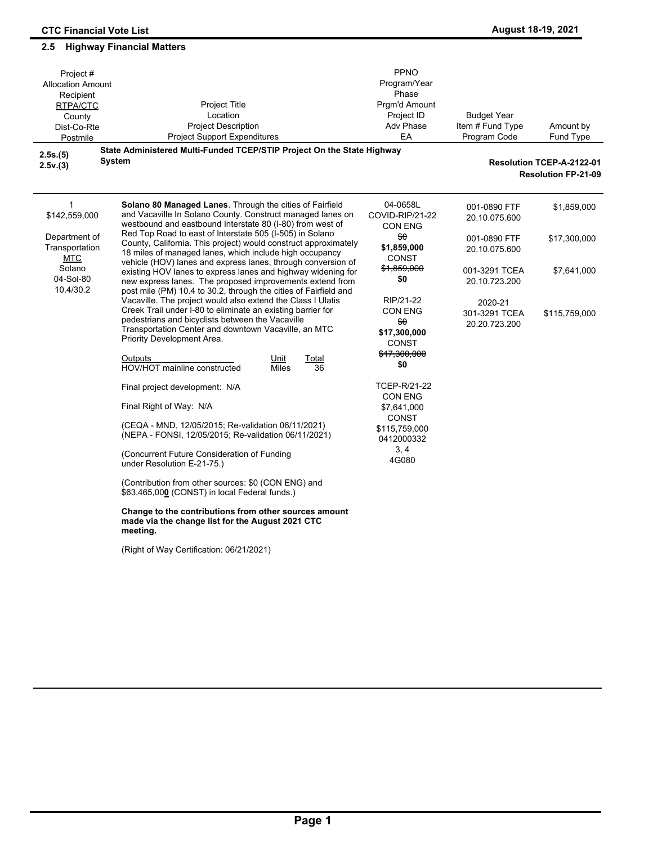| Project#<br><b>Allocation Amount</b><br>Recipient<br>RTPA/CTC<br>County<br>Dist-Co-Rte<br>Postmile<br>2.5s.(5)<br>2.5v.(3) | Project Title<br>Location<br><b>Project Description</b><br><b>Project Support Expenditures</b><br>State Administered Multi-Funded TCEP/STIP Project On the State Highway<br><b>System</b>                                                                            | PPNO<br>Program/Year<br>Phase<br>Prgm'd Amount<br>Project ID<br><b>Adv Phase</b><br>EA | <b>Budget Year</b><br>Item # Fund Type<br>Program Code | Amount by<br>Fund Type<br>Resolution TCEP-A-2122-01<br><b>Resolution FP-21-09</b> |
|----------------------------------------------------------------------------------------------------------------------------|----------------------------------------------------------------------------------------------------------------------------------------------------------------------------------------------------------------------------------------------------------------------|----------------------------------------------------------------------------------------|--------------------------------------------------------|-----------------------------------------------------------------------------------|
| $\mathbf{1}$<br>\$142,559,000                                                                                              | Solano 80 Managed Lanes. Through the cities of Fairfield<br>and Vacaville In Solano County. Construct managed lanes on<br>westbound and eastbound Interstate 80 (I-80) from west of                                                                                  | 04-0658L<br>COVID-RIP/21-22<br><b>CON ENG</b>                                          | 001-0890 FTF<br>20.10.075.600                          | \$1,859,000                                                                       |
| Department of<br>Transportation<br><b>MTC</b><br>Solano<br>04-Sol-80<br>10.4/30.2                                          | Red Top Road to east of Interstate 505 (I-505) in Solano<br>County, California. This project) would construct approximately<br>18 miles of managed lanes, which include high occupancy<br>vehicle (HOV) lanes and express lanes, through conversion of               | \$θ<br>\$1,859,000<br>CONST                                                            | 001-0890 FTF<br>20.10.075.600                          | \$17,300,000                                                                      |
|                                                                                                                            | existing HOV lanes to express lanes and highway widening for<br>new express lanes. The proposed improvements extend from<br>post mile (PM) 10.4 to 30.2, through the cities of Fairfield and                                                                         | \$1,859,000<br>\$0                                                                     | 001-3291 TCEA<br>20.10.723.200                         | \$7,641,000                                                                       |
|                                                                                                                            | Vacaville. The project would also extend the Class I Ulatis<br>Creek Trail under I-80 to eliminate an existing barrier for<br>pedestrians and bicyclists between the Vacaville<br>Transportation Center and downtown Vacaville, an MTC<br>Priority Development Area. | RIP/21-22<br><b>CON ENG</b><br>₩θ<br>\$17,300,000<br>CONST                             | 2020-21<br>301-3291 TCEA<br>20.20.723.200              | \$115,759,000                                                                     |
|                                                                                                                            | Outputs<br>Unit<br>Total<br>HOV/HOT mainline constructed<br><b>Miles</b><br>36                                                                                                                                                                                       | \$17,300,000<br>\$0                                                                    |                                                        |                                                                                   |
|                                                                                                                            | Final project development: N/A                                                                                                                                                                                                                                       | TCEP-R/21-22<br><b>CON ENG</b>                                                         |                                                        |                                                                                   |
|                                                                                                                            | Final Right of Way: N/A                                                                                                                                                                                                                                              | \$7,641,000<br>CONST                                                                   |                                                        |                                                                                   |
|                                                                                                                            | (CEQA - MND, 12/05/2015; Re-validation 06/11/2021)<br>(NEPA - FONSI, 12/05/2015; Re-validation 06/11/2021)                                                                                                                                                           | \$115,759,000<br>0412000332                                                            |                                                        |                                                                                   |
|                                                                                                                            | (Concurrent Future Consideration of Funding<br>under Resolution E-21-75.)                                                                                                                                                                                            | 3, 4<br>4G080                                                                          |                                                        |                                                                                   |
|                                                                                                                            | (Contribution from other sources: \$0 (CON ENG) and<br>\$63,465,000 (CONST) in local Federal funds.)                                                                                                                                                                 |                                                                                        |                                                        |                                                                                   |
|                                                                                                                            | Change to the contributions from other sources amount<br>made via the change list for the August 2021 CTC<br>meeting.                                                                                                                                                |                                                                                        |                                                        |                                                                                   |
|                                                                                                                            | (Right of Way Certification: 06/21/2021)                                                                                                                                                                                                                             |                                                                                        |                                                        |                                                                                   |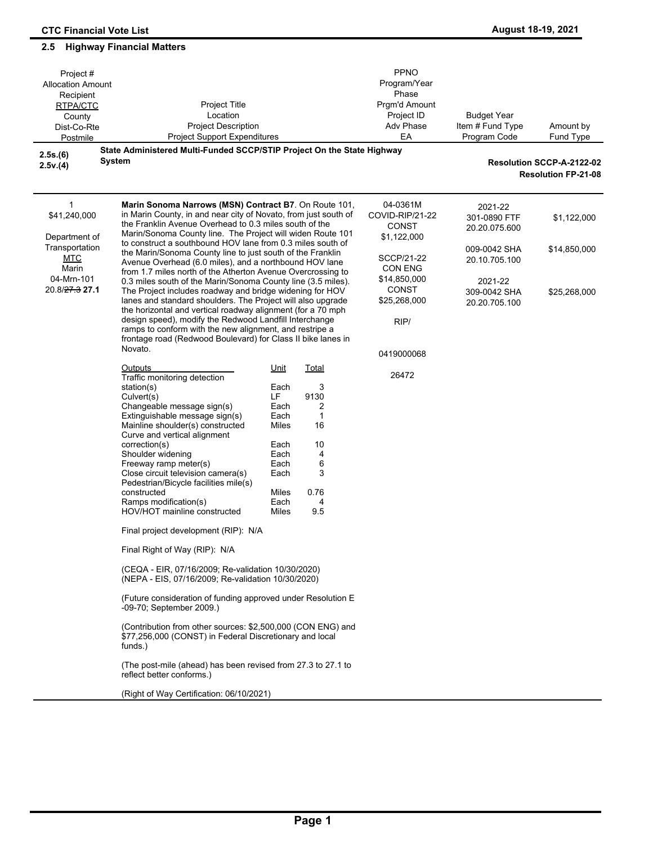| Project#<br><b>Allocation Amount</b><br>Recipient<br>Project Title<br>RTPA/CTC<br>Location<br>County<br><b>Project Description</b><br>Dist-Co-Rte<br><b>Project Support Expenditures</b><br>Postmile |                                                                                                                                                                                                                                                                                                                                                                                                                                                                                                                                                                                                                                                                                                                                                                                                                                                                                                                                                                                              |                                                                                                                                       | <b>PPNO</b><br>Program/Year<br>Phase<br>Prgm'd Amount<br>Project ID<br>Adv Phase<br>EA | <b>Budget Year</b><br>Item # Fund Type<br>Program Code     | Amount by<br>Fund Type                   |                                                         |
|------------------------------------------------------------------------------------------------------------------------------------------------------------------------------------------------------|----------------------------------------------------------------------------------------------------------------------------------------------------------------------------------------------------------------------------------------------------------------------------------------------------------------------------------------------------------------------------------------------------------------------------------------------------------------------------------------------------------------------------------------------------------------------------------------------------------------------------------------------------------------------------------------------------------------------------------------------------------------------------------------------------------------------------------------------------------------------------------------------------------------------------------------------------------------------------------------------|---------------------------------------------------------------------------------------------------------------------------------------|----------------------------------------------------------------------------------------|------------------------------------------------------------|------------------------------------------|---------------------------------------------------------|
| 2.5s.(6)                                                                                                                                                                                             | State Administered Multi-Funded SCCP/STIP Project On the State Highway<br>System                                                                                                                                                                                                                                                                                                                                                                                                                                                                                                                                                                                                                                                                                                                                                                                                                                                                                                             |                                                                                                                                       |                                                                                        |                                                            |                                          |                                                         |
| 2.5v.(4)                                                                                                                                                                                             |                                                                                                                                                                                                                                                                                                                                                                                                                                                                                                                                                                                                                                                                                                                                                                                                                                                                                                                                                                                              |                                                                                                                                       |                                                                                        |                                                            |                                          | Resolution SCCP-A-2122-02<br><b>Resolution FP-21-08</b> |
| 1<br>\$41,240,000<br>Department of                                                                                                                                                                   | Marin Sonoma Narrows (MSN) Contract B7. On Route 101,<br>in Marin County, in and near city of Novato, from just south of<br>the Franklin Avenue Overhead to 0.3 miles south of the<br>Marin/Sonoma County line. The Project will widen Route 101                                                                                                                                                                                                                                                                                                                                                                                                                                                                                                                                                                                                                                                                                                                                             |                                                                                                                                       |                                                                                        | 04-0361M<br>COVID-RIP/21-22<br><b>CONST</b><br>\$1,122,000 | 2021-22<br>301-0890 FTF<br>20.20.075.600 | \$1,122,000                                             |
| Transportation<br><b>MTC</b><br>Marin                                                                                                                                                                | to construct a southbound HOV lane from 0.3 miles south of<br>the Marin/Sonoma County line to just south of the Franklin<br>Avenue Overhead (6.0 miles), and a northbound HOV lane<br>from 1.7 miles north of the Atherton Avenue Overcrossing to                                                                                                                                                                                                                                                                                                                                                                                                                                                                                                                                                                                                                                                                                                                                            |                                                                                                                                       |                                                                                        | SCCP/21-22<br>CON ENG                                      | 009-0042 SHA<br>20.10.705.100            | \$14,850,000                                            |
| 04-Mrn-101<br>20.8/ <del>27.3</del> 27.1                                                                                                                                                             | 0.3 miles south of the Marin/Sonoma County line (3.5 miles).<br>The Project includes roadway and bridge widening for HOV<br>lanes and standard shoulders. The Project will also upgrade<br>the horizontal and vertical roadway alignment (for a 70 mph<br>design speed), modify the Redwood Landfill Interchange                                                                                                                                                                                                                                                                                                                                                                                                                                                                                                                                                                                                                                                                             |                                                                                                                                       |                                                                                        | \$14,850,000<br><b>CONST</b><br>\$25,268,000<br>RIP/       | 2021-22<br>309-0042 SHA<br>20.20.705.100 | \$25,268,000                                            |
|                                                                                                                                                                                                      | ramps to conform with the new alignment, and restripe a<br>frontage road (Redwood Boulevard) for Class II bike lanes in<br>Novato.                                                                                                                                                                                                                                                                                                                                                                                                                                                                                                                                                                                                                                                                                                                                                                                                                                                           |                                                                                                                                       |                                                                                        | 0419000068                                                 |                                          |                                                         |
|                                                                                                                                                                                                      | Outputs<br>Traffic monitoring detection<br>station(s)<br>Culvert(s)<br>Changeable message sign(s)<br>Extinguishable message sign(s)<br>Mainline shoulder(s) constructed<br>Curve and vertical alignment<br>correction(s)<br>Shoulder widening<br>Freeway ramp meter(s)<br>Close circuit television camera(s)<br>Pedestrian/Bicycle facilities mile(s)<br>constructed<br>Ramps modification(s)<br>HOV/HOT mainline constructed<br>Final project development (RIP): N/A<br>Final Right of Way (RIP): N/A<br>(CEQA - EIR, 07/16/2009; Re-validation 10/30/2020)<br>(NEPA - EIS, 07/16/2009; Re-validation 10/30/2020)<br>(Future consideration of funding approved under Resolution E<br>-09-70; September 2009.)<br>(Contribution from other sources: \$2,500,000 (CON ENG) and<br>\$77,256,000 (CONST) in Federal Discretionary and local<br>funds.)<br>(The post-mile (ahead) has been revised from 27.3 to 27.1 to<br>reflect better conforms.)<br>(Right of Way Certification: 06/10/2021) | Unit<br><b>Total</b><br>Each<br>9130<br>LF<br>Each<br>Each<br>Miles<br>Each<br>Each<br>Each<br>Each<br>0.76<br>Miles<br>Each<br>Miles | 3<br>2<br>$\mathbf{1}$<br>16<br>10<br>4<br>6<br>3<br>4<br>95                           | 26472                                                      |                                          |                                                         |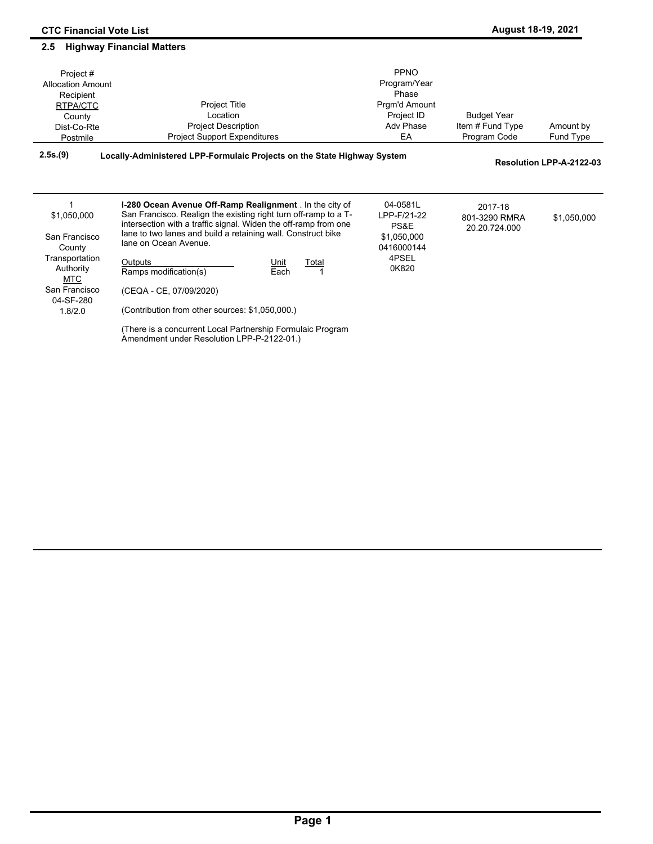1.8/2.0

**2.5 Highway Financial Matters**

#### Amount by Fund Type Project # Allocation Amount Recipient RTPA/CTC County Dist-Co-Rte Postmile Project Title Location Project Description Project Support Expenditures PPNO Program/Year Phase Prgm'd Amount Project ID Adv Phase EA Budget Year Item # Fund Type Program Code **2.5s.(9) Locally-Administered LPP-Formulaic Projects on the State Highway System Resolution LPP-A-2122-03 I-280 Ocean Avenue Off-Ramp Realignment** . In the city of San Francisco. Realign the existing right turn off-ramp to a Tintersection with a traffic signal. Widen the off-ramp from one lane to two lanes and build a retaining wall. Construct bike lane on Ocean Avenue. Outputs **Unit** Total Ramps modification(s) Each 1 04-0581L LPP-F/21-22 PS&E \$1,050,000 0416000144 4PSEL 0K820 2017-18 801-3290 RMRA \$1,050,000 20.20.724.000 \$1,050,000 San Francisco **County** Transportation Authority MTC San Francisco 1

(CEQA - CE, 07/09/2020) 04-SF-280

(Contribution from other sources: \$1,050,000.)

(There is a concurrent Local Partnership Formulaic Program Amendment under Resolution LPP-P-2122-01.)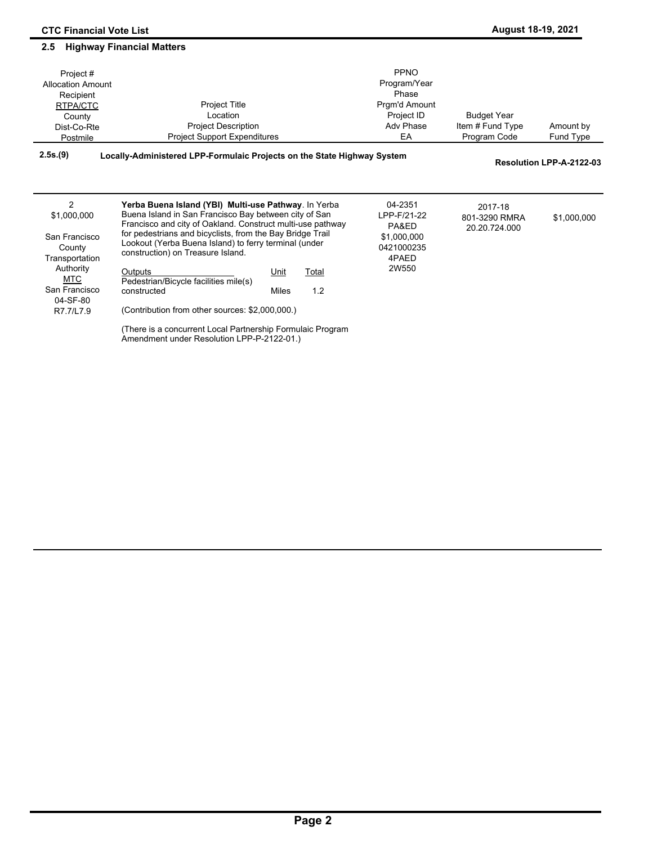#### Amount by Fund Type Project # Allocation Amount Recipient RTPA/CTC **County** Dist-Co-Rte Postmile Project Title Location Project Description Project Support Expenditures PPNO Program/Year **Phase** Prgm'd Amount Project ID Adv Phase EA Budget Year Item # Fund Type Program Code **2.5s.(9) Locally-Administered LPP-Formulaic Projects on the State Highway System Resolution LPP-A-2122-03 Yerba Buena Island (YBI) Multi-use Pathway**. In Yerba Buena Island in San Francisco Bay between city of San Francisco and city of Oakland. Construct multi-use pathway for pedestrians and bicyclists, from the Bay Bridge Trail 04-2351 LPP-F/21-22 PA&ED 2017-18 801-3290 RMRA \$1,000,000 20.20.724.000 \$1,000,000 2

| San Francisco<br>County<br>Transportation | for pedestriaris and picyclists, from the Bay Bridge Trail<br>Lookout (Yerba Buena Island) to ferry terminal (under<br>construction) on Treasure Island. |             |       | \$1,000,000<br>0421000235<br>4PAED |  |  |
|-------------------------------------------|----------------------------------------------------------------------------------------------------------------------------------------------------------|-------------|-------|------------------------------------|--|--|
| Authority<br>MTC                          | Outputs<br>Pedestrian/Bicycle facilities mile(s)                                                                                                         | <u>Unit</u> | Total | 2W550                              |  |  |
| San Francisco<br>04-SF-80                 | constructed                                                                                                                                              | Miles       | 1.2   |                                    |  |  |
| R7.7/L7.9                                 | (Contribution from other sources: \$2,000,000.)                                                                                                          |             |       |                                    |  |  |
|                                           | There is a concurrent Local Partnership Formulaic Program                                                                                                |             |       |                                    |  |  |

Amendment under Resolution LPP-P-2122-01.)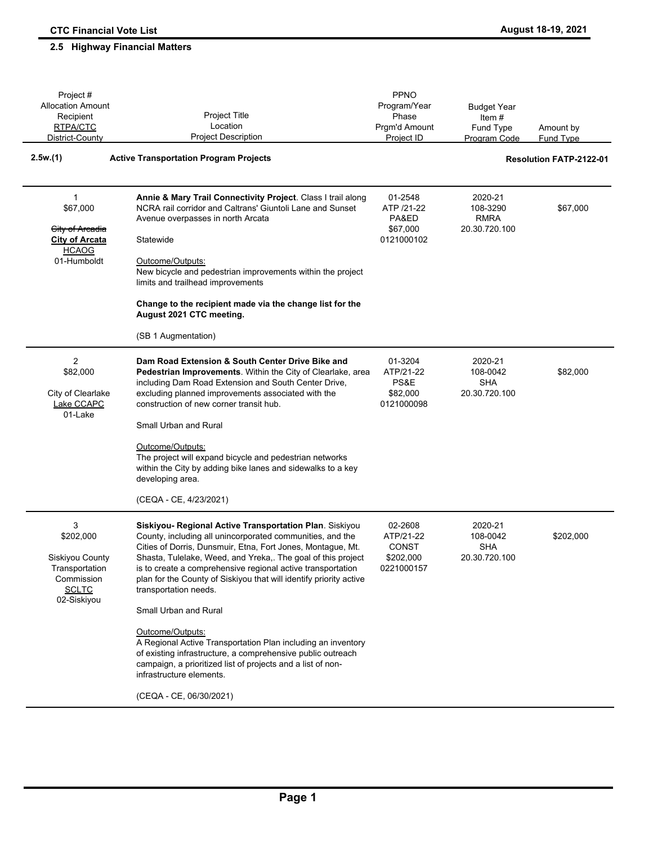### Amount by Fund Type Project # Allocation Amount Recipient RTPA/CTC District-County Project Title Location Project Description PPNO Program/Year Phase Prgm'd Amount Project ID Budget Year Item # Fund Type Program Code **2.5w.(1) Active Transportation Program Projects Resolution FATP-2122-01 Annie & Mary Trail Connectivity Project**. Class I trail along NCRA rail corridor and Caltrans' Giuntoli Lane and Sunset Avenue overpasses in north Arcata **Statewide** Outcome/Outputs: New bicycle and pedestrian improvements within the project limits and trailhead improvements **Change to the recipient made via the change list for the August 2021 CTC meeting.** (SB 1 Augmentation) 01-2548 ATP /21-22 PA&ED \$67,000 0121000102 2020-21 108-3290 \$67,000 RMRA 20.30.720.100 \$67,000 City of Arcadia **City of Arcata HCAOG** 01-Humboldt 1 **Dam Road Extension & South Center Drive Bike and Pedestrian Improvements**. Within the City of Clearlake, area including Dam Road Extension and South Center Drive, excluding planned improvements associated with the construction of new corner transit hub. Small Urban and Rural Outcome/Outputs: The project will expand bicycle and pedestrian networks within the City by adding bike lanes and sidewalks to a key developing area. (CEQA - CE, 4/23/2021) 01-3204 ATP/21-22 PS&E \$82,000 0121000098 2020-21 108-0042 \$82,000 SHA 20.30.720.100 \$82,000 City of Clearlake Lake CCAPC 01-Lake  $\mathcal{P}$ **Siskiyou- Regional Active Transportation Plan**. Siskiyou County, including all unincorporated communities, and the Cities of Dorris, Dunsmuir, Etna, Fort Jones, Montague, Mt. Shasta, Tulelake, Weed, and Yreka,. The goal of this project is to create a comprehensive regional active transportation plan for the County of Siskiyou that will identify priority active transportation needs. Small Urban and Rural Outcome/Outputs: A Regional Active Transportation Plan including an inventory of existing infrastructure, a comprehensive public outreach campaign, a prioritized list of projects and a list of noninfrastructure elements. (CEQA - CE, 06/30/2021) 02-2608 ATP/21-22 CONST \$202,000 0221000157 2020-21 108-0042 \$202,000 SHA 20.30.720.100 \$202,000 Siskiyou County **Transportation** Commission **SCLTC** 02-Siskiyou 3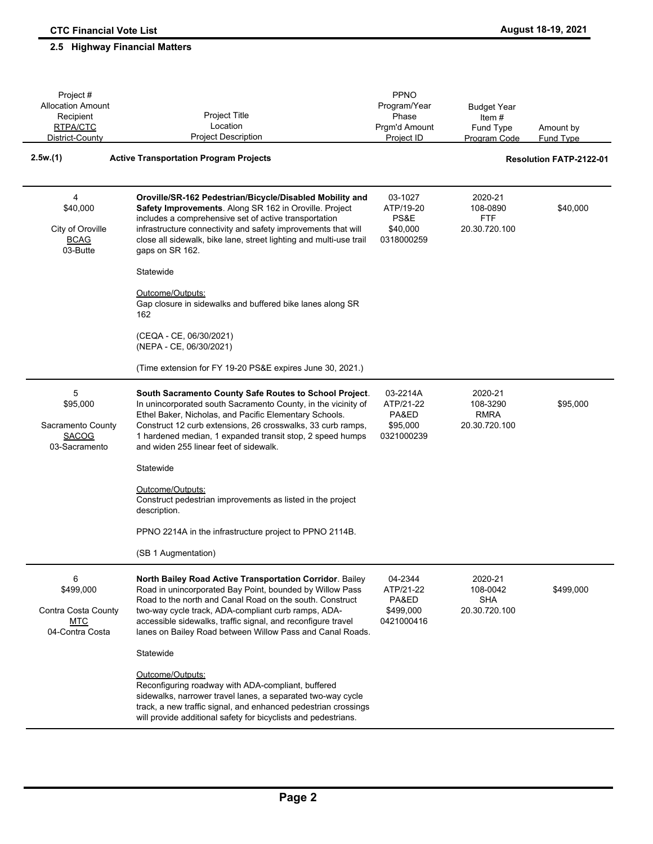### Amount by Fund Type Project # Allocation Amount Recipient RTPA/CTC District-County Project Title Location Project Description PPNO Program/Year Phase Prgm'd Amount Project ID Budget Year Item # Fund Type Program Code **2.5w.(1) Active Transportation Program Projects Resolution FATP-2122-01 Oroville/SR-162 Pedestrian/Bicycle/Disabled Mobility and Safety Improvements**. Along SR 162 in Oroville. Project includes a comprehensive set of active transportation infrastructure connectivity and safety improvements that will close all sidewalk, bike lane, street lighting and multi-use trail gaps on SR 162. **Statewide** Outcome/Outputs: Gap closure in sidewalks and buffered bike lanes along SR 162 (CEQA - CE, 06/30/2021) (NEPA - CE, 06/30/2021) (Time extension for FY 19-20 PS&E expires June 30, 2021.) 03-1027 ATP/19-20 PS&E \$40,000 0318000259 2020-21 108-0890 \$40,000 FTF 20.30.720.100 \$40,000 City of Oroville **BCAG** 03-Butte 4 **South Sacramento County Safe Routes to School Project**. In unincorporated south Sacramento County, in the vicinity of Ethel Baker, Nicholas, and Pacific Elementary Schools. Construct 12 curb extensions, 26 crosswalks, 33 curb ramps, 1 hardened median, 1 expanded transit stop, 2 speed humps and widen 255 linear feet of sidewalk. **Statewide** Outcome/Outputs: Construct pedestrian improvements as listed in the project description. PPNO 2214A in the infrastructure project to PPNO 2114B. (SB 1 Augmentation) 03-2214A ATP/21-22 PA&ED \$95,000 0321000239 2020-21 108-3290 \$95,000 RMRA 20.30.720.100 \$95,000 Sacramento County SACOG 03-Sacramento 5 **North Bailey Road Active Transportation Corridor**. Bailey Road in unincorporated Bay Point, bounded by Willow Pass Road to the north and Canal Road on the south. Construct two-way cycle track, ADA-compliant curb ramps, ADAaccessible sidewalks, traffic signal, and reconfigure travel lanes on Bailey Road between Willow Pass and Canal Roads. **Statewide** Outcome/Outputs: Reconfiguring roadway with ADA-compliant, buffered sidewalks, narrower travel lanes, a separated two-way cycle track, a new traffic signal, and enhanced pedestrian crossings will provide additional safety for bicyclists and pedestrians. 04-2344 ATP/21-22 PA&ED \$499,000 0421000416 2020-21 108-0042 \$499,000 SHA 20.30.720.100 \$499,000 Contra Costa County **MTC** 04-Contra Costa 6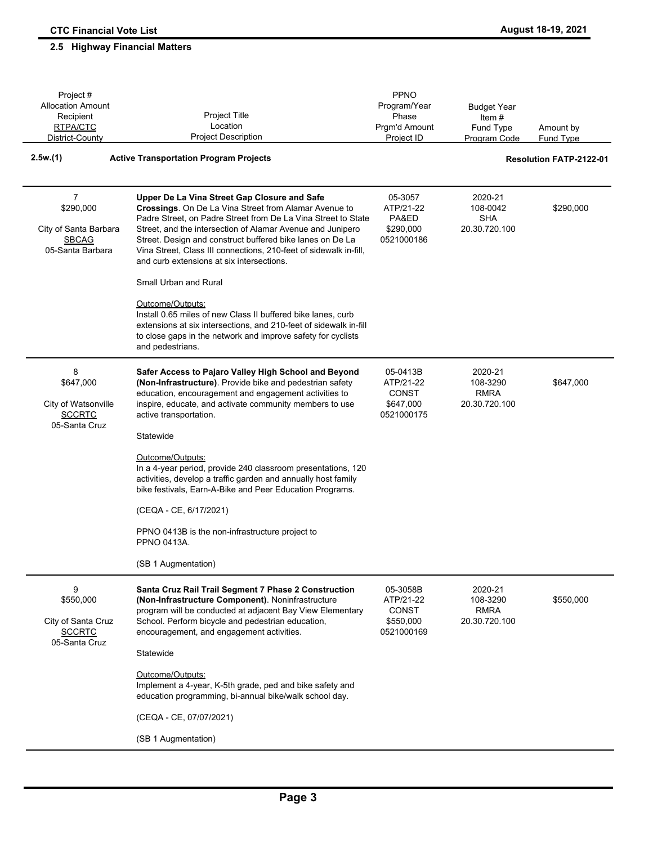# Project # **2.5 Highway Financial Matters**

| Project#<br><b>Allocation Amount</b><br>Recipient<br>RTPA/CTC<br>District-County | Project Title<br>Location<br><b>Project Description</b>                                                                                                                                                                                                                                                                                                                                                                                      | PPNO<br>Program/Year<br>Phase<br>Prgm'd Amount<br>Project ID     | <b>Budget Year</b><br>Item $#$<br>Fund Type<br><b>Program Code</b> | Amount by<br><b>Fund Type</b>  |
|----------------------------------------------------------------------------------|----------------------------------------------------------------------------------------------------------------------------------------------------------------------------------------------------------------------------------------------------------------------------------------------------------------------------------------------------------------------------------------------------------------------------------------------|------------------------------------------------------------------|--------------------------------------------------------------------|--------------------------------|
| 2.5w(1)                                                                          | <b>Active Transportation Program Projects</b>                                                                                                                                                                                                                                                                                                                                                                                                |                                                                  |                                                                    | <b>Resolution FATP-2122-01</b> |
| 7<br>\$290,000<br>City of Santa Barbara<br><b>SBCAG</b><br>05-Santa Barbara      | Upper De La Vina Street Gap Closure and Safe<br>Crossings. On De La Vina Street from Alamar Avenue to<br>Padre Street, on Padre Street from De La Vina Street to State<br>Street, and the intersection of Alamar Avenue and Junipero<br>Street. Design and construct buffered bike lanes on De La<br>Vina Street, Class III connections, 210-feet of sidewalk in-fill,<br>and curb extensions at six intersections.<br>Small Urban and Rural | 05-3057<br>ATP/21-22<br>PA&ED<br>\$290,000<br>0521000186         | 2020-21<br>108-0042<br><b>SHA</b><br>20.30.720.100                 | \$290,000                      |
|                                                                                  | Outcome/Outputs:<br>Install 0.65 miles of new Class II buffered bike lanes, curb<br>extensions at six intersections, and 210-feet of sidewalk in-fill<br>to close gaps in the network and improve safety for cyclists<br>and pedestrians.                                                                                                                                                                                                    |                                                                  |                                                                    |                                |
| 8<br>\$647,000<br>City of Watsonville<br><b>SCCRTC</b><br>05-Santa Cruz          | Safer Access to Pajaro Valley High School and Beyond<br>(Non-Infrastructure). Provide bike and pedestrian safety<br>education, encouragement and engagement activities to<br>inspire, educate, and activate community members to use<br>active transportation.<br>Statewide                                                                                                                                                                  | 05-0413B<br>ATP/21-22<br><b>CONST</b><br>\$647,000<br>0521000175 | 2020-21<br>108-3290<br><b>RMRA</b><br>20.30.720.100                | \$647,000                      |
|                                                                                  | Outcome/Outputs:<br>In a 4-year period, provide 240 classroom presentations, 120<br>activities, develop a traffic garden and annually host family<br>bike festivals, Earn-A-Bike and Peer Education Programs.                                                                                                                                                                                                                                |                                                                  |                                                                    |                                |
|                                                                                  | (CEQA - CE, 6/17/2021)                                                                                                                                                                                                                                                                                                                                                                                                                       |                                                                  |                                                                    |                                |
|                                                                                  | PPNO 0413B is the non-infrastructure project to<br>PPNO 0413A.                                                                                                                                                                                                                                                                                                                                                                               |                                                                  |                                                                    |                                |
|                                                                                  | (SB 1 Augmentation)                                                                                                                                                                                                                                                                                                                                                                                                                          |                                                                  |                                                                    |                                |
| 9<br>\$550,000<br>City of Santa Cruz<br><b>SCCRTC</b><br>05-Santa Cruz           | Santa Cruz Rail Trail Segment 7 Phase 2 Construction<br>(Non-Infrastructure Component). Noninfrastructure<br>program will be conducted at adjacent Bay View Elementary<br>School. Perform bicycle and pedestrian education,<br>encouragement, and engagement activities.                                                                                                                                                                     | 05-3058B<br>ATP/21-22<br><b>CONST</b><br>\$550,000<br>0521000169 | 2020-21<br>108-3290<br><b>RMRA</b><br>20.30.720.100                | \$550,000                      |
|                                                                                  | Statewide                                                                                                                                                                                                                                                                                                                                                                                                                                    |                                                                  |                                                                    |                                |
|                                                                                  | Outcome/Outputs:<br>Implement a 4-year, K-5th grade, ped and bike safety and<br>education programming, bi-annual bike/walk school day.                                                                                                                                                                                                                                                                                                       |                                                                  |                                                                    |                                |
|                                                                                  | (CEQA - CE, 07/07/2021)                                                                                                                                                                                                                                                                                                                                                                                                                      |                                                                  |                                                                    |                                |
|                                                                                  | (SB 1 Augmentation)                                                                                                                                                                                                                                                                                                                                                                                                                          |                                                                  |                                                                    |                                |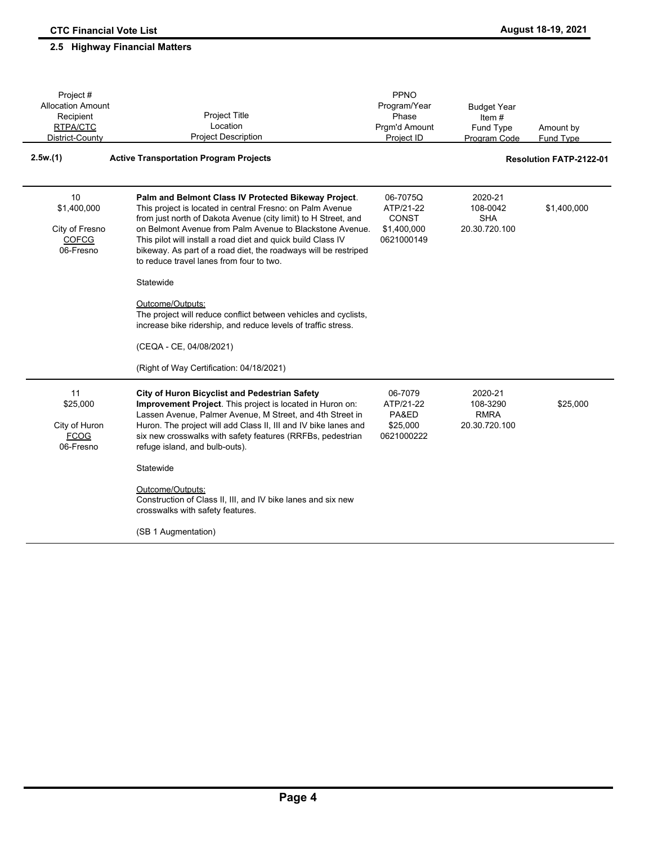| Project #                                                        |                                                                                                                                                                                                                                                                                                                                                                                                                                | PPNO                                                               |                                                     |                                |
|------------------------------------------------------------------|--------------------------------------------------------------------------------------------------------------------------------------------------------------------------------------------------------------------------------------------------------------------------------------------------------------------------------------------------------------------------------------------------------------------------------|--------------------------------------------------------------------|-----------------------------------------------------|--------------------------------|
| <b>Allocation Amount</b>                                         |                                                                                                                                                                                                                                                                                                                                                                                                                                | Program/Year                                                       | <b>Budget Year</b>                                  |                                |
| Recipient                                                        | <b>Project Title</b>                                                                                                                                                                                                                                                                                                                                                                                                           | Phase                                                              | Item $#$                                            |                                |
| RTPA/CTC                                                         | Location                                                                                                                                                                                                                                                                                                                                                                                                                       | Prgm'd Amount                                                      | Fund Type                                           | Amount by                      |
| District-County                                                  | <b>Project Description</b>                                                                                                                                                                                                                                                                                                                                                                                                     | Project ID                                                         | Program Code                                        | <b>Fund Type</b>               |
| 2.5w.(1)                                                         | <b>Active Transportation Program Projects</b>                                                                                                                                                                                                                                                                                                                                                                                  |                                                                    |                                                     | <b>Resolution FATP-2122-01</b> |
| 10<br>\$1,400,000<br>City of Fresno<br><b>COFCG</b><br>06-Fresno | Palm and Belmont Class IV Protected Bikeway Project.<br>This project is located in central Fresno: on Palm Avenue<br>from just north of Dakota Avenue (city limit) to H Street, and<br>on Belmont Avenue from Palm Avenue to Blackstone Avenue.<br>This pilot will install a road diet and quick build Class IV<br>bikeway. As part of a road diet, the roadways will be restriped<br>to reduce travel lanes from four to two. | 06-7075Q<br>ATP/21-22<br><b>CONST</b><br>\$1,400,000<br>0621000149 | 2020-21<br>108-0042<br><b>SHA</b><br>20.30.720.100  | \$1,400,000                    |
|                                                                  | Statewide                                                                                                                                                                                                                                                                                                                                                                                                                      |                                                                    |                                                     |                                |
|                                                                  | Outcome/Outputs:<br>The project will reduce conflict between vehicles and cyclists,<br>increase bike ridership, and reduce levels of traffic stress.<br>(CEQA - CE, 04/08/2021)                                                                                                                                                                                                                                                |                                                                    |                                                     |                                |
|                                                                  | (Right of Way Certification: 04/18/2021)                                                                                                                                                                                                                                                                                                                                                                                       |                                                                    |                                                     |                                |
| 11<br>\$25,000<br>City of Huron<br><b>FCOG</b><br>06-Fresno      | <b>City of Huron Bicyclist and Pedestrian Safety</b><br>Improvement Project. This project is located in Huron on:<br>Lassen Avenue, Palmer Avenue, M Street, and 4th Street in<br>Huron. The project will add Class II, III and IV bike lanes and<br>six new crosswalks with safety features (RRFBs, pedestrian<br>refuge island, and bulb-outs).                                                                              | 06-7079<br>ATP/21-22<br>PA&ED<br>\$25,000<br>0621000222            | 2020-21<br>108-3290<br><b>RMRA</b><br>20.30.720.100 | \$25,000                       |
|                                                                  | Statewide                                                                                                                                                                                                                                                                                                                                                                                                                      |                                                                    |                                                     |                                |
|                                                                  | Outcome/Outputs:<br>Construction of Class II, III, and IV bike lanes and six new<br>crosswalks with safety features.                                                                                                                                                                                                                                                                                                           |                                                                    |                                                     |                                |
|                                                                  | (SB 1 Augmentation)                                                                                                                                                                                                                                                                                                                                                                                                            |                                                                    |                                                     |                                |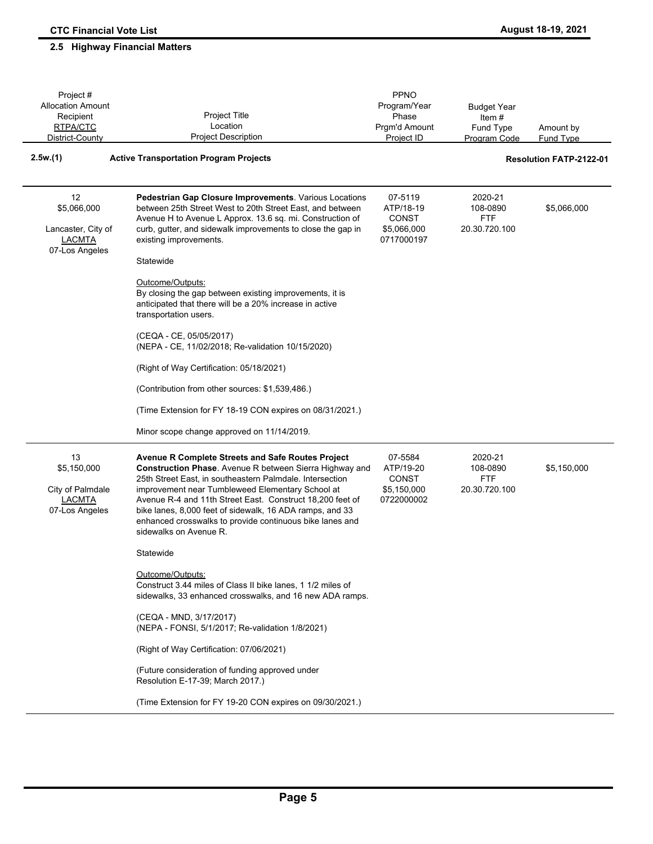| Project #<br><b>Allocation Amount</b><br>Recipient                         | Project Title                                                                                                                                                                                                                                                                                                                                                                                                                                                          | PPNO<br>Program/Year<br>Phase                                     | <b>Budget Year</b><br>Item $#$                     |                                |
|----------------------------------------------------------------------------|------------------------------------------------------------------------------------------------------------------------------------------------------------------------------------------------------------------------------------------------------------------------------------------------------------------------------------------------------------------------------------------------------------------------------------------------------------------------|-------------------------------------------------------------------|----------------------------------------------------|--------------------------------|
| RTPA/CTC<br>District-County                                                | Location<br><b>Project Description</b>                                                                                                                                                                                                                                                                                                                                                                                                                                 | Prgm'd Amount<br>Project ID                                       | Fund Type<br>Program Code                          | Amount by<br><b>Fund Type</b>  |
| 2.5w(1)                                                                    | <b>Active Transportation Program Projects</b>                                                                                                                                                                                                                                                                                                                                                                                                                          |                                                                   |                                                    | <b>Resolution FATP-2122-01</b> |
| 12<br>\$5,066,000<br>Lancaster, City of<br><b>LACMTA</b><br>07-Los Angeles | Pedestrian Gap Closure Improvements. Various Locations<br>between 25th Street West to 20th Street East, and between<br>Avenue H to Avenue L Approx. 13.6 sq. mi. Construction of<br>curb, gutter, and sidewalk improvements to close the gap in<br>existing improvements.<br>Statewide<br>Outcome/Outputs:<br>By closing the gap between existing improvements, it is<br>anticipated that there will be a 20% increase in active                                       | 07-5119<br>ATP/18-19<br><b>CONST</b><br>\$5,066,000<br>0717000197 | 2020-21<br>108-0890<br><b>FTF</b><br>20.30.720.100 | \$5,066,000                    |
|                                                                            | transportation users.<br>(CEQA - CE, 05/05/2017)<br>(NEPA - CE, 11/02/2018; Re-validation 10/15/2020)<br>(Right of Way Certification: 05/18/2021)<br>(Contribution from other sources: \$1,539,486.)<br>(Time Extension for FY 18-19 CON expires on 08/31/2021.)                                                                                                                                                                                                       |                                                                   |                                                    |                                |
| 13<br>\$5,150,000<br>City of Palmdale<br><b>LACMTA</b><br>07-Los Angeles   | Minor scope change approved on 11/14/2019.<br>Avenue R Complete Streets and Safe Routes Project<br><b>Construction Phase.</b> Avenue R between Sierra Highway and<br>25th Street East, in southeastern Palmdale. Intersection<br>improvement near Tumbleweed Elementary School at<br>Avenue R-4 and 11th Street East. Construct 18,200 feet of<br>bike lanes, 8,000 feet of sidewalk, 16 ADA ramps, and 33<br>enhanced crosswalks to provide continuous bike lanes and | 07-5584<br>ATP/19-20<br><b>CONST</b><br>\$5,150,000<br>0722000002 | 2020-21<br>108-0890<br><b>FTF</b><br>20.30.720.100 | \$5,150,000                    |
|                                                                            | sidewalks on Avenue R.<br>Statewide<br>Outcome/Outputs:<br>Construct 3.44 miles of Class II bike lanes, 1 1/2 miles of<br>sidewalks, 33 enhanced crosswalks, and 16 new ADA ramps.<br>(CEQA - MND, 3/17/2017)<br>(NEPA - FONSI, 5/1/2017; Re-validation 1/8/2021)<br>(Right of Way Certification: 07/06/2021)<br>(Future consideration of funding approved under<br>Resolution E-17-39; March 2017.)<br>(Time Extension for FY 19-20 CON expires on 09/30/2021.)       |                                                                   |                                                    |                                |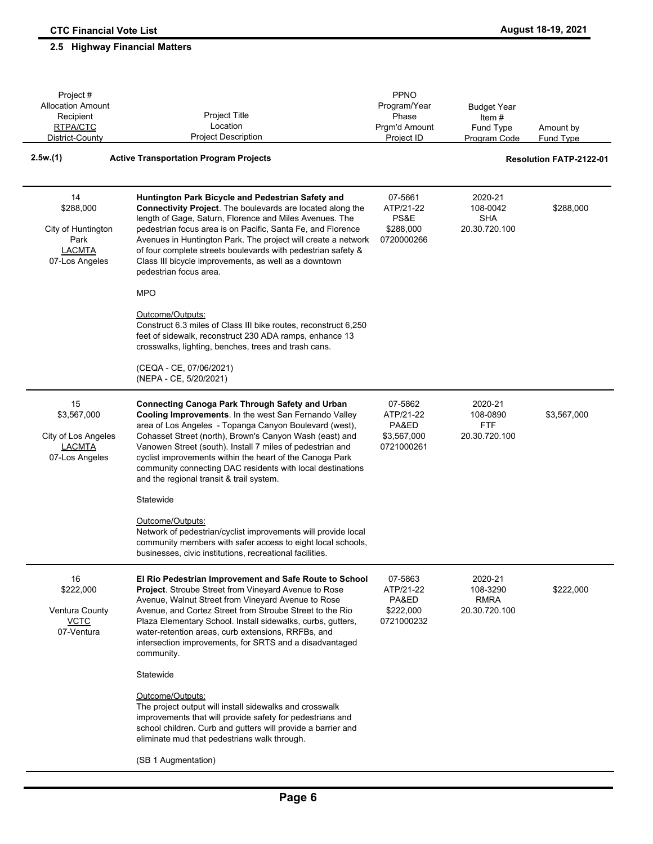#### Amount by Fund Type Project # Allocation Amount Recipient RTPA/CTC District-County Project Title Location Project Description PPNO Program/Year Phase Prgm'd Amount Project ID Budget Year Item # Fund Type Program Code **2.5w.(1) Active Transportation Program Projects Resolution FATP-2122-01 Huntington Park Bicycle and Pedestrian Safety and Connectivity Project**. The boulevards are located along the length of Gage, Saturn, Florence and Miles Avenues. The pedestrian focus area is on Pacific, Santa Fe, and Florence Avenues in Huntington Park. The project will create a network of four complete streets boulevards with pedestrian safety & Class III bicycle improvements, as well as a downtown pedestrian focus area. MPO Outcome/Outputs: Construct 6.3 miles of Class III bike routes, reconstruct 6,250 feet of sidewalk, reconstruct 230 ADA ramps, enhance 13 crosswalks, lighting, benches, trees and trash cans. (CEQA - CE, 07/06/2021) (NEPA - CE, 5/20/2021) 07-5661 ATP/21-22 PS&E \$288,000 0720000266 2020-21 108-0042 \$288,000 SHA 20.30.720.100 \$288,000 City of Huntington Park LACMTA 07-Los Angeles 14 **Connecting Canoga Park Through Safety and Urban Cooling Improvements**. In the west San Fernando Valley area of Los Angeles - Topanga Canyon Boulevard (west), Cohasset Street (north), Brown's Canyon Wash (east) and Vanowen Street (south). Install 7 miles of pedestrian and cyclist improvements within the heart of the Canoga Park community connecting DAC residents with local destinations and the regional transit & trail system. **Statewide** Outcome/Outputs: Network of pedestrian/cyclist improvements will provide local community members with safer access to eight local schools, businesses, civic institutions, recreational facilities. 07-5862 ATP/21-22 PA&ED \$3,567,000 0721000261 2020-21 108-0890 \$3,567,000 FTF 20.30.720.100 \$3,567,000 City of Los Angeles **LACMTA** 07-Los Angeles 15 **El Rio Pedestrian Improvement and Safe Route to School Project**. Stroube Street from Vineyard Avenue to Rose Avenue, Walnut Street from Vineyard Avenue to Rose Avenue, and Cortez Street from Stroube Street to the Rio Plaza Elementary School. Install sidewalks, curbs, gutters, water-retention areas, curb extensions, RRFBs, and intersection improvements, for SRTS and a disadvantaged community. **Statewide** Outcome/Outputs: The project output will install sidewalks and crosswalk improvements that will provide safety for pedestrians and school children. Curb and gutters will provide a barrier and eliminate mud that pedestrians walk through. (SB 1 Augmentation) 07-5863 ATP/21-22 PA&ED \$222,000 0721000232 2020-21 108-3290 \$222,000 RMRA 20.30.720.100 \$222,000 Ventura County VCTC 07-Ventura 16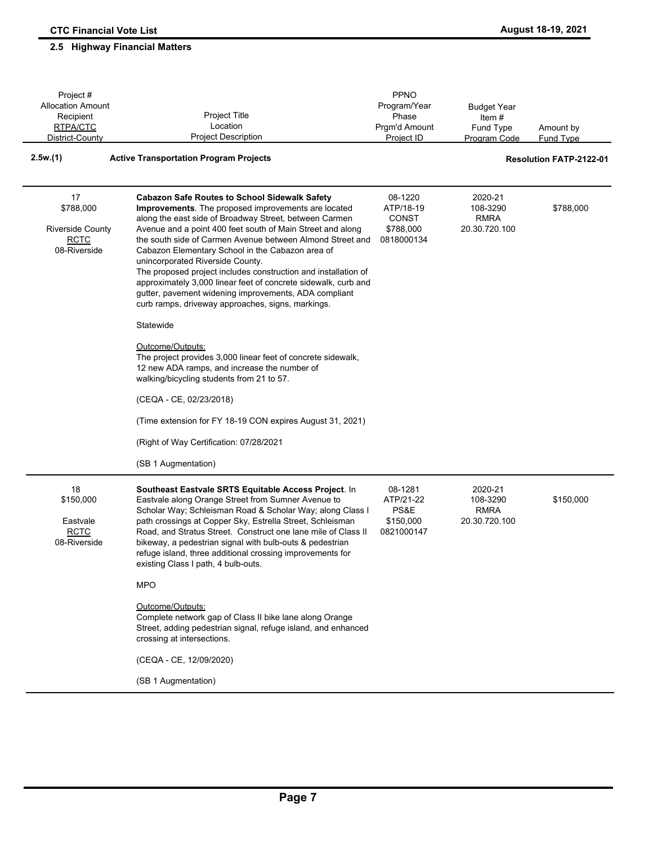Project # Allocation Amount Recipient RTPA/CTC

Budget Year Item # Fund Type

PPNO Program/Year Phase Prgm'd Amount

Amount by

#### Fund Type District-County Project Description Project ID Program Code **2.5w.(1) Active Transportation Program Projects Resolution FATP-2122-01 Cabazon Safe Routes to School Sidewalk Safety Improvements**. The proposed improvements are located along the east side of Broadway Street, between Carmen Avenue and a point 400 feet south of Main Street and along the south side of Carmen Avenue between Almond Street and Cabazon Elementary School in the Cabazon area of unincorporated Riverside County. The proposed project includes construction and installation of approximately 3,000 linear feet of concrete sidewalk, curb and gutter, pavement widening improvements, ADA compliant curb ramps, driveway approaches, signs, markings. Statewide Outcome/Outputs: The project provides 3,000 linear feet of concrete sidewalk, 12 new ADA ramps, and increase the number of walking/bicycling students from 21 to 57. (CEQA - CE, 02/23/2018) (Time extension for FY 18-19 CON expires August 31, 2021) (Right of Way Certification: 07/28/2021 (SB 1 Augmentation) 08-1220 ATP/18-19 **CONST** \$788,000 0818000134 2020-21 108-3290 \$788,000 RMRA 20.30.720.100 \$788,000 Riverside County RCTC 08-Riverside 17 **Southeast Eastvale SRTS Equitable Access Project**. In Eastvale along Orange Street from Sumner Avenue to Scholar Way; Schleisman Road & Scholar Way; along Class I path crossings at Copper Sky, Estrella Street, Schleisman Road, and Stratus Street. Construct one lane mile of Class II bikeway, a pedestrian signal with bulb-outs & pedestrian refuge island, three additional crossing improvements for existing Class I path, 4 bulb-outs. MPO Outcome/Outputs: Complete network gap of Class II bike lane along Orange Street, adding pedestrian signal, refuge island, and enhanced crossing at intersections. (CEQA - CE, 12/09/2020) (SB 1 Augmentation) 08-1281 ATP/21-22 PS&E \$150,000 0821000147 2020-21 108-3290 \$150,000 RMRA 20.30.720.100 \$150,000 Eastvale RCTC 08-Riverside 18

Project Title Location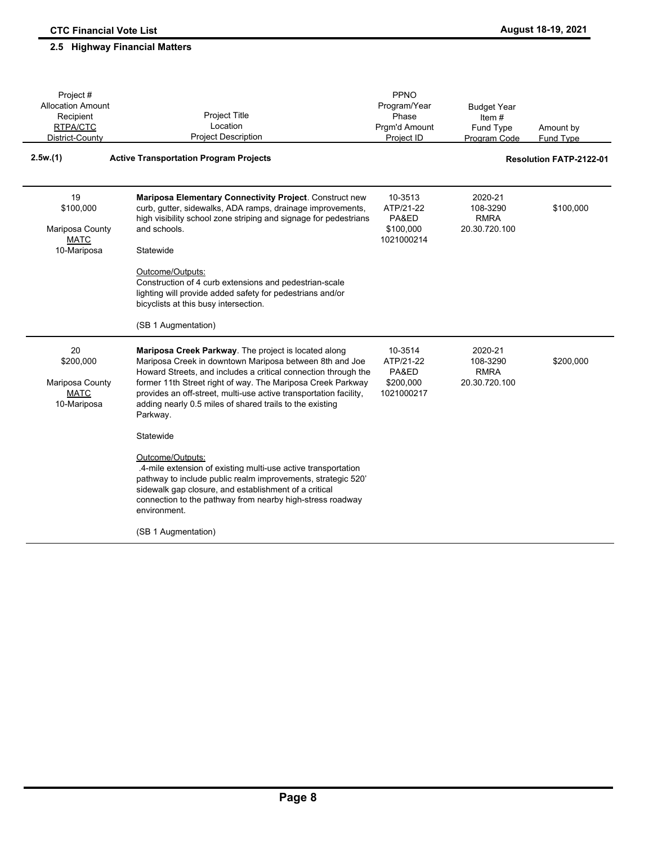Project # Allocation Amount

Budget Year

#### Amount by Fund Type Recipient RTPA/CTC District-County Project Title Location Project Description Phase Prgm'd Amount Project ID Item # Fund Type Program Code **2.5w.(1) Active Transportation Program Projects Resolution FATP-2122-01 Mariposa Elementary Connectivity Project**. Construct new curb, gutter, sidewalks, ADA ramps, drainage improvements, high visibility school zone striping and signage for pedestrians and schools. **Statewide** Outcome/Outputs: Construction of 4 curb extensions and pedestrian-scale lighting will provide added safety for pedestrians and/or bicyclists at this busy intersection. (SB 1 Augmentation) 10-3513 ATP/21-22 PA&ED \$100,000 1021000214 2020-21 108-3290 \$100,000 RMRA 20.30.720.100 \$100,000 Mariposa County **MATC** 10-Mariposa 19 **Mariposa Creek Parkway**. The project is located along Mariposa Creek in downtown Mariposa between 8th and Joe Howard Streets, and includes a critical connection through the former 11th Street right of way. The Mariposa Creek Parkway provides an off-street, multi-use active transportation facility, adding nearly 0.5 miles of shared trails to the existing Parkway. **Statewide** Outcome/Outputs: .4-mile extension of existing multi-use active transportation pathway to include public realm improvements, strategic 520' sidewalk gap closure, and establishment of a critical connection to the pathway from nearby high-stress roadway environment. 10-3514 ATP/21-22 PA&ED \$200,000 1021000217 2020-21 108-3290 \$200,000 RMRA 20.30.720.100 \$200,000 Mariposa County **MATC** 10-Mariposa 20

PPNO Program/Year

(SB 1 Augmentation)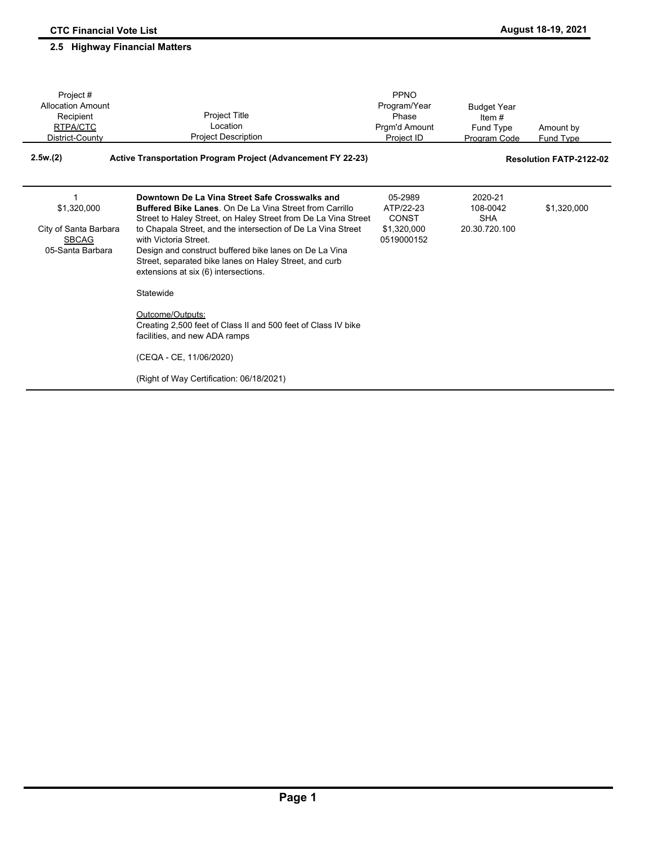| Project#                 |                                                                     | PPNO          |                    |                                |
|--------------------------|---------------------------------------------------------------------|---------------|--------------------|--------------------------------|
| <b>Allocation Amount</b> |                                                                     | Program/Year  | <b>Budget Year</b> |                                |
| Recipient                | <b>Project Title</b>                                                | Phase         | Item $#$           |                                |
| RTPA/CTC                 | Location                                                            | Prgm'd Amount | Fund Type          | Amount by                      |
| District-County          | <b>Project Description</b>                                          | Project ID    | Program Code       | <b>Fund Type</b>               |
| 2.5w(2)                  | <b>Active Transportation Program Project (Advancement FY 22-23)</b> |               |                    | <b>Resolution FATP-2122-02</b> |
| 1                        | Downtown De La Vina Street Safe Crosswalks and                      | 05-2989       | 2020-21            |                                |
| \$1,320,000              | <b>Buffered Bike Lanes. On De La Vina Street from Carrillo</b>      | ATP/22-23     | 108-0042           | \$1,320,000                    |
|                          | Street to Haley Street, on Haley Street from De La Vina Street      | <b>CONST</b>  | <b>SHA</b>         |                                |
| City of Santa Barbara    | to Chapala Street, and the intersection of De La Vina Street        | \$1,320,000   | 20.30.720.100      |                                |
| <b>SBCAG</b>             | with Victoria Street.                                               | 0519000152    |                    |                                |
| 05-Santa Barbara         | Design and construct buffered bike lanes on De La Vina              |               |                    |                                |
|                          | Street, separated bike lanes on Haley Street, and curb              |               |                    |                                |
|                          | extensions at six (6) intersections.                                |               |                    |                                |
|                          | Statewide                                                           |               |                    |                                |
|                          | Outcome/Outputs:                                                    |               |                    |                                |
|                          | Creating 2,500 feet of Class II and 500 feet of Class IV bike       |               |                    |                                |
|                          | facilities, and new ADA ramps                                       |               |                    |                                |
|                          | (CEQA - CE, 11/06/2020)                                             |               |                    |                                |
|                          | (Right of Way Certification: 06/18/2021)                            |               |                    |                                |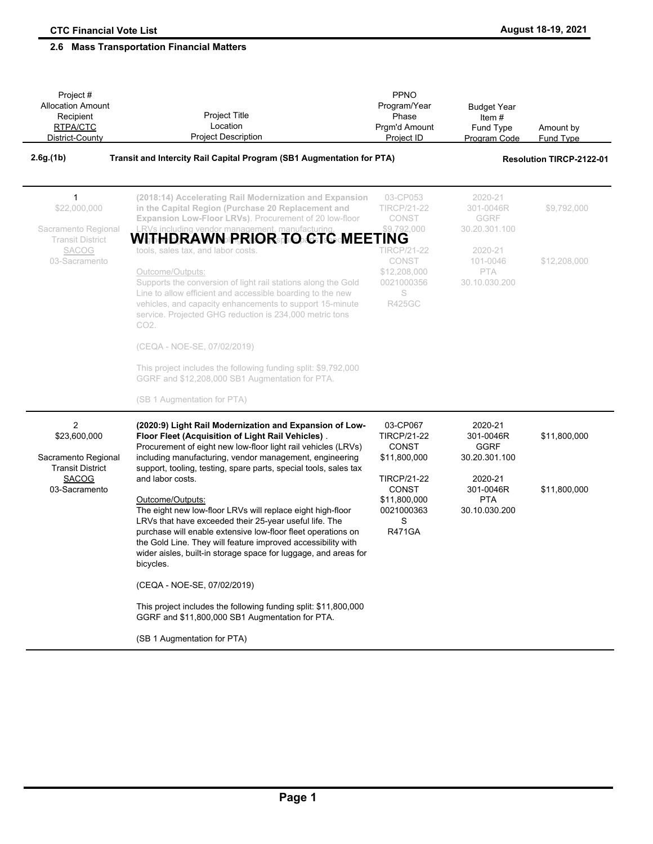| Project #<br><b>Allocation Amount</b><br>Recipient<br>RTPA/CTC<br>District-County | <b>Project Title</b><br>Location<br><b>Project Description</b>                                                                                                                                                                                                                                                                                           | PPNO<br>Program/Year<br>Phase<br>Prgm'd Amount<br>Project ID                           | <b>Budget Year</b><br>Item#<br>Fund Type<br>Program Code | Amount by<br>Fund Type          |
|-----------------------------------------------------------------------------------|----------------------------------------------------------------------------------------------------------------------------------------------------------------------------------------------------------------------------------------------------------------------------------------------------------------------------------------------------------|----------------------------------------------------------------------------------------|----------------------------------------------------------|---------------------------------|
| 2.6g(1b)                                                                          | Transit and Intercity Rail Capital Program (SB1 Augmentation for PTA)                                                                                                                                                                                                                                                                                    |                                                                                        |                                                          | <b>Resolution TIRCP-2122-01</b> |
| $\mathbf{1}$<br>\$22,000,000<br>Sacramento Regional<br><b>Transit District</b>    | (2018:14) Accelerating Rail Modernization and Expansion<br>in the Capital Region (Purchase 20 Replacement and<br>Expansion Low-Floor LRVs). Procurement of 20 low-floor<br>RVs including vendor management, manufacturing<br>WITHDRAWN PRIOR TO CTC MEETING                                                                                              | 03-CP053<br><b>TIRCP/21-22</b><br>CONST<br>\$9,792,000                                 | 2020-21<br>301-0046R<br>GGRF<br>30.20.301.100            | \$9,792,000                     |
| <b>SACOG</b><br>03-Sacramento                                                     | tools, sales tax, and labor costs.<br>Outcome/Outputs:<br>Supports the conversion of light rail stations along the Gold<br>Line to allow efficient and accessible boarding to the new<br>vehicles, and capacity enhancements to support 15-minute<br>service. Projected GHG reduction is 234,000 metric tons<br>CO2.                                     | <b>TIRCP/21-22</b><br><b>CONST</b><br>\$12,208,000<br>0021000356<br>S<br><b>R425GC</b> | 2020-21<br>101-0046<br><b>PTA</b><br>30.10.030.200       | \$12,208,000                    |
|                                                                                   | (CEQA - NOE-SE, 07/02/2019)                                                                                                                                                                                                                                                                                                                              |                                                                                        |                                                          |                                 |
|                                                                                   | This project includes the following funding split: \$9,792,000<br>GGRF and \$12,208,000 SB1 Augmentation for PTA.                                                                                                                                                                                                                                        |                                                                                        |                                                          |                                 |
|                                                                                   | (SB 1 Augmentation for PTA)                                                                                                                                                                                                                                                                                                                              |                                                                                        |                                                          |                                 |
| 2<br>\$23,600,000<br>Sacramento Regional<br><b>Transit District</b>               | (2020:9) Light Rail Modernization and Expansion of Low-<br>Floor Fleet (Acquisition of Light Rail Vehicles).<br>Procurement of eight new low-floor light rail vehicles (LRVs)<br>including manufacturing, vendor management, engineering<br>support, tooling, testing, spare parts, special tools, sales tax                                             | 03-CP067<br><b>TIRCP/21-22</b><br><b>CONST</b><br>\$11,800,000                         | 2020-21<br>301-0046R<br><b>GGRF</b><br>30.20.301.100     | \$11,800,000                    |
| <b>SACOG</b><br>03-Sacramento                                                     | and labor costs.                                                                                                                                                                                                                                                                                                                                         | <b>TIRCP/21-22</b><br><b>CONST</b>                                                     | 2020-21<br>301-0046R                                     | \$11,800,000                    |
|                                                                                   | Outcome/Outputs:<br>The eight new low-floor LRVs will replace eight high-floor<br>LRVs that have exceeded their 25-year useful life. The<br>purchase will enable extensive low-floor fleet operations on<br>the Gold Line. They will feature improved accessibility with<br>wider aisles, built-in storage space for luggage, and areas for<br>bicycles. | \$11,800,000<br>0021000363<br>S<br><b>R471GA</b>                                       | <b>PTA</b><br>30.10.030.200                              |                                 |
|                                                                                   | (CEQA - NOE-SE, 07/02/2019)                                                                                                                                                                                                                                                                                                                              |                                                                                        |                                                          |                                 |
|                                                                                   | This project includes the following funding split: \$11,800,000<br>GGRF and \$11,800,000 SB1 Augmentation for PTA.                                                                                                                                                                                                                                       |                                                                                        |                                                          |                                 |
|                                                                                   | (SB 1 Augmentation for PTA)                                                                                                                                                                                                                                                                                                                              |                                                                                        |                                                          |                                 |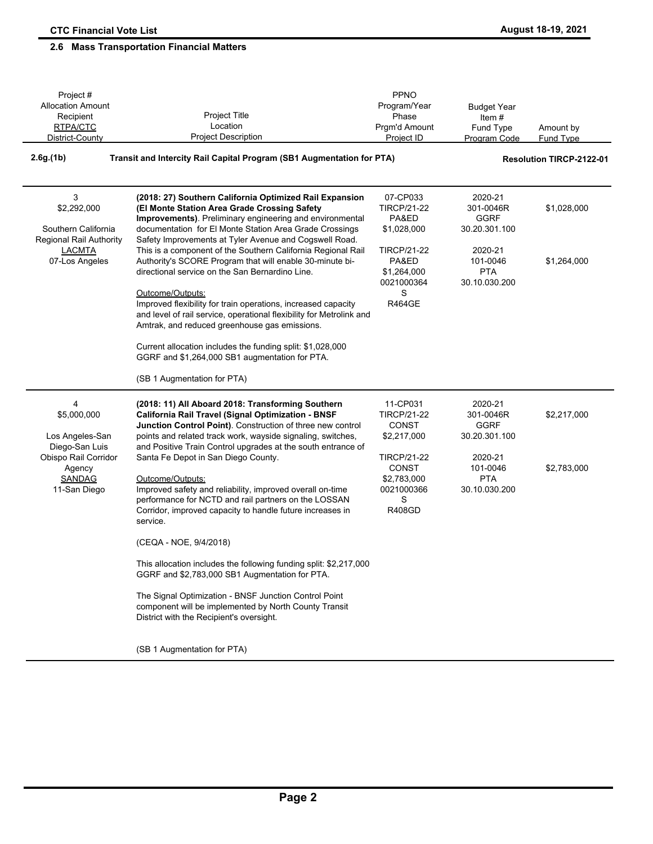| Project #<br><b>Allocation Amount</b><br>Recipient                         | Project Title                                                                                                                                                                                                                                                                                                                                                                             | PPNO<br>Program/Year<br>Phase                                                         | <b>Budget Year</b><br>Item#                          |                                 |
|----------------------------------------------------------------------------|-------------------------------------------------------------------------------------------------------------------------------------------------------------------------------------------------------------------------------------------------------------------------------------------------------------------------------------------------------------------------------------------|---------------------------------------------------------------------------------------|------------------------------------------------------|---------------------------------|
| RTPA/CTC<br>District-County                                                | Location<br><b>Project Description</b>                                                                                                                                                                                                                                                                                                                                                    | Prgm'd Amount<br>Project ID                                                           | Fund Type<br>Program Code                            | Amount by<br><b>Fund Type</b>   |
| 2.6g(1b)                                                                   | Transit and Intercity Rail Capital Program (SB1 Augmentation for PTA)                                                                                                                                                                                                                                                                                                                     |                                                                                       |                                                      | <b>Resolution TIRCP-2122-01</b> |
| 3<br>\$2,292,000<br>Southern California<br>Regional Rail Authority         | (2018: 27) Southern California Optimized Rail Expansion<br>(El Monte Station Area Grade Crossing Safety<br>Improvements). Preliminary engineering and environmental<br>documentation for El Monte Station Area Grade Crossings<br>Safety Improvements at Tyler Avenue and Cogswell Road.                                                                                                  | 07-CP033<br><b>TIRCP/21-22</b><br>PA&ED<br>\$1,028,000                                | 2020-21<br>301-0046R<br><b>GGRF</b><br>30.20.301.100 | \$1,028,000                     |
| <b>LACMTA</b><br>07-Los Angeles                                            | This is a component of the Southern California Regional Rail<br>Authority's SCORE Program that will enable 30-minute bi-<br>directional service on the San Bernardino Line.<br>Outcome/Outputs:<br>Improved flexibility for train operations, increased capacity<br>and level of rail service, operational flexibility for Metrolink and<br>Amtrak, and reduced greenhouse gas emissions. | <b>TIRCP/21-22</b><br>PA&ED<br>\$1,264,000<br>0021000364<br>S<br><b>R464GE</b>        | 2020-21<br>101-0046<br><b>PTA</b><br>30.10.030.200   | \$1,264,000                     |
|                                                                            | Current allocation includes the funding split: \$1,028,000<br>GGRF and \$1,264,000 SB1 augmentation for PTA.<br>(SB 1 Augmentation for PTA)                                                                                                                                                                                                                                               |                                                                                       |                                                      |                                 |
| 4<br>\$5,000,000<br>Los Angeles-San                                        | (2018: 11) All Aboard 2018: Transforming Southern<br>California Rail Travel (Signal Optimization - BNSF<br>Junction Control Point). Construction of three new control<br>points and related track work, wayside signaling, switches,                                                                                                                                                      | 11-CP031<br><b>TIRCP/21-22</b><br>CONST<br>\$2,217,000                                | 2020-21<br>301-0046R<br><b>GGRF</b><br>30.20.301.100 | \$2,217,000                     |
| Diego-San Luis<br>Obispo Rail Corridor<br>Agency<br>SANDAG<br>11-San Diego | and Positive Train Control upgrades at the south entrance of<br>Santa Fe Depot in San Diego County.<br>Outcome/Outputs:<br>Improved safety and reliability, improved overall on-time<br>performance for NCTD and rail partners on the LOSSAN<br>Corridor, improved capacity to handle future increases in<br>service.                                                                     | <b>TIRCP/21-22</b><br><b>CONST</b><br>\$2,783,000<br>0021000366<br>S<br><b>R408GD</b> | 2020-21<br>101-0046<br><b>PTA</b><br>30.10.030.200   | \$2,783,000                     |
|                                                                            | (CEQA - NOE, 9/4/2018)                                                                                                                                                                                                                                                                                                                                                                    |                                                                                       |                                                      |                                 |
|                                                                            | This allocation includes the following funding split: \$2,217,000<br>GGRF and \$2,783,000 SB1 Augmentation for PTA.                                                                                                                                                                                                                                                                       |                                                                                       |                                                      |                                 |
|                                                                            | The Signal Optimization - BNSF Junction Control Point<br>component will be implemented by North County Transit<br>District with the Recipient's oversight.                                                                                                                                                                                                                                |                                                                                       |                                                      |                                 |
|                                                                            | (SB 1 Augmentation for PTA)                                                                                                                                                                                                                                                                                                                                                               |                                                                                       |                                                      |                                 |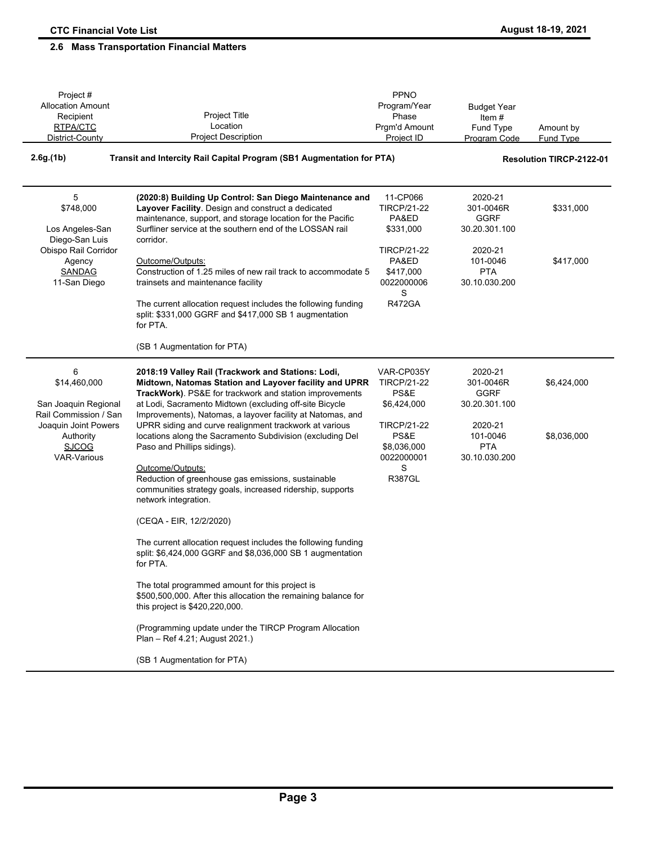| Project #                                                                                                                |                                                                                                                                                                                                                                                                             | PPNO                                                                   |                                                                     |                                 |
|--------------------------------------------------------------------------------------------------------------------------|-----------------------------------------------------------------------------------------------------------------------------------------------------------------------------------------------------------------------------------------------------------------------------|------------------------------------------------------------------------|---------------------------------------------------------------------|---------------------------------|
| <b>Allocation Amount</b>                                                                                                 |                                                                                                                                                                                                                                                                             | Program/Year                                                           | <b>Budget Year</b>                                                  |                                 |
| Recipient                                                                                                                | Project Title                                                                                                                                                                                                                                                               | Phase                                                                  | Item#                                                               |                                 |
| RTPA/CTC                                                                                                                 | Location                                                                                                                                                                                                                                                                    | Prgm'd Amount                                                          | Fund Type                                                           | Amount by                       |
| District-County                                                                                                          | <b>Project Description</b>                                                                                                                                                                                                                                                  | Project ID                                                             | Program Code                                                        | <b>Fund Type</b>                |
| 2.6g(1b)<br>Transit and Intercity Rail Capital Program (SB1 Augmentation for PTA)                                        |                                                                                                                                                                                                                                                                             |                                                                        |                                                                     | <b>Resolution TIRCP-2122-01</b> |
| 5<br>\$748,000<br>Los Angeles-San<br>Diego-San Luis                                                                      | (2020:8) Building Up Control: San Diego Maintenance and<br>Layover Facility. Design and construct a dedicated<br>maintenance, support, and storage location for the Pacific<br>Surfliner service at the southern end of the LOSSAN rail<br>corridor.                        | 11-CP066<br><b>TIRCP/21-22</b><br>PA&ED<br>\$331,000                   | 2020-21<br>301-0046R<br><b>GGRF</b><br>30.20.301.100                | \$331,000                       |
| Obispo Rail Corridor<br>Agency<br><b>SANDAG</b><br>11-San Diego                                                          | Outcome/Outputs:<br>Construction of 1.25 miles of new rail track to accommodate 5<br>trainsets and maintenance facility                                                                                                                                                     | <b>TIRCP/21-22</b><br>PA&ED<br>\$417,000<br>0022000006<br>S            | 2020-21<br>101-0046<br><b>PTA</b><br>30.10.030.200                  | \$417,000                       |
|                                                                                                                          | The current allocation request includes the following funding<br>split: \$331,000 GGRF and \$417,000 SB 1 augmentation<br>for PTA.                                                                                                                                          | <b>R472GA</b>                                                          |                                                                     |                                 |
|                                                                                                                          | (SB 1 Augmentation for PTA)                                                                                                                                                                                                                                                 |                                                                        |                                                                     |                                 |
| 6<br>\$14,460,000                                                                                                        | 2018:19 Valley Rail (Trackwork and Stations: Lodi,<br>Midtown, Natomas Station and Layover facility and UPRR<br>TrackWork). PS&E for trackwork and station improvements                                                                                                     | VAR-CP035Y<br><b>TIRCP/21-22</b><br>PS&E                               | 2020-21<br>301-0046R<br><b>GGRF</b>                                 | \$6,424,000                     |
| San Joaquin Regional<br>Rail Commission / San<br>Joaquin Joint Powers<br>Authority<br><b>SJCOG</b><br><b>VAR-Various</b> | at Lodi, Sacramento Midtown (excluding off-site Bicycle<br>Improvements), Natomas, a layover facility at Natomas, and<br>UPRR siding and curve realignment trackwork at various<br>locations along the Sacramento Subdivision (excluding Del<br>Paso and Phillips sidings). | \$6,424,000<br><b>TIRCP/21-22</b><br>PS&E<br>\$8,036,000<br>0022000001 | 30.20.301.100<br>2020-21<br>101-0046<br><b>PTA</b><br>30.10.030.200 | \$8,036,000                     |
|                                                                                                                          | Outcome/Outputs:<br>Reduction of greenhouse gas emissions, sustainable<br>communities strategy goals, increased ridership, supports<br>network integration.                                                                                                                 | S<br><b>R387GL</b>                                                     |                                                                     |                                 |
|                                                                                                                          | (CEQA - EIR, 12/2/2020)                                                                                                                                                                                                                                                     |                                                                        |                                                                     |                                 |
|                                                                                                                          | The current allocation request includes the following funding<br>split: \$6,424,000 GGRF and \$8,036,000 SB 1 augmentation<br>for PTA.                                                                                                                                      |                                                                        |                                                                     |                                 |
|                                                                                                                          | The total programmed amount for this project is<br>\$500,500,000. After this allocation the remaining balance for<br>this project is \$420,220,000.                                                                                                                         |                                                                        |                                                                     |                                 |
|                                                                                                                          | (Programming update under the TIRCP Program Allocation<br>Plan - Ref 4.21; August 2021.)                                                                                                                                                                                    |                                                                        |                                                                     |                                 |
|                                                                                                                          | (SB 1 Augmentation for PTA)                                                                                                                                                                                                                                                 |                                                                        |                                                                     |                                 |
|                                                                                                                          |                                                                                                                                                                                                                                                                             |                                                                        |                                                                     |                                 |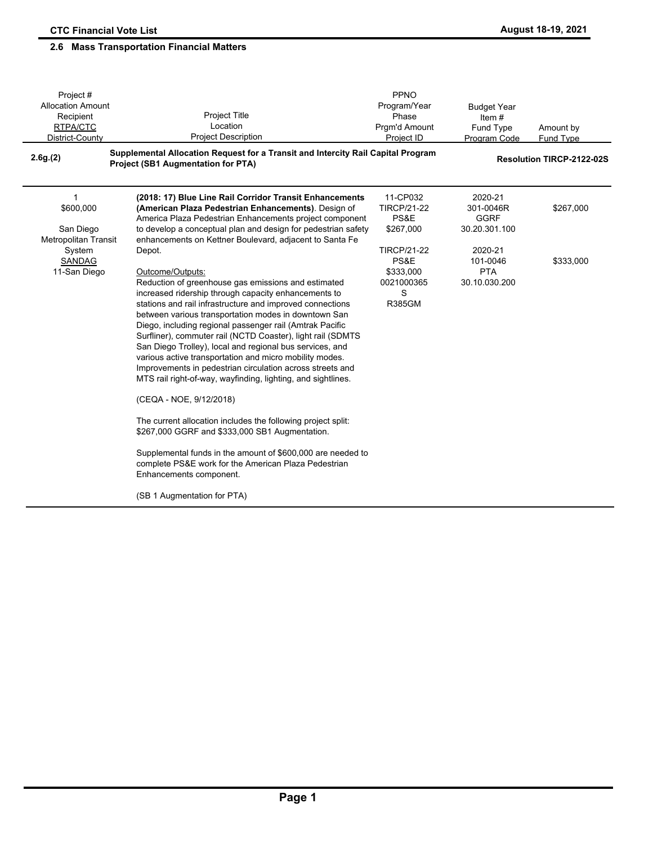| Project#<br><b>Allocation Amount</b><br>Recipient<br>RTPA/CTC<br>District-County<br>2.6g(2) | Project Title<br>Location<br><b>Project Description</b><br>Supplemental Allocation Request for a Transit and Intercity Rail Capital Program<br><b>Project (SB1 Augmentation for PTA)</b>                                                                                                                                                                                                                                                                                                                                                                                                                                                                                                                                                                                                                                                                                                                                                                                                                                               | PPNO<br>Program/Year<br>Phase<br>Prgm'd Amount<br>Project ID                | <b>Budget Year</b><br>Item $#$<br>Fund Type<br>Program Code | Amount by<br>Fund Type<br><b>Resolution TIRCP-2122-02S</b> |
|---------------------------------------------------------------------------------------------|----------------------------------------------------------------------------------------------------------------------------------------------------------------------------------------------------------------------------------------------------------------------------------------------------------------------------------------------------------------------------------------------------------------------------------------------------------------------------------------------------------------------------------------------------------------------------------------------------------------------------------------------------------------------------------------------------------------------------------------------------------------------------------------------------------------------------------------------------------------------------------------------------------------------------------------------------------------------------------------------------------------------------------------|-----------------------------------------------------------------------------|-------------------------------------------------------------|------------------------------------------------------------|
| 1<br>\$600,000<br>San Diego                                                                 | (2018: 17) Blue Line Rail Corridor Transit Enhancements<br>(American Plaza Pedestrian Enhancements). Design of<br>America Plaza Pedestrian Enhancements project component<br>to develop a conceptual plan and design for pedestrian safety                                                                                                                                                                                                                                                                                                                                                                                                                                                                                                                                                                                                                                                                                                                                                                                             | 11-CP032<br><b>TIRCP/21-22</b><br>PS&E<br>\$267,000                         | 2020-21<br>301-0046R<br><b>GGRF</b><br>30.20.301.100        | \$267,000                                                  |
| <b>Metropolitan Transit</b><br>System<br>SANDAG<br>11-San Diego                             | enhancements on Kettner Boulevard, adjacent to Santa Fe<br>Depot.<br>Outcome/Outputs:<br>Reduction of greenhouse gas emissions and estimated<br>increased ridership through capacity enhancements to<br>stations and rail infrastructure and improved connections<br>between various transportation modes in downtown San<br>Diego, including regional passenger rail (Amtrak Pacific<br>Surfliner), commuter rail (NCTD Coaster), light rail (SDMTS<br>San Diego Trolley), local and regional bus services, and<br>various active transportation and micro mobility modes.<br>Improvements in pedestrian circulation across streets and<br>MTS rail right-of-way, wayfinding, lighting, and sightlines.<br>(CEQA - NOE, 9/12/2018)<br>The current allocation includes the following project split:<br>\$267,000 GGRF and \$333,000 SB1 Augmentation.<br>Supplemental funds in the amount of \$600,000 are needed to<br>complete PS&E work for the American Plaza Pedestrian<br>Enhancements component.<br>(SB 1 Augmentation for PTA) | <b>TIRCP/21-22</b><br>PS&E<br>\$333,000<br>0021000365<br>S<br><b>R385GM</b> | 2020-21<br>101-0046<br><b>PTA</b><br>30.10.030.200          | \$333,000                                                  |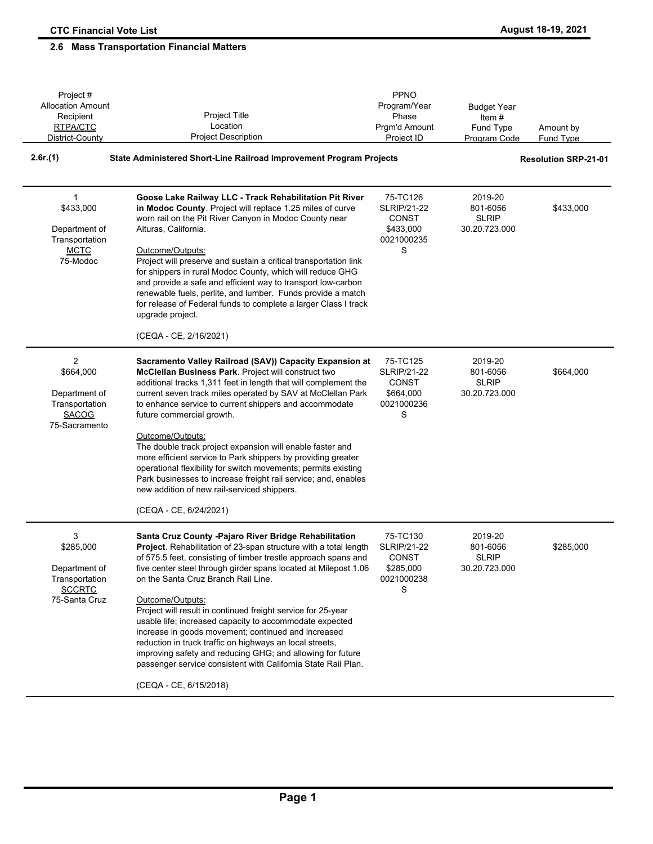| Project #<br><b>Allocation Amount</b>                                                           |                                                                                                                                                                                                                                                                                                                                                                                                                                                                                                                                                                                                                                                                                                         | PPNO<br>Program/Year                                                           | <b>Budget Year</b>                                   |                             |
|-------------------------------------------------------------------------------------------------|---------------------------------------------------------------------------------------------------------------------------------------------------------------------------------------------------------------------------------------------------------------------------------------------------------------------------------------------------------------------------------------------------------------------------------------------------------------------------------------------------------------------------------------------------------------------------------------------------------------------------------------------------------------------------------------------------------|--------------------------------------------------------------------------------|------------------------------------------------------|-----------------------------|
| Recipient                                                                                       | Project Title                                                                                                                                                                                                                                                                                                                                                                                                                                                                                                                                                                                                                                                                                           | Phase                                                                          | Item $#$                                             |                             |
| RTPA/CTC                                                                                        | Location                                                                                                                                                                                                                                                                                                                                                                                                                                                                                                                                                                                                                                                                                                | Prgm'd Amount                                                                  | Fund Type                                            | Amount by                   |
| District-County                                                                                 | <b>Project Description</b>                                                                                                                                                                                                                                                                                                                                                                                                                                                                                                                                                                                                                                                                              | Project ID                                                                     | <b>Program Code</b>                                  | <b>Fund Type</b>            |
| 2.6r(1)                                                                                         | State Administered Short-Line Railroad Improvement Program Projects                                                                                                                                                                                                                                                                                                                                                                                                                                                                                                                                                                                                                                     |                                                                                |                                                      | <b>Resolution SRP-21-01</b> |
| $\mathbf{1}$<br>\$433,000<br>Department of<br>Transportation<br><b>MCTC</b><br>75-Modoc         | Goose Lake Railway LLC - Track Rehabilitation Pit River<br>in Modoc County. Project will replace 1.25 miles of curve<br>worn rail on the Pit River Canyon in Modoc County near<br>Alturas, California.<br>Outcome/Outputs:<br>Project will preserve and sustain a critical transportation link<br>for shippers in rural Modoc County, which will reduce GHG<br>and provide a safe and efficient way to transport low-carbon<br>renewable fuels, perlite, and lumber. Funds provide a match<br>for release of Federal funds to complete a larger Class I track<br>upgrade project.<br>(CEQA - CE, 2/16/2021)                                                                                             | 75-TC126<br><b>SLRIP/21-22</b><br><b>CONST</b><br>\$433,000<br>0021000235<br>S | 2019-20<br>801-6056<br><b>SLRIP</b><br>30.20.723.000 | \$433,000                   |
|                                                                                                 |                                                                                                                                                                                                                                                                                                                                                                                                                                                                                                                                                                                                                                                                                                         |                                                                                |                                                      |                             |
| $\overline{2}$<br>\$664,000<br>Department of<br>Transportation<br><b>SACOG</b><br>75-Sacramento | Sacramento Valley Railroad (SAV)) Capacity Expansion at<br>McClellan Business Park. Project will construct two<br>additional tracks 1,311 feet in length that will complement the<br>current seven track miles operated by SAV at McClellan Park<br>to enhance service to current shippers and accommodate<br>future commercial growth.<br>Outcome/Outputs:<br>The double track project expansion will enable faster and<br>more efficient service to Park shippers by providing greater<br>operational flexibility for switch movements; permits existing<br>Park businesses to increase freight rail service; and, enables<br>new addition of new rail-serviced shippers.<br>(CEQA - CE, 6/24/2021)   | 75-TC125<br><b>SLRIP/21-22</b><br><b>CONST</b><br>\$664,000<br>0021000236<br>S | 2019-20<br>801-6056<br><b>SLRIP</b><br>30.20.723.000 | \$664,000                   |
| 3<br>\$285,000<br>Department of<br>Transportation<br><b>SCCRTC</b><br>75-Santa Cruz             | Santa Cruz County - Pajaro River Bridge Rehabilitation<br>Project. Rehabilitation of 23-span structure with a total length<br>of 575.5 feet, consisting of timber trestle approach spans and<br>five center steel through girder spans located at Milepost 1.06<br>on the Santa Cruz Branch Rail Line.<br>Outcome/Outputs:<br>Project will result in continued freight service for 25-year<br>usable life; increased capacity to accommodate expected<br>increase in goods movement; continued and increased<br>reduction in truck traffic on highways an local streets,<br>improving safety and reducing GHG; and allowing for future<br>passenger service consistent with California State Rail Plan. | 75-TC130<br><b>SLRIP/21-22</b><br><b>CONST</b><br>\$285,000<br>0021000238<br>S | 2019-20<br>801-6056<br><b>SLRIP</b><br>30.20.723.000 | \$285,000                   |
|                                                                                                 | (CEQA - CE, 6/15/2018)                                                                                                                                                                                                                                                                                                                                                                                                                                                                                                                                                                                                                                                                                  |                                                                                |                                                      |                             |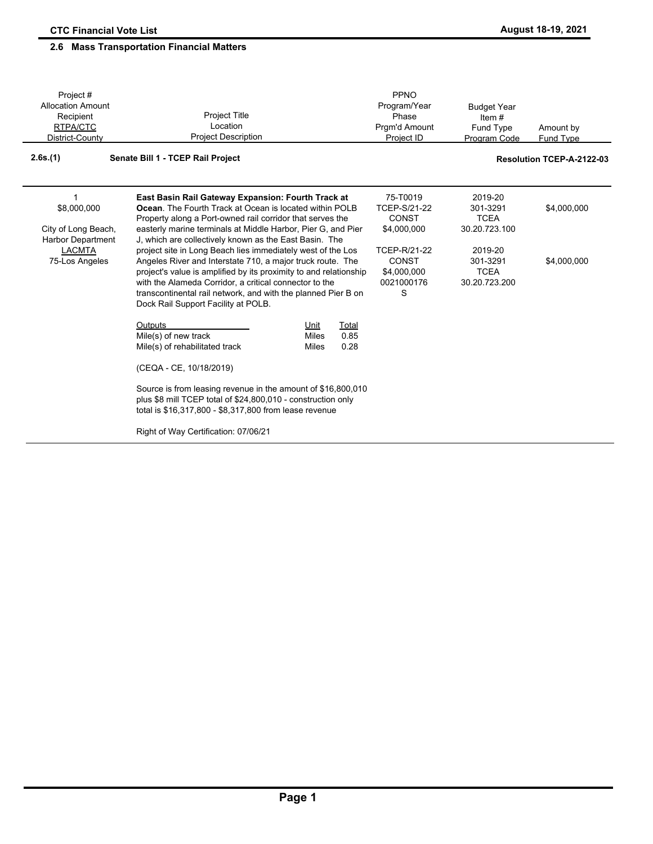| Project#<br><b>Allocation Amount</b><br>Recipient<br>RTPA/CTC<br>District-County | <b>Project Title</b><br>Location<br><b>Project Description</b>                                                                                                                                                                                                                                                                                                   | PPNO<br>Program/Year<br>Phase<br>Prgm'd Amount<br>Project ID   | <b>Budget Year</b><br>Item $#$<br>Fund Type<br>Program Code | Amount by<br>Fund Type    |
|----------------------------------------------------------------------------------|------------------------------------------------------------------------------------------------------------------------------------------------------------------------------------------------------------------------------------------------------------------------------------------------------------------------------------------------------------------|----------------------------------------------------------------|-------------------------------------------------------------|---------------------------|
| 2.6s.(1)                                                                         | Senate Bill 1 - TCEP Rail Project                                                                                                                                                                                                                                                                                                                                |                                                                |                                                             | Resolution TCEP-A-2122-03 |
| 1<br>\$8,000,000<br>City of Long Beach,<br><b>Harbor Department</b>              | East Basin Rail Gateway Expansion: Fourth Track at<br><b>Ocean.</b> The Fourth Track at Ocean is located within POLB<br>Property along a Port-owned rail corridor that serves the<br>easterly marine terminals at Middle Harbor, Pier G, and Pier<br>J, which are collectively known as the East Basin. The                                                      | 75-T0019<br><b>TCEP-S/21-22</b><br><b>CONST</b><br>\$4,000,000 | 2019-20<br>301-3291<br><b>TCEA</b><br>30.20.723.100         | \$4,000,000               |
| <b>LACMTA</b><br>75-Los Angeles                                                  | project site in Long Beach lies immediately west of the Los<br>Angeles River and Interstate 710, a major truck route. The<br>project's value is amplified by its proximity to and relationship<br>with the Alameda Corridor, a critical connector to the<br>transcontinental rail network, and with the planned Pier B on<br>Dock Rail Support Facility at POLB. | TCEP-R/21-22<br><b>CONST</b><br>\$4,000,000<br>0021000176<br>S | 2019-20<br>301-3291<br><b>TCEA</b><br>30.20.723.200         | \$4,000,000               |
|                                                                                  | Outputs<br>Total<br>Unit<br>0.85<br>Mile(s) of new track<br><b>Miles</b><br>0.28<br>Mile(s) of rehabilitated track<br>Miles<br>(CEQA - CE, 10/18/2019)                                                                                                                                                                                                           |                                                                |                                                             |                           |
|                                                                                  | Source is from leasing revenue in the amount of \$16,800,010<br>plus \$8 mill TCEP total of \$24,800,010 - construction only<br>total is \$16,317,800 - \$8,317,800 from lease revenue<br>Right of Way Certification: 07/06/21                                                                                                                                   |                                                                |                                                             |                           |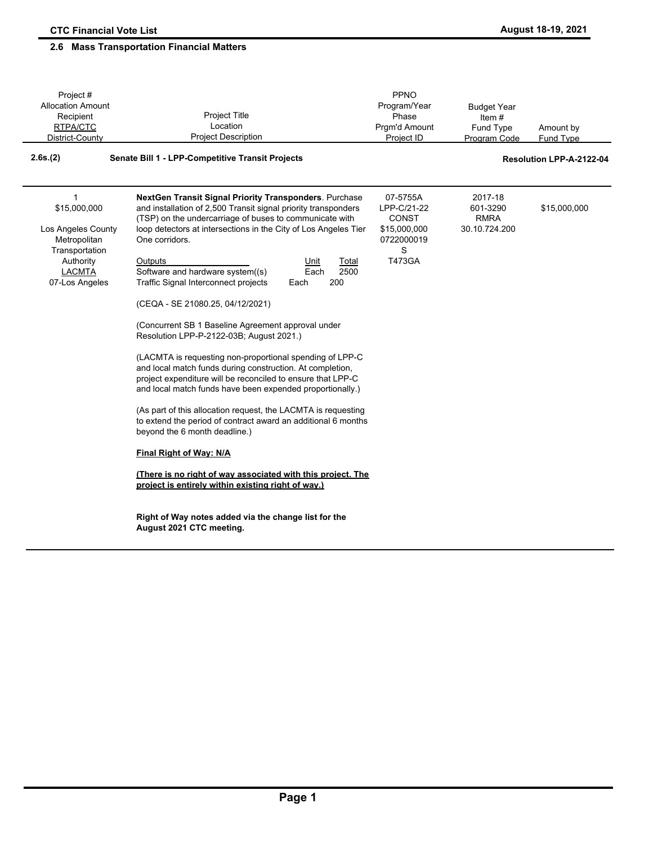| Project#                                                                                                                             |                                                                                                                                                                                                                                                                                                                                                                                                                                                                                                                                                                                                                                                                                                                                                                                                                                                                                                                                                                                                                                                                                                                                                                                       | PPNO                                                                                        |                                                     |                          |
|--------------------------------------------------------------------------------------------------------------------------------------|---------------------------------------------------------------------------------------------------------------------------------------------------------------------------------------------------------------------------------------------------------------------------------------------------------------------------------------------------------------------------------------------------------------------------------------------------------------------------------------------------------------------------------------------------------------------------------------------------------------------------------------------------------------------------------------------------------------------------------------------------------------------------------------------------------------------------------------------------------------------------------------------------------------------------------------------------------------------------------------------------------------------------------------------------------------------------------------------------------------------------------------------------------------------------------------|---------------------------------------------------------------------------------------------|-----------------------------------------------------|--------------------------|
| <b>Allocation Amount</b>                                                                                                             |                                                                                                                                                                                                                                                                                                                                                                                                                                                                                                                                                                                                                                                                                                                                                                                                                                                                                                                                                                                                                                                                                                                                                                                       | Program/Year                                                                                | <b>Budget Year</b>                                  |                          |
| Recipient                                                                                                                            | <b>Project Title</b>                                                                                                                                                                                                                                                                                                                                                                                                                                                                                                                                                                                                                                                                                                                                                                                                                                                                                                                                                                                                                                                                                                                                                                  | Phase                                                                                       | Item $#$                                            |                          |
| RTPA/CTC                                                                                                                             | Location                                                                                                                                                                                                                                                                                                                                                                                                                                                                                                                                                                                                                                                                                                                                                                                                                                                                                                                                                                                                                                                                                                                                                                              | Prgm'd Amount                                                                               | Fund Type                                           | Amount by                |
| District-County                                                                                                                      | <b>Project Description</b>                                                                                                                                                                                                                                                                                                                                                                                                                                                                                                                                                                                                                                                                                                                                                                                                                                                                                                                                                                                                                                                                                                                                                            | Project ID                                                                                  | Program Code                                        | <b>Fund Type</b>         |
| 2.6s.(2)                                                                                                                             | Senate Bill 1 - LPP-Competitive Transit Projects                                                                                                                                                                                                                                                                                                                                                                                                                                                                                                                                                                                                                                                                                                                                                                                                                                                                                                                                                                                                                                                                                                                                      |                                                                                             |                                                     | Resolution LPP-A-2122-04 |
| $\mathbf{1}$<br>\$15,000,000<br>Los Angeles County<br>Metropolitan<br>Transportation<br>Authority<br><b>LACMTA</b><br>07-Los Angeles | NextGen Transit Signal Priority Transponders. Purchase<br>and installation of 2,500 Transit signal priority transponders<br>(TSP) on the undercarriage of buses to communicate with<br>loop detectors at intersections in the City of Los Angeles Tier<br>One corridors.<br>Outputs<br>Unit<br>Total<br>Software and hardware system((s)<br>2500<br>Each<br>Traffic Signal Interconnect projects<br>200<br>Each<br>(CEQA - SE 21080.25, 04/12/2021)<br>(Concurrent SB 1 Baseline Agreement approval under<br>Resolution LPP-P-2122-03B; August 2021.)<br>(LACMTA is requesting non-proportional spending of LPP-C<br>and local match funds during construction. At completion,<br>project expenditure will be reconciled to ensure that LPP-C<br>and local match funds have been expended proportionally.)<br>(As part of this allocation request, the LACMTA is requesting<br>to extend the period of contract award an additional 6 months<br>beyond the 6 month deadline.)<br>Final Right of Way: N/A<br>(There is no right of way associated with this project. The<br>project is entirely within existing right of way.)<br>Right of Way notes added via the change list for the | 07-5755A<br>LPP-C/21-22<br><b>CONST</b><br>\$15,000,000<br>0722000019<br>S<br><b>T473GA</b> | 2017-18<br>601-3290<br><b>RMRA</b><br>30.10.724.200 | \$15,000,000             |
|                                                                                                                                      | August 2021 CTC meeting.                                                                                                                                                                                                                                                                                                                                                                                                                                                                                                                                                                                                                                                                                                                                                                                                                                                                                                                                                                                                                                                                                                                                                              |                                                                                             |                                                     |                          |